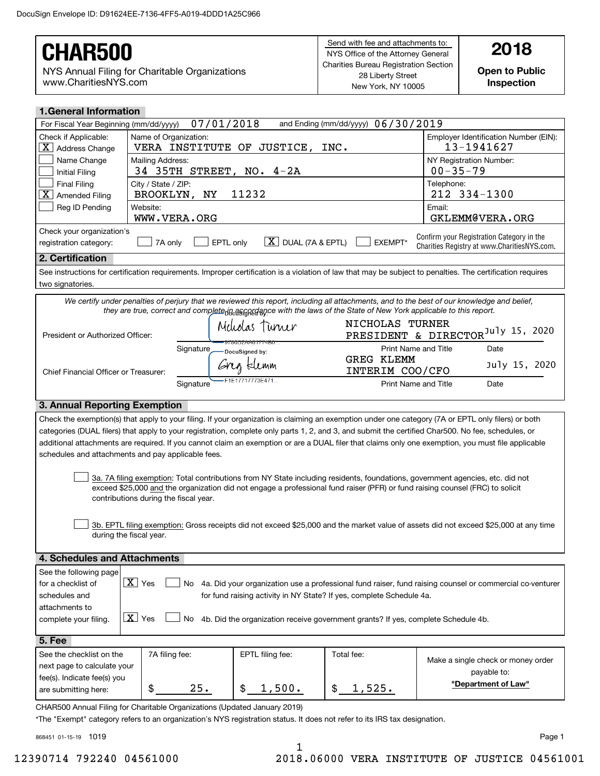#### Send with fee and attachments to: NYS Office of the Attorney General Charities Bureau Registration Section 28 Liberty Street New York, NY 10005 **Open to Public Inspection**NYS Annual Filing for Charitable Organizations www.CharitiesNYS.comCHAR500 **and Attachments to: 2018**

| <b>1. General Information</b>                   |                                                    |                                                                                                                                                                                                                                                                 |                                                                  |                           |                                                                                          |
|-------------------------------------------------|----------------------------------------------------|-----------------------------------------------------------------------------------------------------------------------------------------------------------------------------------------------------------------------------------------------------------------|------------------------------------------------------------------|---------------------------|------------------------------------------------------------------------------------------|
| For Fiscal Year Beginning (mm/dd/yyyy)          | 07/01/2018                                         |                                                                                                                                                                                                                                                                 | and Ending (mm/dd/yyyy) 06/30/2019                               |                           |                                                                                          |
| Check if Applicable:<br>$X \mid$ Address Change | Name of Organization:<br>VERA INSTITUTE OF         | JUSTICE,<br>INC.                                                                                                                                                                                                                                                |                                                                  | 13-1941627                | Employer Identification Number (EIN):                                                    |
| Name Change<br><b>Initial Filing</b>            | Mailing Address:<br>34 35TH STREET, NO. 4-2A       |                                                                                                                                                                                                                                                                 | NY Registration Number:<br>$00 - 35 - 79$                        |                           |                                                                                          |
| <b>Final Filing</b><br> X <br>Amended Filing    | City / State / ZIP:<br>11232<br>BROOKLYN, NY       |                                                                                                                                                                                                                                                                 | Telephone:<br>212 334-1300                                       |                           |                                                                                          |
| Reg ID Pending                                  | Website:<br>WWW.VERA.ORG                           |                                                                                                                                                                                                                                                                 |                                                                  | Email:<br>GKLEMM@VERA.ORG |                                                                                          |
| Check your organization's                       |                                                    |                                                                                                                                                                                                                                                                 |                                                                  |                           |                                                                                          |
| registration category:                          | 7A only                                            | $\boxed{\text{X}}$ DUAL (7A & EPTL)<br>EPTL only                                                                                                                                                                                                                | <b>EXEMPT*</b>                                                   |                           | Confirm your Registration Category in the<br>Charities Registry at www.CharitiesNYS.com. |
| 2. Certification                                |                                                    |                                                                                                                                                                                                                                                                 |                                                                  |                           |                                                                                          |
| two signatories.                                |                                                    | See instructions for certification requirements. Improper certification is a violation of law that may be subject to penalties. The certification requires                                                                                                      |                                                                  |                           |                                                                                          |
|                                                 |                                                    | We certify under penalties of perjury that we reviewed this report, including all attachments, and to the best of our knowledge and belief,<br>they are true, correct and complete jods as a with the laws of the State of New York applicable to this report.  |                                                                  |                           |                                                                                          |
| President or Authorized Officer:                |                                                    | Meliolas Turner<br>9786D2AA61774B0                                                                                                                                                                                                                              | NICHOLAS TURNER<br>PRESIDENT & DIRECTOR <sup>July 15, 2020</sup> |                           |                                                                                          |
|                                                 | Signature                                          | DocuSianed by:                                                                                                                                                                                                                                                  | <b>Print Name and Title</b>                                      |                           | Date                                                                                     |
| Chief Financial Officer or Treasurer:           |                                                    | Greg Elemm                                                                                                                                                                                                                                                      | <b>GREG KLEMM</b><br>INTERIM COO/CFO                             |                           | July 15, 2020                                                                            |
| Signature                                       |                                                    | F1E17717773E471                                                                                                                                                                                                                                                 | <b>Print Name and Title</b>                                      |                           | Date                                                                                     |
| 3. Annual Reporting Exemption                   |                                                    |                                                                                                                                                                                                                                                                 |                                                                  |                           |                                                                                          |
|                                                 |                                                    | Check the exemption(s) that apply to your filing. If your organization is claiming an exemption under one category (7A or EPTL only filers) or both                                                                                                             |                                                                  |                           |                                                                                          |
|                                                 |                                                    | categories (DUAL filers) that apply to your registration, complete only parts 1, 2, and 3, and submit the certified Char500. No fee, schedules, or                                                                                                              |                                                                  |                           |                                                                                          |
|                                                 |                                                    | additional attachments are required. If you cannot claim an exemption or are a DUAL filer that claims only one exemption, you must file applicable                                                                                                              |                                                                  |                           |                                                                                          |
|                                                 | schedules and attachments and pay applicable fees. |                                                                                                                                                                                                                                                                 |                                                                  |                           |                                                                                          |
|                                                 |                                                    | 3a. 7A filing exemption: Total contributions from NY State including residents, foundations, government agencies, etc. did not<br>exceed \$25,000 and the organization did not engage a professional fund raiser (PFR) or fund raising counsel (FRC) to solicit |                                                                  |                           |                                                                                          |

3b. EPTL filing exemption: Gross receipts did not exceed \$25,000 and the market value of assets did not exceed \$25,000 at any time during the fiscal year.  $\mathcal{L}^{\text{max}}$ 

| 4. Schedules and Attachments |                          |     |                                                                                                          |  |  |
|------------------------------|--------------------------|-----|----------------------------------------------------------------------------------------------------------|--|--|
| See the following page       |                          |     |                                                                                                          |  |  |
| for a checklist of           | $\boxed{\mathbf{X}}$ Yes | No. | 4a. Did your organization use a professional fund raiser, fund raising counsel or commercial co-venturer |  |  |
| schedules and                |                          |     | for fund raising activity in NY State? If yes, complete Schedule 4a.                                     |  |  |
| attachments to               |                          |     |                                                                                                          |  |  |
| complete your filing.        | $\boxed{\mathbf{X}}$ Yes |     | No 4b. Did the organization receive government grants? If yes, complete Schedule 4b.                     |  |  |
|                              |                          |     |                                                                                                          |  |  |
| $5.$ Fee $7$                 |                          |     |                                                                                                          |  |  |

| See the checklist on the    | 7A filing fee: | EPTL filing fee: | Total fee: | Make a single check or money order |  |
|-----------------------------|----------------|------------------|------------|------------------------------------|--|
| next page to calculate your |                |                  |            | payable to:                        |  |
| fee(s). Indicate fee(s) you |                |                  |            |                                    |  |
|                             | 25.            |                  |            | "Department of Law"                |  |
| are submitting here:        | Œ              | 1,500.           | 1,525.     |                                    |  |
|                             |                |                  |            |                                    |  |

CHAR500 Annual Filing for Charitable Organizations (Updated January 2019)

contributions during the fiscal year.

\*The "Exempt" category refers to an organization's NYS registration status. It does not refer to its IRS tax designation.

868451 01-15-19 1019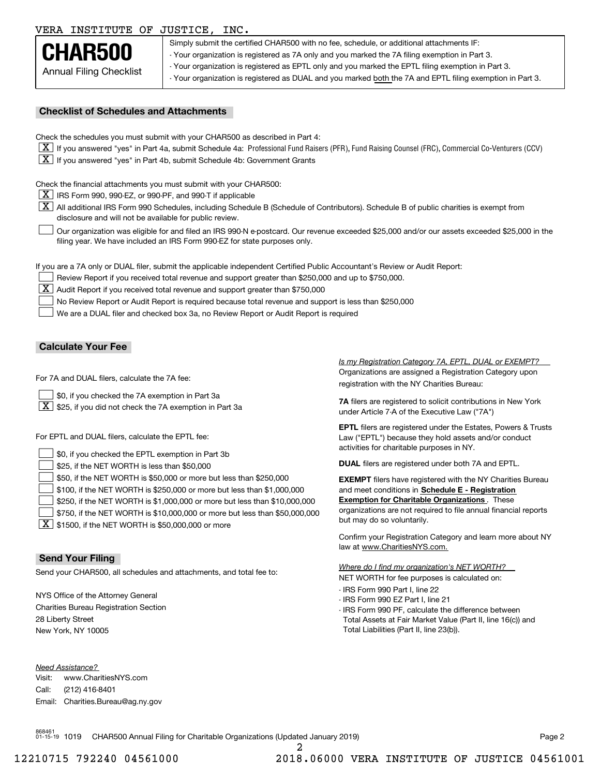#### VERA INSTITUTE OF JUSTICE, INC.



Simply submit the certified CHAR500 with no fee, schedule, or additional attachments IF: - Your organization is registered as 7A only and you marked the 7A filing exemption in Part 3. - Your organization is registered as EPTL only and you marked the EPTL filing exemption in Part 3. - Your organization is registered as DUAL and you marked both the 7A and EPTL filing exemption in Part 3.

#### **Checklist of Schedules and Attachments**

Check the schedules you must submit with your CHAR500 as described in Part 4:

- $\boxed{\textbf{X}}$  If you answered "yes" in Part 4a, submit Schedule 4a: Professional Fund Raisers (PFR), Fund Raising Counsel (FRC), Commercial Co-Venturers (CCV)
- $\boxed{\textbf{X}}$  If you answered "yes" in Part 4b, submit Schedule 4b: Government Grants

Check the financial attachments you must submit with your CHAR500:

 $\boxed{\textbf{X}}$  IRS Form 990, 990-EZ, or 990-PF, and 990-T if applicable

 $\boxed{\textbf{X}}$  All additional IRS Form 990 Schedules, including Schedule B (Schedule of Contributors). Schedule B of public charities is exempt from disclosure and will not be available for public review.

Our organization was eligible for and filed an IRS 990-N e-postcard. Our revenue exceeded \$25,000 and/or our assets exceeded \$25,000 in the filing year. We have included an IRS Form 990-EZ for state purposes only.  $\mathcal{L}^{\text{max}}$ 

If you are a 7A only or DUAL filer, submit the applicable independent Certified Public Accountant's Review or Audit Report:

Review Report if you received total revenue and support greater than \$250,000 and up to \$750,000.

 $\boxed{\textbf{X}}$  Audit Report if you received total revenue and support greater than \$750,000

No Review Report or Audit Report is required because total revenue and support is less than \$250,000  $\mathcal{L}^{\text{max}}$ 

We are a DUAL filer and checked box 3a, no Review Report or Audit Report is required  $\mathcal{L}^{\text{max}}$ 

#### **Calculate Your Fee**

For 7A and DUAL filers, calculate the 7A fee:

- \$0, if you checked the 7A exemption in Part 3a  $\mathcal{L}^{\text{max}}$
- $\boxed{\textbf{X}}$  \$25, if you did not check the 7A exemption in Part 3a

For EPTL and DUAL filers, calculate the EPTL fee:

| $\Box$ \$0, if you checked the EPTL exemption in Part 3b                            | activities for charitable purposes in NY.                         |
|-------------------------------------------------------------------------------------|-------------------------------------------------------------------|
| $\rfloor$ \$25, if the NET WORTH is less than \$50,000                              | <b>DUAL</b> filers are registered under both 7A and EPTL.         |
| $\rfloor$ \$50, if the NET WORTH is \$50,000 or more but less than \$250,000        | <b>EXEMPT</b> filers have registered with the NY Charities Bureau |
| $\Box$ \$100, if the NET WORTH is \$250,000 or more but less than \$1,000,000       | and meet conditions in Schedule E - Registration                  |
| $\rfloor$ \$250, if the NET WORTH is \$1,000,000 or more but less than \$10,000,000 | <b>Exemption for Charitable Organizations.</b> These              |
| \$750, if the NET WORTH is \$10,000,000 or more but less than \$50,000,000          | organizations are not required to file annual financial reports   |
| $\overline{\mathbf{v}}$ and $\cdots$ and $\overline{\mathbf{v}}$                    | but may do so voluntarily.                                        |

 $\boxed{\textbf{X}}$  \$1500, if the NET WORTH is \$50,000,000 or more

#### **Send Your Filing**

Send your CHAR500, all schedules and attachments, and total fee to:

NYS Office of the Attorney General Charities Bureau Registration Section 28 Liberty Street New York, NY 10005

*Need Assistance?*

Visit:Call:Email:Charities.Bureau@ag.ny.gov www.CharitiesNYS.com(212) 416-8401

Organizations are assigned a Registration Category upon registration with the NY Charities Bureau: *Is my Registration Category 7A, EPTL, DUAL or EXEMPT?* 

**7A** filers are registered to solicit contributions in New York under Article 7-A of the Executive Law ("7A")

**EPTL** filers are registered under the Estates, Powers & Trusts Law ("EPTL") because they hold assets and/or conduct activities for charitable purposes in NY.

Confirm your Registration Category and learn more about NY law at www.CharitiesNYS.com.

NET WORTH for fee purposes is calculated on: *Where do I find my organization's NET WORTH?*

- IRS Form 990 Part I, line 22
- IRS Form 990 EZ Part I, line 21
- IRS Form 990 PF, calculate the difference between Total Assets at Fair Market Value (Part II, line 16(c)) and Total Liabilities (Part II, line 23(b)).

868461 01-15-19 1019 CHAR500 Annual Filing for Charitable Organizations (Updated January 2019) Page 2

2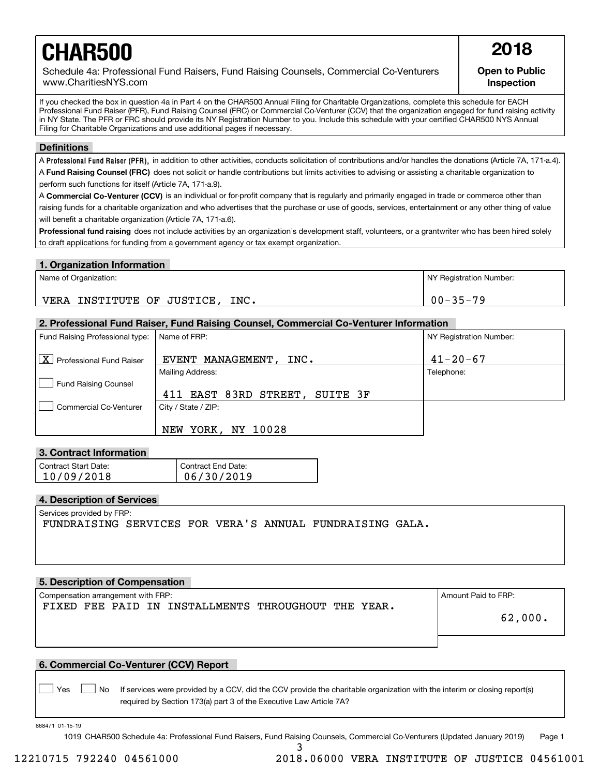# **CHAR500 2018**

Schedule 4a: Professional Fund Raisers, Fund Raising Counsels, Commercial Co-Venturers www.CharitiesNYS.com

**Open to Public Inspection**

If you checked the box in question 4a in Part 4 on the CHAR500 Annual Filing for Charitable Organizations, complete this schedule for EACH Professional Fund Raiser (PFR), Fund Raising Counsel (FRC) or Commercial Co-Venturer (CCV) that the organization engaged for fund raising activity in NY State. The PFR or FRC should provide its NY Registration Number to you. Include this schedule with your certified CHAR500 NYS Annual Filing for Charitable Organizations and use additional pages if necessary.

#### **Definitions**

A Professional Fund Raiser (PFR), in addition to other activities, conducts solicitation of contributions and/or handles the donations (Article 7A, 171-a.4). A **Fund Raising Counsel (FRC)** does not solicit or handle contributions but limits activities to advising or assisting a charitable organization to perform such functions for itself (Article 7A, 171-a.9).

A **Commercial Co-Venturer (CCV)** is an individual or for-profit company that is regularly and primarily engaged in trade or commerce other than raising funds for a charitable organization and who advertises that the purchase or use of goods, services, entertainment or any other thing of value will benefit a charitable organization (Article 7A, 171-a.6).

**Professional fund raising** does not include activities by an organization's development staff, volunteers, or a grantwriter who has been hired solely to draft applications for funding from a government agency or tax exempt organization.

#### **1. Organization Information**

| Name of Organization:                     | NY Registration Number: |
|-------------------------------------------|-------------------------|
| INC.<br>INSTITUTE OF<br>'JUSTICE,<br>VERA | $00 - 35 - 79$          |

#### **2. Professional Fund Raiser, Fund Raising Counsel, Commercial Co-Venturer Information**

| Fund Raising Professional type: | Name of FRP:                   | NY Registration Number: |
|---------------------------------|--------------------------------|-------------------------|
| X Professional Fund Raiser      | EVENT MANAGEMENT.<br>INC.      | $41 - 20 - 67$          |
|                                 | <b>Mailing Address:</b>        | Telephone:              |
| <b>Fund Raising Counsel</b>     |                                |                         |
|                                 | 411 EAST 83RD STREET, SUITE 3F |                         |
| <b>Commercial Co-Venturer</b>   | City / State / ZIP:            |                         |
|                                 | YORK, NY 10028<br>NEW          |                         |

#### **3. Contract Information**

| Contract Start Date: | Contract End Date: |
|----------------------|--------------------|
| 10/09/2018           | 06/30/2019         |

#### **4. Description of Services**

Services provided by FRP:

FUNDRAISING SERVICES FOR VERA'S ANNUAL FUNDRAISING GALA.

#### **5. Description of Compensation**

Compensation arrangement with FRP:  $\blacksquare$ FIXED FEE PAID IN INSTALLMENTS THROUGHOUT THE YEAR.

62,000.

#### **6. Commercial Co-Venturer (CCV) Report**

Yes **D**  $\Box$  No If services were provided by a CCV, did the CCV provide the charitable organization with the interim or closing report(s) required by Section 173(a) part 3 of the Executive Law Article 7A?

868471 01-15-19

 $\mathcal{L}^{\text{max}}$ 

1019 CHAR500 Schedule 4a: Professional Fund Raisers, Fund Raising Counsels, Commercial Co-Venturers (Updated January 2019) Page 1

3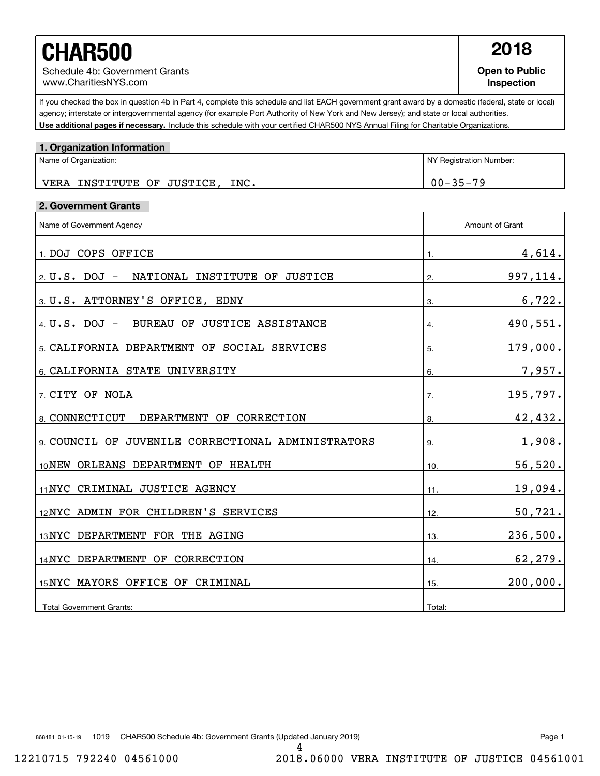## **CHAR500 2018**

Schedule 4b: Government Grants www.CharitiesNYS.com

**Open to Public Inspection**

Use additional pages if necessary. Include this schedule with your certified CHAR500 NYS Annual Filing for Charitable Organizations. If you checked the box in question 4b in Part 4, complete this schedule and list EACH government grant award by a domestic (federal, state or local) agency; interstate or intergovernmental agency (for example Port Authority of New York and New Jersey); and state or local authorities.

| 1. Organization Information        |                         |
|------------------------------------|-------------------------|
| Name of Organization:              | NY Registration Number: |
| VERA INSTITUTE OF JUSTICE,<br>INC. | $00 - 35 - 79$          |

#### **2. Government Grants**

| Name of Government Agency                         | Amount of Grant     |  |
|---------------------------------------------------|---------------------|--|
| 1. DOJ COPS OFFICE                                | <u>4,614.</u><br>1. |  |
| NATIONAL INSTITUTE OF JUSTICE<br>2. $U.S.$ DOJ -  | 997,114.<br>2.      |  |
| 3. U.S. ATTORNEY'S OFFICE, EDNY                   | 6,722.<br>3.        |  |
| 4 U.S. DOJ - BUREAU OF JUSTICE ASSISTANCE         | 490,551.<br>4.      |  |
| 5. CALIFORNIA DEPARTMENT OF SOCIAL SERVICES       | 179,000.<br>5.      |  |
| 6. CALIFORNIA STATE UNIVERSITY                    | 7,957.<br>6.        |  |
| 7 CITY OF NOLA                                    | 195,797.<br>7.      |  |
| 8. CONNECTICUT<br>DEPARTMENT OF CORRECTION        | 42,432.<br>8.       |  |
| 9 COUNCIL OF JUVENILE CORRECTIONAL ADMINISTRATORS | 1,908.<br>9.        |  |
| 10 NEW ORLEANS DEPARTMENT OF HEALTH               | 56,520.<br>10.      |  |
| 11 NYC CRIMINAL JUSTICE AGENCY                    | 19,094.<br>11.      |  |
| 12NYC ADMIN FOR CHILDREN'S SERVICES               | 50, 721.<br>12.     |  |
| 13 NYC DEPARTMENT FOR THE AGING                   | 236,500.<br>13.     |  |
| 14 NYC DEPARTMENT OF CORRECTION                   | 62,279.<br>14.      |  |
| 15 NYC MAYORS OFFICE OF CRIMINAL                  | 200,000.<br>15.     |  |
| <b>Total Government Grants:</b>                   | Total:              |  |

4

868481 01-15-19 1019 CHAR500 Schedule 4b: Government Grants (Updated January 2019) Page 1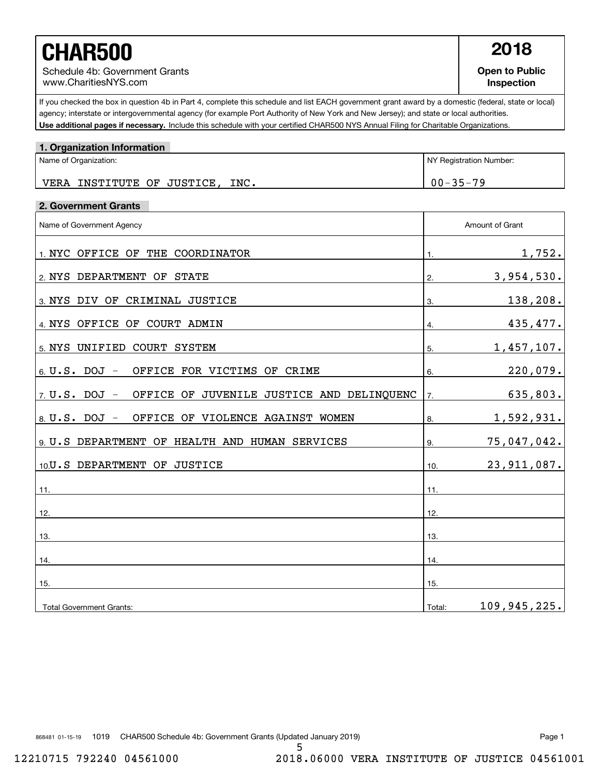# **CHAR500 2018**

Schedule 4b: Government Grants www.CharitiesNYS.com

**Open to Public Inspection**

Use additional pages if necessary. Include this schedule with your certified CHAR500 NYS Annual Filing for Charitable Organizations. If you checked the box in question 4b in Part 4, complete this schedule and list EACH government grant award by a domestic (federal, state or local) agency; interstate or intergovernmental agency (for example Port Authority of New York and New Jersey); and state or local authorities.

| 1. Organization Information                                    |                              |
|----------------------------------------------------------------|------------------------------|
| Name of Organization:                                          | NY Registration Number:      |
| VERA INSTITUTE OF JUSTICE, INC.                                | $00 - 35 - 79$               |
| 2. Government Grants                                           |                              |
| Name of Government Agency                                      | Amount of Grant              |
| 1. NYC OFFICE OF THE COORDINATOR                               | 1,752.<br>1.                 |
| 2. NYS DEPARTMENT OF STATE                                     | 3,954,530.<br>2.             |
| 3. NYS DIV OF CRIMINAL JUSTICE                                 | 138,208.<br>3.               |
| 4. NYS OFFICE OF COURT ADMIN                                   | 435,477.<br>$\overline{4}$ . |
| 5. NYS UNIFIED COURT SYSTEM                                    | 1,457,107.<br>5.             |
| OFFICE FOR VICTIMS OF CRIME<br>$6. U.S.$ DOJ $-$               | 220,079.<br>6.               |
| OFFICE OF JUVENILE JUSTICE AND DELINQUENC<br>$7. U.S. DOJ -$   | 635,803.<br>7.               |
| OFFICE OF VIOLENCE AGAINST WOMEN<br>8. $U \cdot S \cdot DOJ -$ | 1,592,931.<br>8.             |
| 9 U.S DEPARTMENT OF HEALTH AND HUMAN SERVICES                  | 75,047,042.<br>9.            |
| 10.U.S DEPARTMENT OF JUSTICE                                   | 23, 911, 087.<br>10.         |
| 11.                                                            | 11.                          |
| 12.                                                            | 12.                          |
| 13.                                                            | 13.                          |
| 14.                                                            | 14.                          |
| 15.                                                            | 15.                          |
| <b>Total Government Grants:</b>                                | 109,945,225.<br>Total:       |

868481 01-15-19 1019 CHAR500 Schedule 4b: Government Grants (Updated January 2019) Page 1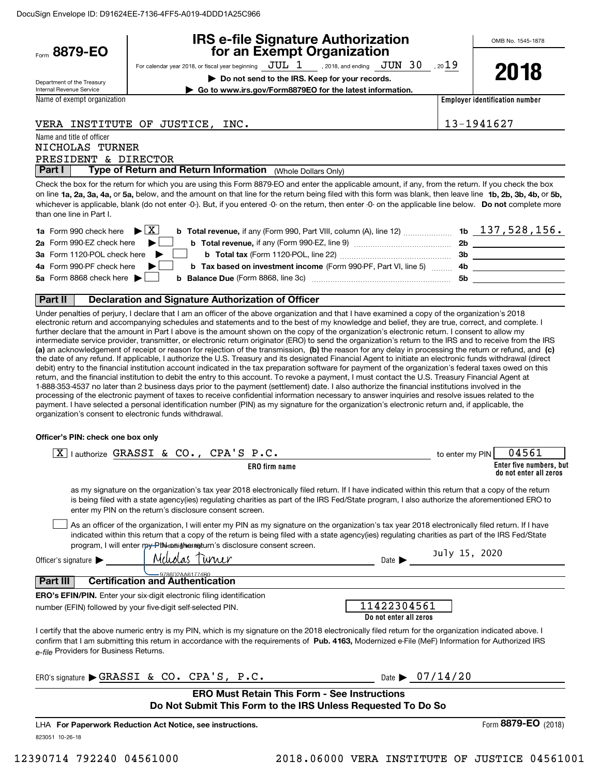|                                                                                             | <b>IRS e-file Signature Authorization</b>                                                                                                                                                                                                                                                                                                                                                                                                                                             |                 | OMB No. 1545-1878                     |
|---------------------------------------------------------------------------------------------|---------------------------------------------------------------------------------------------------------------------------------------------------------------------------------------------------------------------------------------------------------------------------------------------------------------------------------------------------------------------------------------------------------------------------------------------------------------------------------------|-----------------|---------------------------------------|
| Form 8879-EO                                                                                | for an Exempt Organization                                                                                                                                                                                                                                                                                                                                                                                                                                                            |                 |                                       |
| Department of the Treasury                                                                  | For calendar year 2018, or fiscal year beginning $JUL$ 1 , 2018, and ending $JUN$ 30 , 2019<br>Do not send to the IRS. Keep for your records.                                                                                                                                                                                                                                                                                                                                         |                 | 2018                                  |
| Internal Revenue Service<br>Name of exempt organization                                     | Go to www.irs.gov/Form8879EO for the latest information.                                                                                                                                                                                                                                                                                                                                                                                                                              |                 | <b>Employer identification number</b> |
|                                                                                             |                                                                                                                                                                                                                                                                                                                                                                                                                                                                                       |                 |                                       |
|                                                                                             | VERA INSTITUTE OF JUSTICE, INC.                                                                                                                                                                                                                                                                                                                                                                                                                                                       |                 | 13-1941627                            |
| Name and title of officer<br>NICHOLAS TURNER<br>PRESIDENT & DIRECTOR<br>Part I              | Type of Return and Return Information (Whole Dollars Only)                                                                                                                                                                                                                                                                                                                                                                                                                            |                 |                                       |
| than one line in Part I.                                                                    | Check the box for the return for which you are using this Form 8879-EO and enter the applicable amount, if any, from the return. If you check the box<br>on line 1a, 2a, 3a, 4a, or 5a, below, and the amount on that line for the return being filed with this form was blank, then leave line 1b, 2b, 3b, 4b, or 5b,<br>whichever is applicable, blank (do not enter -0-). But, if you entered -0- on the return, then enter -0- on the applicable line below. Do not complete more |                 |                                       |
| <b>1a</b> Form 990 check here                                                               | <b>b</b> Total revenue, if any (Form 990, Part VIII, column (A), line 12)  1b $137,528,156$ .<br>$\blacktriangleright$ $\mathbf{X}$                                                                                                                                                                                                                                                                                                                                                   |                 |                                       |
| 2a Form 990-EZ check here                                                                   |                                                                                                                                                                                                                                                                                                                                                                                                                                                                                       |                 |                                       |
| 3a Form 1120-POL check here                                                                 |                                                                                                                                                                                                                                                                                                                                                                                                                                                                                       |                 |                                       |
| 4a Form 990-PF check here                                                                   | b Tax based on investment income (Form 990-PF, Part VI, line 5) [1000] 4b [200] 2012 [200] [200] b                                                                                                                                                                                                                                                                                                                                                                                    |                 |                                       |
| 5a Form 8868 check here $\blacktriangleright$                                               |                                                                                                                                                                                                                                                                                                                                                                                                                                                                                       |                 |                                       |
| Part II                                                                                     | Declaration and Signature Authorization of Officer                                                                                                                                                                                                                                                                                                                                                                                                                                    |                 |                                       |
| organization's consent to electronic funds withdrawal.<br>Officer's PIN: check one box only | processing of the electronic payment of taxes to receive confidential information necessary to answer inquiries and resolve issues related to the<br>payment. I have selected a personal identification number (PIN) as my signature for the organization's electronic return and, if applicable, the                                                                                                                                                                                 |                 |                                       |
| $\boxed{\text{X}}$ I authorize GRASSI & CO.,                                                | CPA'S P.C.                                                                                                                                                                                                                                                                                                                                                                                                                                                                            | to enter my PIN | 04561                                 |
|                                                                                             | ERO firm name                                                                                                                                                                                                                                                                                                                                                                                                                                                                         |                 | Enter five numbers, but               |
|                                                                                             | as my signature on the organization's tax year 2018 electronically filed return. If I have indicated within this return that a copy of the return<br>is being filed with a state agency(ies) regulating charities as part of the IRS Fed/State program, I also authorize the aforementioned ERO to<br>enter my PIN on the return's disclosure consent screen.                                                                                                                         |                 | do not enter all zeros                |
|                                                                                             | As an officer of the organization, I will enter my PIN as my signature on the organization's tax year 2018 electronically filed return. If I have<br>indicated within this return that a copy of the return is being filed with a state agency(ies) regulating charities as part of the IRS Fed/State<br>program, I will enter my Pt assigned to turn's disclosure consent screen.                                                                                                    |                 |                                       |
| Officer's signature                                                                         | Melodas Turner de la communicación de la communicación de la communicación de la communicación de la communicación de la communicación de la communicación de la communicación de la communicación de la communicación de la c                                                                                                                                                                                                                                                        | July 15, 2020   |                                       |
| Part III                                                                                    | 9786D2AA61774B0<br><b>Certification and Authentication</b>                                                                                                                                                                                                                                                                                                                                                                                                                            |                 |                                       |
|                                                                                             | <b>ERO's EFIN/PIN.</b> Enter your six-digit electronic filing identification<br>11422304561<br>number (EFIN) followed by your five-digit self-selected PIN.<br>Do not enter all zeros                                                                                                                                                                                                                                                                                                 |                 |                                       |
| e-file Providers for Business Returns.                                                      | I certify that the above numeric entry is my PIN, which is my signature on the 2018 electronically filed return for the organization indicated above. I<br>confirm that I am submitting this return in accordance with the requirements of Pub. 4163, Modernized e-File (MeF) Information for Authorized IRS                                                                                                                                                                          |                 |                                       |
|                                                                                             | ERO's signature GRASSI & CO. CPA'S, P.C.<br>Date $\triangleright$ 07/14/20                                                                                                                                                                                                                                                                                                                                                                                                            |                 |                                       |
|                                                                                             | <b>ERO Must Retain This Form - See Instructions</b><br>Do Not Submit This Form to the IRS Unless Requested To Do So                                                                                                                                                                                                                                                                                                                                                                   |                 |                                       |
|                                                                                             | LHA For Paperwork Reduction Act Notice, see instructions.                                                                                                                                                                                                                                                                                                                                                                                                                             |                 | Form 8879-EO $(2018)$                 |

823051 10-26-18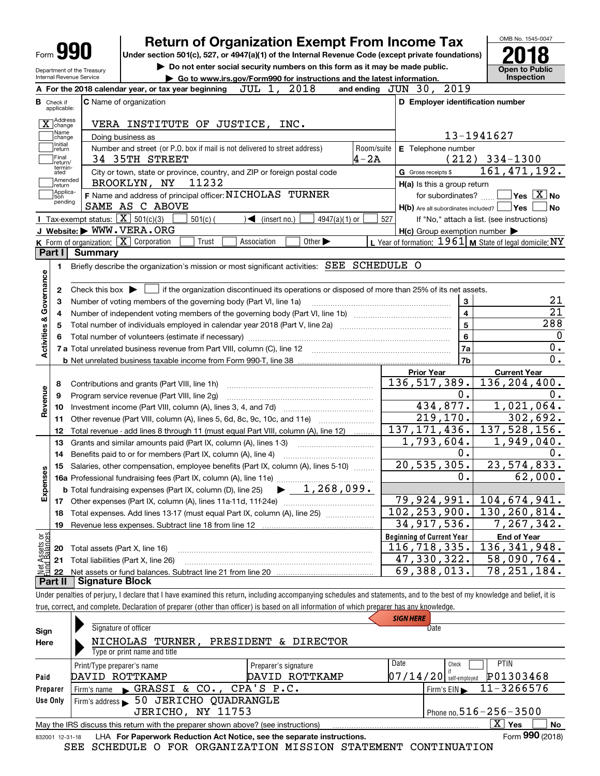|                                                                                                            |                                  |                                              | <b>Return of Organization Exempt From Income Tax</b>                                                                                                                                                             |                                                                              | OMB No. 1545-0047                           |  |
|------------------------------------------------------------------------------------------------------------|----------------------------------|----------------------------------------------|------------------------------------------------------------------------------------------------------------------------------------------------------------------------------------------------------------------|------------------------------------------------------------------------------|---------------------------------------------|--|
| Form<br>Under section 501(c), 527, or 4947(a)(1) of the Internal Revenue Code (except private foundations) |                                  |                                              |                                                                                                                                                                                                                  |                                                                              |                                             |  |
|                                                                                                            | Department of the Treasury       |                                              | Do not enter social security numbers on this form as it may be made public.                                                                                                                                      |                                                                              | <b>Open to Public</b>                       |  |
|                                                                                                            | Internal Revenue Service         |                                              | Go to www.irs.gov/Form990 for instructions and the latest information.<br>2018<br>JUL 1,                                                                                                                         | and ending JUN 30, 2019                                                      | Inspection                                  |  |
|                                                                                                            |                                  |                                              | A For the 2018 calendar year, or tax year beginning                                                                                                                                                              |                                                                              |                                             |  |
|                                                                                                            | <b>B</b> Check if<br>applicable: |                                              | <b>C</b> Name of organization                                                                                                                                                                                    | D Employer identification number                                             |                                             |  |
|                                                                                                            | Address<br>$X$ change            |                                              | VERA INSTITUTE OF JUSTICE, INC.                                                                                                                                                                                  |                                                                              |                                             |  |
|                                                                                                            | Name<br>change                   |                                              | Doing business as                                                                                                                                                                                                |                                                                              | 13-1941627                                  |  |
| Initial<br>return<br> Final<br>Ireturn/                                                                    |                                  |                                              | Number and street (or P.O. box if mail is not delivered to street address)<br>Room/suite<br>$4 - 2A$<br>34 35TH STREET                                                                                           | E Telephone number                                                           | $(212)$ 334-1300                            |  |
|                                                                                                            | termin-<br>ated<br>1 Amended     |                                              | City or town, state or province, country, and ZIP or foreign postal code                                                                                                                                         | G Gross receipts \$                                                          | 161, 471, 192.                              |  |
|                                                                                                            | ]return<br> Applica-             |                                              | 11232<br>BROOKLYN, NY                                                                                                                                                                                            | H(a) Is this a group return                                                  |                                             |  |
|                                                                                                            | tion<br>pending                  |                                              | F Name and address of principal officer: NICHOLAS TURNER<br>SAME AS C ABOVE                                                                                                                                      | for subordinates?<br>$H(b)$ Are all subordinates included? $\Box$ Yes $\Box$ | $\blacksquare$ Yes $\overline{X}$ No<br>∣No |  |
|                                                                                                            |                                  |                                              | Tax-exempt status: $\boxed{\mathbf{X}}$ 501(c)(3)<br>$\sqrt{\bullet}$ (insert no.)<br>4947(a)(1) or<br>$501(c)$ (                                                                                                | 527                                                                          | If "No," attach a list. (see instructions)  |  |
|                                                                                                            |                                  |                                              | J Website: WWW.VERA.ORG                                                                                                                                                                                          | $H(c)$ Group exemption number $\blacktriangleright$                          |                                             |  |
|                                                                                                            |                                  | K Form of organization: $\boxed{\mathbf{X}}$ | Corporation<br>Association<br>Other $\blacktriangleright$<br>Trust                                                                                                                                               | L Year of formation: 1961 M State of legal domicile: NY                      |                                             |  |
|                                                                                                            | Part I                           | <b>Summary</b>                               |                                                                                                                                                                                                                  |                                                                              |                                             |  |
|                                                                                                            | 1.                               |                                              | Briefly describe the organization's mission or most significant activities: SEE SCHEDULE O                                                                                                                       |                                                                              |                                             |  |
| Activities & Governance                                                                                    | 2<br>з<br>4                      |                                              | Check this box $\blacktriangleright$ $\Box$ if the organization discontinued its operations or disposed of more than 25% of its net assets.<br>Number of voting members of the governing body (Part VI, line 1a) | 3<br>$\overline{\mathbf{4}}$                                                 | 21<br>$\overline{21}$                       |  |
|                                                                                                            | 5                                |                                              |                                                                                                                                                                                                                  | $\overline{5}$                                                               | 288                                         |  |
|                                                                                                            |                                  |                                              |                                                                                                                                                                                                                  | 6                                                                            |                                             |  |
|                                                                                                            |                                  |                                              |                                                                                                                                                                                                                  | 7a                                                                           | 0.                                          |  |
|                                                                                                            |                                  |                                              |                                                                                                                                                                                                                  | 7b                                                                           | $\overline{0}$ .                            |  |
|                                                                                                            | 8                                |                                              | Contributions and grants (Part VIII, line 1h)                                                                                                                                                                    | <b>Prior Year</b><br>136, 517, 389.                                          | <b>Current Year</b><br>136,204,400.         |  |
| Revenue                                                                                                    | 9                                |                                              | Program service revenue (Part VIII, line 2g)                                                                                                                                                                     | 0.                                                                           | 0.                                          |  |
|                                                                                                            | 10                               |                                              |                                                                                                                                                                                                                  | 434,877.                                                                     | 1,021,064.                                  |  |
|                                                                                                            | 11                               |                                              | Other revenue (Part VIII, column (A), lines 5, 6d, 8c, 9c, 10c, and 11e)                                                                                                                                         | 219, 170.                                                                    | 302,692.                                    |  |
|                                                                                                            | 12                               |                                              | Total revenue - add lines 8 through 11 (must equal Part VIII, column (A), line 12)                                                                                                                               | 137, 171, 436.                                                               | 137,528,156.                                |  |
|                                                                                                            | 13                               |                                              | Grants and similar amounts paid (Part IX, column (A), lines 1-3)                                                                                                                                                 | 1,793,604.                                                                   | 1,949,040.                                  |  |
|                                                                                                            | 14                               |                                              | Benefits paid to or for members (Part IX, column (A), line 4)                                                                                                                                                    | $0$ .                                                                        | 0.                                          |  |
| w                                                                                                          |                                  |                                              | 15 Salaries, other compensation, employee benefits (Part IX, column (A), lines 5-10)                                                                                                                             | 20, 535, 305.                                                                | $23,574,833$ .                              |  |
|                                                                                                            |                                  |                                              |                                                                                                                                                                                                                  | 0.                                                                           | 62,000.                                     |  |
| Expense                                                                                                    |                                  |                                              | $\blacktriangleright$ 1,268,099.<br><b>b</b> Total fundraising expenses (Part IX, column (D), line 25)                                                                                                           |                                                                              |                                             |  |
|                                                                                                            | 17                               |                                              |                                                                                                                                                                                                                  | 79,924,991.                                                                  | 104,674,941.                                |  |
|                                                                                                            | 18                               |                                              | Total expenses. Add lines 13-17 (must equal Part IX, column (A), line 25)                                                                                                                                        | 102, 253, 900.                                                               | 130, 260, 814.                              |  |
|                                                                                                            | 19                               |                                              | Revenue less expenses. Subtract line 18 from line 12                                                                                                                                                             | 34, 917, 536.                                                                | 7,267,342.                                  |  |
|                                                                                                            |                                  |                                              |                                                                                                                                                                                                                  | <b>Beginning of Current Year</b>                                             | <b>End of Year</b>                          |  |
|                                                                                                            | 20                               |                                              | Total assets (Part X, line 16)                                                                                                                                                                                   | 116,718,335.                                                                 |                                             |  |
| Assets or<br>dBalances                                                                                     | 21                               |                                              |                                                                                                                                                                                                                  |                                                                              | 136, 341, 948.                              |  |
|                                                                                                            |                                  |                                              | Total liabilities (Part X, line 26)                                                                                                                                                                              | 47,330,322.                                                                  | 58,090,764.                                 |  |
|                                                                                                            | 22                               |                                              |                                                                                                                                                                                                                  | 69,388,013.                                                                  | 78, 251, 184.                               |  |

Under penalties of perjury, I declare that I have examined this return, including accompanying schedules and statements, and to the best of my knowledge and belief, it is true, correct, and complete. Declaration of preparer (other than officer) is based on all information of which preparer has any knowledge.

|                 |                                                                                   | <b>SIGN HERE</b>             |                                       |
|-----------------|-----------------------------------------------------------------------------------|------------------------------|---------------------------------------|
| Sign            | Signature of officer                                                              |                              | Date                                  |
| Here            | NICHOLAS TURNER,                                                                  | PRESIDENT & DIRECTOR         |                                       |
|                 | Type or print name and title                                                      |                              |                                       |
|                 | Print/Type preparer's name                                                        | Date<br>Preparer's signature | <b>PTIN</b><br>Check                  |
| Paid            | DAVID ROTTKAMP                                                                    | DAVID ROTTKAMP               | P01303468<br>$07/14/20$ self-employed |
| Preparer        | Firm's name GRASSI & CO., CPA'S P.C.                                              |                              | 11-3266576<br>Firm's $EIN$            |
| Use Only        | Firm's address > 50 JERICHO QUADRANGLE                                            |                              |                                       |
|                 | JERICHO, NY 11753                                                                 |                              | Phone no. $516 - 256 - 3500$          |
|                 | May the IRS discuss this return with the preparer shown above? (see instructions) |                              | $\overline{X}$ Yes<br><b>No</b>       |
| 832001 12-31-18 | LHA For Paperwork Reduction Act Notice, see the separate instructions.            |                              | Form 990 (2018)                       |

SEE SCHEDULE O FOR ORGANIZATION MISSION STATEMENT CONTINUATION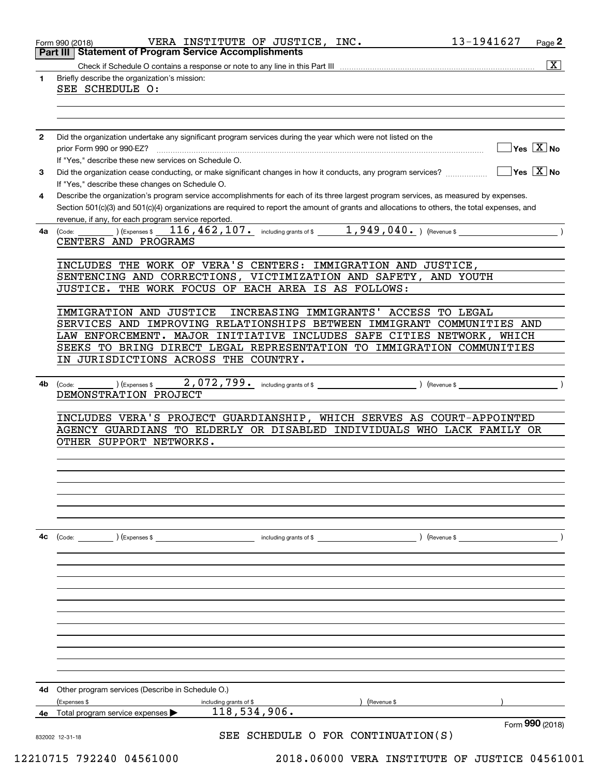|              | <b>Part III   Statement of Program Service Accomplishments</b>                                                                               |
|--------------|----------------------------------------------------------------------------------------------------------------------------------------------|
|              | $\overline{\mathbf{x}}$                                                                                                                      |
| 1.           | Briefly describe the organization's mission:                                                                                                 |
|              | SEE SCHEDULE O:                                                                                                                              |
|              |                                                                                                                                              |
|              |                                                                                                                                              |
|              |                                                                                                                                              |
| $\mathbf{2}$ | Did the organization undertake any significant program services during the year which were not listed on the                                 |
|              | $\overline{\mathsf{Yes} \mathbb{X}}$ No                                                                                                      |
|              | If "Yes," describe these new services on Schedule O.                                                                                         |
|              | $\sqrt{}$ Yes $\sqrt{}$ X $\sqrt{}$ No                                                                                                       |
| 3            |                                                                                                                                              |
|              | If "Yes," describe these changes on Schedule O.                                                                                              |
| 4            | Describe the organization's program service accomplishments for each of its three largest program services, as measured by expenses.         |
|              | Section 501(c)(3) and 501(c)(4) organizations are required to report the amount of grants and allocations to others, the total expenses, and |
|              | revenue, if any, for each program service reported.                                                                                          |
| 4a           | 116, 462, 107. including grants of \$ 1, 949, 040. ) (Revenue \$<br>(Expenses \$<br>(Code:                                                   |
|              | CENTERS AND PROGRAMS                                                                                                                         |
|              |                                                                                                                                              |
|              | INCLUDES THE WORK OF VERA'S CENTERS: IMMIGRATION AND JUSTICE,                                                                                |
|              | SENTENCING AND CORRECTIONS, VICTIMIZATION AND SAFETY, AND YOUTH                                                                              |
|              | JUSTICE. THE WORK FOCUS OF EACH AREA IS AS FOLLOWS:                                                                                          |
|              |                                                                                                                                              |
|              | IMMIGRATION AND JUSTICE<br>INCREASING IMMIGRANTS'<br>ACCESS TO LEGAL                                                                         |
|              | SERVICES AND IMPROVING RELATIONSHIPS BETWEEN IMMIGRANT COMMUNITIES AND                                                                       |
|              | LAW ENFORCEMENT. MAJOR INITIATIVE INCLUDES SAFE CITIES NETWORK, WHICH                                                                        |
|              | SEEKS TO BRING DIRECT LEGAL REPRESENTATION TO IMMIGRATION COMMUNITIES                                                                        |
|              | IN JURISDICTIONS ACROSS THE COUNTRY.                                                                                                         |
|              |                                                                                                                                              |
|              |                                                                                                                                              |
| 4b           | $2,072,799$ and including grants of \$ (Revenue \$)<br>(Code:<br>(Expenses \$                                                                |
|              | DEMONSTRATION PROJECT                                                                                                                        |
|              |                                                                                                                                              |
|              | INCLUDES VERA'S PROJECT GUARDIANSHIP, WHICH SERVES AS COURT-APPOINTED                                                                        |
|              |                                                                                                                                              |
|              | AGENCY GUARDIANS TO ELDERLY OR DISABLED INDIVIDUALS WHO LACK FAMILY OR                                                                       |
|              | OTHER SUPPORT NETWORKS.                                                                                                                      |
|              |                                                                                                                                              |
|              |                                                                                                                                              |
|              |                                                                                                                                              |
|              |                                                                                                                                              |
|              |                                                                                                                                              |
|              |                                                                                                                                              |
|              |                                                                                                                                              |
|              |                                                                                                                                              |
|              | (Code: ) (Expenses \$                                                                                                                        |
|              |                                                                                                                                              |
|              |                                                                                                                                              |
|              |                                                                                                                                              |
|              |                                                                                                                                              |
|              |                                                                                                                                              |
|              |                                                                                                                                              |
|              |                                                                                                                                              |
|              |                                                                                                                                              |
|              |                                                                                                                                              |
|              |                                                                                                                                              |
|              |                                                                                                                                              |
| 4c           |                                                                                                                                              |
|              |                                                                                                                                              |
| 4d           | Other program services (Describe in Schedule O.)                                                                                             |
|              | (Expenses \$<br>) (Revenue \$<br>including grants of \$                                                                                      |
| 4е           | 118,534,906.<br>Total program service expenses                                                                                               |
|              | Form 990 (2018)<br>SEE SCHEDULE O FOR CONTINUATION(S)                                                                                        |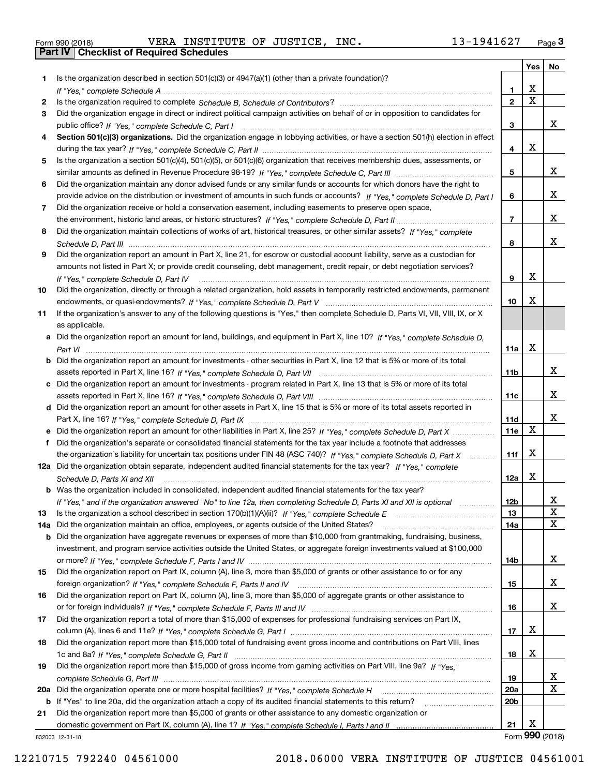|  | Form 990 (2018) |
|--|-----------------|

Form 990 (2018) Page **3Part IV Checklist of Required Schedules** VERA INSTITUTE OF JUSTICE, INC. 13-1941627

|     |                                                                                                                                      |                 | Yes                     | No           |
|-----|--------------------------------------------------------------------------------------------------------------------------------------|-----------------|-------------------------|--------------|
| 1.  | Is the organization described in section $501(c)(3)$ or $4947(a)(1)$ (other than a private foundation)?                              |                 |                         |              |
|     |                                                                                                                                      | 1               | X                       |              |
| 2   |                                                                                                                                      | $\overline{2}$  | $\overline{\mathbf{x}}$ |              |
| 3   | Did the organization engage in direct or indirect political campaign activities on behalf of or in opposition to candidates for      |                 |                         |              |
|     |                                                                                                                                      | 3               |                         | x            |
| 4   | Section 501(c)(3) organizations. Did the organization engage in lobbying activities, or have a section 501(h) election in effect     |                 |                         |              |
|     |                                                                                                                                      | 4               | х                       |              |
| 5   | Is the organization a section 501(c)(4), 501(c)(5), or 501(c)(6) organization that receives membership dues, assessments, or         | 5               |                         | X            |
| 6   | Did the organization maintain any donor advised funds or any similar funds or accounts for which donors have the right to            |                 |                         |              |
|     | provide advice on the distribution or investment of amounts in such funds or accounts? If "Yes," complete Schedule D, Part I         | 6               |                         | X            |
| 7   | Did the organization receive or hold a conservation easement, including easements to preserve open space,                            |                 |                         |              |
|     |                                                                                                                                      | $\overline{7}$  |                         | X            |
| 8   | Did the organization maintain collections of works of art, historical treasures, or other similar assets? If "Yes," complete         |                 |                         |              |
|     |                                                                                                                                      | 8               |                         | X            |
| 9   | Did the organization report an amount in Part X, line 21, for escrow or custodial account liability, serve as a custodian for        |                 |                         |              |
|     | amounts not listed in Part X; or provide credit counseling, debt management, credit repair, or debt negotiation services?            |                 |                         |              |
|     | If "Yes," complete Schedule D, Part IV                                                                                               | 9               | X                       |              |
| 10  | Did the organization, directly or through a related organization, hold assets in temporarily restricted endowments, permanent        |                 |                         |              |
|     |                                                                                                                                      | 10              | х                       |              |
| 11  | If the organization's answer to any of the following questions is "Yes," then complete Schedule D, Parts VI, VII, VIII, IX, or X     |                 |                         |              |
|     | as applicable.                                                                                                                       |                 |                         |              |
|     | a Did the organization report an amount for land, buildings, and equipment in Part X, line 10? If "Yes." complete Schedule D.        |                 |                         |              |
|     |                                                                                                                                      | 11a             | X                       |              |
|     | <b>b</b> Did the organization report an amount for investments - other securities in Part X, line 12 that is 5% or more of its total |                 |                         |              |
|     |                                                                                                                                      | 11b             |                         | X            |
|     | c Did the organization report an amount for investments - program related in Part X, line 13 that is 5% or more of its total         |                 |                         |              |
|     |                                                                                                                                      | 11c             |                         | x            |
|     | d Did the organization report an amount for other assets in Part X, line 15 that is 5% or more of its total assets reported in       |                 |                         |              |
|     |                                                                                                                                      | 11d             |                         | X            |
|     | e Did the organization report an amount for other liabilities in Part X, line 25? If "Yes," complete Schedule D, Part X              | 11e             | X                       |              |
| f   | Did the organization's separate or consolidated financial statements for the tax year include a footnote that addresses              |                 |                         |              |
|     | the organization's liability for uncertain tax positions under FIN 48 (ASC 740)? If "Yes," complete Schedule D, Part X               | 11f             | X                       |              |
|     | 12a Did the organization obtain separate, independent audited financial statements for the tax year? If "Yes," complete              |                 |                         |              |
|     | Schedule D, Parts XI and XII                                                                                                         | 12a             | X                       |              |
|     | <b>b</b> Was the organization included in consolidated, independent audited financial statements for the tax year?                   |                 |                         |              |
|     | If "Yes," and if the organization answered "No" to line 12a, then completing Schedule D, Parts XI and XII is optional                | 12b             |                         | Δ.           |
| 13  | Is the organization a school described in section 170(b)(1)(A)(ii)? If "Yes," complete Schedule E                                    | 13              |                         | $\mathbf X$  |
| 14a | Did the organization maintain an office, employees, or agents outside of the United States?                                          | 14a             |                         | $\mathbf{x}$ |
|     | <b>b</b> Did the organization have aggregate revenues or expenses of more than \$10,000 from grantmaking, fundraising, business,     |                 |                         |              |
|     | investment, and program service activities outside the United States, or aggregate foreign investments valued at \$100,000           |                 |                         |              |
|     |                                                                                                                                      | 14b             |                         | X            |
| 15  | Did the organization report on Part IX, column (A), line 3, more than \$5,000 of grants or other assistance to or for any            |                 |                         | x            |
|     | Did the organization report on Part IX, column (A), line 3, more than \$5,000 of aggregate grants or other assistance to             | 15              |                         |              |
| 16  |                                                                                                                                      | 16              |                         | x            |
| 17  | Did the organization report a total of more than \$15,000 of expenses for professional fundraising services on Part IX,              |                 |                         |              |
|     |                                                                                                                                      | 17              | х                       |              |
| 18  | Did the organization report more than \$15,000 total of fundraising event gross income and contributions on Part VIII, lines         |                 |                         |              |
|     |                                                                                                                                      | 18              | х                       |              |
| 19  | Did the organization report more than \$15,000 of gross income from gaming activities on Part VIII, line 9a? If "Yes."               |                 |                         |              |
|     |                                                                                                                                      | 19              |                         | X            |
|     |                                                                                                                                      | <b>20a</b>      |                         | $\mathbf X$  |
|     | b If "Yes" to line 20a, did the organization attach a copy of its audited financial statements to this return?                       | 20 <sub>b</sub> |                         |              |
| 21  | Did the organization report more than \$5,000 of grants or other assistance to any domestic organization or                          |                 |                         |              |
|     |                                                                                                                                      | 21              | X                       |              |
|     | 332003 12-31-18                                                                                                                      |                 | Form 990 (2018)         |              |

832003 12-31-18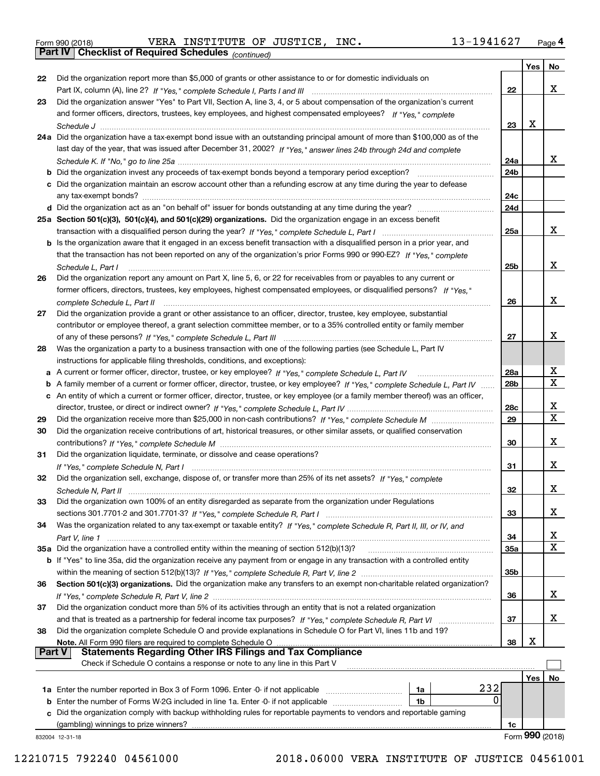|  | Form 990 (2018) |
|--|-----------------|
|  |                 |

Form 990 (2018) Page **4Part IV Checklist of Required Schedules** VERA INSTITUTE OF JUSTICE, INC. 13-1941627

*(continued)*

|               |                                                                                                                                                                                                                                                       |                 | Yes <sub>1</sub> | No              |
|---------------|-------------------------------------------------------------------------------------------------------------------------------------------------------------------------------------------------------------------------------------------------------|-----------------|------------------|-----------------|
| 22            | Did the organization report more than \$5,000 of grants or other assistance to or for domestic individuals on                                                                                                                                         |                 |                  |                 |
|               |                                                                                                                                                                                                                                                       | 22              |                  | x               |
| 23            | Did the organization answer "Yes" to Part VII, Section A, line 3, 4, or 5 about compensation of the organization's current                                                                                                                            |                 |                  |                 |
|               | and former officers, directors, trustees, key employees, and highest compensated employees? If "Yes," complete                                                                                                                                        |                 |                  |                 |
|               |                                                                                                                                                                                                                                                       | 23              | X                |                 |
|               | 24a Did the organization have a tax-exempt bond issue with an outstanding principal amount of more than \$100,000 as of the                                                                                                                           |                 |                  |                 |
|               | last day of the year, that was issued after December 31, 2002? If "Yes," answer lines 24b through 24d and complete                                                                                                                                    |                 |                  |                 |
|               |                                                                                                                                                                                                                                                       | 24a             |                  | X.              |
|               |                                                                                                                                                                                                                                                       | 24 <sub>b</sub> |                  |                 |
|               | c Did the organization maintain an escrow account other than a refunding escrow at any time during the year to defease                                                                                                                                |                 |                  |                 |
|               |                                                                                                                                                                                                                                                       | 24c             |                  |                 |
|               |                                                                                                                                                                                                                                                       | 24d             |                  |                 |
|               | 25a Section 501(c)(3), 501(c)(4), and 501(c)(29) organizations. Did the organization engage in an excess benefit                                                                                                                                      |                 |                  | x               |
|               |                                                                                                                                                                                                                                                       | 25a             |                  |                 |
|               | b Is the organization aware that it engaged in an excess benefit transaction with a disqualified person in a prior year, and<br>that the transaction has not been reported on any of the organization's prior Forms 990 or 990-EZ? If "Yes," complete |                 |                  |                 |
|               |                                                                                                                                                                                                                                                       | 25b             |                  | x               |
| 26            | Schedule L, Part I<br>Did the organization report any amount on Part X, line 5, 6, or 22 for receivables from or payables to any current or                                                                                                           |                 |                  |                 |
|               | former officers, directors, trustees, key employees, highest compensated employees, or disqualified persons? If "Yes."                                                                                                                                |                 |                  |                 |
|               | complete Schedule L, Part II                                                                                                                                                                                                                          | 26              |                  | x               |
| 27            | Did the organization provide a grant or other assistance to an officer, director, trustee, key employee, substantial                                                                                                                                  |                 |                  |                 |
|               | contributor or employee thereof, a grant selection committee member, or to a 35% controlled entity or family member                                                                                                                                   |                 |                  |                 |
|               |                                                                                                                                                                                                                                                       | 27              |                  | х               |
| 28            | Was the organization a party to a business transaction with one of the following parties (see Schedule L, Part IV                                                                                                                                     |                 |                  |                 |
|               | instructions for applicable filing thresholds, conditions, and exceptions):                                                                                                                                                                           |                 |                  |                 |
|               |                                                                                                                                                                                                                                                       | 28a             |                  | x               |
| b             | A family member of a current or former officer, director, trustee, or key employee? If "Yes," complete Schedule L, Part IV                                                                                                                            | 28 <sub>b</sub> |                  | $\mathbf X$     |
|               | c An entity of which a current or former officer, director, trustee, or key employee (or a family member thereof) was an officer,                                                                                                                     |                 |                  |                 |
|               |                                                                                                                                                                                                                                                       | 28c             |                  | x               |
| 29            |                                                                                                                                                                                                                                                       | 29              |                  | $\mathbf X$     |
| 30            | Did the organization receive contributions of art, historical treasures, or other similar assets, or qualified conservation                                                                                                                           |                 |                  |                 |
|               |                                                                                                                                                                                                                                                       | 30              |                  | x               |
| 31            | Did the organization liquidate, terminate, or dissolve and cease operations?                                                                                                                                                                          |                 |                  |                 |
|               |                                                                                                                                                                                                                                                       | 31              |                  | x               |
| 32            | Did the organization sell, exchange, dispose of, or transfer more than 25% of its net assets? If "Yes," complete                                                                                                                                      |                 |                  |                 |
|               |                                                                                                                                                                                                                                                       | 32              |                  | x               |
| 33            | Did the organization own 100% of an entity disregarded as separate from the organization under Regulations                                                                                                                                            |                 |                  |                 |
|               |                                                                                                                                                                                                                                                       | 33              |                  | x               |
| 34            | Was the organization related to any tax-exempt or taxable entity? If "Yes," complete Schedule R, Part II, III, or IV, and                                                                                                                             |                 |                  |                 |
|               |                                                                                                                                                                                                                                                       | 34              |                  | x               |
|               | 35a Did the organization have a controlled entity within the meaning of section 512(b)(13)?                                                                                                                                                           | <b>35a</b>      |                  | X               |
|               | b If "Yes" to line 35a, did the organization receive any payment from or engage in any transaction with a controlled entity                                                                                                                           |                 |                  |                 |
|               |                                                                                                                                                                                                                                                       | 35b             |                  |                 |
| 36            | Section 501(c)(3) organizations. Did the organization make any transfers to an exempt non-charitable related organization?                                                                                                                            |                 |                  | x               |
|               |                                                                                                                                                                                                                                                       | 36              |                  |                 |
| 37            | Did the organization conduct more than 5% of its activities through an entity that is not a related organization                                                                                                                                      |                 |                  | x               |
| 38            | and that is treated as a partnership for federal income tax purposes? If "Yes," complete Schedule R, Part VI<br>Did the organization complete Schedule O and provide explanations in Schedule O for Part VI, lines 11b and 19?                        | 37              |                  |                 |
|               | Note. All Form 990 filers are required to complete Schedule O                                                                                                                                                                                         | 38              | х                |                 |
| <b>Part V</b> | <b>Statements Regarding Other IRS Filings and Tax Compliance</b>                                                                                                                                                                                      |                 |                  |                 |
|               | Check if Schedule O contains a response or note to any line in this Part V                                                                                                                                                                            |                 |                  |                 |
|               |                                                                                                                                                                                                                                                       |                 | Yes              | No              |
|               | 232<br>1a Enter the number reported in Box 3 of Form 1096. Enter -0- if not applicable<br>1a                                                                                                                                                          |                 |                  |                 |
|               | 0<br><b>b</b> Enter the number of Forms W-2G included in line 1a. Enter -0- if not applicable<br>1b                                                                                                                                                   |                 |                  |                 |
|               | c Did the organization comply with backup withholding rules for reportable payments to vendors and reportable gaming                                                                                                                                  |                 |                  |                 |
|               | (gambling) winnings to prize winners?                                                                                                                                                                                                                 | 1c              |                  |                 |
|               | 832004 12-31-18                                                                                                                                                                                                                                       |                 |                  | Form 990 (2018) |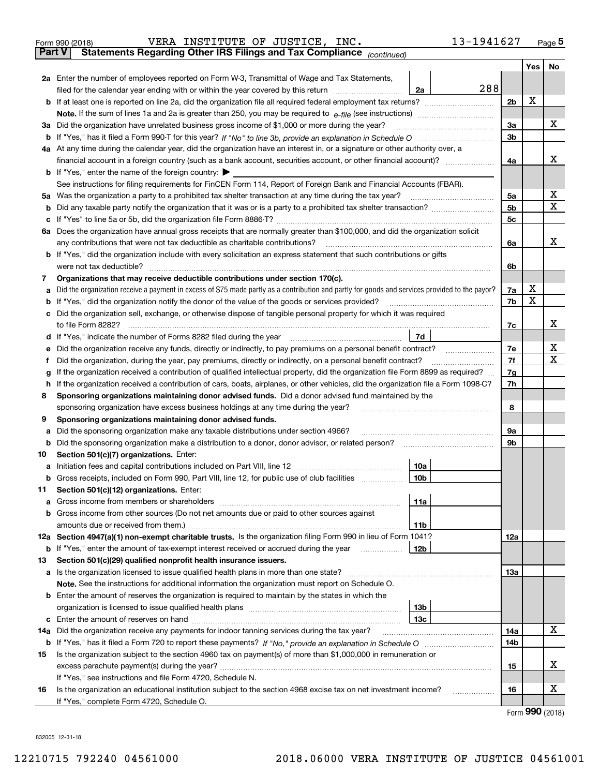|               | VERA INSTITUTE OF JUSTICE, INC.<br>Form 990 (2018)                                                                                                                                   | 13-1941627     |     | Page $5$ |
|---------------|--------------------------------------------------------------------------------------------------------------------------------------------------------------------------------------|----------------|-----|----------|
| <b>Part V</b> | Statements Regarding Other IRS Filings and Tax Compliance (continued)                                                                                                                |                |     |          |
|               |                                                                                                                                                                                      |                | Yes | No       |
|               | 2a Enter the number of employees reported on Form W-3, Transmittal of Wage and Tax Statements,                                                                                       |                |     |          |
|               | filed for the calendar year ending with or within the year covered by this return [111] [11] filed for the calendar year ending with or within the year covered by this return<br>2a | 288            |     |          |
|               |                                                                                                                                                                                      | 2 <sub>b</sub> | X   |          |
|               |                                                                                                                                                                                      |                |     |          |
| За            | Did the organization have unrelated business gross income of \$1,000 or more during the year?                                                                                        | 3a             |     | х        |
|               |                                                                                                                                                                                      | 3b             |     |          |
|               | 4a At any time during the calendar year, did the organization have an interest in, or a signature or other authority over, a                                                         |                |     |          |
|               |                                                                                                                                                                                      | 4a             |     | x        |
|               | <b>b</b> If "Yes," enter the name of the foreign country: $\blacktriangleright$                                                                                                      |                |     |          |
|               | See instructions for filing requirements for FinCEN Form 114, Report of Foreign Bank and Financial Accounts (FBAR).                                                                  |                |     |          |
| 5a            | Was the organization a party to a prohibited tax shelter transaction at any time during the tax year?                                                                                | 5a             |     | х        |
| b             |                                                                                                                                                                                      | 5 <sub>b</sub> |     | х        |
| с             |                                                                                                                                                                                      | 5c             |     |          |
|               | 6a Does the organization have annual gross receipts that are normally greater than \$100,000, and did the organization solicit                                                       |                |     |          |
|               | any contributions that were not tax deductible as charitable contributions?                                                                                                          | 6a             |     | x        |
|               | b If "Yes," did the organization include with every solicitation an express statement that such contributions or gifts                                                               |                |     |          |
|               | were not tax deductible?                                                                                                                                                             | 6b             |     |          |
| 7             | Organizations that may receive deductible contributions under section 170(c).                                                                                                        |                |     |          |
| a             | Did the organization receive a payment in excess of \$75 made partly as a contribution and partly for goods and services provided to the payor?                                      | 7a             | x   |          |
| b             | If "Yes," did the organization notify the donor of the value of the goods or services provided?                                                                                      | 7b             | X   |          |
|               | Did the organization sell, exchange, or otherwise dispose of tangible personal property for which it was required                                                                    |                |     |          |
|               |                                                                                                                                                                                      | 7c             |     | x        |
| d             | 7d  <br>If "Yes," indicate the number of Forms 8282 filed during the year [11] [11] Wes," indicate the number of Forms 8282 filed during the year                                    |                |     |          |
| е             |                                                                                                                                                                                      | 7e             |     | х        |
| f             | Did the organization, during the year, pay premiums, directly or indirectly, on a personal benefit contract?                                                                         | 7f             |     | х        |
| g             | If the organization received a contribution of qualified intellectual property, did the organization file Form 8899 as required?                                                     | 7g             |     |          |
| h.            | If the organization received a contribution of cars, boats, airplanes, or other vehicles, did the organization file a Form 1098-C?                                                   | 7h             |     |          |
| 8             | Sponsoring organizations maintaining donor advised funds. Did a donor advised fund maintained by the                                                                                 |                |     |          |
|               | sponsoring organization have excess business holdings at any time during the year?                                                                                                   | 8              |     |          |
| 9             | Sponsoring organizations maintaining donor advised funds.                                                                                                                            |                |     |          |
| a             | Did the sponsoring organization make any taxable distributions under section 4966?                                                                                                   | 9а             |     |          |
| b             | Did the sponsoring organization make a distribution to a donor, donor advisor, or related person?                                                                                    | 9b             |     |          |
| 10            | Section 501(c)(7) organizations. Enter:                                                                                                                                              |                |     |          |
|               | 10a                                                                                                                                                                                  |                |     |          |
|               | 10b <br>Gross receipts, included on Form 990, Part VIII, line 12, for public use of club facilities                                                                                  |                |     |          |
| 11            | Section 501(c)(12) organizations. Enter:                                                                                                                                             |                |     |          |
| a             | 11a<br>Gross income from members or shareholders                                                                                                                                     |                |     |          |
|               | b Gross income from other sources (Do not net amounts due or paid to other sources against                                                                                           |                |     |          |
|               | <b>11b</b><br>amounts due or received from them.)                                                                                                                                    |                |     |          |
|               | 12a Section 4947(a)(1) non-exempt charitable trusts. Is the organization filing Form 990 in lieu of Form 1041?                                                                       | 12a            |     |          |
|               | <b>b</b> If "Yes," enter the amount of tax-exempt interest received or accrued during the year<br>12b                                                                                |                |     |          |
| 13            | Section 501(c)(29) qualified nonprofit health insurance issuers.                                                                                                                     |                |     |          |
|               | a Is the organization licensed to issue qualified health plans in more than one state?                                                                                               | 13а            |     |          |
|               | Note. See the instructions for additional information the organization must report on Schedule O.                                                                                    |                |     |          |
|               | <b>b</b> Enter the amount of reserves the organization is required to maintain by the states in which the                                                                            |                |     |          |
|               | 13b                                                                                                                                                                                  |                |     |          |
|               | 13с                                                                                                                                                                                  |                |     |          |
| 14a           | Did the organization receive any payments for indoor tanning services during the tax year?                                                                                           | 14a            |     | x        |
|               |                                                                                                                                                                                      | 14b            |     |          |
| 15            | Is the organization subject to the section 4960 tax on payment(s) of more than \$1,000,000 in remuneration or                                                                        |                |     |          |
|               |                                                                                                                                                                                      | 15             |     | x        |
|               | If "Yes," see instructions and file Form 4720, Schedule N.                                                                                                                           |                |     |          |
| 16            | Is the organization an educational institution subject to the section 4968 excise tax on net investment income?                                                                      | 16             |     | х        |
|               | If "Yes," complete Form 4720, Schedule O.                                                                                                                                            |                |     |          |

Form (2018) **990**

832005 12-31-18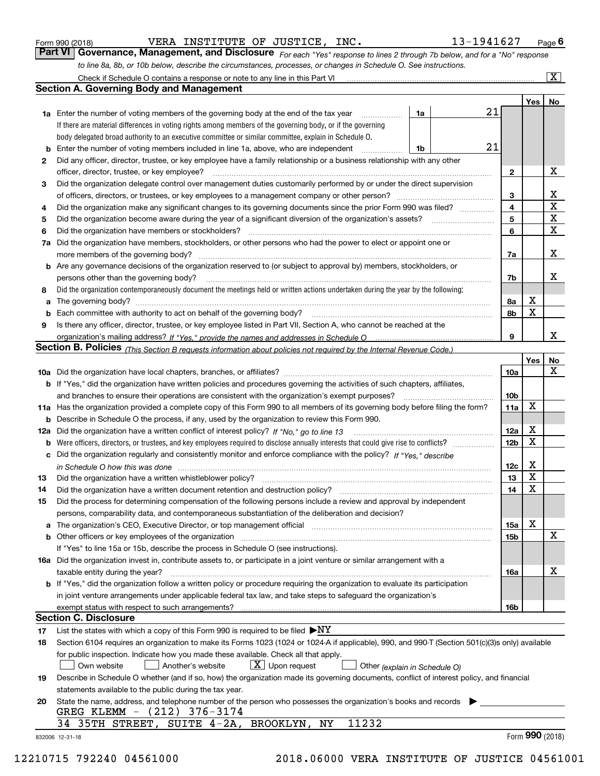|  | Form 990 (2018) |
|--|-----------------|
|  |                 |

VERA INSTITUTE OF JUSTICE, INC. 13-1941627

*For each "Yes" response to lines 2 through 7b below, and for a "No" response to line 8a, 8b, or 10b below, describe the circumstances, processes, or changes in Schedule O. See instructions.* Form 990 (2018) **CONTELLA EXERA ENSTITUTE OF JUSTICE, INC.** 13-1941627 Page 6<br>**Part VI Governance, Management, and Disclosure** For each "Yes" response to lines 2 through 7b below, and for a "No" response

|                                                                                                                                                                                  | Check if Schedule O contains a response or note to any line in this Part VI                                                                                           |    |    |                         |     | $\mathbf{x}$    |  |
|----------------------------------------------------------------------------------------------------------------------------------------------------------------------------------|-----------------------------------------------------------------------------------------------------------------------------------------------------------------------|----|----|-------------------------|-----|-----------------|--|
|                                                                                                                                                                                  | <b>Section A. Governing Body and Management</b>                                                                                                                       |    |    |                         |     |                 |  |
|                                                                                                                                                                                  |                                                                                                                                                                       |    |    |                         | Yes | No              |  |
|                                                                                                                                                                                  | <b>1a</b> Enter the number of voting members of the governing body at the end of the tax year                                                                         | 1a | 21 |                         |     |                 |  |
|                                                                                                                                                                                  | If there are material differences in voting rights among members of the governing body, or if the governing                                                           |    |    |                         |     |                 |  |
|                                                                                                                                                                                  | body delegated broad authority to an executive committee or similar committee, explain in Schedule O.                                                                 |    |    |                         |     |                 |  |
| b                                                                                                                                                                                | Enter the number of voting members included in line 1a, above, who are independent                                                                                    | 1b | 21 |                         |     |                 |  |
| 2                                                                                                                                                                                | Did any officer, director, trustee, or key employee have a family relationship or a business relationship with any other                                              |    |    |                         |     |                 |  |
|                                                                                                                                                                                  | officer, director, trustee, or key employee?                                                                                                                          |    | .  | 2                       |     | х               |  |
| 3                                                                                                                                                                                | Did the organization delegate control over management duties customarily performed by or under the direct supervision                                                 |    |    |                         |     |                 |  |
|                                                                                                                                                                                  |                                                                                                                                                                       |    |    | 3                       |     | x               |  |
| 4                                                                                                                                                                                | Did the organization make any significant changes to its governing documents since the prior Form 990 was filed?                                                      |    |    | $\overline{\mathbf{4}}$ |     | X               |  |
| 5                                                                                                                                                                                |                                                                                                                                                                       |    |    | 5                       |     | X               |  |
| 6                                                                                                                                                                                | Did the organization have members or stockholders?                                                                                                                    |    |    |                         |     |                 |  |
| 7a                                                                                                                                                                               | Did the organization have members, stockholders, or other persons who had the power to elect or appoint one or                                                        |    |    | 6                       |     | X               |  |
|                                                                                                                                                                                  | more members of the governing body?                                                                                                                                   |    |    | 7a                      |     | х               |  |
| b                                                                                                                                                                                | Are any governance decisions of the organization reserved to (or subject to approval by) members, stockholders, or                                                    |    |    |                         |     |                 |  |
|                                                                                                                                                                                  | persons other than the governing body?                                                                                                                                |    |    | 7b                      |     | x               |  |
|                                                                                                                                                                                  |                                                                                                                                                                       |    |    |                         |     |                 |  |
| 8                                                                                                                                                                                | Did the organization contemporaneously document the meetings held or written actions undertaken during the year by the following:                                     |    |    |                         |     |                 |  |
|                                                                                                                                                                                  | a                                                                                                                                                                     |    |    |                         |     |                 |  |
| b                                                                                                                                                                                |                                                                                                                                                                       |    |    | 8b                      | X   |                 |  |
| 9                                                                                                                                                                                | Is there any officer, director, trustee, or key employee listed in Part VII, Section A, who cannot be reached at the                                                  |    |    |                         |     | x               |  |
|                                                                                                                                                                                  |                                                                                                                                                                       |    |    | 9                       |     |                 |  |
|                                                                                                                                                                                  | <b>Section B. Policies</b> (This Section B requests information about policies not required by the Internal Revenue Code.)                                            |    |    |                         |     |                 |  |
|                                                                                                                                                                                  |                                                                                                                                                                       |    |    |                         | Yes | No              |  |
|                                                                                                                                                                                  |                                                                                                                                                                       |    |    | 10a                     |     | x               |  |
|                                                                                                                                                                                  | <b>b</b> If "Yes," did the organization have written policies and procedures governing the activities of such chapters, affiliates,                                   |    |    |                         |     |                 |  |
|                                                                                                                                                                                  | and branches to ensure their operations are consistent with the organization's exempt purposes?                                                                       |    |    | 10 <sub>b</sub>         |     |                 |  |
|                                                                                                                                                                                  | 11a Has the organization provided a complete copy of this Form 990 to all members of its governing body before filing the form?                                       |    |    | 11a                     | X   |                 |  |
| b                                                                                                                                                                                | Describe in Schedule O the process, if any, used by the organization to review this Form 990.                                                                         |    |    |                         |     |                 |  |
| 12a                                                                                                                                                                              | Did the organization have a written conflict of interest policy? If "No," go to line 13                                                                               |    |    | 12a                     | X   |                 |  |
| b                                                                                                                                                                                |                                                                                                                                                                       |    |    | 12 <sub>b</sub>         | X   |                 |  |
| с                                                                                                                                                                                | Did the organization regularly and consistently monitor and enforce compliance with the policy? If "Yes." describe                                                    |    |    |                         |     |                 |  |
|                                                                                                                                                                                  | in Schedule O how this was done encourance and the control of the state of the state of the state of the state                                                        |    |    | 12c                     | х   |                 |  |
| 13                                                                                                                                                                               | Did the organization have a written whistleblower policy?                                                                                                             |    |    | 13                      | X   |                 |  |
| 14                                                                                                                                                                               | Did the organization have a written document retention and destruction policy?                                                                                        |    |    | 14                      | X   |                 |  |
| 15                                                                                                                                                                               | Did the process for determining compensation of the following persons include a review and approval by independent                                                    |    |    |                         |     |                 |  |
|                                                                                                                                                                                  | persons, comparability data, and contemporaneous substantiation of the deliberation and decision?                                                                     |    |    |                         |     |                 |  |
| а                                                                                                                                                                                | The organization's CEO, Executive Director, or top management official manufactured content of the organization's CEO, Executive Director, or top management official |    |    | 15a                     | X   |                 |  |
|                                                                                                                                                                                  | Other officers or key employees of the organization                                                                                                                   |    |    | 15b                     |     | х               |  |
|                                                                                                                                                                                  | If "Yes" to line 15a or 15b, describe the process in Schedule O (see instructions).                                                                                   |    |    |                         |     |                 |  |
|                                                                                                                                                                                  | 16a Did the organization invest in, contribute assets to, or participate in a joint venture or similar arrangement with a                                             |    |    |                         |     |                 |  |
|                                                                                                                                                                                  | taxable entity during the year?                                                                                                                                       |    |    | 16a                     |     | х               |  |
|                                                                                                                                                                                  | b If "Yes," did the organization follow a written policy or procedure requiring the organization to evaluate its participation                                        |    |    |                         |     |                 |  |
|                                                                                                                                                                                  | in joint venture arrangements under applicable federal tax law, and take steps to safeguard the organization's                                                        |    |    |                         |     |                 |  |
|                                                                                                                                                                                  | exempt status with respect to such arrangements?                                                                                                                      |    |    | 16b                     |     |                 |  |
|                                                                                                                                                                                  | <b>Section C. Disclosure</b>                                                                                                                                          |    |    |                         |     |                 |  |
| 17                                                                                                                                                                               | List the states with which a copy of this Form 990 is required to be filed $\blacktriangleright$ NY                                                                   |    |    |                         |     |                 |  |
| 18                                                                                                                                                                               | Section 6104 requires an organization to make its Forms 1023 (1024 or 1024-A if applicable), 990, and 990-T (Section 501(c)(3)s only) available                       |    |    |                         |     |                 |  |
|                                                                                                                                                                                  | for public inspection. Indicate how you made these available. Check all that apply.                                                                                   |    |    |                         |     |                 |  |
|                                                                                                                                                                                  | $X$ Upon request<br>Another's website<br>Own website                                                                                                                  |    |    |                         |     |                 |  |
| Other (explain in Schedule O)<br>Describe in Schedule O whether (and if so, how) the organization made its governing documents, conflict of interest policy, and financial<br>19 |                                                                                                                                                                       |    |    |                         |     |                 |  |
| statements available to the public during the tax year.                                                                                                                          |                                                                                                                                                                       |    |    |                         |     |                 |  |
| 20                                                                                                                                                                               | State the name, address, and telephone number of the person who possesses the organization's books and records                                                        |    |    |                         |     |                 |  |
|                                                                                                                                                                                  | (212) 376-3174<br>GREG KLEMM -                                                                                                                                        |    |    |                         |     |                 |  |
|                                                                                                                                                                                  | 11232<br>SUITE 4-2A, BROOKLYN,<br>35TH STREET,<br>ΝY<br>34                                                                                                            |    |    |                         |     |                 |  |
|                                                                                                                                                                                  | 832006 12-31-18                                                                                                                                                       |    |    |                         |     | Form 990 (2018) |  |
|                                                                                                                                                                                  |                                                                                                                                                                       |    |    |                         |     |                 |  |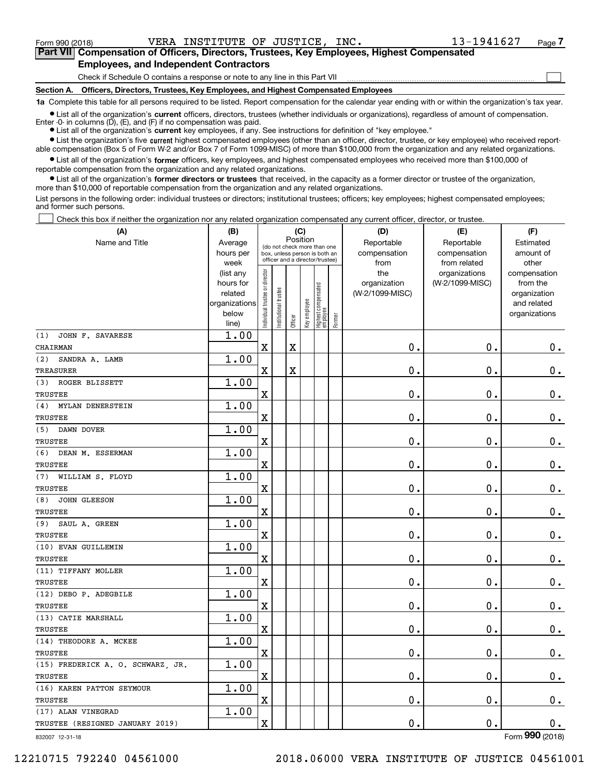$\mathcal{L}^{\text{max}}$ 

| Form 990 (2018) |                                               |  | VERA INSTITUTE OF JUSTICE, INC. | 13-1941627                                                                                 | Page 7 |
|-----------------|-----------------------------------------------|--|---------------------------------|--------------------------------------------------------------------------------------------|--------|
|                 |                                               |  |                                 | Part VII Compensation of Officers, Directors, Trustees, Key Employees, Highest Compensated |        |
|                 | <b>Employees, and Independent Contractors</b> |  |                                 |                                                                                            |        |

Check if Schedule O contains a response or note to any line in this Part VII

**Section A. Officers, Directors, Trustees, Key Employees, and Highest Compensated Employees**

**1a**  Complete this table for all persons required to be listed. Report compensation for the calendar year ending with or within the organization's tax year.

**•** List all of the organization's current officers, directors, trustees (whether individuals or organizations), regardless of amount of compensation. Enter -0- in columns  $(D)$ ,  $(E)$ , and  $(F)$  if no compensation was paid.

● List all of the organization's **current** key employees, if any. See instructions for definition of "key employee."

**•** List the organization's five current highest compensated employees (other than an officer, director, trustee, or key employee) who received reportable compensation (Box 5 of Form W-2 and/or Box 7 of Form 1099-MISC) of more than \$100,000 from the organization and any related organizations.

 $\bullet$  List all of the organization's **former** officers, key employees, and highest compensated employees who received more than \$100,000 of reportable compensation from the organization and any related organizations.

**•** List all of the organization's former directors or trustees that received, in the capacity as a former director or trustee of the organization, more than \$10,000 of reportable compensation from the organization and any related organizations.

List persons in the following order: individual trustees or directors; institutional trustees; officers; key employees; highest compensated employees; and former such persons.

Check this box if neither the organization nor any related organization compensated any current officer, director, or trustee.  $\mathcal{L}^{\text{max}}$ 

| (A)                               | (B)               |                               |                      | (C)                     |              |                                                                  |        | (D)                  | (E)                          | (F)                |
|-----------------------------------|-------------------|-------------------------------|----------------------|-------------------------|--------------|------------------------------------------------------------------|--------|----------------------|------------------------------|--------------------|
| Name and Title                    | Average           |                               |                      | Position                |              | (do not check more than one                                      |        | Reportable           | Reportable                   | Estimated          |
|                                   | hours per<br>week |                               |                      |                         |              | box, unless person is both an<br>officer and a director/trustee) |        | compensation<br>from | compensation<br>from related | amount of<br>other |
|                                   | (list any         |                               |                      |                         |              |                                                                  |        | the                  | organizations                | compensation       |
|                                   | hours for         |                               |                      |                         |              |                                                                  |        | organization         | (W-2/1099-MISC)              | from the           |
|                                   | related           |                               |                      |                         |              |                                                                  |        | (W-2/1099-MISC)      |                              | organization       |
|                                   | organizations     |                               |                      |                         |              |                                                                  |        |                      |                              | and related        |
|                                   | below<br>line)    | ndividual trustee or director | nstitutional trustee | Officer                 | Key employee | Highest compensated<br> employee                                 | Former |                      |                              | organizations      |
| (1)<br>JOHN F. SAVARESE           | 1.00              |                               |                      |                         |              |                                                                  |        |                      |                              |                    |
| CHAIRMAN                          |                   | X                             |                      | $\overline{\textbf{X}}$ |              |                                                                  |        | 0.                   | 0.                           | $0_{.}$            |
| (2)<br>SANDRA A. LAMB             | 1.00              |                               |                      |                         |              |                                                                  |        |                      |                              |                    |
| TREASURER                         |                   | X                             |                      | $\overline{\textbf{X}}$ |              |                                                                  |        | $\mathbf 0$ .        | 0.                           | $\mathbf 0$ .      |
| ROGER BLISSETT<br>(3)             | 1.00              |                               |                      |                         |              |                                                                  |        |                      |                              |                    |
| <b>TRUSTEE</b>                    |                   | X                             |                      |                         |              |                                                                  |        | $\mathbf 0$ .        | $\mathbf 0$ .                | $\mathbf 0$ .      |
| MYLAN DENERSTEIN<br>(4)           | 1.00              |                               |                      |                         |              |                                                                  |        |                      |                              |                    |
| <b>TRUSTEE</b>                    |                   | X                             |                      |                         |              |                                                                  |        | 0.                   | 0.                           | $\mathbf 0$ .      |
| (5)<br>DAWN DOVER                 | 1.00              |                               |                      |                         |              |                                                                  |        |                      |                              |                    |
| <b>TRUSTEE</b>                    |                   | X                             |                      |                         |              |                                                                  |        | 0.                   | 0.                           | $0_{.}$            |
| (6)<br>DEAN M. ESSERMAN           | 1.00              |                               |                      |                         |              |                                                                  |        |                      |                              |                    |
| <b>TRUSTEE</b>                    |                   | X                             |                      |                         |              |                                                                  |        | $\mathbf 0$ .        | 0.                           | $0_{.}$            |
| (7)<br>WILLIAM S. FLOYD           | 1.00              |                               |                      |                         |              |                                                                  |        |                      |                              |                    |
| <b>TRUSTEE</b>                    |                   | $\mathbf X$                   |                      |                         |              |                                                                  |        | 0.                   | 0.                           | $0_{.}$            |
| (8)<br><b>JOHN GLEESON</b>        | 1.00              |                               |                      |                         |              |                                                                  |        |                      |                              |                    |
| <b>TRUSTEE</b>                    |                   | $\overline{\textbf{X}}$       |                      |                         |              |                                                                  |        | 0.                   | $\mathbf 0$ .                | $\mathbf 0$ .      |
| (9)<br>SAUL A. GREEN              | 1.00              |                               |                      |                         |              |                                                                  |        |                      |                              |                    |
| <b>TRUSTEE</b>                    |                   | X                             |                      |                         |              |                                                                  |        | 0.                   | 0.                           | $0_{.}$            |
| (10) EVAN GUILLEMIN               | 1.00              |                               |                      |                         |              |                                                                  |        |                      |                              |                    |
| <b>TRUSTEE</b>                    |                   | $\mathbf X$                   |                      |                         |              |                                                                  |        | 0.                   | $\mathbf 0$ .                | $0_{.}$            |
| (11) TIFFANY MOLLER               | 1.00              |                               |                      |                         |              |                                                                  |        |                      |                              |                    |
| <b>TRUSTEE</b>                    |                   | $\rm X$                       |                      |                         |              |                                                                  |        | 0.                   | $\mathbf 0$ .                | $\mathbf 0$ .      |
| (12) DEBO P. ADEGBILE             | 1.00              |                               |                      |                         |              |                                                                  |        |                      |                              |                    |
| <b>TRUSTEE</b>                    |                   | $\mathbf x$                   |                      |                         |              |                                                                  |        | 0.                   | $\mathbf 0$ .                | $\mathbf 0$ .      |
| (13) CATIE MARSHALL               | 1.00              |                               |                      |                         |              |                                                                  |        |                      |                              |                    |
| <b>TRUSTEE</b>                    |                   | $\mathbf x$                   |                      |                         |              |                                                                  |        | $0$ .                | $\mathbf 0$ .                | $\mathbf 0$ .      |
| (14) THEODORE A. MCKEE            | 1.00              |                               |                      |                         |              |                                                                  |        |                      |                              |                    |
| <b>TRUSTEE</b>                    |                   | X                             |                      |                         |              |                                                                  |        | $\mathbf 0$ .        | 0.                           | $\mathbf 0$ .      |
| (15) FREDERICK A. O. SCHWARZ, JR. | 1.00              |                               |                      |                         |              |                                                                  |        |                      |                              |                    |
| <b>TRUSTEE</b>                    |                   | X                             |                      |                         |              |                                                                  |        | 0.                   | $\mathbf 0$ .                | $0_{.}$            |
| (16) KAREN PATTON SEYMOUR         | 1.00              |                               |                      |                         |              |                                                                  |        |                      |                              |                    |
| <b>TRUSTEE</b>                    |                   | X                             |                      |                         |              |                                                                  |        | 0.                   | 0.                           | $\mathbf 0$ .      |
| (17) ALAN VINEGRAD                | 1.00              |                               |                      |                         |              |                                                                  |        |                      | 0.                           |                    |
| TRUSTEE (RESIGNED JANUARY 2019)   |                   | $\rm X$                       |                      |                         |              |                                                                  |        | 0.                   |                              | $\mathbf 0$ .      |

832007 12-31-18

Form (2018) **990**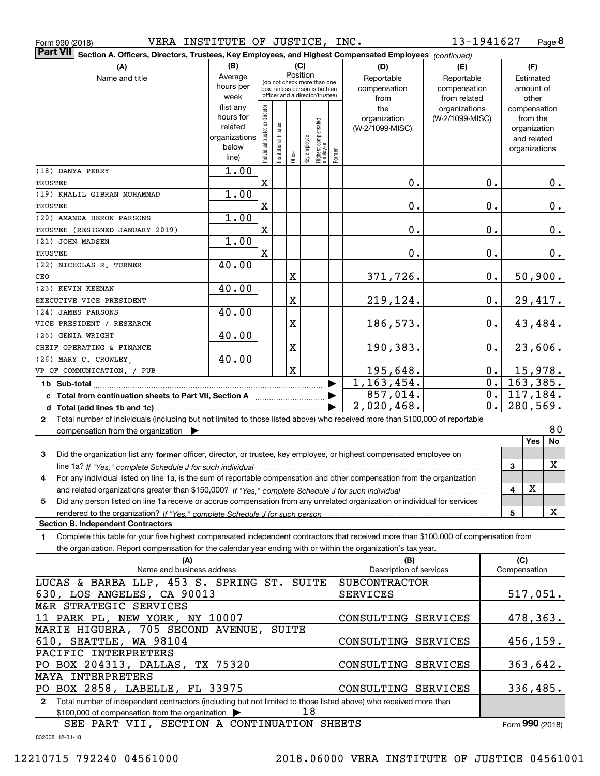| Form 990 (2018) |  |  |
|-----------------|--|--|
|                 |  |  |

Form 990 (2018) VERA INSTITUTE OF JUSTICE, INC. 13-1941627 Page

**8** 13-1941627

| <b>Part VII</b><br>Section A. Officers, Directors, Trustees, Key Employees, and Highest Compensated Employees (continued)                           |                        |                                |                                                              |                         |              |                                   |        |                          |                 |               |                             |
|-----------------------------------------------------------------------------------------------------------------------------------------------------|------------------------|--------------------------------|--------------------------------------------------------------|-------------------------|--------------|-----------------------------------|--------|--------------------------|-----------------|---------------|-----------------------------|
| (A)                                                                                                                                                 | (B)                    |                                |                                                              | (C)                     |              |                                   |        | (D)                      | (E)             |               | (F)                         |
| Name and title                                                                                                                                      | Average                |                                |                                                              |                         | Position     |                                   |        | Reportable               | Reportable      |               | Estimated                   |
|                                                                                                                                                     | hours per              |                                | (do not check more than one<br>box, unless person is both an |                         |              |                                   |        | compensation             | compensation    |               | amount of                   |
|                                                                                                                                                     | week                   |                                | officer and a director/trustee)                              |                         |              |                                   |        | from                     | from related    |               | other                       |
|                                                                                                                                                     | (list any<br>hours for |                                |                                                              |                         |              |                                   |        | the                      | organizations   |               | compensation                |
|                                                                                                                                                     | related                |                                |                                                              |                         |              |                                   |        | organization             | (W-2/1099-MISC) |               | from the                    |
|                                                                                                                                                     | organizations          |                                |                                                              |                         |              |                                   |        | (W-2/1099-MISC)          |                 |               | organization<br>and related |
|                                                                                                                                                     | below                  |                                |                                                              |                         |              |                                   |        |                          |                 |               | organizations               |
|                                                                                                                                                     | line)                  | Individual trustee or director | Institutional trustee                                        | Officer                 | Key employee | Highest compensated<br>  employee | Former |                          |                 |               |                             |
| (18) DANYA PERRY                                                                                                                                    | 1.00                   |                                |                                                              |                         |              |                                   |        |                          |                 |               |                             |
| TRUSTEE                                                                                                                                             |                        | X                              |                                                              |                         |              |                                   |        | 0.                       |                 | 0.            | 0.                          |
| (19) KHALIL GIBRAN MUHAMMAD                                                                                                                         | 1.00                   |                                |                                                              |                         |              |                                   |        |                          |                 |               |                             |
| TRUSTEE                                                                                                                                             |                        | X                              |                                                              |                         |              |                                   |        | 0.                       |                 | 0.            | 0.                          |
| (20) AMANDA HERON PARSONS                                                                                                                           | 1.00                   |                                |                                                              |                         |              |                                   |        |                          |                 |               |                             |
| TRUSTEE (RESIGNED JANUARY 2019)                                                                                                                     |                        | X                              |                                                              |                         |              |                                   |        | 0.                       |                 | 0.            | 0.                          |
| (21) JOHN MADSEN                                                                                                                                    | 1.00                   |                                |                                                              |                         |              |                                   |        |                          |                 |               |                             |
| TRUSTEE                                                                                                                                             |                        | $\overline{\mathbf{X}}$        |                                                              |                         |              |                                   |        | 0.                       |                 | 0.            | 0.                          |
| (22) NICHOLAS R. TURNER                                                                                                                             | 40.00                  |                                |                                                              |                         |              |                                   |        |                          |                 |               |                             |
| CEO<br>(23) KEVIN KEENAN                                                                                                                            |                        |                                |                                                              | $\overline{\textbf{X}}$ |              |                                   |        | 371,726.                 |                 | $\mathbf 0$ . | 50,900.                     |
| EXECUTIVE VICE PRESIDENT                                                                                                                            | 40.00                  |                                |                                                              | $\overline{\textbf{X}}$ |              |                                   |        | 219,124.                 |                 | $\mathbf 0$ . | 29,417.                     |
| (24) JAMES PARSONS                                                                                                                                  | 40.00                  |                                |                                                              |                         |              |                                   |        |                          |                 |               |                             |
| VICE PRESIDENT / RESEARCH                                                                                                                           |                        |                                |                                                              | $\mathbf X$             |              |                                   |        | 186,573.                 |                 | 0.            | 43,484.                     |
| (25) GENIA WRIGHT                                                                                                                                   | 40.00                  |                                |                                                              |                         |              |                                   |        |                          |                 |               |                             |
| CHEIF OPERATING & FINANCE                                                                                                                           |                        |                                |                                                              | $\mathbf X$             |              |                                   |        | 190,383.                 |                 | 0.            | 23,606.                     |
| (26) MARY C. CROWLEY,                                                                                                                               | 40.00                  |                                |                                                              |                         |              |                                   |        |                          |                 |               |                             |
| VP OF COMMUNICATION. / PUB                                                                                                                          |                        |                                |                                                              | $\mathbf X$             |              |                                   |        | 195,648.                 |                 | $0$ .         | 15,978.                     |
|                                                                                                                                                     |                        |                                |                                                              |                         |              |                                   |        | $\overline{1,163,454}$ . |                 | 0.            | 163,385.                    |
|                                                                                                                                                     |                        |                                |                                                              |                         |              |                                   |        | 857,014.                 |                 | $0$ .         | 117,184.                    |
|                                                                                                                                                     |                        |                                |                                                              |                         |              |                                   |        | 2,020,468.               |                 | 0.            | 280,569.                    |
| Total number of individuals (including but not limited to those listed above) who received more than \$100,000 of reportable<br>$\mathbf{2}$        |                        |                                |                                                              |                         |              |                                   |        |                          |                 |               |                             |
| compensation from the organization $\blacktriangleright$                                                                                            |                        |                                |                                                              |                         |              |                                   |        |                          |                 |               | 80                          |
|                                                                                                                                                     |                        |                                |                                                              |                         |              |                                   |        |                          |                 |               | Yes<br>No                   |
| Did the organization list any former officer, director, or trustee, key employee, or highest compensated employee on<br>3                           |                        |                                |                                                              |                         |              |                                   |        |                          |                 |               |                             |
| line 1a? If "Yes," complete Schedule J for such individual                                                                                          |                        |                                |                                                              |                         |              |                                   |        |                          |                 | 3             | X                           |
| For any individual listed on line 1a, is the sum of reportable compensation and other compensation from the organization<br>4                       |                        |                                |                                                              |                         |              |                                   |        |                          |                 |               | $\mathbf X$                 |
| Did any person listed on line 1a receive or accrue compensation from any unrelated organization or individual for services<br>5                     |                        |                                |                                                              |                         |              |                                   |        |                          |                 | 4             |                             |
|                                                                                                                                                     |                        |                                |                                                              |                         |              |                                   |        |                          |                 | 5             | X                           |
| <b>Section B. Independent Contractors</b>                                                                                                           |                        |                                |                                                              |                         |              |                                   |        |                          |                 |               |                             |
| Complete this table for your five highest compensated independent contractors that received more than \$100,000 of compensation from<br>$\mathbf 1$ |                        |                                |                                                              |                         |              |                                   |        |                          |                 |               |                             |
| the organization. Report compensation for the calendar year ending with or within the organization's tax year.                                      |                        |                                |                                                              |                         |              |                                   |        |                          |                 |               |                             |
| (A)                                                                                                                                                 |                        |                                |                                                              |                         |              |                                   |        | (B)                      |                 |               | (C)                         |
| Name and business address                                                                                                                           |                        |                                |                                                              |                         |              |                                   |        | Description of services  |                 |               | Compensation                |
| LUCAS & BARBA LLP, 453 S. SPRING ST. SUITE                                                                                                          |                        |                                |                                                              |                         |              |                                   |        | <b>SUBCONTRACTOR</b>     |                 |               |                             |
| 630, LOS ANGELES, CA 90013                                                                                                                          |                        |                                |                                                              |                         |              |                                   |        | SERVICES                 |                 |               | 517,051.                    |
| M&R STRATEGIC SERVICES                                                                                                                              |                        |                                |                                                              |                         |              |                                   |        |                          |                 |               |                             |
| 11 PARK PL, NEW YORK, NY 10007<br>MARIE HIGUERA, 705 SECOND AVENUE, SUITE                                                                           |                        |                                |                                                              |                         |              |                                   |        | CONSULTING SERVICES      |                 |               | 478,363.                    |
| 610, SEATTLE, WA 98104                                                                                                                              |                        |                                |                                                              |                         |              |                                   |        | CONSULTING SERVICES      |                 |               | 456,159.                    |
| PACIFIC INTERPRETERS                                                                                                                                |                        |                                |                                                              |                         |              |                                   |        |                          |                 |               |                             |
| PO BOX 204313, DALLAS, TX 75320                                                                                                                     |                        |                                |                                                              |                         |              |                                   |        | CONSULTING SERVICES      |                 |               | 363,642.                    |
| MAYA INTERPRETERS                                                                                                                                   |                        |                                |                                                              |                         |              |                                   |        |                          |                 |               |                             |
| PO BOX 2858, LABELLE, FL 33975                                                                                                                      |                        |                                |                                                              |                         |              |                                   |        | CONSULTING SERVICES      |                 |               | 336,485.                    |
| 2 Total number of independent contractors (including but not limited to those listed above) who received more than                                  |                        |                                |                                                              |                         |              |                                   |        |                          |                 |               |                             |

\$100,000 of compensation from the organization  $\quad \blacktriangleright \qquad \qquad 18$ 

SEE PART VII, SECTION A CONTINUATION SHEETS

Form (2018) **990**

832008 12-31-18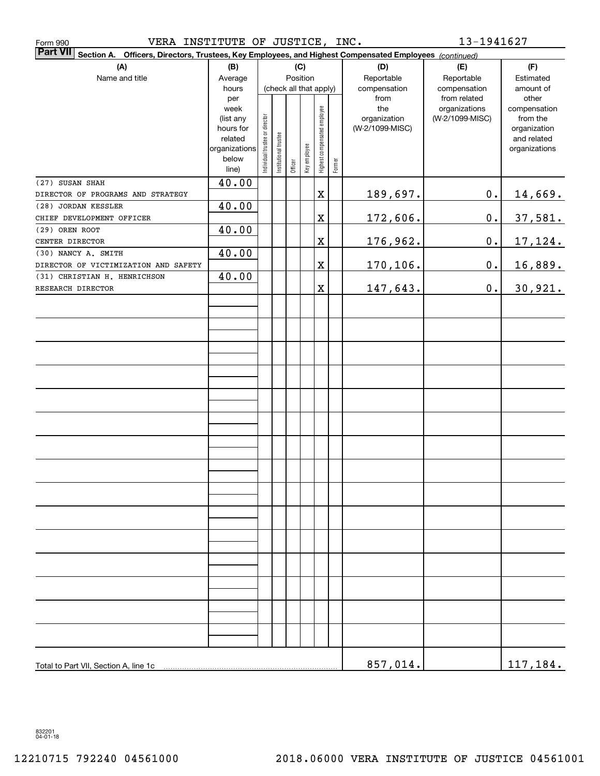| VERA INSTITUTE OF JUSTICE, INC.<br>Form 990                                                                               |                        |                                    |                       |         |              |                              |        |                      | 13-1941627                   |                    |  |
|---------------------------------------------------------------------------------------------------------------------------|------------------------|------------------------------------|-----------------------|---------|--------------|------------------------------|--------|----------------------|------------------------------|--------------------|--|
| <b>Part VII</b><br>Section A. Officers, Directors, Trustees, Key Employees, and Highest Compensated Employees (continued) |                        |                                    |                       |         |              |                              |        |                      |                              |                    |  |
| (A)                                                                                                                       | (B)                    |                                    |                       |         | (C)          |                              |        | (D)                  | (E)                          | (F)                |  |
| Name and title                                                                                                            | Average                | Position<br>(check all that apply) |                       |         |              |                              |        | Reportable           | Reportable                   | Estimated          |  |
|                                                                                                                           | hours<br>per           |                                    |                       |         |              |                              |        | compensation<br>from | compensation<br>from related | amount of<br>other |  |
|                                                                                                                           | week                   |                                    |                       |         |              |                              |        | the                  | organizations                | compensation       |  |
|                                                                                                                           | (list any              |                                    |                       |         |              |                              |        | organization         | (W-2/1099-MISC)              | from the           |  |
|                                                                                                                           | hours for              |                                    |                       |         |              |                              |        | (W-2/1099-MISC)      |                              | organization       |  |
|                                                                                                                           | related                |                                    |                       |         |              |                              |        |                      |                              | and related        |  |
|                                                                                                                           | organizations<br>below | Individual trustee or director     | Institutional trustee |         | Key employee | Highest compensated employee |        |                      |                              | organizations      |  |
|                                                                                                                           | line)                  |                                    |                       | Officer |              |                              | Former |                      |                              |                    |  |
| (27) SUSAN SHAH                                                                                                           | 40.00                  |                                    |                       |         |              |                              |        |                      |                              |                    |  |
| DIRECTOR OF PROGRAMS AND STRATEGY                                                                                         |                        |                                    |                       |         |              | $\mathbf X$                  |        | 189,697.             | $\mathbf 0$ .                | 14,669.            |  |
| (28) JORDAN KESSLER                                                                                                       | 40.00                  |                                    |                       |         |              |                              |        |                      |                              |                    |  |
| CHIEF DEVELOPMENT OFFICER                                                                                                 |                        |                                    |                       |         |              | $\mathbf X$                  |        | 172,606.             | $\mathbf 0$ .                | 37,581.            |  |
| (29) OREN ROOT                                                                                                            | 40.00                  |                                    |                       |         |              |                              |        |                      |                              |                    |  |
| CENTER DIRECTOR                                                                                                           |                        |                                    |                       |         |              | $\mathbf X$                  |        | 176,962.             | $\mathbf 0$ .                | 17,124.            |  |
| (30) NANCY A. SMITH                                                                                                       | 40.00                  |                                    |                       |         |              |                              |        |                      |                              |                    |  |
| DIRECTOR OF VICTIMIZATION AND SAFETY                                                                                      | 40.00                  |                                    |                       |         |              | $\mathbf X$                  |        | 170,106.             | $\mathbf 0$ .                | 16,889.            |  |
| (31) CHRISTIAN H. HENRICHSON<br>RESEARCH DIRECTOR                                                                         |                        |                                    |                       |         |              | $\mathbf X$                  |        | 147,643.             | 0.                           | 30,921.            |  |
|                                                                                                                           |                        |                                    |                       |         |              |                              |        |                      |                              |                    |  |
|                                                                                                                           |                        |                                    |                       |         |              |                              |        |                      |                              |                    |  |
|                                                                                                                           |                        |                                    |                       |         |              |                              |        |                      |                              |                    |  |
|                                                                                                                           |                        |                                    |                       |         |              |                              |        |                      |                              |                    |  |
|                                                                                                                           |                        |                                    |                       |         |              |                              |        |                      |                              |                    |  |
|                                                                                                                           |                        |                                    |                       |         |              |                              |        |                      |                              |                    |  |
|                                                                                                                           |                        |                                    |                       |         |              |                              |        |                      |                              |                    |  |
|                                                                                                                           |                        |                                    |                       |         |              |                              |        |                      |                              |                    |  |
|                                                                                                                           |                        |                                    |                       |         |              |                              |        |                      |                              |                    |  |
|                                                                                                                           |                        |                                    |                       |         |              |                              |        |                      |                              |                    |  |
|                                                                                                                           |                        |                                    |                       |         |              |                              |        |                      |                              |                    |  |
|                                                                                                                           |                        |                                    |                       |         |              |                              |        |                      |                              |                    |  |
|                                                                                                                           |                        |                                    |                       |         |              |                              |        |                      |                              |                    |  |
|                                                                                                                           |                        |                                    |                       |         |              |                              |        |                      |                              |                    |  |
|                                                                                                                           |                        |                                    |                       |         |              |                              |        |                      |                              |                    |  |
|                                                                                                                           |                        |                                    |                       |         |              |                              |        |                      |                              |                    |  |
|                                                                                                                           |                        |                                    |                       |         |              |                              |        |                      |                              |                    |  |
|                                                                                                                           |                        |                                    |                       |         |              |                              |        |                      |                              |                    |  |
|                                                                                                                           |                        |                                    |                       |         |              |                              |        |                      |                              |                    |  |
|                                                                                                                           |                        |                                    |                       |         |              |                              |        |                      |                              |                    |  |
|                                                                                                                           |                        |                                    |                       |         |              |                              |        |                      |                              |                    |  |
|                                                                                                                           |                        |                                    |                       |         |              |                              |        |                      |                              |                    |  |
|                                                                                                                           |                        |                                    |                       |         |              |                              |        |                      |                              |                    |  |
|                                                                                                                           |                        |                                    |                       |         |              |                              |        |                      |                              |                    |  |
|                                                                                                                           |                        |                                    |                       |         |              |                              |        |                      |                              |                    |  |
|                                                                                                                           |                        |                                    |                       |         |              |                              |        |                      |                              |                    |  |
|                                                                                                                           |                        |                                    |                       |         |              |                              |        |                      |                              |                    |  |
|                                                                                                                           |                        |                                    |                       |         |              |                              |        |                      |                              |                    |  |
| Total to Part VII, Section A, line 1c                                                                                     |                        |                                    |                       |         |              |                              |        | 857,014.             |                              | 117,184.           |  |

832201 04-01-18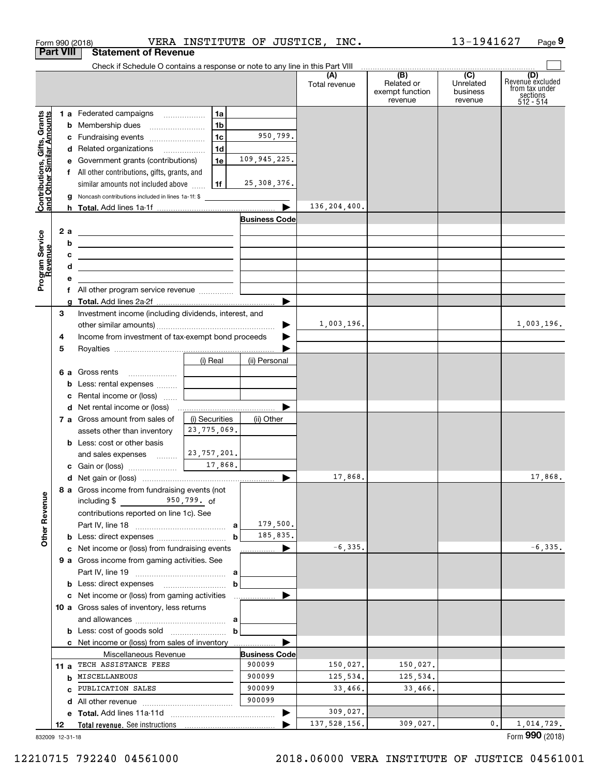|                                                           |                  | Form 990 (2018)                                                                                                      |                                   |                      | VERA INSTITUTE OF JUSTICE, INC. |                                                                                                                                                                                                                                                                                                                                                                                                                                                                                        | 13-1941627                       | Page 9                                                             |
|-----------------------------------------------------------|------------------|----------------------------------------------------------------------------------------------------------------------|-----------------------------------|----------------------|---------------------------------|----------------------------------------------------------------------------------------------------------------------------------------------------------------------------------------------------------------------------------------------------------------------------------------------------------------------------------------------------------------------------------------------------------------------------------------------------------------------------------------|----------------------------------|--------------------------------------------------------------------|
|                                                           | <b>Part VIII</b> | <b>Statement of Revenue</b>                                                                                          |                                   |                      |                                 |                                                                                                                                                                                                                                                                                                                                                                                                                                                                                        |                                  |                                                                    |
|                                                           |                  | Check if Schedule O contains a response or note to any line in this Part VIII                                        |                                   |                      |                                 |                                                                                                                                                                                                                                                                                                                                                                                                                                                                                        |                                  |                                                                    |
|                                                           |                  |                                                                                                                      |                                   |                      | (A)<br>Total revenue            | $\begin{array}{ c c c c c c c c c }\hline \multicolumn{3}{c }{(B)} & \multicolumn{3}{c }{(C)} & \multicolumn{3}{c }{\phantom{a}}\hline \multicolumn{3}{c }{(D)} & \multicolumn{3}{c }{(D)} & \multicolumn{3}{c }{\phantom{a}}\hline \multicolumn{3}{c }{(D)} & \multicolumn{3}{c }{\phantom{a}}\hline \multicolumn{3}{c }{(D)} & \multicolumn{3}{c }{\phantom{a}}\hline \multicolumn{3}{c }{(D)} & \multicolumn{3}{c }{\phantom{a}}\hline$<br>Related or<br>exempt function<br>revenue | Unrelated<br>business<br>revenue | (D)<br>Revenue excluded<br>from tax under<br>sections<br>512 - 514 |
|                                                           |                  | 1 a Federated campaigns                                                                                              | 1a                                |                      |                                 |                                                                                                                                                                                                                                                                                                                                                                                                                                                                                        |                                  |                                                                    |
|                                                           |                  | <b>b</b> Membership dues                                                                                             | 1b                                |                      |                                 |                                                                                                                                                                                                                                                                                                                                                                                                                                                                                        |                                  |                                                                    |
|                                                           |                  | c Fundraising events                                                                                                 | 1 <sub>c</sub>                    | 950,799.             |                                 |                                                                                                                                                                                                                                                                                                                                                                                                                                                                                        |                                  |                                                                    |
|                                                           |                  | d Related organizations                                                                                              | 1d                                |                      |                                 |                                                                                                                                                                                                                                                                                                                                                                                                                                                                                        |                                  |                                                                    |
|                                                           |                  | e Government grants (contributions)                                                                                  | 1e                                | 109,945,225.         |                                 |                                                                                                                                                                                                                                                                                                                                                                                                                                                                                        |                                  |                                                                    |
|                                                           |                  | f All other contributions, gifts, grants, and                                                                        |                                   |                      |                                 |                                                                                                                                                                                                                                                                                                                                                                                                                                                                                        |                                  |                                                                    |
|                                                           |                  | similar amounts not included above                                                                                   | 1f                                | 25,308,376.          |                                 |                                                                                                                                                                                                                                                                                                                                                                                                                                                                                        |                                  |                                                                    |
|                                                           |                  | g Noncash contributions included in lines 1a-1f: \$                                                                  |                                   |                      |                                 |                                                                                                                                                                                                                                                                                                                                                                                                                                                                                        |                                  |                                                                    |
| Contributions, Gifts, Grants<br>and Other Similar Amounts |                  |                                                                                                                      |                                   |                      | 136,204,400.                    |                                                                                                                                                                                                                                                                                                                                                                                                                                                                                        |                                  |                                                                    |
|                                                           |                  |                                                                                                                      |                                   | <b>Business Code</b> |                                 |                                                                                                                                                                                                                                                                                                                                                                                                                                                                                        |                                  |                                                                    |
|                                                           | 2 a              | <u> 1989 - Andrea Stadt, fransk politiker (d. 1989)</u>                                                              |                                   |                      |                                 |                                                                                                                                                                                                                                                                                                                                                                                                                                                                                        |                                  |                                                                    |
|                                                           | b                | <u> 2008 - John Stone, Amerikaans en Stone († 18</u>                                                                 |                                   |                      |                                 |                                                                                                                                                                                                                                                                                                                                                                                                                                                                                        |                                  |                                                                    |
|                                                           | с                | <u> Alexandria de la contrada de la contrada de la contrada de la contrada de la contrada de la contrada de la c</u> |                                   |                      |                                 |                                                                                                                                                                                                                                                                                                                                                                                                                                                                                        |                                  |                                                                    |
|                                                           | d                | <u> 1989 - Johann Stein, mars an de Brasilia (b. 1989)</u>                                                           |                                   |                      |                                 |                                                                                                                                                                                                                                                                                                                                                                                                                                                                                        |                                  |                                                                    |
| Program Service<br>Revenue                                | е                |                                                                                                                      |                                   |                      |                                 |                                                                                                                                                                                                                                                                                                                                                                                                                                                                                        |                                  |                                                                    |
|                                                           |                  |                                                                                                                      |                                   |                      |                                 |                                                                                                                                                                                                                                                                                                                                                                                                                                                                                        |                                  |                                                                    |
|                                                           |                  |                                                                                                                      |                                   |                      |                                 |                                                                                                                                                                                                                                                                                                                                                                                                                                                                                        |                                  |                                                                    |
|                                                           | З                | Investment income (including dividends, interest, and                                                                |                                   |                      |                                 |                                                                                                                                                                                                                                                                                                                                                                                                                                                                                        |                                  |                                                                    |
|                                                           |                  |                                                                                                                      |                                   | ▶                    | 1,003,196.                      |                                                                                                                                                                                                                                                                                                                                                                                                                                                                                        |                                  | 1,003,196.                                                         |
|                                                           | 4                | Income from investment of tax-exempt bond proceeds                                                                   |                                   |                      |                                 |                                                                                                                                                                                                                                                                                                                                                                                                                                                                                        |                                  |                                                                    |
|                                                           | 5                |                                                                                                                      |                                   |                      |                                 |                                                                                                                                                                                                                                                                                                                                                                                                                                                                                        |                                  |                                                                    |
|                                                           |                  |                                                                                                                      | (i) Real                          | (ii) Personal        |                                 |                                                                                                                                                                                                                                                                                                                                                                                                                                                                                        |                                  |                                                                    |
|                                                           |                  |                                                                                                                      | and the control of the control of |                      |                                 |                                                                                                                                                                                                                                                                                                                                                                                                                                                                                        |                                  |                                                                    |
|                                                           |                  | <b>b</b> Less: rental expenses                                                                                       |                                   |                      |                                 |                                                                                                                                                                                                                                                                                                                                                                                                                                                                                        |                                  |                                                                    |
|                                                           |                  | c Rental income or (loss)                                                                                            |                                   |                      |                                 |                                                                                                                                                                                                                                                                                                                                                                                                                                                                                        |                                  |                                                                    |
|                                                           |                  |                                                                                                                      |                                   |                      |                                 |                                                                                                                                                                                                                                                                                                                                                                                                                                                                                        |                                  |                                                                    |
|                                                           |                  | 7 a Gross amount from sales of                                                                                       | (i) Securities                    | (ii) Other           |                                 |                                                                                                                                                                                                                                                                                                                                                                                                                                                                                        |                                  |                                                                    |
|                                                           |                  | assets other than inventory                                                                                          | 23, 775, 069.                     |                      |                                 |                                                                                                                                                                                                                                                                                                                                                                                                                                                                                        |                                  |                                                                    |
|                                                           |                  | <b>b</b> Less: cost or other basis                                                                                   |                                   |                      |                                 |                                                                                                                                                                                                                                                                                                                                                                                                                                                                                        |                                  |                                                                    |
|                                                           |                  | and sales expenses                                                                                                   | 23,757,201.<br>17,868.            |                      |                                 |                                                                                                                                                                                                                                                                                                                                                                                                                                                                                        |                                  |                                                                    |
|                                                           |                  |                                                                                                                      |                                   |                      | 17,868.                         |                                                                                                                                                                                                                                                                                                                                                                                                                                                                                        |                                  |                                                                    |
|                                                           |                  |                                                                                                                      |                                   |                      |                                 |                                                                                                                                                                                                                                                                                                                                                                                                                                                                                        |                                  | 17,868.                                                            |
|                                                           |                  | 8 a Gross income from fundraising events (not<br>$950, 799.$ of<br>including \$                                      |                                   |                      |                                 |                                                                                                                                                                                                                                                                                                                                                                                                                                                                                        |                                  |                                                                    |
| <b>Other Revenue</b>                                      |                  | contributions reported on line 1c). See                                                                              |                                   |                      |                                 |                                                                                                                                                                                                                                                                                                                                                                                                                                                                                        |                                  |                                                                    |
|                                                           |                  |                                                                                                                      |                                   | 179,500.             |                                 |                                                                                                                                                                                                                                                                                                                                                                                                                                                                                        |                                  |                                                                    |
|                                                           |                  | <b>b</b> Less: direct expenses <i>manually contained</i>                                                             | $\mathbf b$                       | 185,835.             |                                 |                                                                                                                                                                                                                                                                                                                                                                                                                                                                                        |                                  |                                                                    |
|                                                           |                  | c Net income or (loss) from fundraising events                                                                       |                                   | ▶<br>.               | $-6, 335.$                      |                                                                                                                                                                                                                                                                                                                                                                                                                                                                                        |                                  | $-6, 335.$                                                         |
|                                                           |                  | <b>9 a</b> Gross income from gaming activities. See                                                                  |                                   |                      |                                 |                                                                                                                                                                                                                                                                                                                                                                                                                                                                                        |                                  |                                                                    |
|                                                           |                  |                                                                                                                      |                                   |                      |                                 |                                                                                                                                                                                                                                                                                                                                                                                                                                                                                        |                                  |                                                                    |
|                                                           |                  | <b>b</b> Less: direct expenses <b>manually contained</b>                                                             | b                                 |                      |                                 |                                                                                                                                                                                                                                                                                                                                                                                                                                                                                        |                                  |                                                                    |
|                                                           |                  |                                                                                                                      |                                   |                      |                                 |                                                                                                                                                                                                                                                                                                                                                                                                                                                                                        |                                  |                                                                    |
|                                                           |                  | 10 a Gross sales of inventory, less returns                                                                          |                                   |                      |                                 |                                                                                                                                                                                                                                                                                                                                                                                                                                                                                        |                                  |                                                                    |
|                                                           |                  |                                                                                                                      |                                   |                      |                                 |                                                                                                                                                                                                                                                                                                                                                                                                                                                                                        |                                  |                                                                    |
|                                                           |                  |                                                                                                                      | $\mathbf b$                       |                      |                                 |                                                                                                                                                                                                                                                                                                                                                                                                                                                                                        |                                  |                                                                    |
|                                                           |                  | c Net income or (loss) from sales of inventory                                                                       |                                   |                      |                                 |                                                                                                                                                                                                                                                                                                                                                                                                                                                                                        |                                  |                                                                    |
|                                                           |                  | Miscellaneous Revenue                                                                                                |                                   | <b>Business Code</b> |                                 |                                                                                                                                                                                                                                                                                                                                                                                                                                                                                        |                                  |                                                                    |
|                                                           | 11 a             | TECH ASSISTANCE FEES                                                                                                 |                                   | 900099               | 150,027.                        | 150,027.                                                                                                                                                                                                                                                                                                                                                                                                                                                                               |                                  |                                                                    |
|                                                           |                  | <b>b</b> MISCELLANEOUS                                                                                               |                                   | 900099               | 125,534.                        | 125,534.                                                                                                                                                                                                                                                                                                                                                                                                                                                                               |                                  |                                                                    |
|                                                           |                  | <b>c</b> PUBLICATION SALES                                                                                           |                                   | 900099               | 33,466.                         | 33,466.                                                                                                                                                                                                                                                                                                                                                                                                                                                                                |                                  |                                                                    |
|                                                           |                  |                                                                                                                      |                                   | 900099               |                                 |                                                                                                                                                                                                                                                                                                                                                                                                                                                                                        |                                  |                                                                    |
|                                                           |                  |                                                                                                                      |                                   |                      | 309,027.                        |                                                                                                                                                                                                                                                                                                                                                                                                                                                                                        |                                  |                                                                    |
|                                                           | 12               |                                                                                                                      |                                   |                      | 137, 528, 156.                  | 309,027.                                                                                                                                                                                                                                                                                                                                                                                                                                                                               | 0.                               | 1,014,729.                                                         |

832009 12-31-18

Form (2018) **990**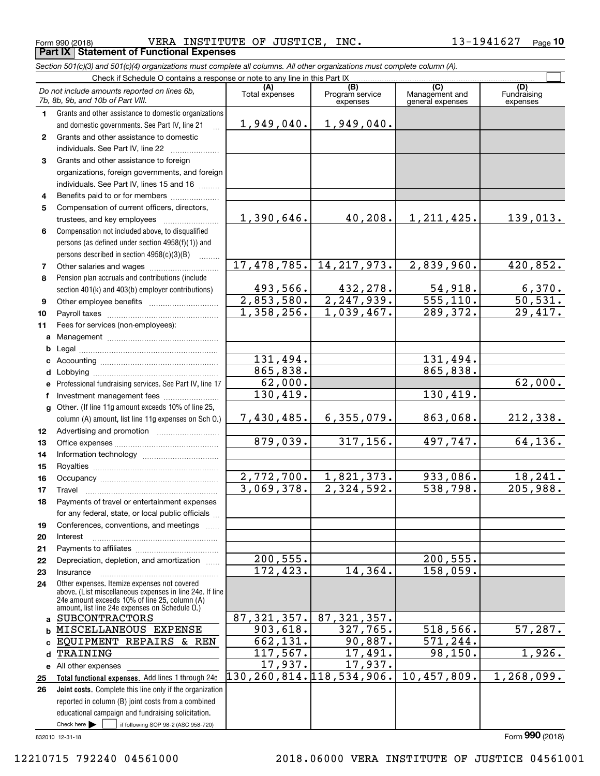$_{\rm Form}$   $_{990}$  (2018) <code>VERA INSTITUTE OF JUSTICE, INC.</code>  $13\text{--}1941627$   $_{\rm Page}$ **Part IX Statement of Functional Expenses**

*Section 501(c)(3) and 501(c)(4) organizations must complete all columns. All other organizations must complete column (A).*

|              | Check if Schedule O contains a response or note to any line in this Part IX                     |                          |                                     |                                           |                                |  |  |  |  |  |
|--------------|-------------------------------------------------------------------------------------------------|--------------------------|-------------------------------------|-------------------------------------------|--------------------------------|--|--|--|--|--|
|              | Do not include amounts reported on lines 6b,<br>7b, 8b, 9b, and 10b of Part VIII.               | (A)<br>Total expenses    | (B)<br>Program service<br>expenses  | (C)<br>Management and<br>general expenses | (D)<br>Fundraising<br>expenses |  |  |  |  |  |
| $\mathbf{1}$ | Grants and other assistance to domestic organizations                                           |                          |                                     |                                           |                                |  |  |  |  |  |
|              | and domestic governments. See Part IV, line 21                                                  | 1,949,040.               | 1,949,040.                          |                                           |                                |  |  |  |  |  |
| $\mathbf{2}$ | Grants and other assistance to domestic                                                         |                          |                                     |                                           |                                |  |  |  |  |  |
|              | individuals. See Part IV, line 22                                                               |                          |                                     |                                           |                                |  |  |  |  |  |
| 3            | Grants and other assistance to foreign                                                          |                          |                                     |                                           |                                |  |  |  |  |  |
|              | organizations, foreign governments, and foreign                                                 |                          |                                     |                                           |                                |  |  |  |  |  |
|              | individuals. See Part IV, lines 15 and 16                                                       |                          |                                     |                                           |                                |  |  |  |  |  |
| 4            | Benefits paid to or for members                                                                 |                          |                                     |                                           |                                |  |  |  |  |  |
| 5            | Compensation of current officers, directors,                                                    |                          |                                     |                                           |                                |  |  |  |  |  |
|              |                                                                                                 | 1,390,646.               | 40,208.                             | 1, 211, 425.                              | 139,013.                       |  |  |  |  |  |
| 6            | Compensation not included above, to disqualified                                                |                          |                                     |                                           |                                |  |  |  |  |  |
|              | persons (as defined under section 4958(f)(1)) and                                               |                          |                                     |                                           |                                |  |  |  |  |  |
|              | persons described in section 4958(c)(3)(B)                                                      |                          |                                     |                                           |                                |  |  |  |  |  |
| 7            | Other salaries and wages                                                                        | 17,478,785.              | 14, 217, 973.                       | 2,839,960.                                | 420,852.                       |  |  |  |  |  |
| 8            | Pension plan accruals and contributions (include                                                |                          |                                     |                                           |                                |  |  |  |  |  |
|              | section 401(k) and 403(b) employer contributions)                                               | 493,566.<br>2,853,580.   | 432,278.<br>$\overline{2,247,939.}$ | 54,918.<br>$\overline{555,110}$ .         | $\frac{6,370}{50,531}$         |  |  |  |  |  |
| 9            |                                                                                                 | 1,358,256.               |                                     | 289,372.                                  | 29,417.                        |  |  |  |  |  |
| 10           |                                                                                                 |                          | 1,039,467.                          |                                           |                                |  |  |  |  |  |
| 11           | Fees for services (non-employees):                                                              |                          |                                     |                                           |                                |  |  |  |  |  |
| a            |                                                                                                 |                          |                                     |                                           |                                |  |  |  |  |  |
| b<br>c       |                                                                                                 | 131,494.                 |                                     | 131,494.                                  |                                |  |  |  |  |  |
| d            |                                                                                                 | 865,838.                 |                                     | 865,838.                                  |                                |  |  |  |  |  |
|              | Professional fundraising services. See Part IV, line 17                                         | 62,000.                  |                                     |                                           | 62,000.                        |  |  |  |  |  |
| f            |                                                                                                 | 130,419.                 |                                     | 130,419.                                  |                                |  |  |  |  |  |
|              | Other. (If line 11g amount exceeds 10% of line 25,                                              |                          |                                     |                                           |                                |  |  |  |  |  |
|              | column (A) amount, list line 11g expenses on Sch O.)                                            | 7,430,485.               | 6, 355, 079.                        | 863,068.                                  | 212,338.                       |  |  |  |  |  |
| 12           |                                                                                                 |                          |                                     |                                           |                                |  |  |  |  |  |
| 13           |                                                                                                 | 879,039.                 | 317, 156.                           | 497,747.                                  | 64, 136.                       |  |  |  |  |  |
| 14           |                                                                                                 |                          |                                     |                                           |                                |  |  |  |  |  |
| 15           |                                                                                                 |                          |                                     |                                           |                                |  |  |  |  |  |
| 16           |                                                                                                 | 2,772,700.               | 1,821,373.                          | 933,086.                                  | 18,241.                        |  |  |  |  |  |
| 17           | Travel                                                                                          | 3,069,378.               | 2,324,592.                          | 538,798.                                  | 205,988.                       |  |  |  |  |  |
| 18           | Payments of travel or entertainment expenses                                                    |                          |                                     |                                           |                                |  |  |  |  |  |
|              | for any federal, state, or local public officials                                               |                          |                                     |                                           |                                |  |  |  |  |  |
| 19           | Conferences, conventions, and meetings                                                          |                          |                                     |                                           |                                |  |  |  |  |  |
| 20           | Interest                                                                                        |                          |                                     |                                           |                                |  |  |  |  |  |
| 21<br>22     | Depreciation, depletion, and amortization                                                       | 200, 555.                |                                     | $\overline{200, 555}$ .                   |                                |  |  |  |  |  |
| 23           | Insurance                                                                                       | 172,423.                 | 14,364.                             | 158,059.                                  |                                |  |  |  |  |  |
| 24           | Other expenses. Itemize expenses not covered                                                    |                          |                                     |                                           |                                |  |  |  |  |  |
|              | above. (List miscellaneous expenses in line 24e. If line                                        |                          |                                     |                                           |                                |  |  |  |  |  |
|              | 24e amount exceeds 10% of line 25, column (A)<br>amount, list line 24e expenses on Schedule O.) |                          |                                     |                                           |                                |  |  |  |  |  |
| a            | <b>SUBCONTRACTORS</b>                                                                           | 87, 321, 357.            | 87, 321, 357.                       |                                           |                                |  |  |  |  |  |
| b            | MISCELLANEOUS EXPENSE                                                                           | 903, 618.                | 327,765.                            | 518, 566.                                 | 57,287.                        |  |  |  |  |  |
| C            | EQUIPMENT REPAIRS & REN                                                                         | 662, 131.                | 90,887.                             | 571, 244.                                 |                                |  |  |  |  |  |
| d            | TRAINING                                                                                        | 117,567.                 | 17,491.                             | 98, 150.                                  | 1,926.                         |  |  |  |  |  |
| е            | All other expenses                                                                              | 17,937.                  | 17,937.                             |                                           |                                |  |  |  |  |  |
| 25           | Total functional expenses. Add lines 1 through 24e                                              | 130,260,814.118,534,906. |                                     | 10,457,809.                               | 1, 268, 099.                   |  |  |  |  |  |
| 26           | Joint costs. Complete this line only if the organization                                        |                          |                                     |                                           |                                |  |  |  |  |  |
|              | reported in column (B) joint costs from a combined                                              |                          |                                     |                                           |                                |  |  |  |  |  |
|              | educational campaign and fundraising solicitation.                                              |                          |                                     |                                           |                                |  |  |  |  |  |
|              | Check here $\blacktriangleright$<br>if following SOP 98-2 (ASC 958-720)                         |                          |                                     |                                           |                                |  |  |  |  |  |

832010 12-31-18

Form (2018) **990**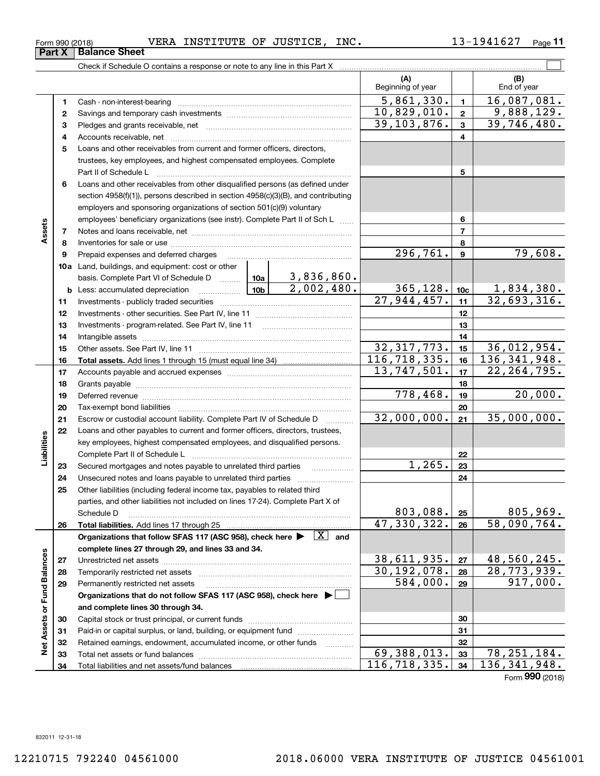#### $_{\rm Form}$   $_{990}$  (2018) <code>VERA INSTITUTE OF JUSTICE, INC.</code>  $13\text{--}1941627$   $_{\rm Page}$ **Part X Balance Sheet**

**11**

|                             |          | Check if Schedule O contains a response or note to any line in this Part X                                                                                                                                                     |                           |                |                           |                         |                    |
|-----------------------------|----------|--------------------------------------------------------------------------------------------------------------------------------------------------------------------------------------------------------------------------------|---------------------------|----------------|---------------------------|-------------------------|--------------------|
|                             |          |                                                                                                                                                                                                                                |                           |                | (A)<br>Beginning of year  |                         | (B)<br>End of year |
|                             | 1        |                                                                                                                                                                                                                                |                           |                | 5,861,330.                | $\mathbf{1}$            | 16,087,081.        |
|                             | 2        |                                                                                                                                                                                                                                |                           |                | $\overline{10,829,010}$ . | $\mathbf{2}$            | 9,888,129.         |
|                             | 3        |                                                                                                                                                                                                                                |                           |                | $\overline{39,103,876}$ . | 3                       | 39,746,480.        |
|                             | 4        |                                                                                                                                                                                                                                |                           |                |                           | $\overline{\mathbf{4}}$ |                    |
|                             | 5        | Loans and other receivables from current and former officers, directors,                                                                                                                                                       |                           |                |                           |                         |                    |
|                             |          | trustees, key employees, and highest compensated employees. Complete                                                                                                                                                           |                           |                |                           |                         |                    |
|                             |          |                                                                                                                                                                                                                                |                           |                |                           | 5                       |                    |
|                             | 6        | Loans and other receivables from other disqualified persons (as defined under                                                                                                                                                  |                           |                |                           |                         |                    |
|                             |          | section 4958(f)(1)), persons described in section 4958(c)(3)(B), and contributing                                                                                                                                              |                           |                |                           |                         |                    |
|                             |          | employers and sponsoring organizations of section 501(c)(9) voluntary                                                                                                                                                          |                           |                |                           |                         |                    |
|                             |          | employees' beneficiary organizations (see instr). Complete Part II of Sch L                                                                                                                                                    |                           |                |                           | 6                       |                    |
| Assets                      | 7        |                                                                                                                                                                                                                                |                           | $\overline{7}$ |                           |                         |                    |
|                             | 8        |                                                                                                                                                                                                                                |                           |                |                           | 8                       |                    |
|                             | 9        | Prepaid expenses and deferred charges                                                                                                                                                                                          |                           |                | $\overline{296,761}$ .    | $\boldsymbol{9}$        | 79,608.            |
|                             |          | 10a Land, buildings, and equipment: cost or other                                                                                                                                                                              |                           |                |                           |                         |                    |
|                             |          | basis. Complete Part VI of Schedule D  10a                                                                                                                                                                                     |                           | 3,836,860.     |                           |                         |                    |
|                             |          | <u> </u> 10b  <br><b>b</b> Less: accumulated depreciation                                                                                                                                                                      | 2,002,480.                | 365, 128.      | 10 <sub>c</sub>           | 1,834,380.              |                    |
|                             | 11       |                                                                                                                                                                                                                                | $\overline{27,944,457}$ . | 11             | 32,693,316.               |                         |                    |
|                             | 12       |                                                                                                                                                                                                                                |                           | 12             |                           |                         |                    |
|                             | 13       |                                                                                                                                                                                                                                |                           | 13             |                           |                         |                    |
|                             | 14       |                                                                                                                                                                                                                                |                           | 14             |                           |                         |                    |
|                             | 15       |                                                                                                                                                                                                                                |                           |                | 32,317,773.               | 15                      | 36,012,954.        |
|                             | 16       |                                                                                                                                                                                                                                |                           |                | 116, 718, 335.            | 16                      | 136, 341, 948.     |
|                             | 17       |                                                                                                                                                                                                                                | 13,747,501.               | 17             | 22, 264, 795.             |                         |                    |
|                             | 18       |                                                                                                                                                                                                                                |                           | 18             |                           |                         |                    |
|                             | 19       | Deferred revenue manual contracts and contracts are contracted and contract and contract are contracted and contract are contracted and contract are contracted and contract are contracted and contract are contracted and co |                           |                | 778,468.                  | 19                      | 20,000.            |
|                             | 20       |                                                                                                                                                                                                                                |                           |                |                           | 20                      |                    |
|                             | 21       | Escrow or custodial account liability. Complete Part IV of Schedule D                                                                                                                                                          |                           |                | 32,000,000.               | 21                      | 35,000,000.        |
|                             | 22       | Loans and other payables to current and former officers, directors, trustees,                                                                                                                                                  |                           |                |                           |                         |                    |
|                             |          | key employees, highest compensated employees, and disqualified persons.                                                                                                                                                        |                           |                |                           |                         |                    |
| Liabilities                 |          |                                                                                                                                                                                                                                |                           |                | 1,265.                    | 22                      |                    |
|                             | 23<br>24 | Secured mortgages and notes payable to unrelated third parties                                                                                                                                                                 |                           |                |                           | 23<br>24                |                    |
|                             | 25       | Other liabilities (including federal income tax, payables to related third                                                                                                                                                     |                           |                |                           |                         |                    |
|                             |          | parties, and other liabilities not included on lines 17-24). Complete Part X of                                                                                                                                                |                           |                |                           |                         |                    |
|                             |          | Schedule D                                                                                                                                                                                                                     |                           |                | 803,088.                  | 25                      | 805,969.           |
|                             | 26       |                                                                                                                                                                                                                                |                           |                | 47, 330, 322.             | 26                      | 58,090,764.        |
|                             |          | Organizations that follow SFAS 117 (ASC 958), check here $\blacktriangleright \begin{array}{c} \boxed{X} \end{array}$ and                                                                                                      |                           |                |                           |                         |                    |
|                             |          | complete lines 27 through 29, and lines 33 and 34.                                                                                                                                                                             |                           |                |                           |                         |                    |
|                             | 27       |                                                                                                                                                                                                                                |                           |                | 38,611,935.               | 27                      | 48,560,245.        |
|                             | 28       |                                                                                                                                                                                                                                |                           |                | 30, 192, 078.             | 28                      | 28,773,939.        |
|                             | 29       | Permanently restricted net assets                                                                                                                                                                                              |                           |                | 584,000.                  | 29                      | 917,000.           |
| Net Assets or Fund Balances |          | Organizations that do not follow SFAS 117 (ASC 958), check here ▶ │                                                                                                                                                            |                           |                |                           |                         |                    |
|                             |          | and complete lines 30 through 34.                                                                                                                                                                                              |                           |                |                           |                         |                    |
|                             | 30       |                                                                                                                                                                                                                                |                           |                |                           | 30                      |                    |
|                             | 31       | Paid-in or capital surplus, or land, building, or equipment fund                                                                                                                                                               |                           |                |                           | 31                      |                    |
|                             | 32       | Retained earnings, endowment, accumulated income, or other funds                                                                                                                                                               |                           |                |                           | 32                      |                    |
|                             | 33       |                                                                                                                                                                                                                                |                           |                | 69,388,013.               | 33                      | 78, 251, 184.      |
|                             | 34       |                                                                                                                                                                                                                                |                           |                | 116,718,335.              | 34                      | 136, 341, 948.     |

Form (2018) **990**

 $\overline{\phantom{0}}$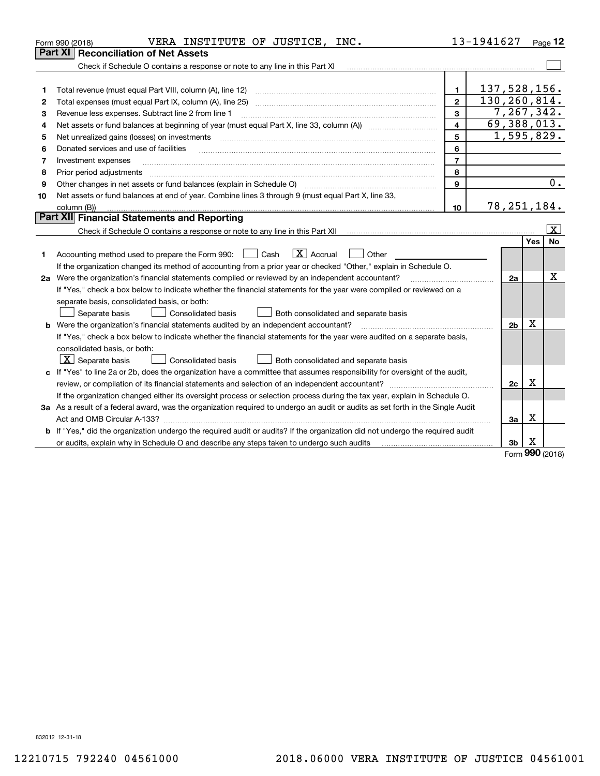|    | VERA INSTITUTE OF JUSTICE, INC.<br>Form 990 (2018)                                                                              |                         | 13-1941627   |                |          | $P_{\text{aqe}}$ 12   |  |
|----|---------------------------------------------------------------------------------------------------------------------------------|-------------------------|--------------|----------------|----------|-----------------------|--|
|    | <b>Part XI   Reconciliation of Net Assets</b>                                                                                   |                         |              |                |          |                       |  |
|    | Check if Schedule O contains a response or note to any line in this Part XI                                                     |                         |              |                |          |                       |  |
|    |                                                                                                                                 |                         |              |                |          |                       |  |
| 1  | Total revenue (must equal Part VIII, column (A), line 12)                                                                       | $\mathbf{1}$            | 137,528,156. |                |          |                       |  |
| 2  | Total expenses (must equal Part IX, column (A), line 25)                                                                        | $\mathbf{2}$            | 130,260,814. |                |          |                       |  |
| 3  | Revenue less expenses. Subtract line 2 from line 1                                                                              | 3                       |              | 7,267,342.     |          |                       |  |
| 4  |                                                                                                                                 | $\overline{\mathbf{4}}$ |              | 69,388,013.    |          |                       |  |
| 5  | Net unrealized gains (losses) on investments                                                                                    | 5                       |              | 1,595,829.     |          |                       |  |
| 6  | Donated services and use of facilities                                                                                          | 6                       |              |                |          |                       |  |
| 7  | Investment expenses                                                                                                             | $\overline{7}$          |              |                |          |                       |  |
| 8  | Prior period adjustments                                                                                                        | 8                       |              |                |          |                       |  |
| 9  |                                                                                                                                 | 9                       |              |                |          | 0.                    |  |
| 10 | Net assets or fund balances at end of year. Combine lines 3 through 9 (must equal Part X, line 33,                              |                         |              |                |          |                       |  |
|    | column (B))                                                                                                                     | 10                      |              | 78, 251, 184.  |          |                       |  |
|    | Part XII Financial Statements and Reporting                                                                                     |                         |              |                |          |                       |  |
|    |                                                                                                                                 |                         |              |                |          | $\overline{\text{X}}$ |  |
|    |                                                                                                                                 |                         |              |                | Yes      | No                    |  |
| 1  | $\boxed{\text{X}}$ Accrual<br>Accounting method used to prepare the Form 990: <u>I</u> Cash<br>Other                            |                         |              |                |          |                       |  |
|    | If the organization changed its method of accounting from a prior year or checked "Other," explain in Schedule O.               |                         |              |                |          |                       |  |
|    | 2a Were the organization's financial statements compiled or reviewed by an independent accountant?                              |                         |              | 2a             |          | X                     |  |
|    | If "Yes," check a box below to indicate whether the financial statements for the year were compiled or reviewed on a            |                         |              |                |          |                       |  |
|    | separate basis, consolidated basis, or both:                                                                                    |                         |              |                |          |                       |  |
|    | Separate basis<br>Both consolidated and separate basis<br>Consolidated basis                                                    |                         |              |                |          |                       |  |
|    | <b>b</b> Were the organization's financial statements audited by an independent accountant?                                     |                         |              | 2 <sub>b</sub> | X        |                       |  |
|    | If "Yes," check a box below to indicate whether the financial statements for the year were audited on a separate basis,         |                         |              |                |          |                       |  |
|    | consolidated basis, or both:                                                                                                    |                         |              |                |          |                       |  |
|    | $ \mathbf{X} $ Separate basis<br><b>Consolidated basis</b><br>Both consolidated and separate basis                              |                         |              |                |          |                       |  |
|    | c If "Yes" to line 2a or 2b, does the organization have a committee that assumes responsibility for oversight of the audit,     |                         |              |                |          |                       |  |
|    | review, or compilation of its financial statements and selection of an independent accountant?                                  |                         |              | 2c             | x        |                       |  |
|    | If the organization changed either its oversight process or selection process during the tax year, explain in Schedule O.       |                         |              |                |          |                       |  |
|    | 3a As a result of a federal award, was the organization required to undergo an audit or audits as set forth in the Single Audit |                         |              |                |          |                       |  |
|    |                                                                                                                                 |                         |              | За             | X        |                       |  |
|    | b If "Yes," did the organization undergo the required audit or audits? If the organization did not undergo the required audit   |                         |              |                |          |                       |  |
|    | or audits, explain why in Schedule O and describe any steps taken to undergo such audits                                        |                         |              | 3 <sub>b</sub> | x<br>nnn |                       |  |

Form (2018) **990**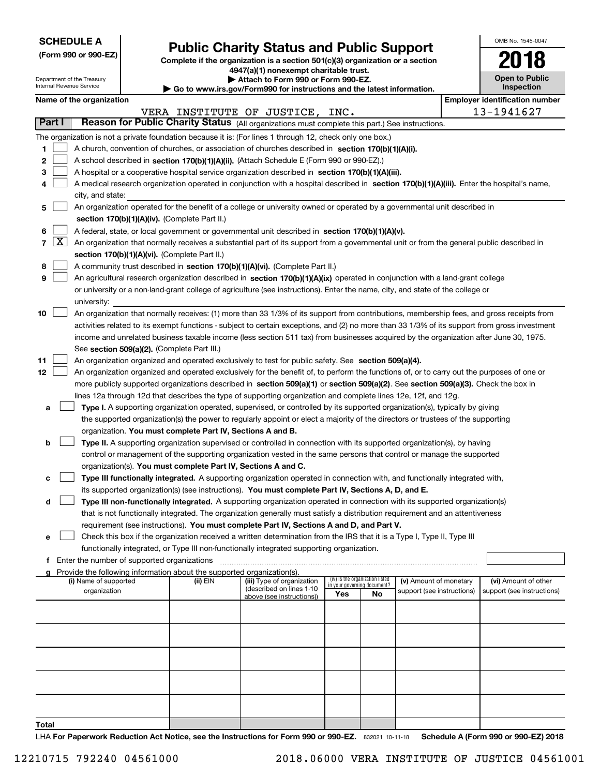| <b>SCHEDULE A</b> |
|-------------------|
|-------------------|

|  |  |  | (Form 990 or 990-EZ) |  |
|--|--|--|----------------------|--|
|--|--|--|----------------------|--|

### **Public Charity Status and Public Support**

**Complete if the organization is a section 501(c)(3) organization or a section 4947(a)(1) nonexempt charitable trust. | Attach to Form 990 or Form 990-EZ.** 

| OMB No 1545-0047                    |
|-------------------------------------|
| 2018                                |
| <b>Open to Public</b><br>Inspection |

|               |                     | Department of the Treasury<br>Internal Revenue Service                                                                                    |                                             |                                                                        | ▶ Attach to Form 990 or Form 990-EZ.                                                                                                          |     |                                                                |                            |  | <b>Open to Public</b><br>Inspection   |  |  |
|---------------|---------------------|-------------------------------------------------------------------------------------------------------------------------------------------|---------------------------------------------|------------------------------------------------------------------------|-----------------------------------------------------------------------------------------------------------------------------------------------|-----|----------------------------------------------------------------|----------------------------|--|---------------------------------------|--|--|
|               |                     |                                                                                                                                           |                                             |                                                                        | Go to www.irs.gov/Form990 for instructions and the latest information.                                                                        |     |                                                                |                            |  |                                       |  |  |
|               |                     | Name of the organization                                                                                                                  |                                             |                                                                        |                                                                                                                                               |     |                                                                |                            |  | <b>Employer identification number</b> |  |  |
| <b>Part I</b> |                     |                                                                                                                                           |                                             |                                                                        | VERA INSTITUTE OF JUSTICE, INC.                                                                                                               |     |                                                                |                            |  | 13-1941627                            |  |  |
|               |                     |                                                                                                                                           |                                             |                                                                        | Reason for Public Charity Status (All organizations must complete this part.) See instructions.                                               |     |                                                                |                            |  |                                       |  |  |
|               |                     |                                                                                                                                           |                                             |                                                                        | The organization is not a private foundation because it is: (For lines 1 through 12, check only one box.)                                     |     |                                                                |                            |  |                                       |  |  |
| 1             |                     |                                                                                                                                           |                                             |                                                                        | A church, convention of churches, or association of churches described in section 170(b)(1)(A)(i).                                            |     |                                                                |                            |  |                                       |  |  |
| 2             |                     |                                                                                                                                           |                                             |                                                                        | A school described in section 170(b)(1)(A)(ii). (Attach Schedule E (Form 990 or 990-EZ).)                                                     |     |                                                                |                            |  |                                       |  |  |
| 3             |                     |                                                                                                                                           |                                             |                                                                        | A hospital or a cooperative hospital service organization described in section 170(b)(1)(A)(iii).                                             |     |                                                                |                            |  |                                       |  |  |
| 4             |                     |                                                                                                                                           |                                             |                                                                        | A medical research organization operated in conjunction with a hospital described in section 170(b)(1)(A)(iii). Enter the hospital's name,    |     |                                                                |                            |  |                                       |  |  |
|               |                     | city, and state:                                                                                                                          |                                             |                                                                        |                                                                                                                                               |     |                                                                |                            |  |                                       |  |  |
| 5             |                     |                                                                                                                                           |                                             |                                                                        | An organization operated for the benefit of a college or university owned or operated by a governmental unit described in                     |     |                                                                |                            |  |                                       |  |  |
|               |                     |                                                                                                                                           |                                             | section 170(b)(1)(A)(iv). (Complete Part II.)                          |                                                                                                                                               |     |                                                                |                            |  |                                       |  |  |
| 6             |                     |                                                                                                                                           |                                             |                                                                        | A federal, state, or local government or governmental unit described in section 170(b)(1)(A)(v).                                              |     |                                                                |                            |  |                                       |  |  |
| 7             | $\lfloor x \rfloor$ | An organization that normally receives a substantial part of its support from a governmental unit or from the general public described in |                                             |                                                                        |                                                                                                                                               |     |                                                                |                            |  |                                       |  |  |
|               |                     |                                                                                                                                           |                                             | section 170(b)(1)(A)(vi). (Complete Part II.)                          |                                                                                                                                               |     |                                                                |                            |  |                                       |  |  |
| 8             |                     |                                                                                                                                           |                                             |                                                                        | A community trust described in section 170(b)(1)(A)(vi). (Complete Part II.)                                                                  |     |                                                                |                            |  |                                       |  |  |
| 9             |                     |                                                                                                                                           |                                             |                                                                        | An agricultural research organization described in section 170(b)(1)(A)(ix) operated in conjunction with a land-grant college                 |     |                                                                |                            |  |                                       |  |  |
|               |                     |                                                                                                                                           |                                             |                                                                        | or university or a non-land-grant college of agriculture (see instructions). Enter the name, city, and state of the college or                |     |                                                                |                            |  |                                       |  |  |
|               |                     | university:                                                                                                                               |                                             |                                                                        |                                                                                                                                               |     |                                                                |                            |  |                                       |  |  |
| 10            |                     |                                                                                                                                           |                                             |                                                                        | An organization that normally receives: (1) more than 33 1/3% of its support from contributions, membership fees, and gross receipts from     |     |                                                                |                            |  |                                       |  |  |
|               |                     |                                                                                                                                           |                                             |                                                                        | activities related to its exempt functions - subject to certain exceptions, and (2) no more than 33 1/3% of its support from gross investment |     |                                                                |                            |  |                                       |  |  |
|               |                     |                                                                                                                                           |                                             |                                                                        | income and unrelated business taxable income (less section 511 tax) from businesses acquired by the organization after June 30, 1975.         |     |                                                                |                            |  |                                       |  |  |
|               |                     |                                                                                                                                           |                                             | See section 509(a)(2). (Complete Part III.)                            |                                                                                                                                               |     |                                                                |                            |  |                                       |  |  |
| 11            |                     |                                                                                                                                           |                                             |                                                                        | An organization organized and operated exclusively to test for public safety. See section 509(a)(4).                                          |     |                                                                |                            |  |                                       |  |  |
| 12            |                     |                                                                                                                                           |                                             |                                                                        | An organization organized and operated exclusively for the benefit of, to perform the functions of, or to carry out the purposes of one or    |     |                                                                |                            |  |                                       |  |  |
|               |                     |                                                                                                                                           |                                             |                                                                        | more publicly supported organizations described in section 509(a)(1) or section 509(a)(2). See section 509(a)(3). Check the box in            |     |                                                                |                            |  |                                       |  |  |
|               |                     |                                                                                                                                           |                                             |                                                                        | lines 12a through 12d that describes the type of supporting organization and complete lines 12e, 12f, and 12g.                                |     |                                                                |                            |  |                                       |  |  |
| а             |                     |                                                                                                                                           |                                             |                                                                        | Type I. A supporting organization operated, supervised, or controlled by its supported organization(s), typically by giving                   |     |                                                                |                            |  |                                       |  |  |
|               |                     |                                                                                                                                           |                                             |                                                                        | the supported organization(s) the power to regularly appoint or elect a majority of the directors or trustees of the supporting               |     |                                                                |                            |  |                                       |  |  |
|               |                     |                                                                                                                                           |                                             | organization. You must complete Part IV, Sections A and B.             |                                                                                                                                               |     |                                                                |                            |  |                                       |  |  |
| b             |                     |                                                                                                                                           |                                             |                                                                        | Type II. A supporting organization supervised or controlled in connection with its supported organization(s), by having                       |     |                                                                |                            |  |                                       |  |  |
|               |                     |                                                                                                                                           |                                             |                                                                        | control or management of the supporting organization vested in the same persons that control or manage the supported                          |     |                                                                |                            |  |                                       |  |  |
|               |                     |                                                                                                                                           |                                             | organization(s). You must complete Part IV, Sections A and C.          |                                                                                                                                               |     |                                                                |                            |  |                                       |  |  |
| c             |                     |                                                                                                                                           |                                             |                                                                        | Type III functionally integrated. A supporting organization operated in connection with, and functionally integrated with,                    |     |                                                                |                            |  |                                       |  |  |
|               |                     |                                                                                                                                           |                                             |                                                                        | its supported organization(s) (see instructions). You must complete Part IV, Sections A, D, and E.                                            |     |                                                                |                            |  |                                       |  |  |
| d             |                     |                                                                                                                                           |                                             |                                                                        | Type III non-functionally integrated. A supporting organization operated in connection with its supported organization(s)                     |     |                                                                |                            |  |                                       |  |  |
|               |                     |                                                                                                                                           |                                             |                                                                        | that is not functionally integrated. The organization generally must satisfy a distribution requirement and an attentiveness                  |     |                                                                |                            |  |                                       |  |  |
|               |                     |                                                                                                                                           |                                             |                                                                        | requirement (see instructions). You must complete Part IV, Sections A and D, and Part V.                                                      |     |                                                                |                            |  |                                       |  |  |
| е             |                     |                                                                                                                                           |                                             |                                                                        | Check this box if the organization received a written determination from the IRS that it is a Type I, Type II, Type III                       |     |                                                                |                            |  |                                       |  |  |
|               |                     |                                                                                                                                           |                                             |                                                                        | functionally integrated, or Type III non-functionally integrated supporting organization.                                                     |     |                                                                |                            |  |                                       |  |  |
| f             |                     |                                                                                                                                           | Enter the number of supported organizations |                                                                        |                                                                                                                                               |     |                                                                |                            |  |                                       |  |  |
|               |                     |                                                                                                                                           |                                             | Provide the following information about the supported organization(s). |                                                                                                                                               |     |                                                                |                            |  |                                       |  |  |
|               |                     | (i) Name of supported                                                                                                                     |                                             | (ii) EIN                                                               | (iii) Type of organization                                                                                                                    |     | (iv) Is the organization listed<br>in your governing document? | (v) Amount of monetary     |  | (vi) Amount of other                  |  |  |
|               |                     | organization                                                                                                                              |                                             |                                                                        | (described on lines 1-10<br>above (see instructions))                                                                                         | Yes | No                                                             | support (see instructions) |  | support (see instructions)            |  |  |
|               |                     |                                                                                                                                           |                                             |                                                                        |                                                                                                                                               |     |                                                                |                            |  |                                       |  |  |
|               |                     |                                                                                                                                           |                                             |                                                                        |                                                                                                                                               |     |                                                                |                            |  |                                       |  |  |
|               |                     |                                                                                                                                           |                                             |                                                                        |                                                                                                                                               |     |                                                                |                            |  |                                       |  |  |
|               |                     |                                                                                                                                           |                                             |                                                                        |                                                                                                                                               |     |                                                                |                            |  |                                       |  |  |
|               |                     |                                                                                                                                           |                                             |                                                                        |                                                                                                                                               |     |                                                                |                            |  |                                       |  |  |
|               |                     |                                                                                                                                           |                                             |                                                                        |                                                                                                                                               |     |                                                                |                            |  |                                       |  |  |
|               |                     |                                                                                                                                           |                                             |                                                                        |                                                                                                                                               |     |                                                                |                            |  |                                       |  |  |
|               |                     |                                                                                                                                           |                                             |                                                                        |                                                                                                                                               |     |                                                                |                            |  |                                       |  |  |
|               |                     |                                                                                                                                           |                                             |                                                                        |                                                                                                                                               |     |                                                                |                            |  |                                       |  |  |
|               |                     |                                                                                                                                           |                                             |                                                                        |                                                                                                                                               |     |                                                                |                            |  |                                       |  |  |

**Total**

LHA For Paperwork Reduction Act Notice, see the Instructions for Form 990 or 990-EZ. 832021 10-11-18 Schedule A (Form 990 or 990-EZ) 2018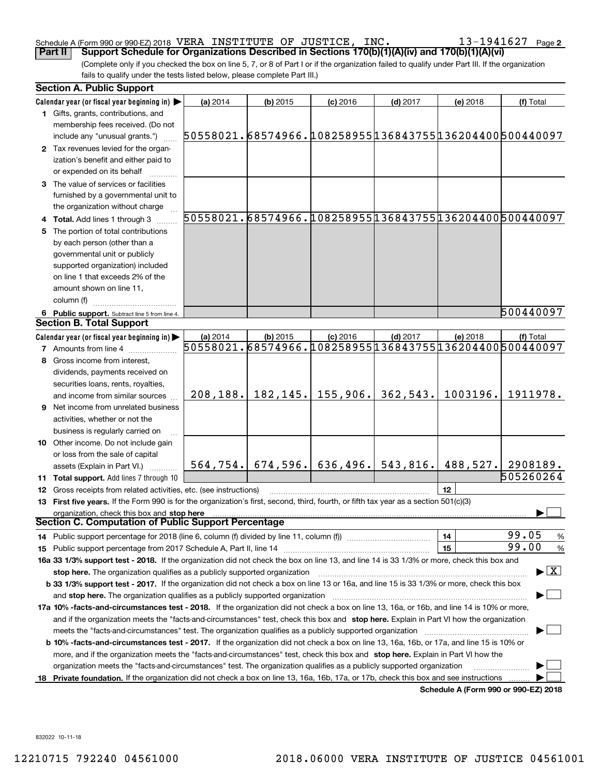#### Schedule A (Form 990 or 990-EZ) 2018 VERA INSTITUTE OF JUSTICE,INC。 I 3-I 94I 6 2 / Page VERA INSTITUTE OF JUSTICE, INC. 13-1941627

**2**

(Complete only if you checked the box on line 5, 7, or 8 of Part I or if the organization failed to qualify under Part III. If the organization fails to qualify under the tests listed below, please complete Part III.) **Part II Support Schedule for Organizations Described in Sections 170(b)(1)(A)(iv) and 170(b)(1)(A)(vi)**

| Calendar year (or fiscal year beginning in) $\blacktriangleright$<br>(a) 2014<br>$(b)$ 2015<br>$(c)$ 2016<br>$(d)$ 2017<br>(e) 2018<br>(f) Total<br>1 Gifts, grants, contributions, and<br>membership fees received. (Do not<br>50558021.68574966.108258955136843755136204400500440097<br>include any "unusual grants.")<br>2 Tax revenues levied for the organ-<br>ization's benefit and either paid to<br>or expended on its behalf<br>3 The value of services or facilities<br>furnished by a governmental unit to<br>the organization without charge<br>50558021.68574966.108258955136843755136204400500440097<br>4 Total. Add lines 1 through 3<br>The portion of total contributions<br>5.<br>by each person (other than a<br>governmental unit or publicly<br>supported organization) included<br>on line 1 that exceeds 2% of the<br>amount shown on line 11,<br>column (f)<br>6 Public support. Subtract line 5 from line 4.<br><b>Section B. Total Support</b><br>Calendar year (or fiscal year beginning in) $\blacktriangleright$<br>(a) 2014<br>(b) 2015<br>$(c)$ 2016<br>$(d)$ 2017<br>(e) 2018<br>(f) Total<br>50558021.68574966.108258955136843755136204400500440097<br><b>7</b> Amounts from line 4<br>Gross income from interest,<br>dividends, payments received on<br>securities loans, rents, royalties,<br>$182, 145.$ 155, 906.<br>362,543.<br>1003196.<br>208, 188.<br>and income from similar sources<br><b>9</b> Net income from unrelated business<br>activities, whether or not the<br>business is regularly carried on<br>10 Other income. Do not include gain<br>or loss from the sale of capital<br>$564, 754.$ 674, 596. 636, 496. 543, 816.<br>488,527.<br>2908189.<br>assets (Explain in Part VI.)<br>505260264<br>11 Total support. Add lines 7 through 10<br>12<br><b>12</b> Gross receipts from related activities, etc. (see instructions)<br>13 First five years. If the Form 990 is for the organization's first, second, third, fourth, or fifth tax year as a section 501(c)(3)<br>organization, check this box and stop here<br><b>Section C. Computation of Public Support Percentage</b><br>99.05<br>14<br>99.00<br>15<br>15 Public support percentage from 2017 Schedule A, Part II, line 14 [11] [11] manument continuum manument of Public support percentage from 2017 Schedule A, Part II, line 14 [11] manument continuum manument of Public suppo<br>16a 33 1/3% support test - 2018. If the organization did not check the box on line 13, and line 14 is 33 1/3% or more, check this box and<br>$\blacktriangleright$ $\boxed{\text{X}}$<br>stop here. The organization qualifies as a publicly supported organization<br>b 33 1/3% support test - 2017. If the organization did not check a box on line 13 or 16a, and line 15 is 33 1/3% or more, check this box<br>and stop here. The organization qualifies as a publicly supported organization [11] [11] [11] [11] [11] [11] [<br>17a 10% -facts-and-circumstances test - 2018. If the organization did not check a box on line 13, 16a, or 16b, and line 14 is 10% or more,<br>and if the organization meets the "facts-and-circumstances" test, check this box and stop here. Explain in Part VI how the organization<br><b>b 10% -facts-and-circumstances test - 2017.</b> If the organization did not check a box on line 13, 16a, 16b, or 17a, and line 15 is 10% or<br>more, and if the organization meets the "facts-and-circumstances" test, check this box and stop here. Explain in Part VI how the<br>organization meets the "facts-and-circumstances" test. The organization qualifies as a publicly supported organization<br>Private foundation. If the organization did not check a box on line 13, 16a, 16b, 17a, or 17b, check this box and see instructions<br>18<br>Schedule A (Form 990 or 990-EZ) 2018 | <b>Section A. Public Support</b> |  |  |           |
|-----------------------------------------------------------------------------------------------------------------------------------------------------------------------------------------------------------------------------------------------------------------------------------------------------------------------------------------------------------------------------------------------------------------------------------------------------------------------------------------------------------------------------------------------------------------------------------------------------------------------------------------------------------------------------------------------------------------------------------------------------------------------------------------------------------------------------------------------------------------------------------------------------------------------------------------------------------------------------------------------------------------------------------------------------------------------------------------------------------------------------------------------------------------------------------------------------------------------------------------------------------------------------------------------------------------------------------------------------------------------------------------------------------------------------------------------------------------------------------------------------------------------------------------------------------------------------------------------------------------------------------------------------------------------------------------------------------------------------------------------------------------------------------------------------------------------------------------------------------------------------------------------------------------------------------------------------------------------------------------------------------------------------------------------------------------------------------------------------------------------------------------------------------------------------------------------------------------------------------------------------------------------------------------------------------------------------------------------------------------------------------------------------------------------------------------------------------------------------------------------------------------------------------------------------------------------------------------------------------------------------------------------------------------------------------------------------------------------------------------------------------------------------------------------------------------------------------------------------------------------------------------------------------------------------------------------------------------------------------------------------------------------------------------------------------------------------------------------------------------------------------------------------------------------------------------------------------------------------------------------------------------------------------------------------------------------------------------------------------------------------------------------------------------------------------------------------------------------------------------------------------------------------------------------------------------------------------------------------------------------------------------------------------------------------------------------------------------------------------------------------------------------------------------------------------------------------------------|----------------------------------|--|--|-----------|
|                                                                                                                                                                                                                                                                                                                                                                                                                                                                                                                                                                                                                                                                                                                                                                                                                                                                                                                                                                                                                                                                                                                                                                                                                                                                                                                                                                                                                                                                                                                                                                                                                                                                                                                                                                                                                                                                                                                                                                                                                                                                                                                                                                                                                                                                                                                                                                                                                                                                                                                                                                                                                                                                                                                                                                                                                                                                                                                                                                                                                                                                                                                                                                                                                                                                                                                                                                                                                                                                                                                                                                                                                                                                                                                                                                                                                                         |                                  |  |  |           |
|                                                                                                                                                                                                                                                                                                                                                                                                                                                                                                                                                                                                                                                                                                                                                                                                                                                                                                                                                                                                                                                                                                                                                                                                                                                                                                                                                                                                                                                                                                                                                                                                                                                                                                                                                                                                                                                                                                                                                                                                                                                                                                                                                                                                                                                                                                                                                                                                                                                                                                                                                                                                                                                                                                                                                                                                                                                                                                                                                                                                                                                                                                                                                                                                                                                                                                                                                                                                                                                                                                                                                                                                                                                                                                                                                                                                                                         |                                  |  |  |           |
|                                                                                                                                                                                                                                                                                                                                                                                                                                                                                                                                                                                                                                                                                                                                                                                                                                                                                                                                                                                                                                                                                                                                                                                                                                                                                                                                                                                                                                                                                                                                                                                                                                                                                                                                                                                                                                                                                                                                                                                                                                                                                                                                                                                                                                                                                                                                                                                                                                                                                                                                                                                                                                                                                                                                                                                                                                                                                                                                                                                                                                                                                                                                                                                                                                                                                                                                                                                                                                                                                                                                                                                                                                                                                                                                                                                                                                         |                                  |  |  |           |
|                                                                                                                                                                                                                                                                                                                                                                                                                                                                                                                                                                                                                                                                                                                                                                                                                                                                                                                                                                                                                                                                                                                                                                                                                                                                                                                                                                                                                                                                                                                                                                                                                                                                                                                                                                                                                                                                                                                                                                                                                                                                                                                                                                                                                                                                                                                                                                                                                                                                                                                                                                                                                                                                                                                                                                                                                                                                                                                                                                                                                                                                                                                                                                                                                                                                                                                                                                                                                                                                                                                                                                                                                                                                                                                                                                                                                                         |                                  |  |  |           |
|                                                                                                                                                                                                                                                                                                                                                                                                                                                                                                                                                                                                                                                                                                                                                                                                                                                                                                                                                                                                                                                                                                                                                                                                                                                                                                                                                                                                                                                                                                                                                                                                                                                                                                                                                                                                                                                                                                                                                                                                                                                                                                                                                                                                                                                                                                                                                                                                                                                                                                                                                                                                                                                                                                                                                                                                                                                                                                                                                                                                                                                                                                                                                                                                                                                                                                                                                                                                                                                                                                                                                                                                                                                                                                                                                                                                                                         |                                  |  |  |           |
|                                                                                                                                                                                                                                                                                                                                                                                                                                                                                                                                                                                                                                                                                                                                                                                                                                                                                                                                                                                                                                                                                                                                                                                                                                                                                                                                                                                                                                                                                                                                                                                                                                                                                                                                                                                                                                                                                                                                                                                                                                                                                                                                                                                                                                                                                                                                                                                                                                                                                                                                                                                                                                                                                                                                                                                                                                                                                                                                                                                                                                                                                                                                                                                                                                                                                                                                                                                                                                                                                                                                                                                                                                                                                                                                                                                                                                         |                                  |  |  |           |
|                                                                                                                                                                                                                                                                                                                                                                                                                                                                                                                                                                                                                                                                                                                                                                                                                                                                                                                                                                                                                                                                                                                                                                                                                                                                                                                                                                                                                                                                                                                                                                                                                                                                                                                                                                                                                                                                                                                                                                                                                                                                                                                                                                                                                                                                                                                                                                                                                                                                                                                                                                                                                                                                                                                                                                                                                                                                                                                                                                                                                                                                                                                                                                                                                                                                                                                                                                                                                                                                                                                                                                                                                                                                                                                                                                                                                                         |                                  |  |  |           |
|                                                                                                                                                                                                                                                                                                                                                                                                                                                                                                                                                                                                                                                                                                                                                                                                                                                                                                                                                                                                                                                                                                                                                                                                                                                                                                                                                                                                                                                                                                                                                                                                                                                                                                                                                                                                                                                                                                                                                                                                                                                                                                                                                                                                                                                                                                                                                                                                                                                                                                                                                                                                                                                                                                                                                                                                                                                                                                                                                                                                                                                                                                                                                                                                                                                                                                                                                                                                                                                                                                                                                                                                                                                                                                                                                                                                                                         |                                  |  |  |           |
|                                                                                                                                                                                                                                                                                                                                                                                                                                                                                                                                                                                                                                                                                                                                                                                                                                                                                                                                                                                                                                                                                                                                                                                                                                                                                                                                                                                                                                                                                                                                                                                                                                                                                                                                                                                                                                                                                                                                                                                                                                                                                                                                                                                                                                                                                                                                                                                                                                                                                                                                                                                                                                                                                                                                                                                                                                                                                                                                                                                                                                                                                                                                                                                                                                                                                                                                                                                                                                                                                                                                                                                                                                                                                                                                                                                                                                         |                                  |  |  |           |
|                                                                                                                                                                                                                                                                                                                                                                                                                                                                                                                                                                                                                                                                                                                                                                                                                                                                                                                                                                                                                                                                                                                                                                                                                                                                                                                                                                                                                                                                                                                                                                                                                                                                                                                                                                                                                                                                                                                                                                                                                                                                                                                                                                                                                                                                                                                                                                                                                                                                                                                                                                                                                                                                                                                                                                                                                                                                                                                                                                                                                                                                                                                                                                                                                                                                                                                                                                                                                                                                                                                                                                                                                                                                                                                                                                                                                                         |                                  |  |  |           |
|                                                                                                                                                                                                                                                                                                                                                                                                                                                                                                                                                                                                                                                                                                                                                                                                                                                                                                                                                                                                                                                                                                                                                                                                                                                                                                                                                                                                                                                                                                                                                                                                                                                                                                                                                                                                                                                                                                                                                                                                                                                                                                                                                                                                                                                                                                                                                                                                                                                                                                                                                                                                                                                                                                                                                                                                                                                                                                                                                                                                                                                                                                                                                                                                                                                                                                                                                                                                                                                                                                                                                                                                                                                                                                                                                                                                                                         |                                  |  |  |           |
|                                                                                                                                                                                                                                                                                                                                                                                                                                                                                                                                                                                                                                                                                                                                                                                                                                                                                                                                                                                                                                                                                                                                                                                                                                                                                                                                                                                                                                                                                                                                                                                                                                                                                                                                                                                                                                                                                                                                                                                                                                                                                                                                                                                                                                                                                                                                                                                                                                                                                                                                                                                                                                                                                                                                                                                                                                                                                                                                                                                                                                                                                                                                                                                                                                                                                                                                                                                                                                                                                                                                                                                                                                                                                                                                                                                                                                         |                                  |  |  |           |
|                                                                                                                                                                                                                                                                                                                                                                                                                                                                                                                                                                                                                                                                                                                                                                                                                                                                                                                                                                                                                                                                                                                                                                                                                                                                                                                                                                                                                                                                                                                                                                                                                                                                                                                                                                                                                                                                                                                                                                                                                                                                                                                                                                                                                                                                                                                                                                                                                                                                                                                                                                                                                                                                                                                                                                                                                                                                                                                                                                                                                                                                                                                                                                                                                                                                                                                                                                                                                                                                                                                                                                                                                                                                                                                                                                                                                                         |                                  |  |  |           |
|                                                                                                                                                                                                                                                                                                                                                                                                                                                                                                                                                                                                                                                                                                                                                                                                                                                                                                                                                                                                                                                                                                                                                                                                                                                                                                                                                                                                                                                                                                                                                                                                                                                                                                                                                                                                                                                                                                                                                                                                                                                                                                                                                                                                                                                                                                                                                                                                                                                                                                                                                                                                                                                                                                                                                                                                                                                                                                                                                                                                                                                                                                                                                                                                                                                                                                                                                                                                                                                                                                                                                                                                                                                                                                                                                                                                                                         |                                  |  |  |           |
|                                                                                                                                                                                                                                                                                                                                                                                                                                                                                                                                                                                                                                                                                                                                                                                                                                                                                                                                                                                                                                                                                                                                                                                                                                                                                                                                                                                                                                                                                                                                                                                                                                                                                                                                                                                                                                                                                                                                                                                                                                                                                                                                                                                                                                                                                                                                                                                                                                                                                                                                                                                                                                                                                                                                                                                                                                                                                                                                                                                                                                                                                                                                                                                                                                                                                                                                                                                                                                                                                                                                                                                                                                                                                                                                                                                                                                         |                                  |  |  | 500440097 |
|                                                                                                                                                                                                                                                                                                                                                                                                                                                                                                                                                                                                                                                                                                                                                                                                                                                                                                                                                                                                                                                                                                                                                                                                                                                                                                                                                                                                                                                                                                                                                                                                                                                                                                                                                                                                                                                                                                                                                                                                                                                                                                                                                                                                                                                                                                                                                                                                                                                                                                                                                                                                                                                                                                                                                                                                                                                                                                                                                                                                                                                                                                                                                                                                                                                                                                                                                                                                                                                                                                                                                                                                                                                                                                                                                                                                                                         |                                  |  |  |           |
|                                                                                                                                                                                                                                                                                                                                                                                                                                                                                                                                                                                                                                                                                                                                                                                                                                                                                                                                                                                                                                                                                                                                                                                                                                                                                                                                                                                                                                                                                                                                                                                                                                                                                                                                                                                                                                                                                                                                                                                                                                                                                                                                                                                                                                                                                                                                                                                                                                                                                                                                                                                                                                                                                                                                                                                                                                                                                                                                                                                                                                                                                                                                                                                                                                                                                                                                                                                                                                                                                                                                                                                                                                                                                                                                                                                                                                         |                                  |  |  |           |
|                                                                                                                                                                                                                                                                                                                                                                                                                                                                                                                                                                                                                                                                                                                                                                                                                                                                                                                                                                                                                                                                                                                                                                                                                                                                                                                                                                                                                                                                                                                                                                                                                                                                                                                                                                                                                                                                                                                                                                                                                                                                                                                                                                                                                                                                                                                                                                                                                                                                                                                                                                                                                                                                                                                                                                                                                                                                                                                                                                                                                                                                                                                                                                                                                                                                                                                                                                                                                                                                                                                                                                                                                                                                                                                                                                                                                                         |                                  |  |  |           |
|                                                                                                                                                                                                                                                                                                                                                                                                                                                                                                                                                                                                                                                                                                                                                                                                                                                                                                                                                                                                                                                                                                                                                                                                                                                                                                                                                                                                                                                                                                                                                                                                                                                                                                                                                                                                                                                                                                                                                                                                                                                                                                                                                                                                                                                                                                                                                                                                                                                                                                                                                                                                                                                                                                                                                                                                                                                                                                                                                                                                                                                                                                                                                                                                                                                                                                                                                                                                                                                                                                                                                                                                                                                                                                                                                                                                                                         |                                  |  |  |           |
|                                                                                                                                                                                                                                                                                                                                                                                                                                                                                                                                                                                                                                                                                                                                                                                                                                                                                                                                                                                                                                                                                                                                                                                                                                                                                                                                                                                                                                                                                                                                                                                                                                                                                                                                                                                                                                                                                                                                                                                                                                                                                                                                                                                                                                                                                                                                                                                                                                                                                                                                                                                                                                                                                                                                                                                                                                                                                                                                                                                                                                                                                                                                                                                                                                                                                                                                                                                                                                                                                                                                                                                                                                                                                                                                                                                                                                         |                                  |  |  |           |
|                                                                                                                                                                                                                                                                                                                                                                                                                                                                                                                                                                                                                                                                                                                                                                                                                                                                                                                                                                                                                                                                                                                                                                                                                                                                                                                                                                                                                                                                                                                                                                                                                                                                                                                                                                                                                                                                                                                                                                                                                                                                                                                                                                                                                                                                                                                                                                                                                                                                                                                                                                                                                                                                                                                                                                                                                                                                                                                                                                                                                                                                                                                                                                                                                                                                                                                                                                                                                                                                                                                                                                                                                                                                                                                                                                                                                                         |                                  |  |  |           |
|                                                                                                                                                                                                                                                                                                                                                                                                                                                                                                                                                                                                                                                                                                                                                                                                                                                                                                                                                                                                                                                                                                                                                                                                                                                                                                                                                                                                                                                                                                                                                                                                                                                                                                                                                                                                                                                                                                                                                                                                                                                                                                                                                                                                                                                                                                                                                                                                                                                                                                                                                                                                                                                                                                                                                                                                                                                                                                                                                                                                                                                                                                                                                                                                                                                                                                                                                                                                                                                                                                                                                                                                                                                                                                                                                                                                                                         |                                  |  |  | 1911978.  |
|                                                                                                                                                                                                                                                                                                                                                                                                                                                                                                                                                                                                                                                                                                                                                                                                                                                                                                                                                                                                                                                                                                                                                                                                                                                                                                                                                                                                                                                                                                                                                                                                                                                                                                                                                                                                                                                                                                                                                                                                                                                                                                                                                                                                                                                                                                                                                                                                                                                                                                                                                                                                                                                                                                                                                                                                                                                                                                                                                                                                                                                                                                                                                                                                                                                                                                                                                                                                                                                                                                                                                                                                                                                                                                                                                                                                                                         |                                  |  |  |           |
|                                                                                                                                                                                                                                                                                                                                                                                                                                                                                                                                                                                                                                                                                                                                                                                                                                                                                                                                                                                                                                                                                                                                                                                                                                                                                                                                                                                                                                                                                                                                                                                                                                                                                                                                                                                                                                                                                                                                                                                                                                                                                                                                                                                                                                                                                                                                                                                                                                                                                                                                                                                                                                                                                                                                                                                                                                                                                                                                                                                                                                                                                                                                                                                                                                                                                                                                                                                                                                                                                                                                                                                                                                                                                                                                                                                                                                         |                                  |  |  |           |
|                                                                                                                                                                                                                                                                                                                                                                                                                                                                                                                                                                                                                                                                                                                                                                                                                                                                                                                                                                                                                                                                                                                                                                                                                                                                                                                                                                                                                                                                                                                                                                                                                                                                                                                                                                                                                                                                                                                                                                                                                                                                                                                                                                                                                                                                                                                                                                                                                                                                                                                                                                                                                                                                                                                                                                                                                                                                                                                                                                                                                                                                                                                                                                                                                                                                                                                                                                                                                                                                                                                                                                                                                                                                                                                                                                                                                                         |                                  |  |  |           |
|                                                                                                                                                                                                                                                                                                                                                                                                                                                                                                                                                                                                                                                                                                                                                                                                                                                                                                                                                                                                                                                                                                                                                                                                                                                                                                                                                                                                                                                                                                                                                                                                                                                                                                                                                                                                                                                                                                                                                                                                                                                                                                                                                                                                                                                                                                                                                                                                                                                                                                                                                                                                                                                                                                                                                                                                                                                                                                                                                                                                                                                                                                                                                                                                                                                                                                                                                                                                                                                                                                                                                                                                                                                                                                                                                                                                                                         |                                  |  |  |           |
|                                                                                                                                                                                                                                                                                                                                                                                                                                                                                                                                                                                                                                                                                                                                                                                                                                                                                                                                                                                                                                                                                                                                                                                                                                                                                                                                                                                                                                                                                                                                                                                                                                                                                                                                                                                                                                                                                                                                                                                                                                                                                                                                                                                                                                                                                                                                                                                                                                                                                                                                                                                                                                                                                                                                                                                                                                                                                                                                                                                                                                                                                                                                                                                                                                                                                                                                                                                                                                                                                                                                                                                                                                                                                                                                                                                                                                         |                                  |  |  |           |
|                                                                                                                                                                                                                                                                                                                                                                                                                                                                                                                                                                                                                                                                                                                                                                                                                                                                                                                                                                                                                                                                                                                                                                                                                                                                                                                                                                                                                                                                                                                                                                                                                                                                                                                                                                                                                                                                                                                                                                                                                                                                                                                                                                                                                                                                                                                                                                                                                                                                                                                                                                                                                                                                                                                                                                                                                                                                                                                                                                                                                                                                                                                                                                                                                                                                                                                                                                                                                                                                                                                                                                                                                                                                                                                                                                                                                                         |                                  |  |  |           |
|                                                                                                                                                                                                                                                                                                                                                                                                                                                                                                                                                                                                                                                                                                                                                                                                                                                                                                                                                                                                                                                                                                                                                                                                                                                                                                                                                                                                                                                                                                                                                                                                                                                                                                                                                                                                                                                                                                                                                                                                                                                                                                                                                                                                                                                                                                                                                                                                                                                                                                                                                                                                                                                                                                                                                                                                                                                                                                                                                                                                                                                                                                                                                                                                                                                                                                                                                                                                                                                                                                                                                                                                                                                                                                                                                                                                                                         |                                  |  |  |           |
|                                                                                                                                                                                                                                                                                                                                                                                                                                                                                                                                                                                                                                                                                                                                                                                                                                                                                                                                                                                                                                                                                                                                                                                                                                                                                                                                                                                                                                                                                                                                                                                                                                                                                                                                                                                                                                                                                                                                                                                                                                                                                                                                                                                                                                                                                                                                                                                                                                                                                                                                                                                                                                                                                                                                                                                                                                                                                                                                                                                                                                                                                                                                                                                                                                                                                                                                                                                                                                                                                                                                                                                                                                                                                                                                                                                                                                         |                                  |  |  |           |
|                                                                                                                                                                                                                                                                                                                                                                                                                                                                                                                                                                                                                                                                                                                                                                                                                                                                                                                                                                                                                                                                                                                                                                                                                                                                                                                                                                                                                                                                                                                                                                                                                                                                                                                                                                                                                                                                                                                                                                                                                                                                                                                                                                                                                                                                                                                                                                                                                                                                                                                                                                                                                                                                                                                                                                                                                                                                                                                                                                                                                                                                                                                                                                                                                                                                                                                                                                                                                                                                                                                                                                                                                                                                                                                                                                                                                                         |                                  |  |  |           |
|                                                                                                                                                                                                                                                                                                                                                                                                                                                                                                                                                                                                                                                                                                                                                                                                                                                                                                                                                                                                                                                                                                                                                                                                                                                                                                                                                                                                                                                                                                                                                                                                                                                                                                                                                                                                                                                                                                                                                                                                                                                                                                                                                                                                                                                                                                                                                                                                                                                                                                                                                                                                                                                                                                                                                                                                                                                                                                                                                                                                                                                                                                                                                                                                                                                                                                                                                                                                                                                                                                                                                                                                                                                                                                                                                                                                                                         |                                  |  |  |           |
|                                                                                                                                                                                                                                                                                                                                                                                                                                                                                                                                                                                                                                                                                                                                                                                                                                                                                                                                                                                                                                                                                                                                                                                                                                                                                                                                                                                                                                                                                                                                                                                                                                                                                                                                                                                                                                                                                                                                                                                                                                                                                                                                                                                                                                                                                                                                                                                                                                                                                                                                                                                                                                                                                                                                                                                                                                                                                                                                                                                                                                                                                                                                                                                                                                                                                                                                                                                                                                                                                                                                                                                                                                                                                                                                                                                                                                         |                                  |  |  |           |
|                                                                                                                                                                                                                                                                                                                                                                                                                                                                                                                                                                                                                                                                                                                                                                                                                                                                                                                                                                                                                                                                                                                                                                                                                                                                                                                                                                                                                                                                                                                                                                                                                                                                                                                                                                                                                                                                                                                                                                                                                                                                                                                                                                                                                                                                                                                                                                                                                                                                                                                                                                                                                                                                                                                                                                                                                                                                                                                                                                                                                                                                                                                                                                                                                                                                                                                                                                                                                                                                                                                                                                                                                                                                                                                                                                                                                                         |                                  |  |  | %         |
|                                                                                                                                                                                                                                                                                                                                                                                                                                                                                                                                                                                                                                                                                                                                                                                                                                                                                                                                                                                                                                                                                                                                                                                                                                                                                                                                                                                                                                                                                                                                                                                                                                                                                                                                                                                                                                                                                                                                                                                                                                                                                                                                                                                                                                                                                                                                                                                                                                                                                                                                                                                                                                                                                                                                                                                                                                                                                                                                                                                                                                                                                                                                                                                                                                                                                                                                                                                                                                                                                                                                                                                                                                                                                                                                                                                                                                         |                                  |  |  | $\%$      |
|                                                                                                                                                                                                                                                                                                                                                                                                                                                                                                                                                                                                                                                                                                                                                                                                                                                                                                                                                                                                                                                                                                                                                                                                                                                                                                                                                                                                                                                                                                                                                                                                                                                                                                                                                                                                                                                                                                                                                                                                                                                                                                                                                                                                                                                                                                                                                                                                                                                                                                                                                                                                                                                                                                                                                                                                                                                                                                                                                                                                                                                                                                                                                                                                                                                                                                                                                                                                                                                                                                                                                                                                                                                                                                                                                                                                                                         |                                  |  |  |           |
|                                                                                                                                                                                                                                                                                                                                                                                                                                                                                                                                                                                                                                                                                                                                                                                                                                                                                                                                                                                                                                                                                                                                                                                                                                                                                                                                                                                                                                                                                                                                                                                                                                                                                                                                                                                                                                                                                                                                                                                                                                                                                                                                                                                                                                                                                                                                                                                                                                                                                                                                                                                                                                                                                                                                                                                                                                                                                                                                                                                                                                                                                                                                                                                                                                                                                                                                                                                                                                                                                                                                                                                                                                                                                                                                                                                                                                         |                                  |  |  |           |
|                                                                                                                                                                                                                                                                                                                                                                                                                                                                                                                                                                                                                                                                                                                                                                                                                                                                                                                                                                                                                                                                                                                                                                                                                                                                                                                                                                                                                                                                                                                                                                                                                                                                                                                                                                                                                                                                                                                                                                                                                                                                                                                                                                                                                                                                                                                                                                                                                                                                                                                                                                                                                                                                                                                                                                                                                                                                                                                                                                                                                                                                                                                                                                                                                                                                                                                                                                                                                                                                                                                                                                                                                                                                                                                                                                                                                                         |                                  |  |  |           |
|                                                                                                                                                                                                                                                                                                                                                                                                                                                                                                                                                                                                                                                                                                                                                                                                                                                                                                                                                                                                                                                                                                                                                                                                                                                                                                                                                                                                                                                                                                                                                                                                                                                                                                                                                                                                                                                                                                                                                                                                                                                                                                                                                                                                                                                                                                                                                                                                                                                                                                                                                                                                                                                                                                                                                                                                                                                                                                                                                                                                                                                                                                                                                                                                                                                                                                                                                                                                                                                                                                                                                                                                                                                                                                                                                                                                                                         |                                  |  |  |           |
|                                                                                                                                                                                                                                                                                                                                                                                                                                                                                                                                                                                                                                                                                                                                                                                                                                                                                                                                                                                                                                                                                                                                                                                                                                                                                                                                                                                                                                                                                                                                                                                                                                                                                                                                                                                                                                                                                                                                                                                                                                                                                                                                                                                                                                                                                                                                                                                                                                                                                                                                                                                                                                                                                                                                                                                                                                                                                                                                                                                                                                                                                                                                                                                                                                                                                                                                                                                                                                                                                                                                                                                                                                                                                                                                                                                                                                         |                                  |  |  |           |
|                                                                                                                                                                                                                                                                                                                                                                                                                                                                                                                                                                                                                                                                                                                                                                                                                                                                                                                                                                                                                                                                                                                                                                                                                                                                                                                                                                                                                                                                                                                                                                                                                                                                                                                                                                                                                                                                                                                                                                                                                                                                                                                                                                                                                                                                                                                                                                                                                                                                                                                                                                                                                                                                                                                                                                                                                                                                                                                                                                                                                                                                                                                                                                                                                                                                                                                                                                                                                                                                                                                                                                                                                                                                                                                                                                                                                                         |                                  |  |  |           |
|                                                                                                                                                                                                                                                                                                                                                                                                                                                                                                                                                                                                                                                                                                                                                                                                                                                                                                                                                                                                                                                                                                                                                                                                                                                                                                                                                                                                                                                                                                                                                                                                                                                                                                                                                                                                                                                                                                                                                                                                                                                                                                                                                                                                                                                                                                                                                                                                                                                                                                                                                                                                                                                                                                                                                                                                                                                                                                                                                                                                                                                                                                                                                                                                                                                                                                                                                                                                                                                                                                                                                                                                                                                                                                                                                                                                                                         |                                  |  |  |           |
|                                                                                                                                                                                                                                                                                                                                                                                                                                                                                                                                                                                                                                                                                                                                                                                                                                                                                                                                                                                                                                                                                                                                                                                                                                                                                                                                                                                                                                                                                                                                                                                                                                                                                                                                                                                                                                                                                                                                                                                                                                                                                                                                                                                                                                                                                                                                                                                                                                                                                                                                                                                                                                                                                                                                                                                                                                                                                                                                                                                                                                                                                                                                                                                                                                                                                                                                                                                                                                                                                                                                                                                                                                                                                                                                                                                                                                         |                                  |  |  |           |
|                                                                                                                                                                                                                                                                                                                                                                                                                                                                                                                                                                                                                                                                                                                                                                                                                                                                                                                                                                                                                                                                                                                                                                                                                                                                                                                                                                                                                                                                                                                                                                                                                                                                                                                                                                                                                                                                                                                                                                                                                                                                                                                                                                                                                                                                                                                                                                                                                                                                                                                                                                                                                                                                                                                                                                                                                                                                                                                                                                                                                                                                                                                                                                                                                                                                                                                                                                                                                                                                                                                                                                                                                                                                                                                                                                                                                                         |                                  |  |  |           |
|                                                                                                                                                                                                                                                                                                                                                                                                                                                                                                                                                                                                                                                                                                                                                                                                                                                                                                                                                                                                                                                                                                                                                                                                                                                                                                                                                                                                                                                                                                                                                                                                                                                                                                                                                                                                                                                                                                                                                                                                                                                                                                                                                                                                                                                                                                                                                                                                                                                                                                                                                                                                                                                                                                                                                                                                                                                                                                                                                                                                                                                                                                                                                                                                                                                                                                                                                                                                                                                                                                                                                                                                                                                                                                                                                                                                                                         |                                  |  |  |           |
|                                                                                                                                                                                                                                                                                                                                                                                                                                                                                                                                                                                                                                                                                                                                                                                                                                                                                                                                                                                                                                                                                                                                                                                                                                                                                                                                                                                                                                                                                                                                                                                                                                                                                                                                                                                                                                                                                                                                                                                                                                                                                                                                                                                                                                                                                                                                                                                                                                                                                                                                                                                                                                                                                                                                                                                                                                                                                                                                                                                                                                                                                                                                                                                                                                                                                                                                                                                                                                                                                                                                                                                                                                                                                                                                                                                                                                         |                                  |  |  |           |

832022 10-11-18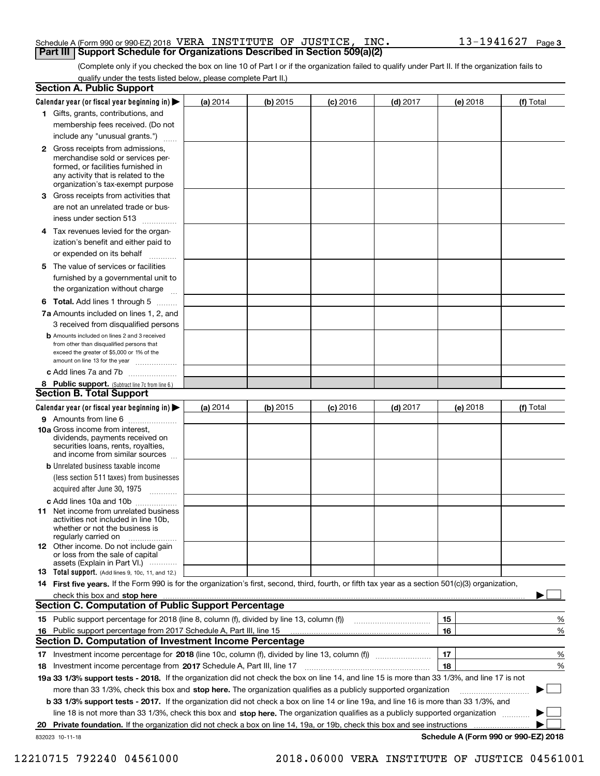#### Schedule A (Form 990 or 990-EZ) 2018 <code>VERA INSTITUTE OF JUSTICE, INC.  $13\,$  -1941627  $\,$  Page  $\,$ </code> **Part III Support Schedule for Organizations Described in Section 509(a)(2)**

(Complete only if you checked the box on line 10 of Part I or if the organization failed to qualify under Part II. If the organization fails to qualify under the tests listed below, please complete Part II.)

|    | <b>Section A. Public Support</b>                                                                                                                                                                                               |          |          |            |            |    |          |                                      |          |
|----|--------------------------------------------------------------------------------------------------------------------------------------------------------------------------------------------------------------------------------|----------|----------|------------|------------|----|----------|--------------------------------------|----------|
|    | Calendar year (or fiscal year beginning in)                                                                                                                                                                                    | (a) 2014 | (b) 2015 | $(c)$ 2016 | $(d)$ 2017 |    | (e) 2018 | (f) Total                            |          |
|    | 1 Gifts, grants, contributions, and                                                                                                                                                                                            |          |          |            |            |    |          |                                      |          |
|    | membership fees received. (Do not                                                                                                                                                                                              |          |          |            |            |    |          |                                      |          |
|    | include any "unusual grants.")                                                                                                                                                                                                 |          |          |            |            |    |          |                                      |          |
|    | <b>2</b> Gross receipts from admissions,<br>merchandise sold or services per-<br>formed, or facilities furnished in<br>any activity that is related to the<br>organization's tax-exempt purpose                                |          |          |            |            |    |          |                                      |          |
| З. | Gross receipts from activities that                                                                                                                                                                                            |          |          |            |            |    |          |                                      |          |
|    | are not an unrelated trade or bus-<br>iness under section 513                                                                                                                                                                  |          |          |            |            |    |          |                                      |          |
|    | 4 Tax revenues levied for the organ-<br>ization's benefit and either paid to                                                                                                                                                   |          |          |            |            |    |          |                                      |          |
|    | or expended on its behalf<br>.                                                                                                                                                                                                 |          |          |            |            |    |          |                                      |          |
| 5. | The value of services or facilities<br>furnished by a governmental unit to<br>the organization without charge                                                                                                                  |          |          |            |            |    |          |                                      |          |
|    | <b>6 Total.</b> Add lines 1 through 5                                                                                                                                                                                          |          |          |            |            |    |          |                                      |          |
|    | 7a Amounts included on lines 1, 2, and                                                                                                                                                                                         |          |          |            |            |    |          |                                      |          |
|    | 3 received from disqualified persons                                                                                                                                                                                           |          |          |            |            |    |          |                                      |          |
|    | <b>b</b> Amounts included on lines 2 and 3 received<br>from other than disqualified persons that<br>exceed the greater of \$5,000 or 1% of the<br>amount on line 13 for the year                                               |          |          |            |            |    |          |                                      |          |
|    | c Add lines 7a and 7b                                                                                                                                                                                                          |          |          |            |            |    |          |                                      |          |
|    | 8 Public support. (Subtract line 7c from line 6.)                                                                                                                                                                              |          |          |            |            |    |          |                                      |          |
|    | <b>Section B. Total Support</b>                                                                                                                                                                                                |          |          |            |            |    |          |                                      |          |
|    | Calendar year (or fiscal year beginning in)                                                                                                                                                                                    | (a) 2014 | (b) 2015 | $(c)$ 2016 | $(d)$ 2017 |    | (e) 2018 | (f) Total                            |          |
|    | 9 Amounts from line 6                                                                                                                                                                                                          |          |          |            |            |    |          |                                      |          |
|    | <b>10a</b> Gross income from interest,<br>dividends, payments received on<br>securities loans, rents, royalties,<br>and income from similar sources                                                                            |          |          |            |            |    |          |                                      |          |
|    | <b>b</b> Unrelated business taxable income                                                                                                                                                                                     |          |          |            |            |    |          |                                      |          |
|    | (less section 511 taxes) from businesses                                                                                                                                                                                       |          |          |            |            |    |          |                                      |          |
|    | acquired after June 30, 1975                                                                                                                                                                                                   |          |          |            |            |    |          |                                      |          |
|    | c Add lines 10a and 10b<br>11 Net income from unrelated business<br>activities not included in line 10b.<br>whether or not the business is<br>regularly carried on                                                             |          |          |            |            |    |          |                                      |          |
|    | <b>12</b> Other income. Do not include gain<br>or loss from the sale of capital<br>assets (Explain in Part VI.)                                                                                                                |          |          |            |            |    |          |                                      |          |
|    | 13 Total support. (Add lines 9, 10c, 11, and 12.)                                                                                                                                                                              |          |          |            |            |    |          |                                      |          |
|    | 14 First five years. If the Form 990 is for the organization's first, second, third, fourth, or fifth tax year as a section 501(c)(3) organization,                                                                            |          |          |            |            |    |          |                                      |          |
|    | check this box and stop here with the content of the content of the state of the state of the state of the state of the state of the state of the state of the state of the state of the state of the state of the state of th |          |          |            |            |    |          |                                      |          |
|    | <b>Section C. Computation of Public Support Percentage</b>                                                                                                                                                                     |          |          |            |            |    |          |                                      |          |
|    | 15 Public support percentage for 2018 (line 8, column (f), divided by line 13, column (f))                                                                                                                                     |          |          |            |            | 15 |          |                                      | %        |
|    | 16 Public support percentage from 2017 Schedule A, Part III, line 15                                                                                                                                                           |          |          |            |            | 16 |          |                                      | %        |
|    | Section D. Computation of Investment Income Percentage                                                                                                                                                                         |          |          |            |            |    |          |                                      |          |
| 17 | Investment income percentage for 2018 (line 10c, column (f), divided by line 13, column (f))                                                                                                                                   |          |          |            |            | 17 |          |                                      | %        |
| 18 | Investment income percentage from 2017 Schedule A, Part III, line 17                                                                                                                                                           |          |          |            |            | 18 |          |                                      | %        |
|    | 19a 33 1/3% support tests - 2018. If the organization did not check the box on line 14, and line 15 is more than 33 1/3%, and line 17 is not                                                                                   |          |          |            |            |    |          |                                      |          |
|    | more than 33 1/3%, check this box and stop here. The organization qualifies as a publicly supported organization                                                                                                               |          |          |            |            |    |          |                                      | $\sim$ 1 |
|    | b 33 1/3% support tests - 2017. If the organization did not check a box on line 14 or line 19a, and line 16 is more than 33 1/3%, and                                                                                          |          |          |            |            |    |          |                                      |          |
|    | line 18 is not more than 33 1/3%, check this box and stop here. The organization qualifies as a publicly supported organization                                                                                                |          |          |            |            |    |          |                                      |          |
| 20 | Private foundation. If the organization did not check a box on line 14, 19a, or 19b, check this box and see instructions                                                                                                       |          |          |            |            |    |          |                                      |          |
|    | 832023 10-11-18                                                                                                                                                                                                                |          |          |            |            |    |          | Schedule A (Form 990 or 990-EZ) 2018 |          |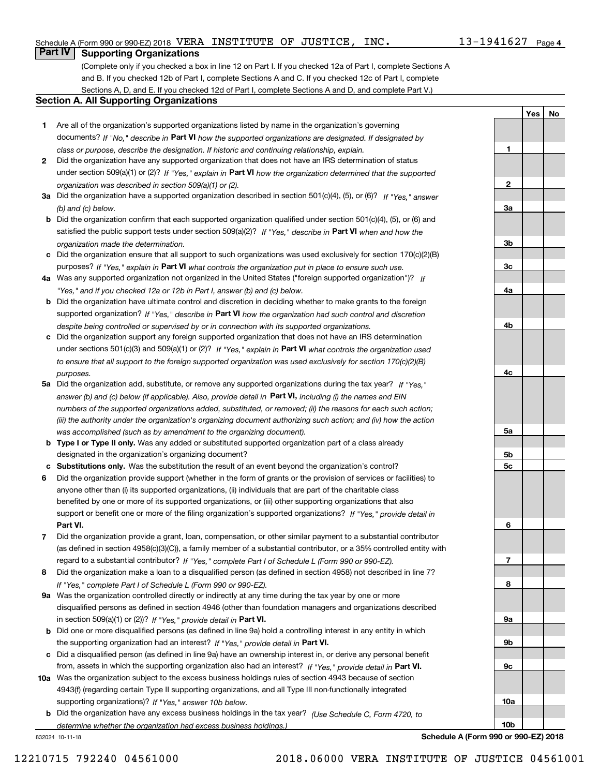**1**

**2**

**3a**

**3b**

**3c**

**4a**

**4b**

**4c**

**5a**

**5b5c**

**6**

**7**

**8**

**9a**

**9b**

**9c**

**10a**

**10b**

**YesNo**

### **Part IV Supporting Organizations**

(Complete only if you checked a box in line 12 on Part I. If you checked 12a of Part I, complete Sections A and B. If you checked 12b of Part I, complete Sections A and C. If you checked 12c of Part I, complete Sections A, D, and E. If you checked 12d of Part I, complete Sections A and D, and complete Part V.)

#### **Section A. All Supporting Organizations**

- **1** Are all of the organization's supported organizations listed by name in the organization's governing documents? If "No," describe in **Part VI** how the supported organizations are designated. If designated by *class or purpose, describe the designation. If historic and continuing relationship, explain.*
- **2** Did the organization have any supported organization that does not have an IRS determination of status under section 509(a)(1) or (2)? If "Yes," explain in Part VI how the organization determined that the supported *organization was described in section 509(a)(1) or (2).*
- **3a** Did the organization have a supported organization described in section 501(c)(4), (5), or (6)? If "Yes," answer *(b) and (c) below.*
- **b** Did the organization confirm that each supported organization qualified under section 501(c)(4), (5), or (6) and satisfied the public support tests under section 509(a)(2)? If "Yes," describe in **Part VI** when and how the *organization made the determination.*
- **c**Did the organization ensure that all support to such organizations was used exclusively for section 170(c)(2)(B) purposes? If "Yes," explain in **Part VI** what controls the organization put in place to ensure such use.
- **4a***If* Was any supported organization not organized in the United States ("foreign supported organization")? *"Yes," and if you checked 12a or 12b in Part I, answer (b) and (c) below.*
- **b** Did the organization have ultimate control and discretion in deciding whether to make grants to the foreign supported organization? If "Yes," describe in **Part VI** how the organization had such control and discretion *despite being controlled or supervised by or in connection with its supported organizations.*
- **c** Did the organization support any foreign supported organization that does not have an IRS determination under sections 501(c)(3) and 509(a)(1) or (2)? If "Yes," explain in **Part VI** what controls the organization used *to ensure that all support to the foreign supported organization was used exclusively for section 170(c)(2)(B) purposes.*
- **5a** Did the organization add, substitute, or remove any supported organizations during the tax year? If "Yes," answer (b) and (c) below (if applicable). Also, provide detail in **Part VI,** including (i) the names and EIN *numbers of the supported organizations added, substituted, or removed; (ii) the reasons for each such action; (iii) the authority under the organization's organizing document authorizing such action; and (iv) how the action was accomplished (such as by amendment to the organizing document).*
- **b** Type I or Type II only. Was any added or substituted supported organization part of a class already designated in the organization's organizing document?
- **cSubstitutions only.**  Was the substitution the result of an event beyond the organization's control?
- **6** Did the organization provide support (whether in the form of grants or the provision of services or facilities) to **Part VI.** *If "Yes," provide detail in* support or benefit one or more of the filing organization's supported organizations? anyone other than (i) its supported organizations, (ii) individuals that are part of the charitable class benefited by one or more of its supported organizations, or (iii) other supporting organizations that also
- **7**Did the organization provide a grant, loan, compensation, or other similar payment to a substantial contributor *If "Yes," complete Part I of Schedule L (Form 990 or 990-EZ).* regard to a substantial contributor? (as defined in section 4958(c)(3)(C)), a family member of a substantial contributor, or a 35% controlled entity with
- **8** Did the organization make a loan to a disqualified person (as defined in section 4958) not described in line 7? *If "Yes," complete Part I of Schedule L (Form 990 or 990-EZ).*
- **9a** Was the organization controlled directly or indirectly at any time during the tax year by one or more in section 509(a)(1) or (2))? If "Yes," *provide detail in* <code>Part VI.</code> disqualified persons as defined in section 4946 (other than foundation managers and organizations described
- **b** Did one or more disqualified persons (as defined in line 9a) hold a controlling interest in any entity in which the supporting organization had an interest? If "Yes," provide detail in P**art VI**.
- **c**Did a disqualified person (as defined in line 9a) have an ownership interest in, or derive any personal benefit from, assets in which the supporting organization also had an interest? If "Yes," provide detail in P**art VI.**
- **10a** Was the organization subject to the excess business holdings rules of section 4943 because of section supporting organizations)? If "Yes," answer 10b below. 4943(f) (regarding certain Type II supporting organizations, and all Type III non-functionally integrated
- **b** Did the organization have any excess business holdings in the tax year? (Use Schedule C, Form 4720, to **Schedule A (Form 990 or 990-EZ) 2018** *determine whether the organization had excess business holdings.)*

832024 10-11-18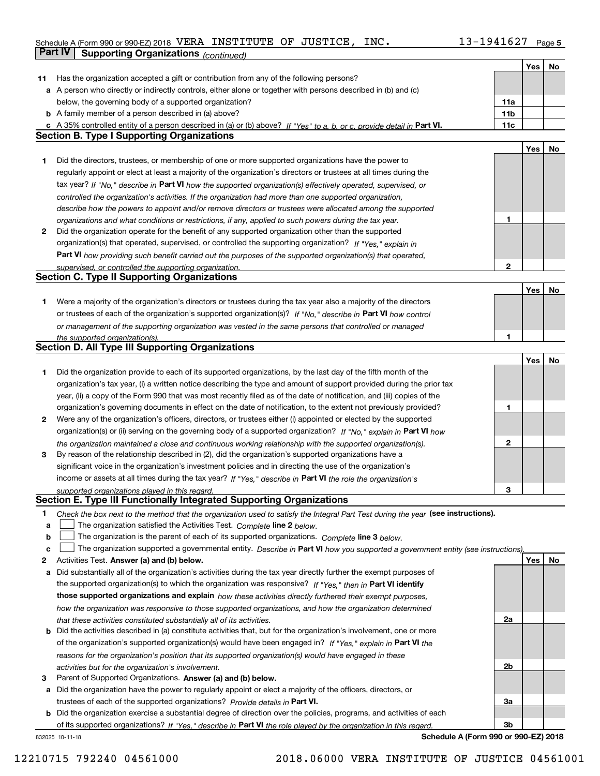#### Schedule A (Form 990 or 990-EZ) 2018 <code>VERA INSTITUTE OF JUSTICE, INC.  $13\,$  -1941627  $\,$  Page  $\,$ </code> **Part IV Supporting Organizations** *(continued)*

|    |                                                                                                                                                                                                               |                 | Yes | No |
|----|---------------------------------------------------------------------------------------------------------------------------------------------------------------------------------------------------------------|-----------------|-----|----|
| 11 | Has the organization accepted a gift or contribution from any of the following persons?                                                                                                                       |                 |     |    |
|    | a A person who directly or indirectly controls, either alone or together with persons described in (b) and (c)                                                                                                |                 |     |    |
|    | below, the governing body of a supported organization?                                                                                                                                                        | 11a             |     |    |
|    | <b>b</b> A family member of a person described in (a) above?                                                                                                                                                  | 11 <sub>b</sub> |     |    |
|    | c A 35% controlled entity of a person described in (a) or (b) above? If "Yes" to a, b, or c, provide detail in Part VI.                                                                                       | 11c             |     |    |
|    | <b>Section B. Type I Supporting Organizations</b>                                                                                                                                                             |                 |     |    |
|    |                                                                                                                                                                                                               |                 | Yes | No |
| 1  | Did the directors, trustees, or membership of one or more supported organizations have the power to                                                                                                           |                 |     |    |
|    | regularly appoint or elect at least a majority of the organization's directors or trustees at all times during the                                                                                            |                 |     |    |
|    | tax year? If "No," describe in Part VI how the supported organization(s) effectively operated, supervised, or                                                                                                 |                 |     |    |
|    |                                                                                                                                                                                                               |                 |     |    |
|    | controlled the organization's activities. If the organization had more than one supported organization,                                                                                                       |                 |     |    |
|    | describe how the powers to appoint and/or remove directors or trustees were allocated among the supported                                                                                                     | 1               |     |    |
| 2  | organizations and what conditions or restrictions, if any, applied to such powers during the tax year.<br>Did the organization operate for the benefit of any supported organization other than the supported |                 |     |    |
|    |                                                                                                                                                                                                               |                 |     |    |
|    | organization(s) that operated, supervised, or controlled the supporting organization? If "Yes," explain in                                                                                                    |                 |     |    |
|    | Part VI how providing such benefit carried out the purposes of the supported organization(s) that operated,                                                                                                   |                 |     |    |
|    | supervised, or controlled the supporting organization.<br><b>Section C. Type II Supporting Organizations</b>                                                                                                  | 2               |     |    |
|    |                                                                                                                                                                                                               |                 |     |    |
|    |                                                                                                                                                                                                               |                 | Yes | No |
| 1. | Were a majority of the organization's directors or trustees during the tax year also a majority of the directors                                                                                              |                 |     |    |
|    | or trustees of each of the organization's supported organization(s)? If "No." describe in Part VI how control                                                                                                 |                 |     |    |
|    | or management of the supporting organization was vested in the same persons that controlled or managed                                                                                                        | 1               |     |    |
|    | the supported organization(s).<br><b>Section D. All Type III Supporting Organizations</b>                                                                                                                     |                 |     |    |
|    |                                                                                                                                                                                                               |                 | Yes |    |
|    |                                                                                                                                                                                                               |                 |     | No |
| 1  | Did the organization provide to each of its supported organizations, by the last day of the fifth month of the                                                                                                |                 |     |    |
|    | organization's tax year, (i) a written notice describing the type and amount of support provided during the prior tax                                                                                         |                 |     |    |
|    | year, (ii) a copy of the Form 990 that was most recently filed as of the date of notification, and (iii) copies of the                                                                                        |                 |     |    |
|    | organization's governing documents in effect on the date of notification, to the extent not previously provided?                                                                                              | 1               |     |    |
| 2  | Were any of the organization's officers, directors, or trustees either (i) appointed or elected by the supported                                                                                              |                 |     |    |
|    | organization(s) or (ii) serving on the governing body of a supported organization? If "No," explain in Part VI how                                                                                            |                 |     |    |
|    | the organization maintained a close and continuous working relationship with the supported organization(s).                                                                                                   | $\mathbf{2}$    |     |    |
| 3  | By reason of the relationship described in (2), did the organization's supported organizations have a                                                                                                         |                 |     |    |
|    | significant voice in the organization's investment policies and in directing the use of the organization's                                                                                                    |                 |     |    |
|    | income or assets at all times during the tax year? If "Yes," describe in Part VI the role the organization's                                                                                                  |                 |     |    |
|    | supported organizations played in this regard.<br>Section E. Type III Functionally Integrated Supporting Organizations                                                                                        | 3               |     |    |
|    |                                                                                                                                                                                                               |                 |     |    |
| 1  | Check the box next to the method that the organization used to satisfy the Integral Part Test during the year (see instructions).                                                                             |                 |     |    |
| а  | The organization satisfied the Activities Test. Complete line 2 below.                                                                                                                                        |                 |     |    |
| b  | The organization is the parent of each of its supported organizations. Complete line 3 below.                                                                                                                 |                 |     |    |
| c  | The organization supported a governmental entity. Describe in Part VI how you supported a government entity (see instructions),                                                                               |                 |     |    |
| 2  | Activities Test. Answer (a) and (b) below.                                                                                                                                                                    |                 | Yes | No |
| а  | Did substantially all of the organization's activities during the tax year directly further the exempt purposes of                                                                                            |                 |     |    |
|    | the supported organization(s) to which the organization was responsive? If "Yes." then in Part VI identify                                                                                                    |                 |     |    |
|    | those supported organizations and explain how these activities directly furthered their exempt purposes,                                                                                                      |                 |     |    |
|    | how the organization was responsive to those supported organizations, and how the organization determined                                                                                                     |                 |     |    |
|    | that these activities constituted substantially all of its activities.                                                                                                                                        | 2a              |     |    |
|    | <b>b</b> Did the activities described in (a) constitute activities that, but for the organization's involvement, one or more                                                                                  |                 |     |    |
|    | of the organization's supported organization(s) would have been engaged in? If "Yes," explain in Part VI the                                                                                                  |                 |     |    |
|    | reasons for the organization's position that its supported organization(s) would have engaged in these                                                                                                        |                 |     |    |
|    | activities but for the organization's involvement.                                                                                                                                                            | 2b              |     |    |
| 3  | Parent of Supported Organizations. Answer (a) and (b) below.                                                                                                                                                  |                 |     |    |
|    | a Did the organization have the power to regularly appoint or elect a majority of the officers, directors, or                                                                                                 |                 |     |    |
|    | trustees of each of the supported organizations? Provide details in Part VI.                                                                                                                                  | За              |     |    |
|    | <b>b</b> Did the organization exercise a substantial degree of direction over the policies, programs, and activities of each                                                                                  |                 |     |    |
|    | of its supported organizations? If "Yes," describe in Part VI the role played by the organization in this regard.                                                                                             | 3b              |     |    |
|    | Schedule A (Form 990 or 990-EZ) 2018<br>832025 10-11-18                                                                                                                                                       |                 |     |    |

#### 12210715 792240 04561000 2018.06000 VERA INSTITUTE OF JUSTICE 04561001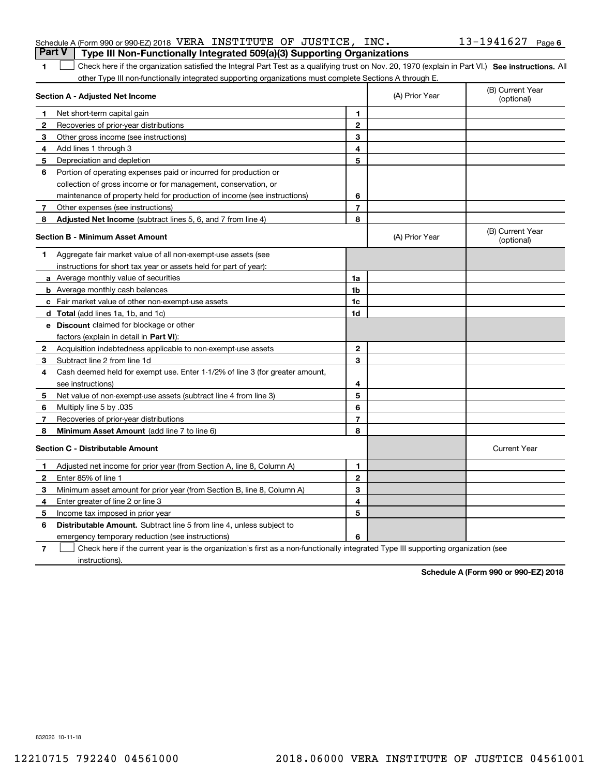| Schedule A (Form 990 or 990-EZ) 2018 VERA INSTITUTE OF JUSTICE, INC.                  |  | $13 - 1941627$ Page 6 |  |
|---------------------------------------------------------------------------------------|--|-----------------------|--|
| <b>Part V</b> Type III Non-Functionally Integrated 509(a)(3) Supporting Organizations |  |                       |  |

| 1 Check here if the organization satisfied the Integral Part Test as a qualifying trust on Nov. 20, 1970 (explain in Part VI.) See instructions. All |  |
|------------------------------------------------------------------------------------------------------------------------------------------------------|--|
| other Type III non-functionally integrated supporting organizations must complete Sections A through E.                                              |  |
|                                                                                                                                                      |  |

|   | Section A - Adjusted Net Income                                              |                | (A) Prior Year | (B) Current Year<br>(optional) |
|---|------------------------------------------------------------------------------|----------------|----------------|--------------------------------|
| 1 | Net short-term capital gain                                                  | 1              |                |                                |
| 2 | Recoveries of prior-year distributions                                       | $\mathbf{2}$   |                |                                |
| 3 | Other gross income (see instructions)                                        | 3              |                |                                |
| 4 | Add lines 1 through 3                                                        | 4              |                |                                |
| 5 | Depreciation and depletion                                                   | 5              |                |                                |
| 6 | Portion of operating expenses paid or incurred for production or             |                |                |                                |
|   | collection of gross income or for management, conservation, or               |                |                |                                |
|   | maintenance of property held for production of income (see instructions)     | 6              |                |                                |
| 7 | Other expenses (see instructions)                                            | $\overline{7}$ |                |                                |
| 8 | Adjusted Net Income (subtract lines 5, 6, and 7 from line 4)                 | 8              |                |                                |
|   | <b>Section B - Minimum Asset Amount</b>                                      |                | (A) Prior Year | (B) Current Year<br>(optional) |
| 1 | Aggregate fair market value of all non-exempt-use assets (see                |                |                |                                |
|   | instructions for short tax year or assets held for part of year):            |                |                |                                |
|   | a Average monthly value of securities                                        | 1a             |                |                                |
|   | <b>b</b> Average monthly cash balances                                       | 1b             |                |                                |
|   | c Fair market value of other non-exempt-use assets                           | 1c             |                |                                |
|   | <b>d</b> Total (add lines 1a, 1b, and 1c)                                    | 1d             |                |                                |
|   | <b>e</b> Discount claimed for blockage or other                              |                |                |                                |
|   | factors (explain in detail in Part VI):                                      |                |                |                                |
| 2 | Acquisition indebtedness applicable to non-exempt-use assets                 | $\mathbf{2}$   |                |                                |
| З | Subtract line 2 from line 1d                                                 | 3              |                |                                |
| 4 | Cash deemed held for exempt use. Enter 1-1/2% of line 3 (for greater amount, |                |                |                                |
|   | see instructions)                                                            | 4              |                |                                |
| 5 | Net value of non-exempt-use assets (subtract line 4 from line 3)             | 5              |                |                                |
| 6 | Multiply line 5 by .035                                                      | 6              |                |                                |
| 7 | Recoveries of prior-year distributions                                       | $\overline{7}$ |                |                                |
| 8 | Minimum Asset Amount (add line 7 to line 6)                                  | 8              |                |                                |
|   | Section C - Distributable Amount                                             |                |                | <b>Current Year</b>            |
| 1 | Adjusted net income for prior year (from Section A, line 8, Column A)        | 1              |                |                                |
| 2 | Enter 85% of line 1                                                          | $\mathbf{2}$   |                |                                |
| 3 | Minimum asset amount for prior year (from Section B, line 8, Column A)       | 3              |                |                                |
| 4 | Enter greater of line 2 or line 3                                            | 4              |                |                                |
| 5 | Income tax imposed in prior year                                             | 5              |                |                                |
| 6 | <b>Distributable Amount.</b> Subtract line 5 from line 4, unless subject to  |                |                |                                |
|   | emergency temporary reduction (see instructions)                             | 6              |                |                                |
|   |                                                                              |                |                |                                |

**7** Check here if the current year is the organization's first as a non-functionally integrated Type III supporting organization (see instructions).

**Schedule A (Form 990 or 990-EZ) 2018**

832026 10-11-18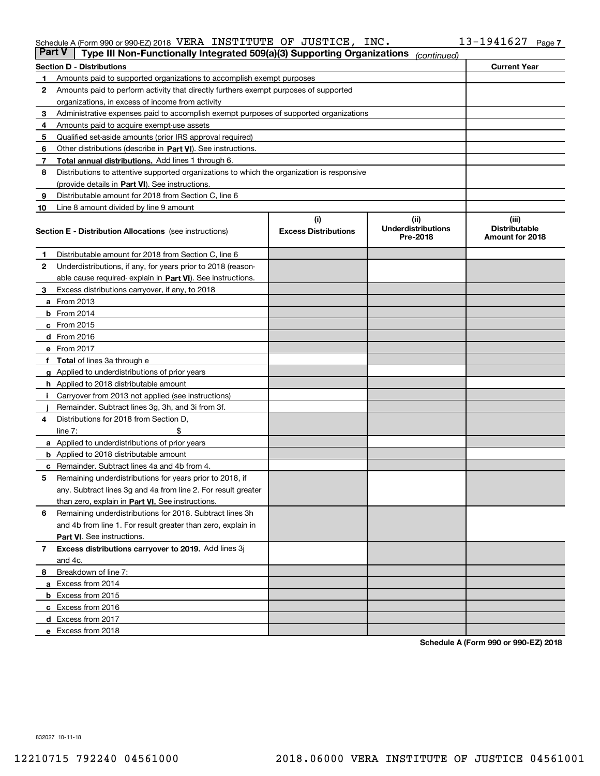#### Schedule A (Form 990 or 990-EZ) 2018 <code>VERA INSTITUTE OF JUSTICE, INC.  $13\,$  -1941627  $\,$  Page  $\,$ </code>

| <b>Part V</b> | Type III Non-Functionally Integrated 509(a)(3) Supporting Organizations                    |                             | (continued)                           |                                         |
|---------------|--------------------------------------------------------------------------------------------|-----------------------------|---------------------------------------|-----------------------------------------|
|               | <b>Section D - Distributions</b>                                                           |                             |                                       | <b>Current Year</b>                     |
| 1             | Amounts paid to supported organizations to accomplish exempt purposes                      |                             |                                       |                                         |
| 2             | Amounts paid to perform activity that directly furthers exempt purposes of supported       |                             |                                       |                                         |
|               | organizations, in excess of income from activity                                           |                             |                                       |                                         |
| 3             | Administrative expenses paid to accomplish exempt purposes of supported organizations      |                             |                                       |                                         |
| 4             | Amounts paid to acquire exempt-use assets                                                  |                             |                                       |                                         |
| 5             | Qualified set-aside amounts (prior IRS approval required)                                  |                             |                                       |                                         |
| 6             | Other distributions (describe in Part VI). See instructions.                               |                             |                                       |                                         |
| 7             | <b>Total annual distributions.</b> Add lines 1 through 6.                                  |                             |                                       |                                         |
| 8             | Distributions to attentive supported organizations to which the organization is responsive |                             |                                       |                                         |
|               | (provide details in Part VI). See instructions.                                            |                             |                                       |                                         |
| 9             | Distributable amount for 2018 from Section C, line 6                                       |                             |                                       |                                         |
| 10            | Line 8 amount divided by line 9 amount                                                     |                             |                                       |                                         |
|               |                                                                                            | (i)                         | (ii)                                  | (iii)                                   |
|               | <b>Section E - Distribution Allocations</b> (see instructions)                             | <b>Excess Distributions</b> | <b>Underdistributions</b><br>Pre-2018 | <b>Distributable</b><br>Amount for 2018 |
| 1             | Distributable amount for 2018 from Section C, line 6                                       |                             |                                       |                                         |
| 2             | Underdistributions, if any, for years prior to 2018 (reason-                               |                             |                                       |                                         |
|               | able cause required- explain in Part VI). See instructions.                                |                             |                                       |                                         |
| З             | Excess distributions carryover, if any, to 2018                                            |                             |                                       |                                         |
|               | <b>a</b> From 2013                                                                         |                             |                                       |                                         |
|               | <b>b</b> From 2014                                                                         |                             |                                       |                                         |
|               | $c$ From 2015                                                                              |                             |                                       |                                         |
|               | d From 2016                                                                                |                             |                                       |                                         |
|               | e From 2017                                                                                |                             |                                       |                                         |
|               | <b>Total</b> of lines 3a through e                                                         |                             |                                       |                                         |
| g             | Applied to underdistributions of prior years                                               |                             |                                       |                                         |
|               | <b>h</b> Applied to 2018 distributable amount                                              |                             |                                       |                                         |
|               | Carryover from 2013 not applied (see instructions)                                         |                             |                                       |                                         |
|               | Remainder. Subtract lines 3g, 3h, and 3i from 3f.                                          |                             |                                       |                                         |
| 4             | Distributions for 2018 from Section D,                                                     |                             |                                       |                                         |
|               | line $7:$                                                                                  |                             |                                       |                                         |
|               | <b>a</b> Applied to underdistributions of prior years                                      |                             |                                       |                                         |
|               | <b>b</b> Applied to 2018 distributable amount                                              |                             |                                       |                                         |
|               | c Remainder. Subtract lines 4a and 4b from 4.                                              |                             |                                       |                                         |
| 5             | Remaining underdistributions for years prior to 2018, if                                   |                             |                                       |                                         |
|               | any. Subtract lines 3g and 4a from line 2. For result greater                              |                             |                                       |                                         |
|               | than zero, explain in Part VI. See instructions.                                           |                             |                                       |                                         |
| 6             | Remaining underdistributions for 2018. Subtract lines 3h                                   |                             |                                       |                                         |
|               | and 4b from line 1. For result greater than zero, explain in                               |                             |                                       |                                         |
|               | Part VI. See instructions.                                                                 |                             |                                       |                                         |
| 7             | Excess distributions carryover to 2019. Add lines 3j                                       |                             |                                       |                                         |
|               | and 4c.                                                                                    |                             |                                       |                                         |
| 8             | Breakdown of line 7:                                                                       |                             |                                       |                                         |
|               | a Excess from 2014                                                                         |                             |                                       |                                         |
|               | <b>b</b> Excess from 2015                                                                  |                             |                                       |                                         |
|               | c Excess from 2016                                                                         |                             |                                       |                                         |
|               | d Excess from 2017                                                                         |                             |                                       |                                         |
|               | e Excess from 2018                                                                         |                             |                                       |                                         |
|               |                                                                                            |                             |                                       |                                         |

**Schedule A (Form 990 or 990-EZ) 2018**

832027 10-11-18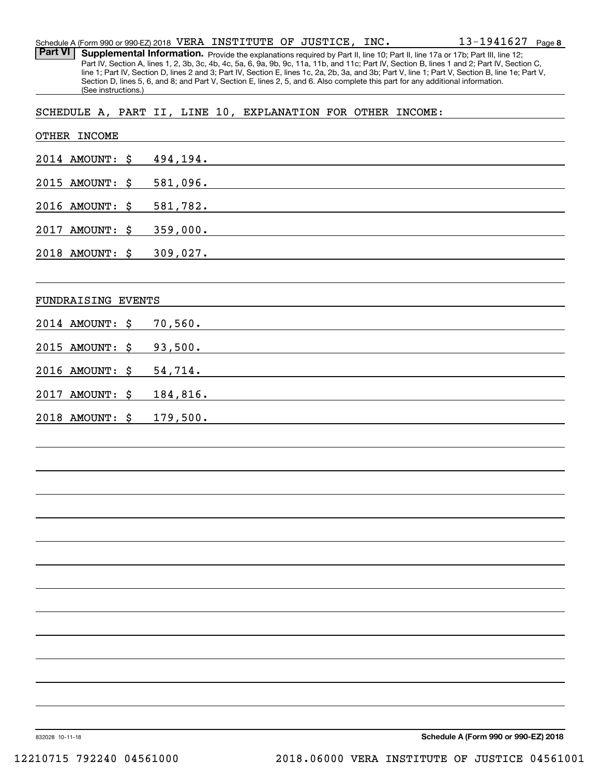| Schedule A (Form 990 or 990-EZ) 2018 $\,$ VERA $\,$ INSTITUTE $\,$ OF $\,$ JUSTICE $_{r}$ $\,$ INC $_{\bullet}$ |  |  | $13 - 1941627$ Page 8 |  |
|-----------------------------------------------------------------------------------------------------------------|--|--|-----------------------|--|
|                                                                                                                 |  |  |                       |  |

Part VI | Supplemental Information. Provide the explanations required by Part II, line 10; Part II, line 17a or 17b; Part III, line 12; Part IV, Section A, lines 1, 2, 3b, 3c, 4b, 4c, 5a, 6, 9a, 9b, 9c, 11a, 11b, and 11c; Part IV, Section B, lines 1 and 2; Part IV, Section C, line 1; Part IV, Section D, lines 2 and 3; Part IV, Section E, lines 1c, 2a, 2b, 3a, and 3b; Part V, line 1; Part V, Section B, line 1e; Part V, Section D, lines 5, 6, and 8; and Part V, Section E, lines 2, 5, and 6. Also complete this part for any additional information. (See instructions.)

SCHEDULE A, PART II, LINE 10, EXPLANATION FOR OTHER INCOME:

| OTHER INCOME       |                                                                                                                              |
|--------------------|------------------------------------------------------------------------------------------------------------------------------|
| 2014 AMOUNT: \$    | 494,194.                                                                                                                     |
| 2015 AMOUNT:<br>\$ | 581,096.                                                                                                                     |
| 2016 AMOUNT: \$    | 581,782.                                                                                                                     |
| AMOUNT: \$<br>2017 | 359,000.<br>and the control of the control of the control of the control of the control of the control of the control of the |
| 2018 AMOUNT: \$    | 309,027.                                                                                                                     |
|                    |                                                                                                                              |
| FUNDRAISING EVENTS |                                                                                                                              |
| 2014 AMOUNT: \$    | 70,560.                                                                                                                      |
| 2015 AMOUNT:<br>\$ | 93,500.<br>and the state of the state of the state of the state of the state of the state of the state of the state of the   |
| 2016 AMOUNT: \$    | 54,714.                                                                                                                      |
| 2017 AMOUNT: \$    | 184,816.                                                                                                                     |
| 2018 AMOUNT: \$    | 179,500.                                                                                                                     |
|                    |                                                                                                                              |
|                    |                                                                                                                              |
|                    |                                                                                                                              |
|                    |                                                                                                                              |
|                    |                                                                                                                              |
|                    |                                                                                                                              |
|                    |                                                                                                                              |

**Schedule A (Form 990 or 990-EZ) 2018**

832028 10-11-18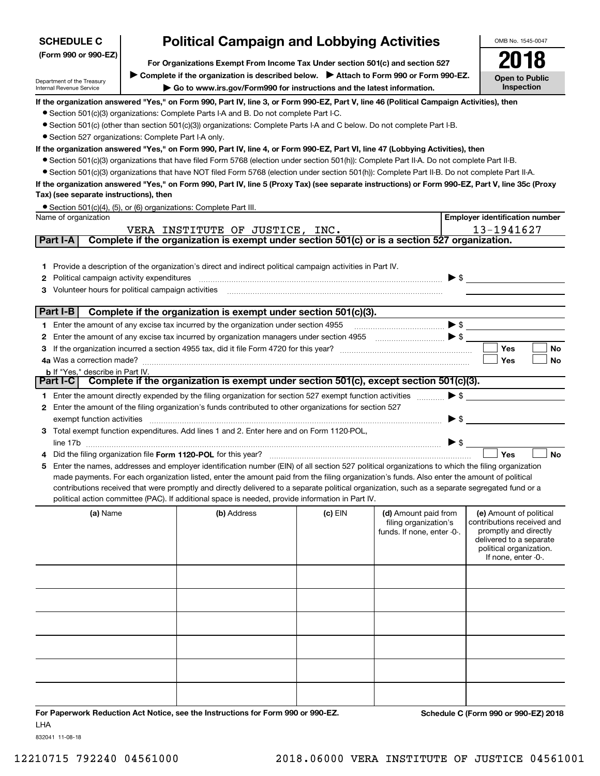| <b>SCHEDULE C</b>                                          | OMB No. 1545-0047                                                                                                                                                                                                                                                                             |         |                                                                                                                                                                                                                                                                                                                                                                     |                                                    |
|------------------------------------------------------------|-----------------------------------------------------------------------------------------------------------------------------------------------------------------------------------------------------------------------------------------------------------------------------------------------|---------|---------------------------------------------------------------------------------------------------------------------------------------------------------------------------------------------------------------------------------------------------------------------------------------------------------------------------------------------------------------------|----------------------------------------------------|
| (Form 990 or 990-EZ)                                       |                                                                                                                                                                                                                                                                                               |         |                                                                                                                                                                                                                                                                                                                                                                     |                                                    |
|                                                            | For Organizations Exempt From Income Tax Under section 501(c) and section 527<br>Complete if the organization is described below. Attach to Form 990 or Form 990-EZ.                                                                                                                          |         |                                                                                                                                                                                                                                                                                                                                                                     |                                                    |
| Department of the Treasury<br>Internal Revenue Service     | Go to www.irs.gov/Form990 for instructions and the latest information.                                                                                                                                                                                                                        |         |                                                                                                                                                                                                                                                                                                                                                                     | <b>Open to Public</b><br>Inspection                |
|                                                            |                                                                                                                                                                                                                                                                                               |         |                                                                                                                                                                                                                                                                                                                                                                     |                                                    |
|                                                            | If the organization answered "Yes," on Form 990, Part IV, line 3, or Form 990-EZ, Part V, line 46 (Political Campaign Activities), then<br>• Section 501(c)(3) organizations: Complete Parts I-A and B. Do not complete Part I-C.                                                             |         |                                                                                                                                                                                                                                                                                                                                                                     |                                                    |
|                                                            | • Section 501(c) (other than section 501(c)(3)) organizations: Complete Parts I-A and C below. Do not complete Part I-B.                                                                                                                                                                      |         |                                                                                                                                                                                                                                                                                                                                                                     |                                                    |
| • Section 527 organizations: Complete Part I-A only.       |                                                                                                                                                                                                                                                                                               |         |                                                                                                                                                                                                                                                                                                                                                                     |                                                    |
|                                                            | If the organization answered "Yes," on Form 990, Part IV, line 4, or Form 990-EZ, Part VI, line 47 (Lobbying Activities), then                                                                                                                                                                |         |                                                                                                                                                                                                                                                                                                                                                                     |                                                    |
|                                                            | • Section 501(c)(3) organizations that have filed Form 5768 (election under section 501(h)): Complete Part II-A. Do not complete Part II-B.                                                                                                                                                   |         |                                                                                                                                                                                                                                                                                                                                                                     |                                                    |
|                                                            | • Section 501(c)(3) organizations that have NOT filed Form 5768 (election under section 501(h)): Complete Part II-B. Do not complete Part II-A.                                                                                                                                               |         |                                                                                                                                                                                                                                                                                                                                                                     |                                                    |
|                                                            | If the organization answered "Yes," on Form 990, Part IV, line 5 (Proxy Tax) (see separate instructions) or Form 990-EZ, Part V, line 35c (Proxy                                                                                                                                              |         |                                                                                                                                                                                                                                                                                                                                                                     |                                                    |
| Tax) (see separate instructions), then                     |                                                                                                                                                                                                                                                                                               |         |                                                                                                                                                                                                                                                                                                                                                                     |                                                    |
| Name of organization                                       | • Section 501(c)(4), (5), or (6) organizations: Complete Part III.                                                                                                                                                                                                                            |         |                                                                                                                                                                                                                                                                                                                                                                     | <b>Employer identification number</b>              |
|                                                            | VERA INSTITUTE OF JUSTICE, INC.                                                                                                                                                                                                                                                               |         |                                                                                                                                                                                                                                                                                                                                                                     | 13-1941627                                         |
| Part I-A                                                   | Complete if the organization is exempt under section 501(c) or is a section 527 organization.                                                                                                                                                                                                 |         |                                                                                                                                                                                                                                                                                                                                                                     |                                                    |
|                                                            |                                                                                                                                                                                                                                                                                               |         |                                                                                                                                                                                                                                                                                                                                                                     |                                                    |
|                                                            | 1 Provide a description of the organization's direct and indirect political campaign activities in Part IV.                                                                                                                                                                                   |         |                                                                                                                                                                                                                                                                                                                                                                     |                                                    |
| Political campaign activity expenditures<br>2              |                                                                                                                                                                                                                                                                                               |         |                                                                                                                                                                                                                                                                                                                                                                     | $\triangleright$ \$                                |
| <b>3</b> Volunteer hours for political campaign activities |                                                                                                                                                                                                                                                                                               |         |                                                                                                                                                                                                                                                                                                                                                                     |                                                    |
|                                                            |                                                                                                                                                                                                                                                                                               |         |                                                                                                                                                                                                                                                                                                                                                                     |                                                    |
| Part I-B                                                   | Complete if the organization is exempt under section 501(c)(3).                                                                                                                                                                                                                               |         |                                                                                                                                                                                                                                                                                                                                                                     |                                                    |
|                                                            | 1 Enter the amount of any excise tax incurred by the organization under section 4955                                                                                                                                                                                                          |         | $\begin{picture}(20,10) \put(0,0){\vector(1,0){100}} \put(15,0){\vector(1,0){100}} \put(15,0){\vector(1,0){100}} \put(15,0){\vector(1,0){100}} \put(15,0){\vector(1,0){100}} \put(15,0){\vector(1,0){100}} \put(15,0){\vector(1,0){100}} \put(15,0){\vector(1,0){100}} \put(15,0){\vector(1,0){100}} \put(15,0){\vector(1,0){100}} \put(15,0){\vector(1,0){100}} \$ |                                                    |
| 2                                                          | Enter the amount of any excise tax incurred by organization managers under section 4955                                                                                                                                                                                                       |         | $\ldots$ $\bullet$                                                                                                                                                                                                                                                                                                                                                  |                                                    |
| З                                                          |                                                                                                                                                                                                                                                                                               |         |                                                                                                                                                                                                                                                                                                                                                                     | Yes<br>No                                          |
| <b>b</b> If "Yes," describe in Part IV.                    |                                                                                                                                                                                                                                                                                               |         |                                                                                                                                                                                                                                                                                                                                                                     | Yes<br>No                                          |
|                                                            | Part I-C   Complete if the organization is exempt under section 501(c), except section 501(c)(3).                                                                                                                                                                                             |         |                                                                                                                                                                                                                                                                                                                                                                     |                                                    |
|                                                            | 1 Enter the amount directly expended by the filing organization for section 527 exempt function activities                                                                                                                                                                                    |         |                                                                                                                                                                                                                                                                                                                                                                     | $\blacktriangleright$ \$                           |
|                                                            | 2 Enter the amount of the filing organization's funds contributed to other organizations for section 527                                                                                                                                                                                      |         |                                                                                                                                                                                                                                                                                                                                                                     |                                                    |
| exempt function activities                                 |                                                                                                                                                                                                                                                                                               |         |                                                                                                                                                                                                                                                                                                                                                                     | $\blacktriangleright$ \$                           |
|                                                            | 3 Total exempt function expenditures. Add lines 1 and 2. Enter here and on Form 1120-POL,                                                                                                                                                                                                     |         |                                                                                                                                                                                                                                                                                                                                                                     |                                                    |
|                                                            |                                                                                                                                                                                                                                                                                               |         |                                                                                                                                                                                                                                                                                                                                                                     | $\blacktriangleright$ \$                           |
|                                                            |                                                                                                                                                                                                                                                                                               |         |                                                                                                                                                                                                                                                                                                                                                                     | Yes<br><b>No</b>                                   |
|                                                            | 5 Enter the names, addresses and employer identification number (EIN) of all section 527 political organizations to which the filing organization                                                                                                                                             |         |                                                                                                                                                                                                                                                                                                                                                                     |                                                    |
|                                                            | made payments. For each organization listed, enter the amount paid from the filing organization's funds. Also enter the amount of political<br>contributions received that were promptly and directly delivered to a separate political organization, such as a separate segregated fund or a |         |                                                                                                                                                                                                                                                                                                                                                                     |                                                    |
|                                                            | political action committee (PAC). If additional space is needed, provide information in Part IV.                                                                                                                                                                                              |         |                                                                                                                                                                                                                                                                                                                                                                     |                                                    |
| (a) Name                                                   | (b) Address                                                                                                                                                                                                                                                                                   | (c) EIN | (d) Amount paid from                                                                                                                                                                                                                                                                                                                                                | (e) Amount of political                            |
|                                                            |                                                                                                                                                                                                                                                                                               |         | filing organization's                                                                                                                                                                                                                                                                                                                                               | contributions received and                         |
|                                                            |                                                                                                                                                                                                                                                                                               |         | funds. If none, enter -0-.                                                                                                                                                                                                                                                                                                                                          | promptly and directly                              |
|                                                            |                                                                                                                                                                                                                                                                                               |         |                                                                                                                                                                                                                                                                                                                                                                     | delivered to a separate<br>political organization. |
|                                                            |                                                                                                                                                                                                                                                                                               |         |                                                                                                                                                                                                                                                                                                                                                                     | If none, enter -0-.                                |
|                                                            |                                                                                                                                                                                                                                                                                               |         |                                                                                                                                                                                                                                                                                                                                                                     |                                                    |
|                                                            |                                                                                                                                                                                                                                                                                               |         |                                                                                                                                                                                                                                                                                                                                                                     |                                                    |
|                                                            |                                                                                                                                                                                                                                                                                               |         |                                                                                                                                                                                                                                                                                                                                                                     |                                                    |
|                                                            |                                                                                                                                                                                                                                                                                               |         |                                                                                                                                                                                                                                                                                                                                                                     |                                                    |
|                                                            |                                                                                                                                                                                                                                                                                               |         |                                                                                                                                                                                                                                                                                                                                                                     |                                                    |
|                                                            |                                                                                                                                                                                                                                                                                               |         |                                                                                                                                                                                                                                                                                                                                                                     |                                                    |
|                                                            |                                                                                                                                                                                                                                                                                               |         |                                                                                                                                                                                                                                                                                                                                                                     |                                                    |
|                                                            |                                                                                                                                                                                                                                                                                               |         |                                                                                                                                                                                                                                                                                                                                                                     |                                                    |
|                                                            |                                                                                                                                                                                                                                                                                               |         |                                                                                                                                                                                                                                                                                                                                                                     |                                                    |
|                                                            |                                                                                                                                                                                                                                                                                               |         |                                                                                                                                                                                                                                                                                                                                                                     |                                                    |

**For Paperwork Reduction Act Notice, see the Instructions for Form 990 or 990-EZ. Schedule C (Form 990 or 990-EZ) 2018** LHA

832041 11-08-18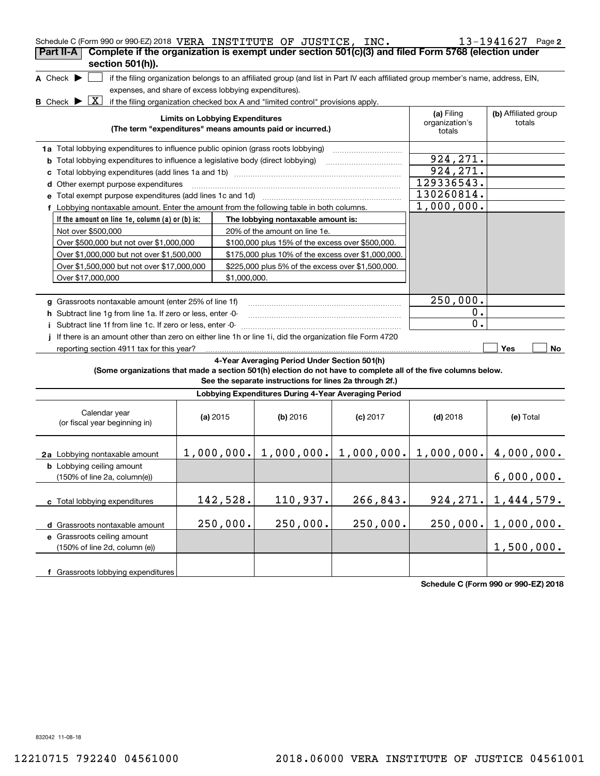| Schedule C (Form 990 or 990-EZ) 2018 VERA INSTITUTE OF JUSTICE, INC.<br>Complete if the organization is exempt under section 501(c)(3) and filed Form 5768 (election under<br>Part II-A<br>section 501(h)). |                                                                                                                                                                                                                                                                                                                                                                                                                                                                               |                                                                                                                                                                                                                       |            |                                        | $13 - 1941627$ Page 2          |
|-------------------------------------------------------------------------------------------------------------------------------------------------------------------------------------------------------------|-------------------------------------------------------------------------------------------------------------------------------------------------------------------------------------------------------------------------------------------------------------------------------------------------------------------------------------------------------------------------------------------------------------------------------------------------------------------------------|-----------------------------------------------------------------------------------------------------------------------------------------------------------------------------------------------------------------------|------------|----------------------------------------|--------------------------------|
| A Check $\blacktriangleright$<br>X<br><b>B</b> Check $\blacktriangleright$                                                                                                                                  | expenses, and share of excess lobbying expenditures).                                                                                                                                                                                                                                                                                                                                                                                                                         | if the filing organization belongs to an affiliated group (and list in Part IV each affiliated group member's name, address, EIN,<br>if the filing organization checked box A and "limited control" provisions apply. |            |                                        |                                |
|                                                                                                                                                                                                             | <b>Limits on Lobbying Expenditures</b>                                                                                                                                                                                                                                                                                                                                                                                                                                        | (The term "expenditures" means amounts paid or incurred.)                                                                                                                                                             |            | (a) Filing<br>organization's<br>totals | (b) Affiliated group<br>totals |
| 1a Total lobbying expenditures to influence public opinion (grass roots lobbying)<br><b>b</b> Total lobbying expenditures to influence a legislative body (direct lobbying)                                 | 924,271.<br>924, 271.                                                                                                                                                                                                                                                                                                                                                                                                                                                         |                                                                                                                                                                                                                       |            |                                        |                                |
| d Other exempt purpose expenditures<br>e Total exempt purpose expenditures (add lines 1c and 1d)                                                                                                            |                                                                                                                                                                                                                                                                                                                                                                                                                                                                               |                                                                                                                                                                                                                       |            | 129336543.<br>130260814.<br>1,000,000. |                                |
| Not over \$500,000<br>Over \$1,500,000 but not over \$17,000,000                                                                                                                                            | f Lobbying nontaxable amount. Enter the amount from the following table in both columns.<br>If the amount on line 1e, column $(a)$ or $(b)$ is:<br>The lobbying nontaxable amount is:<br>20% of the amount on line 1e.<br>Over \$500,000 but not over \$1,000,000<br>\$100,000 plus 15% of the excess over \$500,000.<br>Over \$1,000,000 but not over \$1,500,000<br>\$175,000 plus 10% of the excess over \$1,000,000.<br>\$225,000 plus 5% of the excess over \$1,500,000. |                                                                                                                                                                                                                       |            |                                        |                                |
| Over \$17,000,000<br>g Grassroots nontaxable amount (enter 25% of line 1f)                                                                                                                                  | \$1,000,000.                                                                                                                                                                                                                                                                                                                                                                                                                                                                  |                                                                                                                                                                                                                       |            | 250,000.                               |                                |
| h Subtract line 1g from line 1a. If zero or less, enter -0-<br>Subtract line 1f from line 1c. If zero or less, enter -0-<br>j.                                                                              |                                                                                                                                                                                                                                                                                                                                                                                                                                                                               |                                                                                                                                                                                                                       |            | $0$ .<br>0.                            |                                |
| If there is an amount other than zero on either line 1h or line 1i, did the organization file Form 4720<br>Ť.<br>reporting section 4911 tax for this year?                                                  |                                                                                                                                                                                                                                                                                                                                                                                                                                                                               |                                                                                                                                                                                                                       |            |                                        | Yes<br>No                      |
| (Some organizations that made a section 501(h) election do not have to complete all of the five columns below.                                                                                              |                                                                                                                                                                                                                                                                                                                                                                                                                                                                               | 4-Year Averaging Period Under Section 501(h)<br>See the separate instructions for lines 2a through 2f.)                                                                                                               |            |                                        |                                |
|                                                                                                                                                                                                             |                                                                                                                                                                                                                                                                                                                                                                                                                                                                               | Lobbying Expenditures During 4-Year Averaging Period                                                                                                                                                                  |            |                                        |                                |
| Calendar year<br>(or fiscal year beginning in)                                                                                                                                                              | (a) 2015                                                                                                                                                                                                                                                                                                                                                                                                                                                                      | (b) 2016                                                                                                                                                                                                              | $(c)$ 2017 | $(d)$ 2018                             | (e) Total                      |
| 2a Lobbying nontaxable amount<br><b>b</b> Lobbying ceiling amount                                                                                                                                           |                                                                                                                                                                                                                                                                                                                                                                                                                                                                               | $1,000,000$ , $1,000,000$ , $1,000,000$ , $1,000,000$ , $4,000,000$                                                                                                                                                   |            |                                        |                                |
| (150% of line 2a, column(e))                                                                                                                                                                                |                                                                                                                                                                                                                                                                                                                                                                                                                                                                               |                                                                                                                                                                                                                       |            |                                        | 6,000,000.                     |
| c Total lobbying expenditures                                                                                                                                                                               | 142,528.                                                                                                                                                                                                                                                                                                                                                                                                                                                                      | 110,937.                                                                                                                                                                                                              | 266,843.   | 924, 271.                              | 1,444,579.                     |
| d Grassroots nontaxable amount                                                                                                                                                                              | 250,000.                                                                                                                                                                                                                                                                                                                                                                                                                                                                      | 250,000.                                                                                                                                                                                                              | 250,000.   | 250,000.                               | 1,000,000.                     |
| e Grassroots ceiling amount<br>(150% of line 2d, column (e))                                                                                                                                                |                                                                                                                                                                                                                                                                                                                                                                                                                                                                               |                                                                                                                                                                                                                       |            |                                        | 1,500,000.                     |
| f Grassroots lobbying expenditures                                                                                                                                                                          |                                                                                                                                                                                                                                                                                                                                                                                                                                                                               |                                                                                                                                                                                                                       |            |                                        |                                |

**Schedule C (Form 990 or 990-EZ) 2018**

832042 11-08-18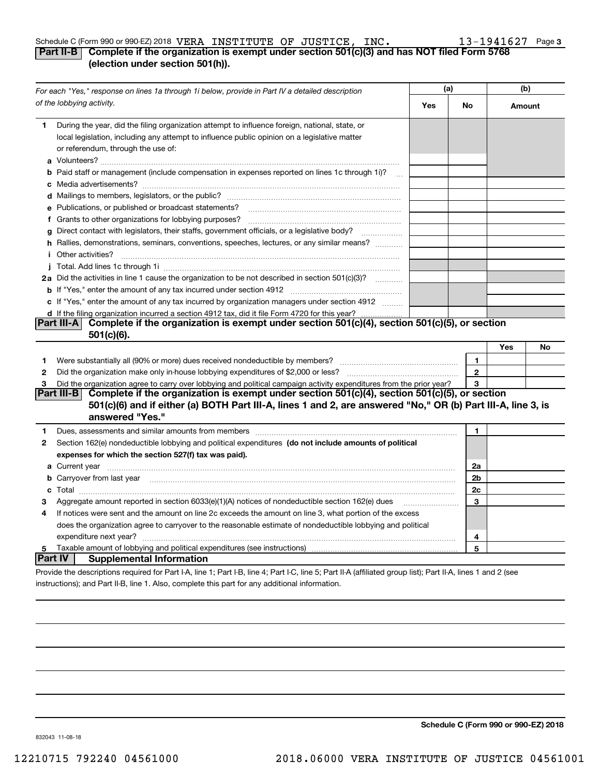#### Schedule C (Form 990 or 990-EZ) 2018 <code>VERA INSTITUTE OF JUSTICE, INC.  $13\,\text{--}\,1941627$  Page</code>

#### **3**

#### **Part II-B Complete if the organization is exempt under section 501(c)(3) and has NOT filed Form 5768 (election under section 501(h)).**

|                | For each "Yes," response on lines 1a through 1i below, provide in Part IV a detailed description                                                                                                                                               |     | (a)          |        | (b) |  |
|----------------|------------------------------------------------------------------------------------------------------------------------------------------------------------------------------------------------------------------------------------------------|-----|--------------|--------|-----|--|
|                | of the lobbying activity.                                                                                                                                                                                                                      | Yes | No           | Amount |     |  |
| 1.             | During the year, did the filing organization attempt to influence foreign, national, state, or<br>local legislation, including any attempt to influence public opinion on a legislative matter<br>or referendum, through the use of:           |     |              |        |     |  |
|                | <b>b</b> Paid staff or management (include compensation in expenses reported on lines 1c through 1i)?                                                                                                                                          |     |              |        |     |  |
|                |                                                                                                                                                                                                                                                |     |              |        |     |  |
|                | e Publications, or published or broadcast statements?                                                                                                                                                                                          |     |              |        |     |  |
|                | f Grants to other organizations for lobbying purposes?                                                                                                                                                                                         |     |              |        |     |  |
|                | g Direct contact with legislators, their staffs, government officials, or a legislative body?                                                                                                                                                  |     |              |        |     |  |
|                | h Rallies, demonstrations, seminars, conventions, speeches, lectures, or any similar means?                                                                                                                                                    |     |              |        |     |  |
|                | <i>i</i> Other activities?                                                                                                                                                                                                                     |     |              |        |     |  |
|                |                                                                                                                                                                                                                                                |     |              |        |     |  |
|                | 2a Did the activities in line 1 cause the organization to be not described in section 501(c)(3)?                                                                                                                                               |     |              |        |     |  |
|                |                                                                                                                                                                                                                                                |     |              |        |     |  |
|                | c If "Yes," enter the amount of any tax incurred by organization managers under section 4912                                                                                                                                                   |     |              |        |     |  |
|                | d If the filing organization incurred a section 4912 tax, did it file Form 4720 for this year?                                                                                                                                                 |     |              |        |     |  |
|                | Part III-A Complete if the organization is exempt under section 501(c)(4), section 501(c)(5), or section<br>501(c)(6).                                                                                                                         |     |              |        |     |  |
|                |                                                                                                                                                                                                                                                |     |              | Yes    | No  |  |
| 1              | Were substantially all (90% or more) dues received nondeductible by members?                                                                                                                                                                   |     | $\mathbf{1}$ |        |     |  |
| 2              |                                                                                                                                                                                                                                                |     | $\mathbf{2}$ |        |     |  |
| З              | Did the organization agree to carry over lobbying and political campaign activity expenditures from the prior year?                                                                                                                            |     | 3            |        |     |  |
|                | Complete if the organization is exempt under section 501(c)(4), section 501(c)(5), or section<br>Part III-B<br>501(c)(6) and if either (a) BOTH Part III-A, lines 1 and 2, are answered "No," OR (b) Part III-A, line 3, is<br>answered "Yes." |     |              |        |     |  |
| 1.             |                                                                                                                                                                                                                                                |     | $\mathbf{1}$ |        |     |  |
| 2              | Section 162(e) nondeductible lobbying and political expenditures (do not include amounts of political                                                                                                                                          |     |              |        |     |  |
|                | expenses for which the section 527(f) tax was paid).                                                                                                                                                                                           |     |              |        |     |  |
|                |                                                                                                                                                                                                                                                |     | 2a           |        |     |  |
|                | b Carryover from last year manufactured and contain a series of the contract of the contract of the contract of the contract of the contract of the contract of the contract of the contract of the contract of the contract o                 |     | 2b           |        |     |  |
|                |                                                                                                                                                                                                                                                |     | 2c           |        |     |  |
| З              | Aggregate amount reported in section 6033(e)(1)(A) notices of nondeductible section 162(e) dues                                                                                                                                                |     | 3            |        |     |  |
| 4              | If notices were sent and the amount on line 2c exceeds the amount on line 3, what portion of the excess                                                                                                                                        |     |              |        |     |  |
|                | does the organization agree to carryover to the reasonable estimate of nondeductible lobbying and political                                                                                                                                    |     |              |        |     |  |
|                | expenditure next year?                                                                                                                                                                                                                         |     | 4            |        |     |  |
| 5              | Taxable amount of lobbying and political expenditures (see instructions)                                                                                                                                                                       |     | 5            |        |     |  |
| <b>Part IV</b> | <b>Supplemental Information</b>                                                                                                                                                                                                                |     |              |        |     |  |
|                | Provide the descriptions required for Part I-A, line 1; Part I-B, line 4; Part I-C, line 5; Part II-A (affiliated group list); Part II-A, lines 1 and 2 (see                                                                                   |     |              |        |     |  |

instructions); and Part II-B, line 1. Also, complete this part for any additional information.

**Schedule C (Form 990 or 990-EZ) 2018**

832043 11-08-18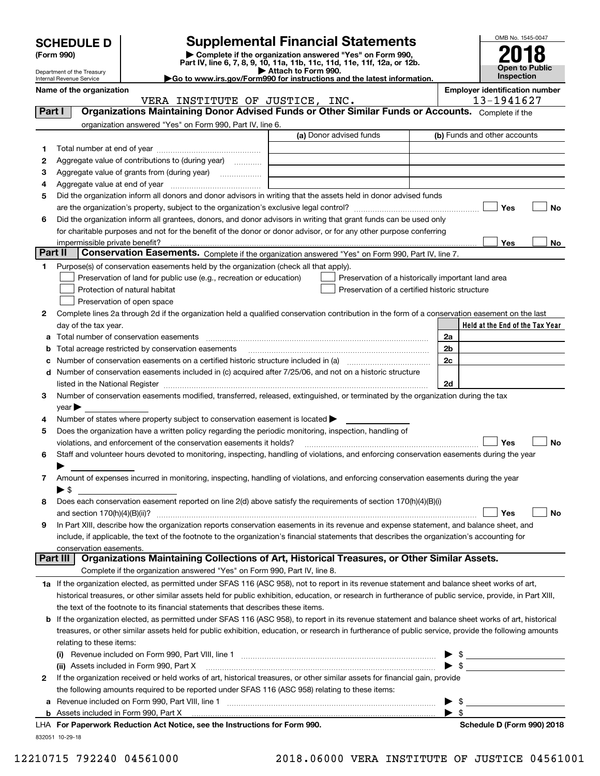|  | <b>SCHEDULE D</b> |
|--|-------------------|
|  |                   |

| (Form 990) |  |
|------------|--|
|------------|--|

### **Supplemental Financial Statements**

(Form 990)<br>
Pepartment of the Treasury<br>
Department of the Treasury<br>
Department of the Treasury<br>
Department of the Treasury<br> **Co to www.irs.gov/Form990 for instructions and the latest information.**<br> **Co to www.irs.gov/Form9** 



Department of the Treasury Internal Revenue Service

|         | Name of the organization<br>VERA INSTITUTE OF JUSTICE, INC.                                                                                                                                                                   |                                                    | <b>Employer identification number</b><br>13-1941627 |
|---------|-------------------------------------------------------------------------------------------------------------------------------------------------------------------------------------------------------------------------------|----------------------------------------------------|-----------------------------------------------------|
| Part I  | Organizations Maintaining Donor Advised Funds or Other Similar Funds or Accounts. Complete if the                                                                                                                             |                                                    |                                                     |
|         | organization answered "Yes" on Form 990, Part IV, line 6.                                                                                                                                                                     |                                                    |                                                     |
|         |                                                                                                                                                                                                                               | (a) Donor advised funds                            | (b) Funds and other accounts                        |
|         |                                                                                                                                                                                                                               |                                                    |                                                     |
| 1       |                                                                                                                                                                                                                               |                                                    |                                                     |
| 2       | Aggregate value of contributions to (during year)                                                                                                                                                                             |                                                    |                                                     |
| з       | Aggregate value of grants from (during year)                                                                                                                                                                                  |                                                    |                                                     |
| 4       |                                                                                                                                                                                                                               |                                                    |                                                     |
| 5       | Did the organization inform all donors and donor advisors in writing that the assets held in donor advised funds                                                                                                              |                                                    |                                                     |
|         |                                                                                                                                                                                                                               |                                                    | Yes<br>No                                           |
| 6       | Did the organization inform all grantees, donors, and donor advisors in writing that grant funds can be used only                                                                                                             |                                                    |                                                     |
|         | for charitable purposes and not for the benefit of the donor or donor advisor, or for any other purpose conferring                                                                                                            |                                                    |                                                     |
|         | impermissible private benefit?                                                                                                                                                                                                |                                                    | Yes<br>No                                           |
| Part II | Conservation Easements. Complete if the organization answered "Yes" on Form 990, Part IV, line 7.                                                                                                                             |                                                    |                                                     |
| 1       | Purpose(s) of conservation easements held by the organization (check all that apply).                                                                                                                                         |                                                    |                                                     |
|         | Preservation of land for public use (e.g., recreation or education)                                                                                                                                                           | Preservation of a historically important land area |                                                     |
|         | Protection of natural habitat                                                                                                                                                                                                 | Preservation of a certified historic structure     |                                                     |
|         | Preservation of open space                                                                                                                                                                                                    |                                                    |                                                     |
| 2       | Complete lines 2a through 2d if the organization held a qualified conservation contribution in the form of a conservation easement on the last                                                                                |                                                    |                                                     |
|         | day of the tax year.                                                                                                                                                                                                          |                                                    | Held at the End of the Tax Year                     |
| а       | Total number of conservation easements                                                                                                                                                                                        |                                                    | 2a                                                  |
| b       | Total acreage restricted by conservation easements                                                                                                                                                                            |                                                    | 2b                                                  |
| с       |                                                                                                                                                                                                                               |                                                    | 2c                                                  |
| d       | Number of conservation easements included in (c) acquired after 7/25/06, and not on a historic structure                                                                                                                      |                                                    |                                                     |
|         | listed in the National Register [11, 1200] [12] The National Register [11, 1200] [12] The National Register [11, 1200] [12] The National Register [11, 1200] [12] The National Register [11, 1200] [12] The National Register |                                                    | 2d                                                  |
| 3       | Number of conservation easements modified, transferred, released, extinguished, or terminated by the organization during the tax                                                                                              |                                                    |                                                     |
|         | $\mathsf{year}$                                                                                                                                                                                                               |                                                    |                                                     |
| 4       | Number of states where property subject to conservation easement is located >                                                                                                                                                 |                                                    |                                                     |
| 5       | Does the organization have a written policy regarding the periodic monitoring, inspection, handling of                                                                                                                        |                                                    |                                                     |
|         | violations, and enforcement of the conservation easements it holds?                                                                                                                                                           |                                                    | No<br>Yes                                           |
| 6       | Staff and volunteer hours devoted to monitoring, inspecting, handling of violations, and enforcing conservation easements during the year                                                                                     |                                                    |                                                     |
|         |                                                                                                                                                                                                                               |                                                    |                                                     |
| 7       | Amount of expenses incurred in monitoring, inspecting, handling of violations, and enforcing conservation easements during the year                                                                                           |                                                    |                                                     |
|         | $\blacktriangleright$ \$                                                                                                                                                                                                      |                                                    |                                                     |
| 8       | Does each conservation easement reported on line 2(d) above satisfy the requirements of section 170(h)(4)(B)(i)                                                                                                               |                                                    |                                                     |
|         |                                                                                                                                                                                                                               |                                                    | No<br>Yes                                           |
|         | In Part XIII, describe how the organization reports conservation easements in its revenue and expense statement, and balance sheet, and                                                                                       |                                                    |                                                     |
|         | include, if applicable, the text of the footnote to the organization's financial statements that describes the organization's accounting for                                                                                  |                                                    |                                                     |
|         | conservation easements.                                                                                                                                                                                                       |                                                    |                                                     |
|         | Organizations Maintaining Collections of Art, Historical Treasures, or Other Similar Assets.<br>Part III                                                                                                                      |                                                    |                                                     |
|         | Complete if the organization answered "Yes" on Form 990, Part IV, line 8.                                                                                                                                                     |                                                    |                                                     |
|         | 1a If the organization elected, as permitted under SFAS 116 (ASC 958), not to report in its revenue statement and balance sheet works of art,                                                                                 |                                                    |                                                     |
|         | historical treasures, or other similar assets held for public exhibition, education, or research in furtherance of public service, provide, in Part XIII,                                                                     |                                                    |                                                     |
|         |                                                                                                                                                                                                                               |                                                    |                                                     |
|         | the text of the footnote to its financial statements that describes these items.                                                                                                                                              |                                                    |                                                     |
| b       | If the organization elected, as permitted under SFAS 116 (ASC 958), to report in its revenue statement and balance sheet works of art, historical                                                                             |                                                    |                                                     |
|         | treasures, or other similar assets held for public exhibition, education, or research in furtherance of public service, provide the following amounts                                                                         |                                                    |                                                     |
|         | relating to these items:                                                                                                                                                                                                      |                                                    |                                                     |
|         | (i) Revenue included on Form 990, Part VIII, line 1 [1] [1] [1] [1] [1] [1] Revenue included on Form 990, Part VIII, line 1                                                                                                   |                                                    | $\frac{1}{2}$                                       |
|         | (ii) Assets included in Form 990, Part X                                                                                                                                                                                      |                                                    | $\blacktriangleright$ \$                            |
| 2       | If the organization received or held works of art, historical treasures, or other similar assets for financial gain, provide                                                                                                  |                                                    |                                                     |
|         | the following amounts required to be reported under SFAS 116 (ASC 958) relating to these items:                                                                                                                               |                                                    |                                                     |
|         | <b>a</b> Revenue included on Form 990, Part VIII, line 1                                                                                                                                                                      |                                                    | \$                                                  |
|         | $\mathbf{a}$ and $\mathbf{a}$ and $\mathbf{a}$ and $\mathbf{a}$                                                                                                                                                               |                                                    | $\blacktriangleright$ \$                            |
|         |                                                                                                                                                                                                                               |                                                    |                                                     |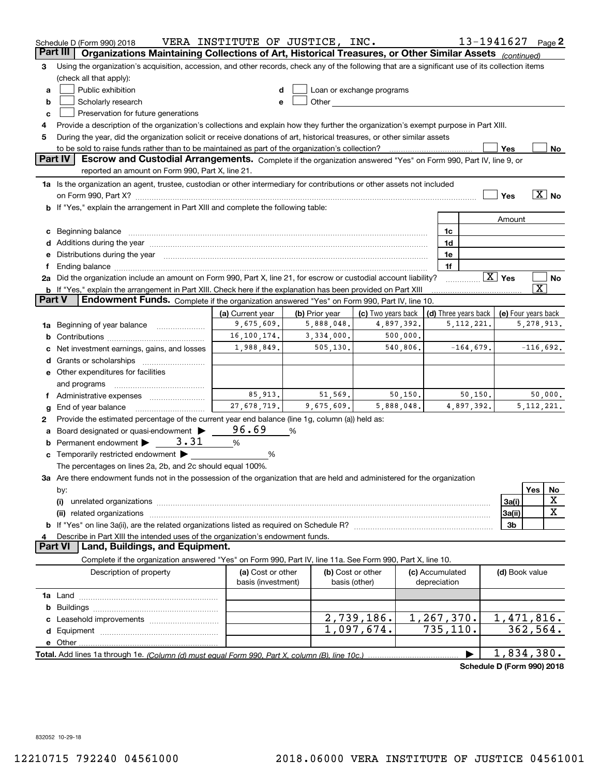|        | Schedule D (Form 990) 2018                                                                                                                                                                                                                                                                                                                                                                                                                                       | VERA INSTITUTE OF JUSTICE, INC.         |                |                                                                                                                                                                                                                               |                                 | 13-1941627           |                        |                         | Page 2            |
|--------|------------------------------------------------------------------------------------------------------------------------------------------------------------------------------------------------------------------------------------------------------------------------------------------------------------------------------------------------------------------------------------------------------------------------------------------------------------------|-----------------------------------------|----------------|-------------------------------------------------------------------------------------------------------------------------------------------------------------------------------------------------------------------------------|---------------------------------|----------------------|------------------------|-------------------------|-------------------|
|        | Organizations Maintaining Collections of Art, Historical Treasures, or Other Similar Assets (continued)<br>Part III<br>Using the organization's acquisition, accession, and other records, check any of the following that are a significant use of its collection items                                                                                                                                                                                         |                                         |                |                                                                                                                                                                                                                               |                                 |                      |                        |                         |                   |
| 3      | (check all that apply):                                                                                                                                                                                                                                                                                                                                                                                                                                          |                                         |                |                                                                                                                                                                                                                               |                                 |                      |                        |                         |                   |
| а      | Public exhibition                                                                                                                                                                                                                                                                                                                                                                                                                                                | d                                       |                | Loan or exchange programs                                                                                                                                                                                                     |                                 |                      |                        |                         |                   |
| b      | Scholarly research                                                                                                                                                                                                                                                                                                                                                                                                                                               | e                                       |                | Other and the contract of the contract of the contract of the contract of the contract of the contract of the contract of the contract of the contract of the contract of the contract of the contract of the contract of the |                                 |                      |                        |                         |                   |
| c      | Preservation for future generations                                                                                                                                                                                                                                                                                                                                                                                                                              |                                         |                |                                                                                                                                                                                                                               |                                 |                      |                        |                         |                   |
| 4      | Provide a description of the organization's collections and explain how they further the organization's exempt purpose in Part XIII.                                                                                                                                                                                                                                                                                                                             |                                         |                |                                                                                                                                                                                                                               |                                 |                      |                        |                         |                   |
| 5      | During the year, did the organization solicit or receive donations of art, historical treasures, or other similar assets                                                                                                                                                                                                                                                                                                                                         |                                         |                |                                                                                                                                                                                                                               |                                 |                      |                        |                         |                   |
|        | to be sold to raise funds rather than to be maintained as part of the organization's collection?                                                                                                                                                                                                                                                                                                                                                                 |                                         |                |                                                                                                                                                                                                                               |                                 |                      | Yes                    |                         | No                |
|        | <b>Part IV</b><br>Escrow and Custodial Arrangements. Complete if the organization answered "Yes" on Form 990, Part IV, line 9, or                                                                                                                                                                                                                                                                                                                                |                                         |                |                                                                                                                                                                                                                               |                                 |                      |                        |                         |                   |
|        | reported an amount on Form 990, Part X, line 21.                                                                                                                                                                                                                                                                                                                                                                                                                 |                                         |                |                                                                                                                                                                                                                               |                                 |                      |                        |                         |                   |
|        | 1a Is the organization an agent, trustee, custodian or other intermediary for contributions or other assets not included                                                                                                                                                                                                                                                                                                                                         |                                         |                |                                                                                                                                                                                                                               |                                 |                      |                        |                         |                   |
|        |                                                                                                                                                                                                                                                                                                                                                                                                                                                                  |                                         |                |                                                                                                                                                                                                                               |                                 |                      | Yes                    |                         | $\overline{X}$ No |
|        | b If "Yes," explain the arrangement in Part XIII and complete the following table:                                                                                                                                                                                                                                                                                                                                                                               |                                         |                |                                                                                                                                                                                                                               |                                 |                      |                        |                         |                   |
|        |                                                                                                                                                                                                                                                                                                                                                                                                                                                                  |                                         |                |                                                                                                                                                                                                                               |                                 |                      | Amount                 |                         |                   |
|        | c Beginning balance measurements and the contract of the contract of the contract of the contract of the contract of the contract of the contract of the contract of the contract of the contract of the contract of the contr                                                                                                                                                                                                                                   |                                         |                |                                                                                                                                                                                                                               | 1c<br>1d                        |                      |                        |                         |                   |
|        | d Additions during the year manufactured and an account of the year manufactured and account of the year manufactured and account of the year manufactured and account of the year manufactured and account of the year manufa<br>e Distributions during the year manufactured and contain an account of the year manufactured and the year manufactured and the year manufactured and the year manufactured and the year manufactured and the year manufactured |                                         |                |                                                                                                                                                                                                                               | 1e                              |                      |                        |                         |                   |
| Ť.     |                                                                                                                                                                                                                                                                                                                                                                                                                                                                  |                                         |                |                                                                                                                                                                                                                               | 1f                              |                      |                        |                         |                   |
|        | 2a Did the organization include an amount on Form 990, Part X, line 21, for escrow or custodial account liability?                                                                                                                                                                                                                                                                                                                                               |                                         |                |                                                                                                                                                                                                                               |                                 |                      | $\boxed{\text{X}}$ Yes |                         | No                |
|        | <b>b</b> If "Yes," explain the arrangement in Part XIII. Check here if the explanation has been provided on Part XIII                                                                                                                                                                                                                                                                                                                                            |                                         |                |                                                                                                                                                                                                                               |                                 |                      |                        | $\overline{\mathbf{X}}$ |                   |
| Part V | Endowment Funds. Complete if the organization answered "Yes" on Form 990, Part IV, line 10.                                                                                                                                                                                                                                                                                                                                                                      |                                         |                |                                                                                                                                                                                                                               |                                 |                      |                        |                         |                   |
|        |                                                                                                                                                                                                                                                                                                                                                                                                                                                                  | (a) Current year                        | (b) Prior year | (c) Two years back                                                                                                                                                                                                            |                                 | (d) Three years back | (e) Four years back    |                         |                   |
|        | 1a Beginning of year balance                                                                                                                                                                                                                                                                                                                                                                                                                                     | 9,675,609.                              | 5,888,048.     | 4,897,392.                                                                                                                                                                                                                    |                                 | 5, 112, 221.         |                        | 5,278,913.              |                   |
| b      |                                                                                                                                                                                                                                                                                                                                                                                                                                                                  | 16, 100, 174.                           | 3,334,000.     | 500,000.                                                                                                                                                                                                                      |                                 |                      |                        |                         |                   |
|        | Net investment earnings, gains, and losses                                                                                                                                                                                                                                                                                                                                                                                                                       | 1,988,849.                              | 505, 130.      | 540,806.                                                                                                                                                                                                                      |                                 | $-164,679.$          |                        | $-116,692.$             |                   |
| d      | Grants or scholarships                                                                                                                                                                                                                                                                                                                                                                                                                                           |                                         |                |                                                                                                                                                                                                                               |                                 |                      |                        |                         |                   |
|        | <b>e</b> Other expenditures for facilities                                                                                                                                                                                                                                                                                                                                                                                                                       |                                         |                |                                                                                                                                                                                                                               |                                 |                      |                        |                         |                   |
|        | and programs                                                                                                                                                                                                                                                                                                                                                                                                                                                     |                                         |                |                                                                                                                                                                                                                               |                                 |                      |                        |                         |                   |
|        | f Administrative expenses                                                                                                                                                                                                                                                                                                                                                                                                                                        | 85,913.                                 | 51, 569.       | 50, 150.                                                                                                                                                                                                                      |                                 | 50, 150.             |                        | 50,000.                 |                   |
| g      | End of year balance                                                                                                                                                                                                                                                                                                                                                                                                                                              | 27,678,719.                             | 9,675,609.     | 5,888,048.                                                                                                                                                                                                                    |                                 | 4,897,392.           |                        | 5, 112, 221.            |                   |
| 2      | Provide the estimated percentage of the current year end balance (line 1g, column (a)) held as:                                                                                                                                                                                                                                                                                                                                                                  | 96.69                                   |                |                                                                                                                                                                                                                               |                                 |                      |                        |                         |                   |
| а      | Board designated or quasi-endowment<br>Permanent endowment<br>3.31                                                                                                                                                                                                                                                                                                                                                                                               | %                                       | %              |                                                                                                                                                                                                                               |                                 |                      |                        |                         |                   |
| b<br>с | Temporarily restricted endowment                                                                                                                                                                                                                                                                                                                                                                                                                                 | %                                       |                |                                                                                                                                                                                                                               |                                 |                      |                        |                         |                   |
|        | The percentages on lines 2a, 2b, and 2c should equal 100%.                                                                                                                                                                                                                                                                                                                                                                                                       |                                         |                |                                                                                                                                                                                                                               |                                 |                      |                        |                         |                   |
|        | 3a Are there endowment funds not in the possession of the organization that are held and administered for the organization                                                                                                                                                                                                                                                                                                                                       |                                         |                |                                                                                                                                                                                                                               |                                 |                      |                        |                         |                   |
|        | by:                                                                                                                                                                                                                                                                                                                                                                                                                                                              |                                         |                |                                                                                                                                                                                                                               |                                 |                      |                        | Yes                     | No                |
|        | (i)                                                                                                                                                                                                                                                                                                                                                                                                                                                              |                                         |                |                                                                                                                                                                                                                               |                                 |                      | 3a(i)                  |                         | х                 |
|        | (ii) related organizations with an anti-material contract or contract or contract or contract or contract or contract or contract or contract or contract or contract or contract or contract or contract or contract or contr                                                                                                                                                                                                                                   |                                         |                |                                                                                                                                                                                                                               |                                 |                      | 3a(ii)                 |                         | X                 |
|        |                                                                                                                                                                                                                                                                                                                                                                                                                                                                  |                                         |                |                                                                                                                                                                                                                               |                                 |                      | 3b                     |                         |                   |
| 4      | Describe in Part XIII the intended uses of the organization's endowment funds.                                                                                                                                                                                                                                                                                                                                                                                   |                                         |                |                                                                                                                                                                                                                               |                                 |                      |                        |                         |                   |
|        | Land, Buildings, and Equipment.<br>Part VI                                                                                                                                                                                                                                                                                                                                                                                                                       |                                         |                |                                                                                                                                                                                                                               |                                 |                      |                        |                         |                   |
|        | Complete if the organization answered "Yes" on Form 990, Part IV, line 11a. See Form 990, Part X, line 10.                                                                                                                                                                                                                                                                                                                                                       |                                         |                |                                                                                                                                                                                                                               |                                 |                      |                        |                         |                   |
|        | Description of property                                                                                                                                                                                                                                                                                                                                                                                                                                          | (a) Cost or other<br>basis (investment) |                | (b) Cost or other<br>basis (other)                                                                                                                                                                                            | (c) Accumulated<br>depreciation |                      | (d) Book value         |                         |                   |
|        |                                                                                                                                                                                                                                                                                                                                                                                                                                                                  |                                         |                |                                                                                                                                                                                                                               |                                 |                      |                        |                         |                   |
| b      |                                                                                                                                                                                                                                                                                                                                                                                                                                                                  |                                         |                |                                                                                                                                                                                                                               |                                 |                      |                        |                         |                   |
| c      |                                                                                                                                                                                                                                                                                                                                                                                                                                                                  |                                         |                | 2,739,186.                                                                                                                                                                                                                    | 1,267,370.                      |                      | 1,471,816.             |                         |                   |
| d      |                                                                                                                                                                                                                                                                                                                                                                                                                                                                  |                                         |                | 1,097,674.                                                                                                                                                                                                                    | 735,110.                        |                      | 362,564.               |                         |                   |
|        |                                                                                                                                                                                                                                                                                                                                                                                                                                                                  |                                         |                |                                                                                                                                                                                                                               |                                 |                      |                        |                         |                   |
|        |                                                                                                                                                                                                                                                                                                                                                                                                                                                                  |                                         |                |                                                                                                                                                                                                                               |                                 | ▶                    | 1,834,380.             |                         |                   |

**Schedule D (Form 990) 2018**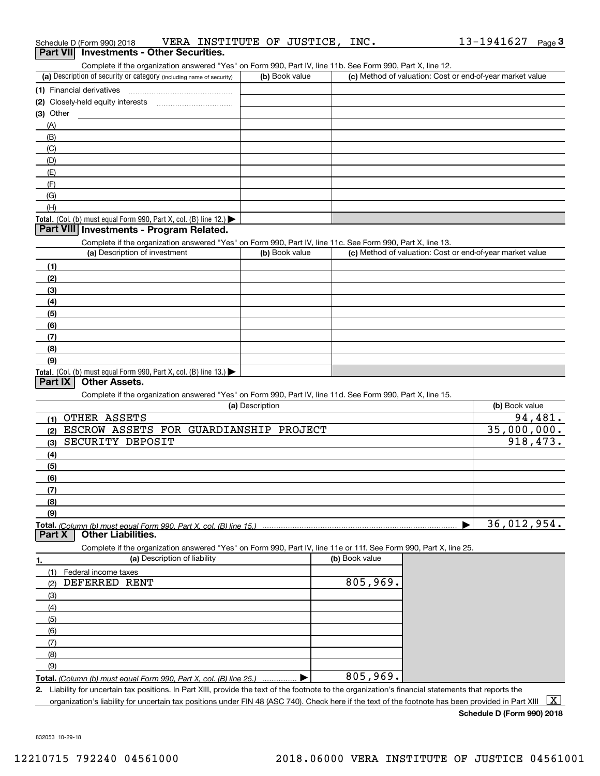| (1) Financial derivatives                                                                                                                                            |                 |                |                                                           |                |
|----------------------------------------------------------------------------------------------------------------------------------------------------------------------|-----------------|----------------|-----------------------------------------------------------|----------------|
| (2) Closely-held equity interests                                                                                                                                    |                 |                |                                                           |                |
| (3) Other                                                                                                                                                            |                 |                |                                                           |                |
| (A)                                                                                                                                                                  |                 |                |                                                           |                |
| (B)                                                                                                                                                                  |                 |                |                                                           |                |
| (C)                                                                                                                                                                  |                 |                |                                                           |                |
| (D)                                                                                                                                                                  |                 |                |                                                           |                |
| (E)                                                                                                                                                                  |                 |                |                                                           |                |
| (F)                                                                                                                                                                  |                 |                |                                                           |                |
| (G)                                                                                                                                                                  |                 |                |                                                           |                |
| (H)                                                                                                                                                                  |                 |                |                                                           |                |
| Total. (Col. (b) must equal Form 990, Part X, col. (B) line 12.)                                                                                                     |                 |                |                                                           |                |
| Part VIII Investments - Program Related.                                                                                                                             |                 |                |                                                           |                |
| Complete if the organization answered "Yes" on Form 990, Part IV, line 11c. See Form 990, Part X, line 13.                                                           |                 |                |                                                           |                |
| (a) Description of investment                                                                                                                                        | (b) Book value  |                | (c) Method of valuation: Cost or end-of-year market value |                |
| (1)                                                                                                                                                                  |                 |                |                                                           |                |
| (2)                                                                                                                                                                  |                 |                |                                                           |                |
| (3)                                                                                                                                                                  |                 |                |                                                           |                |
| (4)                                                                                                                                                                  |                 |                |                                                           |                |
| (5)                                                                                                                                                                  |                 |                |                                                           |                |
| (6)                                                                                                                                                                  |                 |                |                                                           |                |
| (7)                                                                                                                                                                  |                 |                |                                                           |                |
| (8)                                                                                                                                                                  |                 |                |                                                           |                |
| (9)                                                                                                                                                                  |                 |                |                                                           |                |
| Total. (Col. (b) must equal Form 990, Part X, col. (B) line 13.)                                                                                                     |                 |                |                                                           |                |
| <b>Other Assets.</b><br>Part IX                                                                                                                                      |                 |                |                                                           |                |
| Complete if the organization answered "Yes" on Form 990, Part IV, line 11d. See Form 990, Part X, line 15.                                                           |                 |                |                                                           |                |
|                                                                                                                                                                      | (a) Description |                |                                                           | (b) Book value |
| OTHER ASSETS                                                                                                                                                         |                 |                |                                                           | 94,481.        |
| (1)<br>ESCROW ASSETS FOR GUARDIANSHIP PROJECT                                                                                                                        |                 |                |                                                           | 35,000,000.    |
| (2)<br>SECURITY DEPOSIT                                                                                                                                              |                 |                |                                                           | 918,473.       |
| (3)                                                                                                                                                                  |                 |                |                                                           |                |
| (4)                                                                                                                                                                  |                 |                |                                                           |                |
| (5)                                                                                                                                                                  |                 |                |                                                           |                |
| (6)                                                                                                                                                                  |                 |                |                                                           |                |
| (7)                                                                                                                                                                  |                 |                |                                                           |                |
| (8)                                                                                                                                                                  |                 |                |                                                           |                |
| (9)                                                                                                                                                                  |                 |                |                                                           |                |
| Total. (Column (b) must equal Form 990. Part X, col. (B) line 15.) manufactured contains and contained the manufactured color<br><b>Other Liabilities.</b><br>Part X |                 |                |                                                           | 36,012,954.    |
| Complete if the organization answered "Yes" on Form 990, Part IV, line 11e or 11f. See Form 990, Part X, line 25.                                                    |                 |                |                                                           |                |
| (a) Description of liability<br>1.                                                                                                                                   |                 | (b) Book value |                                                           |                |
| (1)<br>Federal income taxes                                                                                                                                          |                 |                |                                                           |                |
| DEFERRED RENT<br>(2)                                                                                                                                                 |                 | 805,969.       |                                                           |                |
| (3)                                                                                                                                                                  |                 |                |                                                           |                |
| (4)                                                                                                                                                                  |                 |                |                                                           |                |
| (5)                                                                                                                                                                  |                 |                |                                                           |                |
| (6)                                                                                                                                                                  |                 |                |                                                           |                |
|                                                                                                                                                                      |                 |                |                                                           |                |
|                                                                                                                                                                      |                 |                |                                                           |                |
| (7)                                                                                                                                                                  |                 |                |                                                           |                |
| (8)                                                                                                                                                                  |                 |                |                                                           |                |
| (9)<br>Total. (Column (b) must equal Form 990, Part X, col. (B) line 25.)                                                                                            | ▶               | 805,969.       |                                                           |                |

organization's liability for uncertain tax positions under FIN 48 (ASC 740). Check here if the text of the footnote has been provided in Part XIII  $~\boxed{\rm X}$ 

**Schedule D (Form 990) 2018**

832053 10-29-18

## Schedule D (Form 990) 2018 VERA INSTITUTE OF JUSTICE, INC**.** 13-1941627 <sub>Page</sub> 3<br>| **Part VII** | Investments - Other Securities.

Complete if the organization answered "Yes" on Form 990, Part IV, line 11b. See Form 990, Part X, line 12.

| (a) Description of security or category (including name of security)        | (b) Book value | (c) Method of valuation: Cost or end-of-year market value |
|-----------------------------------------------------------------------------|----------------|-----------------------------------------------------------|
| (1) Financial derivatives                                                   |                |                                                           |
| (2) Closely-held equity interests                                           |                |                                                           |
| $(3)$ Other                                                                 |                |                                                           |
| (A)                                                                         |                |                                                           |
| (B)                                                                         |                |                                                           |
| (C)                                                                         |                |                                                           |
| (D)                                                                         |                |                                                           |
| (E)                                                                         |                |                                                           |
| (F)                                                                         |                |                                                           |
| (G)                                                                         |                |                                                           |
| (H)                                                                         |                |                                                           |
| <b>Total</b> $(0,0)$ $(h)$ must equal Form 000, Part Y, col. $(R)$ line 12) |                |                                                           |

| OUTIPICIC II LIIC ORGANIZATION ANGICU TES ON FONTI 930, FAILTY, INIC TTC. OCC FONN 930, FAILTY, INIC TO. |                |                                                           |
|----------------------------------------------------------------------------------------------------------|----------------|-----------------------------------------------------------|
| (a) Description of investment                                                                            | (b) Book value | (c) Method of valuation: Cost or end-of-year market value |
| (1)                                                                                                      |                |                                                           |
| (2)                                                                                                      |                |                                                           |
| (3)                                                                                                      |                |                                                           |
| (4)                                                                                                      |                |                                                           |
| (5)                                                                                                      |                |                                                           |
| (6)                                                                                                      |                |                                                           |
| (7)                                                                                                      |                |                                                           |
| (8)                                                                                                      |                |                                                           |
| (9)                                                                                                      |                |                                                           |
| <b>Total.</b> (Col. (b) must equal Form 990, Part X, col. (B) line 13.) $\blacktriangleright$            |                |                                                           |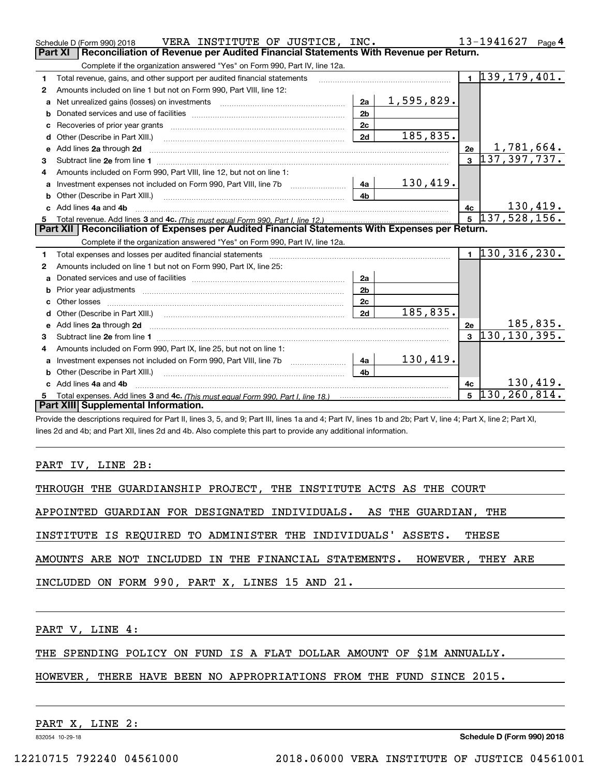|              | VERA INSTITUTE OF JUSTICE, INC.<br>Schedule D (Form 990) 2018                                                                                                                                                                      |                |            |              | 13-1941627 Page 4             |                  |
|--------------|------------------------------------------------------------------------------------------------------------------------------------------------------------------------------------------------------------------------------------|----------------|------------|--------------|-------------------------------|------------------|
|              | Reconciliation of Revenue per Audited Financial Statements With Revenue per Return.<br><b>Part XI</b>                                                                                                                              |                |            |              |                               |                  |
|              | Complete if the organization answered "Yes" on Form 990, Part IV, line 12a.                                                                                                                                                        |                |            |              |                               |                  |
| 1            | Total revenue, gains, and other support per audited financial statements                                                                                                                                                           |                |            |              | $\overline{1}$ 139, 179, 401. |                  |
| $\mathbf{2}$ | Amounts included on line 1 but not on Form 990, Part VIII, line 12:                                                                                                                                                                |                |            |              |                               |                  |
| a            |                                                                                                                                                                                                                                    | 2a             | 1,595,829. |              |                               |                  |
| b            |                                                                                                                                                                                                                                    | 2 <sub>b</sub> |            |              |                               |                  |
| c            |                                                                                                                                                                                                                                    | 2c             |            |              |                               |                  |
| d            | Other (Describe in Part XIII.)                                                                                                                                                                                                     | 2d             | 185,835.   |              |                               |                  |
| е            | Add lines 2a through 2d <b>contract and all anomalisation</b> and all anomalisation of the state of the state of the state of the state of the state of the state of the state of the state of the state of the state of the state |                |            | 2e           | 1,781,664.                    |                  |
| з            |                                                                                                                                                                                                                                    |                |            |              | $3\overline{)137,397,737.}$   |                  |
| 4            | Amounts included on Form 990, Part VIII, line 12, but not on line 1:                                                                                                                                                               |                |            |              |                               |                  |
|              | Investment expenses not included on Form 990, Part VIII, line 7b [11, 111, 111, 111]                                                                                                                                               | 4a             | 130,419.   |              |                               |                  |
| b            | Other (Describe in Part XIII.) <b>Construction Contract Construction</b> Chern Construction Construction Construction                                                                                                              | 4 <sub>b</sub> |            |              |                               |                  |
|              | Add lines 4a and 4b                                                                                                                                                                                                                |                |            | 4c           |                               | 130,419.         |
|              |                                                                                                                                                                                                                                    |                |            |              |                               |                  |
|              |                                                                                                                                                                                                                                    |                |            |              | $\overline{5}$ 137, 528, 156. |                  |
|              | Part XII   Reconciliation of Expenses per Audited Financial Statements With Expenses per Return.                                                                                                                                   |                |            |              |                               |                  |
|              | Complete if the organization answered "Yes" on Form 990, Part IV, line 12a.                                                                                                                                                        |                |            |              |                               |                  |
| 1            | Total expenses and losses per audited financial statements [11] [12] contraction and statements [11] [12] contraction and the statements [12] [12] and the statements [12] [12] and the statements [12] [12] and the statement     |                |            |              | $1\overline{130,316,230}$ .   |                  |
| 2            | Amounts included on line 1 but not on Form 990, Part IX, line 25:                                                                                                                                                                  |                |            |              |                               |                  |
| a            |                                                                                                                                                                                                                                    | 2a             |            |              |                               |                  |
| b            |                                                                                                                                                                                                                                    | 2 <sub>b</sub> |            |              |                               |                  |
| c            |                                                                                                                                                                                                                                    | 2c             |            |              |                               |                  |
| d            | Other (Describe in Part XIII.) (2000) (2000) (2000) (2000) (2000) (2000) (2000) (2000) (2000) (2000) (2000) (2000) (2000) (2000) (2000) (2000) (2000) (2000) (2000) (2000) (2000) (2000) (2000) (2000) (2000) (2000) (2000) (2     | 2d             | 185,835.   |              |                               |                  |
|              |                                                                                                                                                                                                                                    |                |            | 2e           |                               | <u> 185,835.</u> |
| 3            |                                                                                                                                                                                                                                    |                |            | $\mathbf{3}$ | 130, 130, 395.                |                  |
| 4            | Amounts included on Form 990, Part IX, line 25, but not on line 1:                                                                                                                                                                 |                |            |              |                               |                  |
| a            |                                                                                                                                                                                                                                    | 4a             | 130,419.   |              |                               |                  |
| b            |                                                                                                                                                                                                                                    | 4 <sub>b</sub> |            |              |                               |                  |
| c.           | Add lines 4a and 4b                                                                                                                                                                                                                |                |            | 4c           |                               | 130,419.         |
|              | Part XIII Supplemental Information.                                                                                                                                                                                                |                |            | $5^{\circ}$  | 130, 260, 814.                |                  |

Provide the descriptions required for Part II, lines 3, 5, and 9; Part III, lines 1a and 4; Part IV, lines 1b and 2b; Part V, line 4; Part X, line 2; Part XI, lines 2d and 4b; and Part XII, lines 2d and 4b. Also complete this part to provide any additional information.

#### PART IV, LINE 2B:

THROUGH THE GUARDIANSHIP PROJECT, THE INSTITUTE ACTS AS THE COURT

APPOINTED GUARDIAN FOR DESIGNATED INDIVIDUALS. AS THE GUARDIAN, THE

INSTITUTE IS REQUIRED TO ADMINISTER THE INDIVIDUALS' ASSETS. THESE

AMOUNTS ARE NOT INCLUDED IN THE FINANCIAL STATEMENTS. HOWEVER, THEY ARE

INCLUDED ON FORM 990, PART X, LINES 15 AND 21.

PART V, LINE 4:

THE SPENDING POLICY ON FUND IS A FLAT DOLLAR AMOUNT OF \$1M ANNUALLY.

HOWEVER, THERE HAVE BEEN NO APPROPRIATIONS FROM THE FUND SINCE 2015.

PART X, LINE 2:

832054 10-29-18

**Schedule D (Form 990) 2018**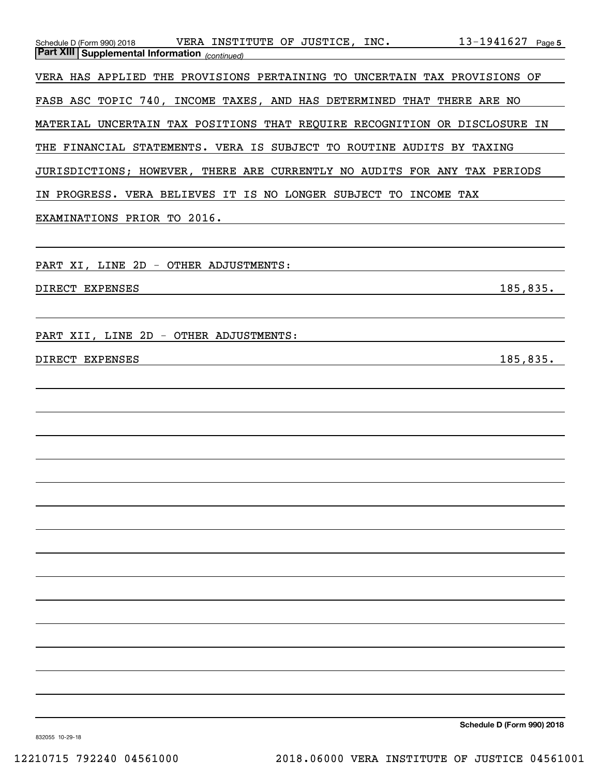| Schedule D (Form 990) 2018 VERA INSTITUTE OF JUSTICE, INC. 13-1941627 Page 5<br><b>Part XIII   Supplemental Information</b> <sub>(continued)</sub> |
|----------------------------------------------------------------------------------------------------------------------------------------------------|
| VERA HAS APPLIED THE PROVISIONS PERTAINING TO UNCERTAIN TAX PROVISIONS OF                                                                          |
| FASB ASC TOPIC 740, INCOME TAXES, AND HAS DETERMINED THAT THERE ARE NO                                                                             |
| MATERIAL UNCERTAIN TAX POSITIONS THAT REQUIRE RECOGNITION OR DISCLOSURE IN                                                                         |
| THE FINANCIAL STATEMENTS. VERA IS SUBJECT TO ROUTINE AUDITS BY TAXING                                                                              |
| JURISDICTIONS; HOWEVER, THERE ARE CURRENTLY NO AUDITS FOR ANY TAX PERIODS                                                                          |
| IN PROGRESS. VERA BELIEVES IT IS NO LONGER SUBJECT TO INCOME TAX                                                                                   |
| EXAMINATIONS PRIOR TO 2016.                                                                                                                        |
| PART XI, LINE 2D - OTHER ADJUSTMENTS:                                                                                                              |
| 185,835.<br>DIRECT EXPENSES                                                                                                                        |
| PART XII, LINE 2D - OTHER ADJUSTMENTS:                                                                                                             |
| 185,835.<br>DIRECT EXPENSES                                                                                                                        |
|                                                                                                                                                    |
|                                                                                                                                                    |
|                                                                                                                                                    |
|                                                                                                                                                    |
|                                                                                                                                                    |
|                                                                                                                                                    |
|                                                                                                                                                    |
|                                                                                                                                                    |
|                                                                                                                                                    |
|                                                                                                                                                    |
|                                                                                                                                                    |
|                                                                                                                                                    |
|                                                                                                                                                    |
| Schedule D (Form 990) 2018                                                                                                                         |

832055 10-29-18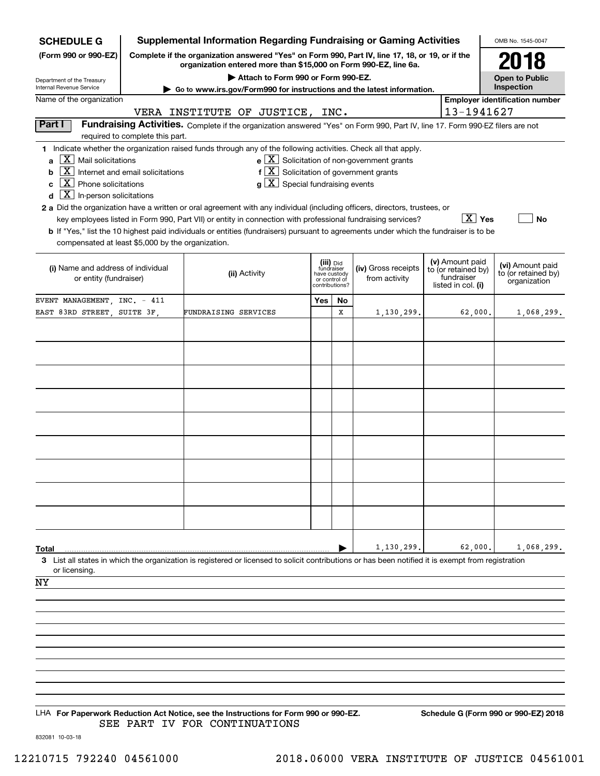| <b>SCHEDULE G</b>                                                                                                                                                                                           |                                  | Supplemental Information Regarding Fundraising or Gaming Activities                                                                                                                                                                                                                                                                                                                                                                                                                                                                                                                       |                                                           |               |                                                       |  |                                                                            | OMB No. 1545-0047                                       |
|-------------------------------------------------------------------------------------------------------------------------------------------------------------------------------------------------------------|----------------------------------|-------------------------------------------------------------------------------------------------------------------------------------------------------------------------------------------------------------------------------------------------------------------------------------------------------------------------------------------------------------------------------------------------------------------------------------------------------------------------------------------------------------------------------------------------------------------------------------------|-----------------------------------------------------------|---------------|-------------------------------------------------------|--|----------------------------------------------------------------------------|---------------------------------------------------------|
| Complete if the organization answered "Yes" on Form 990, Part IV, line 17, 18, or 19, or if the<br>(Form 990 or 990-EZ)<br>organization entered more than \$15,000 on Form 990-EZ, line 6a.                 |                                  |                                                                                                                                                                                                                                                                                                                                                                                                                                                                                                                                                                                           |                                                           |               |                                                       |  |                                                                            | 2018                                                    |
| Department of the Treasury<br>Internal Revenue Service                                                                                                                                                      |                                  | Attach to Form 990 or Form 990-EZ.                                                                                                                                                                                                                                                                                                                                                                                                                                                                                                                                                        |                                                           |               |                                                       |  |                                                                            | <b>Open to Public</b><br>Inspection                     |
| Name of the organization                                                                                                                                                                                    |                                  | ► Go to www.irs.gov/Form990 for instructions and the latest information.                                                                                                                                                                                                                                                                                                                                                                                                                                                                                                                  |                                                           |               |                                                       |  |                                                                            | <b>Employer identification number</b>                   |
|                                                                                                                                                                                                             |                                  | VERA INSTITUTE OF JUSTICE, INC.                                                                                                                                                                                                                                                                                                                                                                                                                                                                                                                                                           |                                                           |               |                                                       |  | 13-1941627                                                                 |                                                         |
| Part I                                                                                                                                                                                                      | required to complete this part.  | Fundraising Activities. Complete if the organization answered "Yes" on Form 990, Part IV, line 17. Form 990-EZ filers are not                                                                                                                                                                                                                                                                                                                                                                                                                                                             |                                                           |               |                                                       |  |                                                                            |                                                         |
| $\mid$ $\rm X\mid$ Mail solicitations<br>a<br>  X  <br>b<br>$\overline{X}$ Phone solicitations<br>C<br>$\boxed{\text{X}}$ In-person solicitations<br>d<br>compensated at least \$5,000 by the organization. | Internet and email solicitations | 1 Indicate whether the organization raised funds through any of the following activities. Check all that apply.<br>$f[X]$ Solicitation of government grants<br>$g\mid X$ Special fundraising events<br>2 a Did the organization have a written or oral agreement with any individual (including officers, directors, trustees, or<br>key employees listed in Form 990, Part VII) or entity in connection with professional fundraising services?<br>b If "Yes," list the 10 highest paid individuals or entities (fundraisers) pursuant to agreements under which the fundraiser is to be |                                                           |               | $e$ $\boxed{X}$ Solicitation of non-government grants |  | $\boxed{\text{X}}$ Yes                                                     | <b>No</b>                                               |
| (i) Name and address of individual<br>or entity (fundraiser)                                                                                                                                                |                                  | (ii) Activity                                                                                                                                                                                                                                                                                                                                                                                                                                                                                                                                                                             | (iii) Did<br>fundraiser<br>have custody<br>contributions? | or control of | (iv) Gross receipts<br>from activity                  |  | (v) Amount paid<br>to (or retained by)<br>fundraiser<br>listed in col. (i) | (vi) Amount paid<br>to (or retained by)<br>organization |
| EVENT MANAGEMENT, INC. - 411                                                                                                                                                                                |                                  |                                                                                                                                                                                                                                                                                                                                                                                                                                                                                                                                                                                           | Yes                                                       | No            |                                                       |  |                                                                            |                                                         |
| EAST 83RD STREET, SUITE 3F,                                                                                                                                                                                 |                                  | FUNDRAISING SERVICES                                                                                                                                                                                                                                                                                                                                                                                                                                                                                                                                                                      |                                                           | X             | 1,130,299.                                            |  | 62,000.                                                                    | 1,068,299.                                              |
|                                                                                                                                                                                                             |                                  |                                                                                                                                                                                                                                                                                                                                                                                                                                                                                                                                                                                           |                                                           |               |                                                       |  |                                                                            |                                                         |
|                                                                                                                                                                                                             |                                  |                                                                                                                                                                                                                                                                                                                                                                                                                                                                                                                                                                                           |                                                           |               |                                                       |  |                                                                            |                                                         |
|                                                                                                                                                                                                             |                                  |                                                                                                                                                                                                                                                                                                                                                                                                                                                                                                                                                                                           |                                                           |               |                                                       |  |                                                                            |                                                         |
|                                                                                                                                                                                                             |                                  |                                                                                                                                                                                                                                                                                                                                                                                                                                                                                                                                                                                           |                                                           |               |                                                       |  |                                                                            |                                                         |
|                                                                                                                                                                                                             |                                  |                                                                                                                                                                                                                                                                                                                                                                                                                                                                                                                                                                                           |                                                           |               |                                                       |  |                                                                            |                                                         |
|                                                                                                                                                                                                             |                                  |                                                                                                                                                                                                                                                                                                                                                                                                                                                                                                                                                                                           |                                                           |               |                                                       |  |                                                                            |                                                         |
|                                                                                                                                                                                                             |                                  |                                                                                                                                                                                                                                                                                                                                                                                                                                                                                                                                                                                           |                                                           |               |                                                       |  |                                                                            |                                                         |
|                                                                                                                                                                                                             |                                  |                                                                                                                                                                                                                                                                                                                                                                                                                                                                                                                                                                                           |                                                           |               |                                                       |  |                                                                            |                                                         |
|                                                                                                                                                                                                             |                                  |                                                                                                                                                                                                                                                                                                                                                                                                                                                                                                                                                                                           |                                                           |               |                                                       |  |                                                                            |                                                         |
|                                                                                                                                                                                                             |                                  |                                                                                                                                                                                                                                                                                                                                                                                                                                                                                                                                                                                           |                                                           |               |                                                       |  |                                                                            |                                                         |
|                                                                                                                                                                                                             |                                  |                                                                                                                                                                                                                                                                                                                                                                                                                                                                                                                                                                                           |                                                           |               |                                                       |  |                                                                            |                                                         |
|                                                                                                                                                                                                             |                                  |                                                                                                                                                                                                                                                                                                                                                                                                                                                                                                                                                                                           |                                                           |               |                                                       |  |                                                                            |                                                         |
|                                                                                                                                                                                                             |                                  |                                                                                                                                                                                                                                                                                                                                                                                                                                                                                                                                                                                           |                                                           |               |                                                       |  |                                                                            |                                                         |
| Total                                                                                                                                                                                                       |                                  |                                                                                                                                                                                                                                                                                                                                                                                                                                                                                                                                                                                           |                                                           |               | 1,130,299                                             |  | 62,000.                                                                    | 1,068,299.                                              |
|                                                                                                                                                                                                             |                                  | 3 List all states in which the organization is registered or licensed to solicit contributions or has been notified it is exempt from registration                                                                                                                                                                                                                                                                                                                                                                                                                                        |                                                           |               |                                                       |  |                                                                            |                                                         |
| or licensing.<br>ΝY                                                                                                                                                                                         |                                  |                                                                                                                                                                                                                                                                                                                                                                                                                                                                                                                                                                                           |                                                           |               |                                                       |  |                                                                            |                                                         |
|                                                                                                                                                                                                             |                                  |                                                                                                                                                                                                                                                                                                                                                                                                                                                                                                                                                                                           |                                                           |               |                                                       |  |                                                                            |                                                         |
|                                                                                                                                                                                                             |                                  |                                                                                                                                                                                                                                                                                                                                                                                                                                                                                                                                                                                           |                                                           |               |                                                       |  |                                                                            |                                                         |
|                                                                                                                                                                                                             |                                  |                                                                                                                                                                                                                                                                                                                                                                                                                                                                                                                                                                                           |                                                           |               |                                                       |  |                                                                            |                                                         |
|                                                                                                                                                                                                             |                                  |                                                                                                                                                                                                                                                                                                                                                                                                                                                                                                                                                                                           |                                                           |               |                                                       |  |                                                                            |                                                         |
|                                                                                                                                                                                                             |                                  |                                                                                                                                                                                                                                                                                                                                                                                                                                                                                                                                                                                           |                                                           |               |                                                       |  |                                                                            |                                                         |
|                                                                                                                                                                                                             |                                  |                                                                                                                                                                                                                                                                                                                                                                                                                                                                                                                                                                                           |                                                           |               |                                                       |  |                                                                            |                                                         |
|                                                                                                                                                                                                             |                                  |                                                                                                                                                                                                                                                                                                                                                                                                                                                                                                                                                                                           |                                                           |               |                                                       |  |                                                                            |                                                         |
|                                                                                                                                                                                                             |                                  | $1\mu\Lambda$ For Deperwork Reduction Act Notice, see the Instructions for Form 000 or 000-FZ                                                                                                                                                                                                                                                                                                                                                                                                                                                                                             |                                                           |               |                                                       |  |                                                                            | Schodule C (Form 990 or 990-F7) 2018                    |

LHA For Paperwork Reduction Act Notice, see the Instructions for Form 990 or 990-EZ. Schedule G (Form 990 or 990-EZ) 2018 SEE PART IV FOR CONTINUATIONS

832081 10-03-18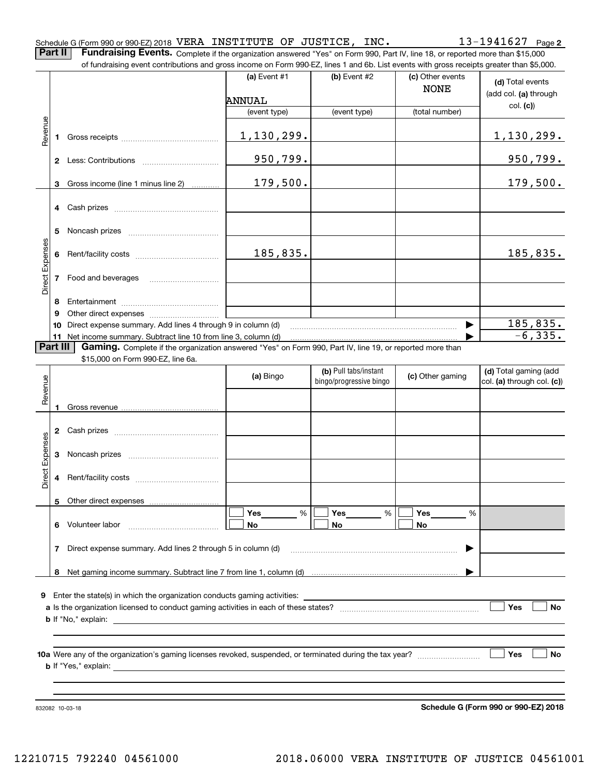| Schedule G (Form 990 or 990-EZ) 2018 VERA INSTITUTE OF JUSTICE, |  |  | INC. | $13 - 1941627$ Page 2 |  |
|-----------------------------------------------------------------|--|--|------|-----------------------|--|
|                                                                 |  |  |      |                       |  |

**Part II** | Fundraising Events. Complete if the organization answered "Yes" on Form 990, Part IV, line 18, or reported more than \$15,000 of fundraising event contributions and gross income on Form 990-EZ, lines 1 and 6b. List events with gross receipts greater than \$5,000.

|                 |          | of fundraising event contributions and gross income on Form 990-EZ, lines T and 6D. List events with gross receipts greater than \$5,000.                                                                                      | (a) Event $#1$ | $(b)$ Event #2          | (c) Other events |                            |
|-----------------|----------|--------------------------------------------------------------------------------------------------------------------------------------------------------------------------------------------------------------------------------|----------------|-------------------------|------------------|----------------------------|
|                 |          |                                                                                                                                                                                                                                |                |                         | <b>NONE</b>      | (d) Total events           |
|                 |          |                                                                                                                                                                                                                                | <b>ANNUAL</b>  |                         |                  | (add col. (a) through      |
|                 |          |                                                                                                                                                                                                                                | (event type)   | (event type)            | (total number)   | col. (c)                   |
|                 |          |                                                                                                                                                                                                                                |                |                         |                  |                            |
| Revenue         |          | 1 Gross receipts and the control of the control of the control of the control of the control of the control of the control of the control of the control of the control of the control of the control of the control of the co | 1,130,299.     |                         |                  | 1, 130, 299.               |
|                 |          |                                                                                                                                                                                                                                |                |                         |                  |                            |
|                 |          |                                                                                                                                                                                                                                | 950,799.       |                         |                  | 950,799.                   |
|                 |          |                                                                                                                                                                                                                                |                |                         |                  |                            |
|                 |          | 3 Gross income (line 1 minus line 2)                                                                                                                                                                                           | 179,500.       |                         |                  | 179,500.                   |
|                 |          |                                                                                                                                                                                                                                |                |                         |                  |                            |
|                 |          | 4 Cash prizes                                                                                                                                                                                                                  |                |                         |                  |                            |
|                 | 5        |                                                                                                                                                                                                                                |                |                         |                  |                            |
|                 |          |                                                                                                                                                                                                                                |                |                         |                  |                            |
|                 |          |                                                                                                                                                                                                                                | 185,835.       |                         |                  | 185,835.                   |
|                 |          |                                                                                                                                                                                                                                |                |                         |                  |                            |
| Direct Expenses |          | 7 Food and beverages                                                                                                                                                                                                           |                |                         |                  |                            |
|                 |          |                                                                                                                                                                                                                                |                |                         |                  |                            |
|                 | 8        |                                                                                                                                                                                                                                |                |                         |                  |                            |
|                 | 9        | 10 Direct expense summary. Add lines 4 through 9 in column (d)                                                                                                                                                                 |                |                         |                  | <u>185,835.</u>            |
|                 |          | 11 Net income summary. Subtract line 10 from line 3, column (d)                                                                                                                                                                |                |                         |                  | $-6, 335.$                 |
|                 | Part III | Gaming. Complete if the organization answered "Yes" on Form 990, Part IV, line 19, or reported more than                                                                                                                       |                |                         |                  |                            |
|                 |          | \$15,000 on Form 990-EZ, line 6a.                                                                                                                                                                                              |                |                         |                  |                            |
|                 |          |                                                                                                                                                                                                                                | (a) Bingo      | (b) Pull tabs/instant   | (c) Other gaming | (d) Total gaming (add      |
| Revenue         |          |                                                                                                                                                                                                                                |                | bingo/progressive bingo |                  | col. (a) through col. (c)) |
|                 |          |                                                                                                                                                                                                                                |                |                         |                  |                            |
|                 | 1        |                                                                                                                                                                                                                                |                |                         |                  |                            |
|                 |          |                                                                                                                                                                                                                                |                |                         |                  |                            |
|                 |          |                                                                                                                                                                                                                                |                |                         |                  |                            |
|                 |          |                                                                                                                                                                                                                                |                |                         |                  |                            |
| Direct Expenses |          |                                                                                                                                                                                                                                |                |                         |                  |                            |
|                 |          |                                                                                                                                                                                                                                |                |                         |                  |                            |
|                 |          |                                                                                                                                                                                                                                |                |                         |                  |                            |
|                 |          | 5 Other direct expenses                                                                                                                                                                                                        | %<br>Yes       | Yes<br>%                | Yes<br>%         |                            |
|                 |          | 6 Volunteer labor                                                                                                                                                                                                              | No             | No                      | No               |                            |
|                 |          |                                                                                                                                                                                                                                |                |                         |                  |                            |
|                 | 7        | Direct expense summary. Add lines 2 through 5 in column (d)                                                                                                                                                                    |                |                         |                  |                            |
|                 |          |                                                                                                                                                                                                                                |                |                         |                  |                            |
|                 | 8        |                                                                                                                                                                                                                                |                |                         |                  |                            |
|                 |          |                                                                                                                                                                                                                                |                |                         |                  |                            |
|                 |          | 9 Enter the state(s) in which the organization conducts gaming activities:                                                                                                                                                     |                |                         |                  | Yes                        |
|                 |          | <b>b</b> If "No," explain:                                                                                                                                                                                                     |                |                         |                  | No                         |
|                 |          |                                                                                                                                                                                                                                |                |                         |                  |                            |
|                 |          |                                                                                                                                                                                                                                |                |                         |                  |                            |
|                 |          |                                                                                                                                                                                                                                |                |                         |                  | Yes<br>No                  |
|                 |          | <b>b</b> If "Yes," explain:                                                                                                                                                                                                    |                |                         |                  |                            |
|                 |          |                                                                                                                                                                                                                                |                |                         |                  |                            |
|                 |          |                                                                                                                                                                                                                                |                |                         |                  |                            |
|                 |          |                                                                                                                                                                                                                                |                |                         |                  |                            |

832082 10-03-18

**Schedule G (Form 990 or 990-EZ) 2018**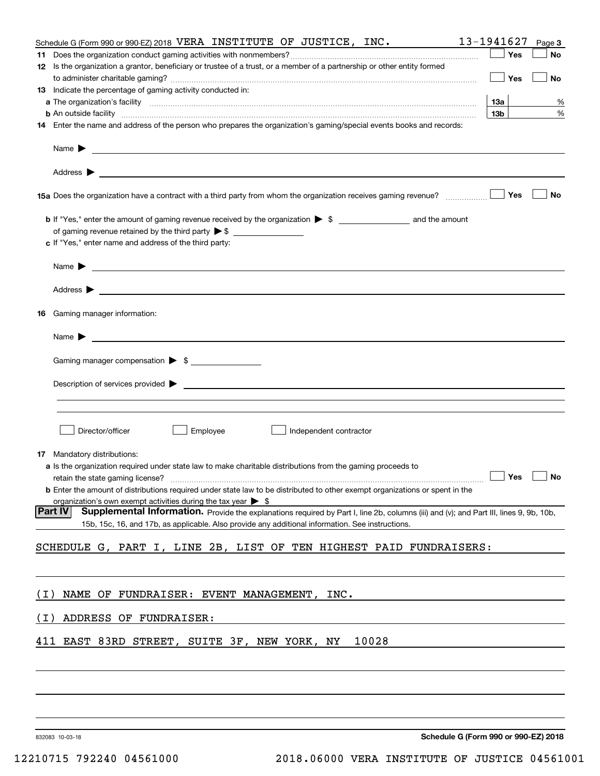|       | Schedule G (Form 990 or 990-EZ) 2018 VERA INSTITUTE OF JUSTICE, INC.                                                                                     | 13-1941627      |     | Page 3 |
|-------|----------------------------------------------------------------------------------------------------------------------------------------------------------|-----------------|-----|--------|
|       |                                                                                                                                                          |                 | Yes | No     |
|       | 12 Is the organization a grantor, beneficiary or trustee of a trust, or a member of a partnership or other entity formed                                 |                 |     |        |
|       |                                                                                                                                                          |                 | Yes | No     |
|       | 13 Indicate the percentage of gaming activity conducted in:                                                                                              |                 |     |        |
|       |                                                                                                                                                          | <u>13a</u>      |     | %      |
|       | <b>b</b> An outside facility <i>www.communicality.communicality.communicality www.communicality.communicality.communicality</i>                          | 13 <sub>b</sub> |     | %      |
|       | 14 Enter the name and address of the person who prepares the organization's gaming/special events books and records:                                     |                 |     |        |
|       |                                                                                                                                                          |                 |     |        |
|       |                                                                                                                                                          |                 |     |        |
|       | 15a Does the organization have a contract with a third party from whom the organization receives gaming revenue?                                         |                 | Yes | No     |
|       |                                                                                                                                                          |                 |     |        |
|       |                                                                                                                                                          |                 |     |        |
|       | c If "Yes," enter name and address of the third party:                                                                                                   |                 |     |        |
|       | Name $\blacktriangleright$ $\_\_$                                                                                                                        |                 |     |        |
|       |                                                                                                                                                          |                 |     |        |
|       | 16 Gaming manager information:                                                                                                                           |                 |     |        |
|       | Name $\triangleright$ $\square$                                                                                                                          |                 |     |        |
|       |                                                                                                                                                          |                 |     |        |
|       | Gaming manager compensation > \$                                                                                                                         |                 |     |        |
|       |                                                                                                                                                          |                 |     |        |
|       |                                                                                                                                                          |                 |     |        |
|       |                                                                                                                                                          |                 |     |        |
|       |                                                                                                                                                          |                 |     |        |
|       | Employee<br>Director/officer<br>Independent contractor                                                                                                   |                 |     |        |
|       | <b>17</b> Mandatory distributions:                                                                                                                       |                 |     |        |
|       | a Is the organization required under state law to make charitable distributions from the gaming proceeds to                                              |                 |     |        |
|       | retain the state gaming license? $\Box$ No                                                                                                               |                 |     |        |
|       | <b>b</b> Enter the amount of distributions required under state law to be distributed to other exempt organizations or spent in the                      |                 |     |        |
|       | organization's own exempt activities during the tax year $\triangleright$ \$                                                                             |                 |     |        |
|       | <b>Part IV</b><br>Supplemental Information. Provide the explanations required by Part I, line 2b, columns (iii) and (v); and Part III, lines 9, 9b, 10b, |                 |     |        |
|       | 15b, 15c, 16, and 17b, as applicable. Also provide any additional information. See instructions.                                                         |                 |     |        |
|       |                                                                                                                                                          |                 |     |        |
|       | SCHEDULE G, PART I, LINE 2B, LIST OF TEN HIGHEST PAID FUNDRAISERS:                                                                                       |                 |     |        |
|       |                                                                                                                                                          |                 |     |        |
|       |                                                                                                                                                          |                 |     |        |
| ( I ) | NAME OF FUNDRAISER: EVENT MANAGEMENT, INC.                                                                                                               |                 |     |        |
|       |                                                                                                                                                          |                 |     |        |
| ( I ) | ADDRESS OF FUNDRAISER:                                                                                                                                   |                 |     |        |
|       | 10028                                                                                                                                                    |                 |     |        |
|       | 411 EAST 83RD STREET, SUITE 3F, NEW YORK, NY                                                                                                             |                 |     |        |
|       |                                                                                                                                                          |                 |     |        |
|       |                                                                                                                                                          |                 |     |        |
|       |                                                                                                                                                          |                 |     |        |
|       |                                                                                                                                                          |                 |     |        |

832083 10-03-18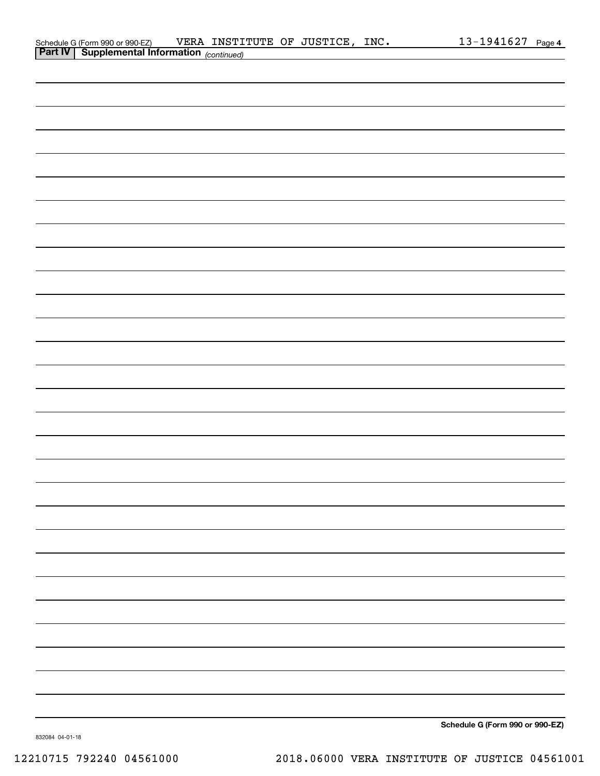| Schedule G (Form 990 or 990-EZ)                       | VERA INSTITUTE OF JUSTICE, |  | INC. | $13 - 1941627$ Page 4 |  |
|-------------------------------------------------------|----------------------------|--|------|-----------------------|--|
| <b>Part IV   Supplemental Information</b> (continued) |                            |  |      |                       |  |

| <b>Part IV Supplemental Information</b> (continued) |
|-----------------------------------------------------|
|                                                     |
|                                                     |
|                                                     |
|                                                     |
|                                                     |
|                                                     |
|                                                     |
|                                                     |
|                                                     |
|                                                     |
|                                                     |
|                                                     |
|                                                     |
|                                                     |
|                                                     |
|                                                     |
|                                                     |
|                                                     |
|                                                     |
|                                                     |
|                                                     |
|                                                     |
|                                                     |
|                                                     |
|                                                     |
|                                                     |
|                                                     |
|                                                     |
|                                                     |

**Schedule G (Form 990 or 990-EZ)**

832084 04-01-18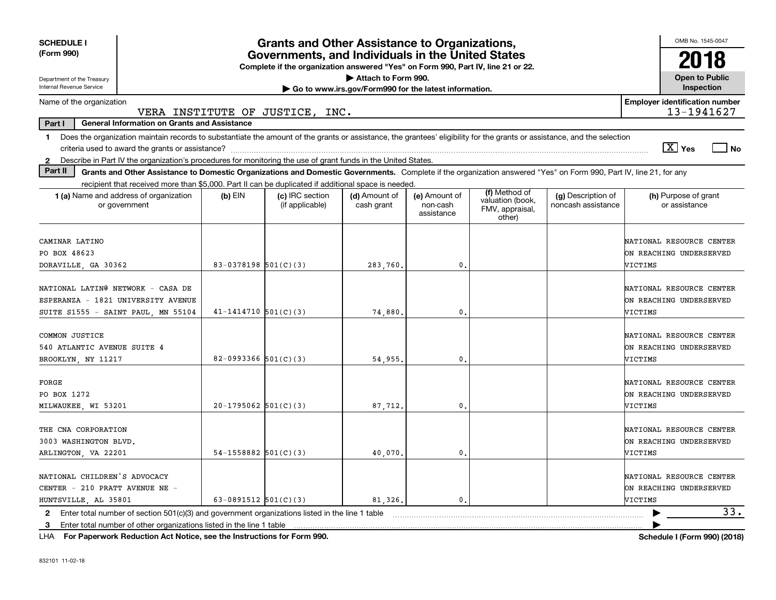| <b>SCHEDULE I</b><br>(Form 990)                                                                                                                                                          |                          | <b>Grants and Other Assistance to Organizations,</b><br>Governments, and Individuals in the United States |                                                       |                                         |                                                                |                                          | OMB No. 1545-0047<br>2018                                             |  |  |  |
|------------------------------------------------------------------------------------------------------------------------------------------------------------------------------------------|--------------------------|-----------------------------------------------------------------------------------------------------------|-------------------------------------------------------|-----------------------------------------|----------------------------------------------------------------|------------------------------------------|-----------------------------------------------------------------------|--|--|--|
|                                                                                                                                                                                          |                          | Complete if the organization answered "Yes" on Form 990, Part IV, line 21 or 22.                          |                                                       |                                         |                                                                |                                          |                                                                       |  |  |  |
| Department of the Treasury                                                                                                                                                               | Attach to Form 990.      |                                                                                                           |                                                       |                                         |                                                                |                                          |                                                                       |  |  |  |
| <b>Internal Revenue Service</b>                                                                                                                                                          |                          |                                                                                                           | Go to www.irs.gov/Form990 for the latest information. |                                         |                                                                |                                          | Inspection                                                            |  |  |  |
| Name of the organization<br>VERA INSTITUTE OF JUSTICE,                                                                                                                                   |                          | INC.                                                                                                      |                                                       |                                         |                                                                |                                          | <b>Employer identification number</b><br>13-1941627                   |  |  |  |
| Part I<br><b>General Information on Grants and Assistance</b>                                                                                                                            |                          |                                                                                                           |                                                       |                                         |                                                                |                                          |                                                                       |  |  |  |
| Does the organization maintain records to substantiate the amount of the grants or assistance, the grantees' eligibility for the grants or assistance, and the selection<br>$\mathbf{1}$ |                          |                                                                                                           |                                                       |                                         |                                                                |                                          |                                                                       |  |  |  |
|                                                                                                                                                                                          |                          |                                                                                                           |                                                       |                                         |                                                                |                                          | $\boxed{\text{X}}$ Yes<br>  No                                        |  |  |  |
| Describe in Part IV the organization's procedures for monitoring the use of grant funds in the United States.<br>$\mathbf{2}$                                                            |                          |                                                                                                           |                                                       |                                         |                                                                |                                          |                                                                       |  |  |  |
| Part II<br>Grants and Other Assistance to Domestic Organizations and Domestic Governments. Complete if the organization answered "Yes" on Form 990, Part IV, line 21, for any            |                          |                                                                                                           |                                                       |                                         |                                                                |                                          |                                                                       |  |  |  |
| recipient that received more than \$5,000. Part II can be duplicated if additional space is needed.                                                                                      |                          |                                                                                                           |                                                       |                                         |                                                                |                                          |                                                                       |  |  |  |
| 1 (a) Name and address of organization<br>or government                                                                                                                                  | $(b)$ EIN                | (c) IRC section<br>(if applicable)                                                                        | (d) Amount of<br>cash grant                           | (e) Amount of<br>non-cash<br>assistance | (f) Method of<br>valuation (book,<br>FMV, appraisal,<br>other) | (g) Description of<br>noncash assistance | (h) Purpose of grant<br>or assistance                                 |  |  |  |
| CAMINAR LATINO                                                                                                                                                                           |                          |                                                                                                           |                                                       |                                         |                                                                |                                          | NATIONAL RESOURCE CENTER                                              |  |  |  |
| PO BOX 48623                                                                                                                                                                             |                          |                                                                                                           |                                                       |                                         |                                                                |                                          | ON REACHING UNDERSERVED                                               |  |  |  |
| DORAVILLE, GA 30362                                                                                                                                                                      | 83-0378198 $501(C)(3)$   |                                                                                                           | 283,760.                                              | 0.                                      |                                                                |                                          | VICTIMS                                                               |  |  |  |
| NATIONAL LATING NETWORK - CASA DE<br>ESPERANZA - 1821 UNIVERSITY AVENUE<br>SUITE S1555 - SAINT PAUL, MN 55104                                                                            | $41 - 1414710$ 501(C)(3) |                                                                                                           | 74,880                                                | 0                                       |                                                                |                                          | NATIONAL RESOURCE CENTER<br>ON REACHING UNDERSERVED<br>VICTIMS        |  |  |  |
| COMMON JUSTICE<br>540 ATLANTIC AVENUE SUITE 4<br>BROOKLYN, NY 11217                                                                                                                      | 82-0993366 $501(C)(3)$   |                                                                                                           | 54,955.                                               | 0.                                      |                                                                |                                          | NATIONAL RESOURCE CENTER<br>ON REACHING UNDERSERVED<br>VICTIMS        |  |  |  |
| FORGE<br>PO BOX 1272<br>MILWAUKEE, WI 53201                                                                                                                                              | $20-1795062$ 501(C)(3)   |                                                                                                           | 87,712.                                               | 0                                       |                                                                |                                          | NATIONAL RESOURCE CENTER<br>ON REACHING UNDERSERVED<br><b>JICTIMS</b> |  |  |  |
| THE CNA CORPORATION<br>3003 WASHINGTON BLVD.<br>ARLINGTON, VA 22201                                                                                                                      | 54-1558882 $501(C)(3)$   |                                                                                                           | 40,070.                                               | 0.                                      |                                                                |                                          | NATIONAL RESOURCE CENTER<br>ON REACHING UNDERSERVED<br>VICTIMS        |  |  |  |
| NATIONAL CHILDREN'S ADVOCACY<br>CENTER - 210 PRATT AVENUE NE -<br>HUNTSVILLE, AL 35801                                                                                                   | 63-0891512 $501(C)(3)$   |                                                                                                           | 81,326.                                               | $\mathbf{0}$ .                          |                                                                |                                          | NATIONAL RESOURCE CENTER<br>ON REACHING UNDERSERVED<br>VICTIMS        |  |  |  |
| Enter total number of section $501(c)(3)$ and government organizations listed in the line 1 table<br>2                                                                                   |                          |                                                                                                           |                                                       |                                         |                                                                |                                          | 33.                                                                   |  |  |  |
| Enter total number of other organizations listed in the line 1 table<br>3.                                                                                                               |                          |                                                                                                           |                                                       |                                         |                                                                |                                          |                                                                       |  |  |  |

**For Paperwork Reduction Act Notice, see the Instructions for Form 990. Schedule I (Form 990) (2018)** LHA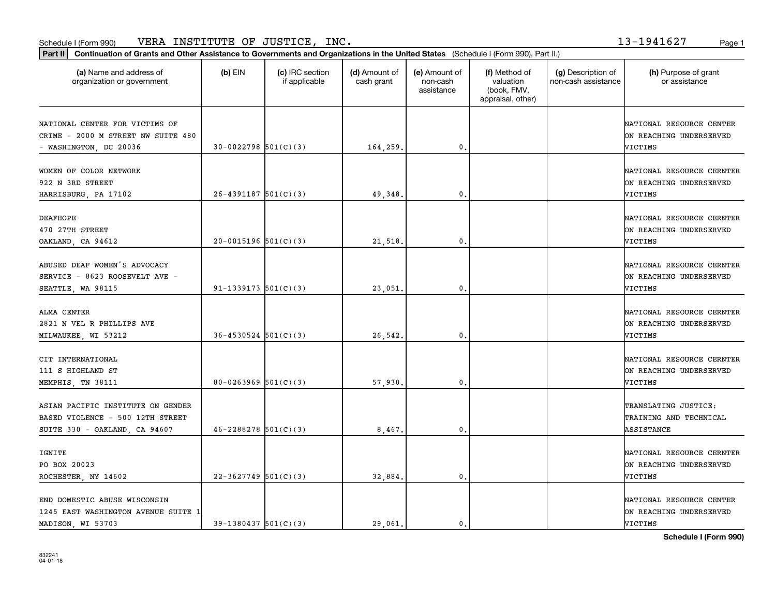#### Schedule I (Form 990) Page 1 VERA INSTITUTE OF JUSTICE, INC. 13-1941627

| Part II   Continuation of Grants and Other Assistance to Governments and Organizations in the United States (Schedule I (Form 990), Part II.) |                            |                                  |                             |                                         |                                                                |                                           |                                                                       |  |
|-----------------------------------------------------------------------------------------------------------------------------------------------|----------------------------|----------------------------------|-----------------------------|-----------------------------------------|----------------------------------------------------------------|-------------------------------------------|-----------------------------------------------------------------------|--|
| (a) Name and address of<br>organization or government                                                                                         | $(b)$ EIN                  | (c) IRC section<br>if applicable | (d) Amount of<br>cash grant | (e) Amount of<br>non-cash<br>assistance | (f) Method of<br>valuation<br>(book, FMV,<br>appraisal, other) | (g) Description of<br>non-cash assistance | (h) Purpose of grant<br>or assistance                                 |  |
| NATIONAL CENTER FOR VICTIMS OF<br>CRIME - 2000 M STREET NW SUITE 480<br>- WASHINGTON, DC 20036                                                | $30-0022798$ 501(C)(3)     |                                  | 164,259.                    | $\mathbf{0}$ .                          |                                                                |                                           | NATIONAL RESOURCE CENTER<br>ON REACHING UNDERSERVED<br>VICTIMS        |  |
| WOMEN OF COLOR NETWORK<br>922 N 3RD STREET<br>HARRISBURG, PA 17102                                                                            | $26 - 4391187$ 501(C)(3)   |                                  | 49, 348.                    | 0.                                      |                                                                |                                           | NATIONAL RESOURCE CERNTER<br>ON REACHING UNDERSERVED<br>VICTIMS       |  |
| <b>DEAFHOPE</b><br>470 27TH STREET<br>OAKLAND, CA 94612                                                                                       | $20-0015196$ 501(C)(3)     |                                  | 21,518.                     | $\mathbf{0}$ .                          |                                                                |                                           | NATIONAL RESOURCE CERNTER<br>ON REACHING UNDERSERVED<br>VICTIMS       |  |
| ABUSED DEAF WOMEN'S ADVOCACY<br>SERVICE - 8623 ROOSEVELT AVE -<br>SEATTLE, WA 98115                                                           | 91-1339173 $501(C)(3)$     |                                  | 23,051                      | $\mathbf{0}$                            |                                                                |                                           | NATIONAL RESOURCE CERNTER<br>ON REACHING UNDERSERVED<br>VICTIMS       |  |
| ALMA CENTER<br>2821 N VEL R PHILLIPS AVE<br>MILWAUKEE, WI 53212                                                                               | $36 - 4530524$ $501(C)(3)$ |                                  | 26,542.                     | $\mathbf{0}$                            |                                                                |                                           | NATIONAL RESOURCE CERNTER<br>ON REACHING UNDERSERVED<br>VICTIMS       |  |
| CIT INTERNATIONAL<br>111 S HIGHLAND ST<br>MEMPHIS, TN 38111                                                                                   | 80-0263969 $501(C)(3)$     |                                  | 57,930.                     | 0.                                      |                                                                |                                           | NATIONAL RESOURCE CERNTER<br>ON REACHING UNDERSERVED<br>VICTIMS       |  |
| ASIAN PACIFIC INSTITUTE ON GENDER<br>BASED VIOLENCE - 500 12TH STREET<br>SUITE 330 - OAKLAND, CA 94607                                        | $46 - 2288278$ 501(C)(3)   |                                  | 8,467.                      | $\mathfrak{o}$ .                        |                                                                |                                           | TRANSLATING JUSTICE:<br>TRAINING AND TECHNICAL<br>ASSISTANCE          |  |
| IGNITE<br>PO BOX 20023<br>ROCHESTER, NY 14602                                                                                                 | $22 - 3627749$ 501(C)(3)   |                                  | 32,884.                     | 0.                                      |                                                                |                                           | NATIONAL RESOURCE CERNTER<br>ON REACHING UNDERSERVED<br>VICTIMS       |  |
| END DOMESTIC ABUSE WISCONSIN<br>1245 EAST WASHINGTON AVENUE SUITE 1<br>MADISON, WI 53703                                                      | $39-1380437$ $501(C)(3)$   |                                  | 29.061.                     | 0.                                      |                                                                |                                           | NATIONAL RESOURCE CENTER<br>ON REACHING UNDERSERVED<br><b>VICTIMS</b> |  |

**Schedule I (Form 990)**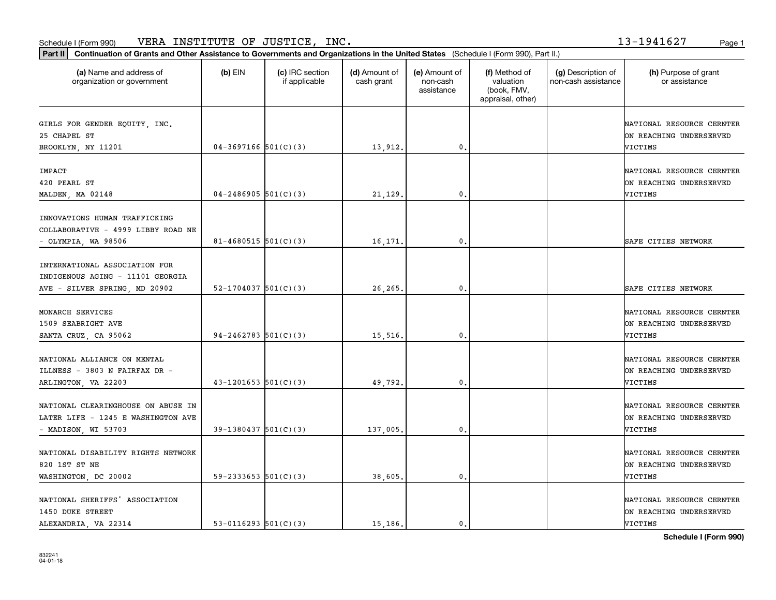#### Schedule I (Form 990) Page 1 VERA INSTITUTE OF JUSTICE, INC. 13-1941627

**Part II Continuation of Grants and Other Assistance to Governments and Organizations in the United States**  (Schedule I (Form 990), Part II.)

| (a) Name and address of<br>organization or government                                              | $(b)$ EIN                  | (c) IRC section<br>if applicable | (d) Amount of<br>cash grant | (e) Amount of<br>non-cash<br>assistance | (f) Method of<br>valuation<br>(book, FMV,<br>appraisal, other) | (g) Description of<br>non-cash assistance | (h) Purpose of grant<br>or assistance                                  |
|----------------------------------------------------------------------------------------------------|----------------------------|----------------------------------|-----------------------------|-----------------------------------------|----------------------------------------------------------------|-------------------------------------------|------------------------------------------------------------------------|
| GIRLS FOR GENDER EQUITY, INC.<br>25 CHAPEL ST<br>BROOKLYN, NY 11201                                | $04-3697166$ $501(C)(3)$   |                                  | 13,912                      | $\mathbf{0}$                            |                                                                |                                           | NATIONAL RESOURCE CERNTER<br>ON REACHING UNDERSERVED<br>VICTIMS        |
| IMPACT<br>420 PEARL ST<br>MALDEN, MA 02148                                                         | $04 - 2486905$ 501(C)(3)   |                                  | 21,129.                     | 0.                                      |                                                                |                                           | NATIONAL RESOURCE CERNTER<br>ON REACHING UNDERSERVED<br>VICTIMS        |
| INNOVATIONS HUMAN TRAFFICKING<br>COLLABORATIVE - 4999 LIBBY ROAD NE<br>$-$ OLYMPIA, WA 98506       | $81 - 4680515$ 501(C)(3)   |                                  | 16,171.                     | $\mathbf{0}$                            |                                                                |                                           | SAFE CITIES NETWORK                                                    |
| INTERNATIONAL ASSOCIATION FOR<br>INDIGENOUS AGING - 11101 GEORGIA<br>AVE - SILVER SPRING, MD 20902 | $52 - 1704037$ $501(C)(3)$ |                                  | 26,265                      | 0.                                      |                                                                |                                           | SAFE CITIES NETWORK                                                    |
| MONARCH SERVICES<br>1509 SEABRIGHT AVE<br>SANTA CRUZ, CA 95062                                     | $94 - 2462783$ $501(C)(3)$ |                                  | 15,516                      | 0.                                      |                                                                |                                           | NATIONAL RESOURCE CERNTER<br>ON REACHING UNDERSERVED<br>VICTIMS        |
| NATIONAL ALLIANCE ON MENTAL<br>ILLNESS - 3803 N FAIRFAX DR -<br>ARLINGTON, VA 22203                | $43 - 1201653$ $501(C)(3)$ |                                  | 49,792.                     | 0.                                      |                                                                |                                           | NATIONAL RESOURCE CERNTER<br>ON REACHING UNDERSERVED<br>VICTIMS        |
| NATIONAL CLEARINGHOUSE ON ABUSE IN<br>LATER LIFE - 1245 E WASHINGTON AVE<br>- MADISON, WI 53703    | $39-1380437$ $501(C)(3)$   |                                  | 137,005                     | 0.                                      |                                                                |                                           | NATIONAL RESOURCE CERNTER<br>ON REACHING UNDERSERVED<br>VICTIMS        |
| NATIONAL DISABILITY RIGHTS NETWORK<br>820 1ST ST NE<br>WASHINGTON, DC 20002                        | $59 - 2333653$ $501(C)(3)$ |                                  | 38,605                      | 0.                                      |                                                                |                                           | NATIONAL RESOURCE CERNTER<br>ON REACHING UNDERSERVED<br>VICTIMS        |
| NATIONAL SHERIFFS' ASSOCIATION<br>1450 DUKE STREET<br>ALEXANDRIA, VA 22314                         | 53-0116293 $501(C)(3)$     |                                  | 15,186.                     | 0.                                      |                                                                |                                           | NATIONAL RESOURCE CERNTER<br>ON REACHING UNDERSERVED<br><b>VICTIMS</b> |

**Schedule I (Form 990)**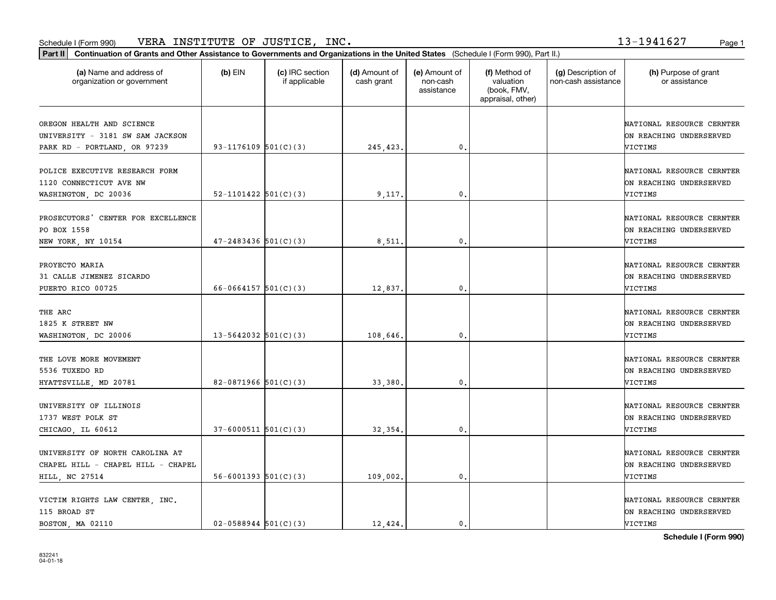#### Schedule I (Form 990) VERA INSTITUTE OF JUSTICE, INC. 1 3-1 9 41 6 2 7 Page 1

**Part II Continuation of Grants and Other Assistance to Governments and Organizations in the United States**  (Schedule I (Form 990), Part II.)

| (a) Name and address of<br>organization or government                                         | (b) EIN                    | (c) IRC section<br>if applicable | (d) Amount of<br>cash grant | (e) Amount of<br>non-cash<br>assistance | (f) Method of<br>valuation<br>(book, FMV,<br>appraisal, other) | (g) Description of<br>non-cash assistance | (h) Purpose of grant<br>or assistance                           |
|-----------------------------------------------------------------------------------------------|----------------------------|----------------------------------|-----------------------------|-----------------------------------------|----------------------------------------------------------------|-------------------------------------------|-----------------------------------------------------------------|
| OREGON HEALTH AND SCIENCE<br>UNIVERSITY - 3181 SW SAM JACKSON<br>PARK RD - PORTLAND, OR 97239 | 93-1176109 $501(C)(3)$     |                                  | 245,423.                    | 0.                                      |                                                                |                                           | NATIONAL RESOURCE CERNTER<br>ON REACHING UNDERSERVED<br>VICTIMS |
| POLICE EXECUTIVE RESEARCH FORM<br>1120 CONNECTICUT AVE NW<br>WASHINGTON, DC 20036             | $52 - 1101422$ $501(C)(3)$ |                                  | 9,117.                      | 0.                                      |                                                                |                                           | NATIONAL RESOURCE CERNTER<br>ON REACHING UNDERSERVED<br>VICTIMS |
| PROSECUTORS' CENTER FOR EXCELLENCE<br>PO BOX 1558<br>NEW YORK, NY 10154                       | $47 - 2483436$ 501(C)(3)   |                                  | 8,511.                      | $\mathbf{0}$                            |                                                                |                                           | NATIONAL RESOURCE CERNTER<br>ON REACHING UNDERSERVED<br>VICTIMS |
| PROYECTO MARIA<br>31 CALLE JIMENEZ SICARDO<br>PUERTO RICO 00725                               | $66 - 0664157$ 501(C)(3)   |                                  | 12,837.                     | $\mathbf{0}$                            |                                                                |                                           | NATIONAL RESOURCE CERNTER<br>ON REACHING UNDERSERVED<br>VICTIMS |
| THE ARC<br>1825 K STREET NW<br>WASHINGTON, DC 20006                                           | $13 - 5642032$ $501(C)(3)$ |                                  | 108,646.                    | 0.                                      |                                                                |                                           | NATIONAL RESOURCE CERNTER<br>ON REACHING UNDERSERVED<br>VICTIMS |
| THE LOVE MORE MOVEMENT<br>5536 TUXEDO RD<br>HYATTSVILLE, MD 20781                             | 82-0871966 $501(C)(3)$     |                                  | 33,380.                     | 0.                                      |                                                                |                                           | NATIONAL RESOURCE CERNTER<br>ON REACHING UNDERSERVED<br>VICTIMS |
| UNIVERSITY OF ILLINOIS<br>1737 WEST POLK ST<br>CHICAGO, IL 60612                              | $37 - 6000511$ $501(C)(3)$ |                                  | 32,354.                     | 0.                                      |                                                                |                                           | NATIONAL RESOURCE CERNTER<br>ON REACHING UNDERSERVED<br>VICTIMS |
| UNIVERSITY OF NORTH CAROLINA AT<br>CHAPEL HILL - CHAPEL HILL - CHAPEL<br>HILL, NC 27514       | $56 - 6001393$ $501(C)(3)$ |                                  | 109,002.                    | $\mathbf{0}$                            |                                                                |                                           | NATIONAL RESOURCE CERNTER<br>ON REACHING UNDERSERVED<br>VICTIMS |
| VICTIM RIGHTS LAW CENTER, INC.<br>115 BROAD ST                                                |                            |                                  |                             |                                         |                                                                |                                           | NATIONAL RESOURCE CERNTER<br>ON REACHING UNDERSERVED            |

BOSTON, MA 02110 02-0588944 501(C)(3) 12,424. 0. VICTIMS

**Schedule I (Form 990)**

13-1941627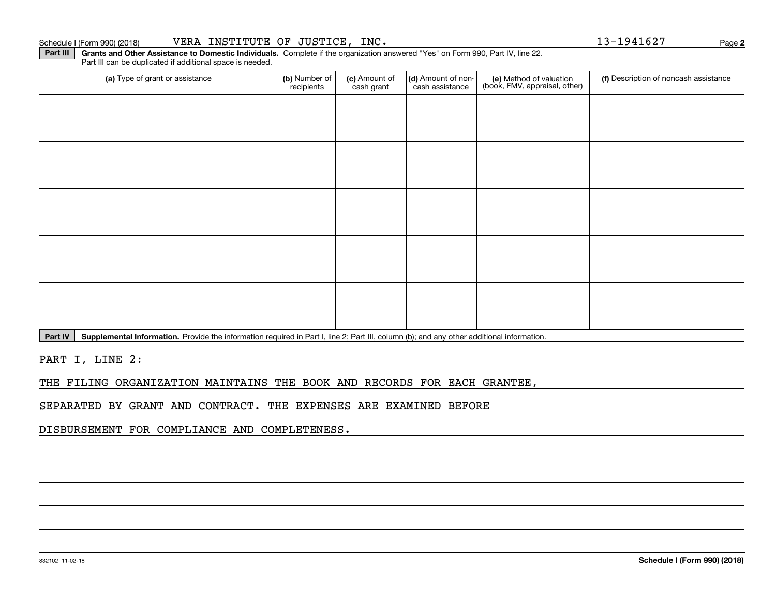### Schedule I (Form 990) (2018) Page VERA INSTITUTE OF JUSTICE, INC. 13-1941627

**Part III** | Grants and Other Assistance to Domestic Individuals. Complete if the organization answered "Yes" on Form 990, Part IV, line 22. Part III can be duplicated if additional space is needed.

| (a) Type of grant or assistance | (b) Number of<br>recipients | (c) Amount of<br>cash grant | (d) Amount of non-<br>cash assistance | (e) Method of valuation<br>(book, FMV, appraisal, other) | (f) Description of noncash assistance |
|---------------------------------|-----------------------------|-----------------------------|---------------------------------------|----------------------------------------------------------|---------------------------------------|
|                                 |                             |                             |                                       |                                                          |                                       |
|                                 |                             |                             |                                       |                                                          |                                       |
|                                 |                             |                             |                                       |                                                          |                                       |
|                                 |                             |                             |                                       |                                                          |                                       |
|                                 |                             |                             |                                       |                                                          |                                       |
|                                 |                             |                             |                                       |                                                          |                                       |
|                                 |                             |                             |                                       |                                                          |                                       |
|                                 |                             |                             |                                       |                                                          |                                       |
|                                 |                             |                             |                                       |                                                          |                                       |
|                                 |                             |                             |                                       |                                                          |                                       |

Part IV | Supplemental Information. Provide the information required in Part I, line 2; Part III, column (b); and any other additional information.

PART I, LINE 2:

THE FILING ORGANIZATION MAINTAINS THE BOOK AND RECORDS FOR EACH GRANTEE,

SEPARATED BY GRANT AND CONTRACT. THE EXPENSES ARE EXAMINED BEFORE

DISBURSEMENT FOR COMPLIANCE AND COMPLETENESS.

**2**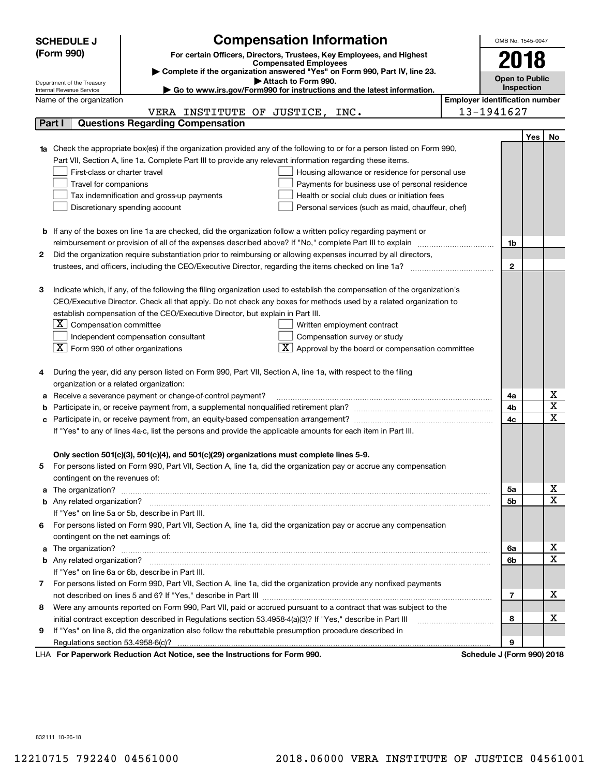|        | <b>SCHEDULE J</b>                                                                                                                | <b>Compensation Information</b>                                                                   |                                       | OMB No. 1545-0047     |            |                         |
|--------|----------------------------------------------------------------------------------------------------------------------------------|---------------------------------------------------------------------------------------------------|---------------------------------------|-----------------------|------------|-------------------------|
|        | (Form 990)                                                                                                                       | For certain Officers, Directors, Trustees, Key Employees, and Highest                             |                                       |                       |            |                         |
|        |                                                                                                                                  | <b>Compensated Employees</b>                                                                      |                                       | 2018                  |            |                         |
|        |                                                                                                                                  | Complete if the organization answered "Yes" on Form 990, Part IV, line 23.<br>Attach to Form 990. |                                       | <b>Open to Public</b> |            |                         |
|        | Department of the Treasury<br>Internal Revenue Service                                                                           | Go to www.irs.gov/Form990 for instructions and the latest information.                            |                                       | Inspection            |            |                         |
|        | Name of the organization                                                                                                         |                                                                                                   | <b>Employer identification number</b> |                       |            |                         |
|        | VERA INSTITUTE OF JUSTICE, INC.                                                                                                  |                                                                                                   | 13-1941627                            |                       |            |                         |
| Part I | <b>Questions Regarding Compensation</b>                                                                                          |                                                                                                   |                                       |                       |            |                         |
|        |                                                                                                                                  |                                                                                                   |                                       |                       | <b>Yes</b> | No                      |
|        | <b>1a</b> Check the appropriate box(es) if the organization provided any of the following to or for a person listed on Form 990, |                                                                                                   |                                       |                       |            |                         |
|        | Part VII, Section A, line 1a. Complete Part III to provide any relevant information regarding these items.                       |                                                                                                   |                                       |                       |            |                         |
|        | First-class or charter travel                                                                                                    | Housing allowance or residence for personal use                                                   |                                       |                       |            |                         |
|        | Travel for companions                                                                                                            | Payments for business use of personal residence                                                   |                                       |                       |            |                         |
|        | Tax indemnification and gross-up payments                                                                                        | Health or social club dues or initiation fees                                                     |                                       |                       |            |                         |
|        | Discretionary spending account                                                                                                   | Personal services (such as maid, chauffeur, chef)                                                 |                                       |                       |            |                         |
|        |                                                                                                                                  |                                                                                                   |                                       |                       |            |                         |
| b      | If any of the boxes on line 1a are checked, did the organization follow a written policy regarding payment or                    |                                                                                                   |                                       |                       |            |                         |
|        | reimbursement or provision of all of the expenses described above? If "No," complete Part III to explain                         |                                                                                                   |                                       | 1b                    |            |                         |
| 2      | Did the organization require substantiation prior to reimbursing or allowing expenses incurred by all directors,                 |                                                                                                   |                                       |                       |            |                         |
|        |                                                                                                                                  |                                                                                                   |                                       | $\mathbf{2}$          |            |                         |
|        |                                                                                                                                  |                                                                                                   |                                       |                       |            |                         |
| з      | Indicate which, if any, of the following the filing organization used to establish the compensation of the organization's        |                                                                                                   |                                       |                       |            |                         |
|        | CEO/Executive Director. Check all that apply. Do not check any boxes for methods used by a related organization to               |                                                                                                   |                                       |                       |            |                         |
|        | establish compensation of the CEO/Executive Director, but explain in Part III.                                                   |                                                                                                   |                                       |                       |            |                         |
|        | $X$ Compensation committee                                                                                                       | Written employment contract                                                                       |                                       |                       |            |                         |
|        | Independent compensation consultant                                                                                              | Compensation survey or study                                                                      |                                       |                       |            |                         |
|        | $\boxed{\text{X}}$ Form 990 of other organizations                                                                               | $\boxed{\textbf{X}}$ Approval by the board or compensation committee                              |                                       |                       |            |                         |
|        |                                                                                                                                  |                                                                                                   |                                       |                       |            |                         |
|        | During the year, did any person listed on Form 990, Part VII, Section A, line 1a, with respect to the filing                     |                                                                                                   |                                       |                       |            |                         |
|        | organization or a related organization:                                                                                          |                                                                                                   |                                       |                       |            |                         |
| а      | Receive a severance payment or change-of-control payment?                                                                        |                                                                                                   |                                       | 4a                    |            | х                       |
| b      |                                                                                                                                  |                                                                                                   |                                       | 4b                    |            | $\overline{\mathbf{x}}$ |
| с      |                                                                                                                                  |                                                                                                   |                                       | 4c                    |            | $\mathbf x$             |
|        | If "Yes" to any of lines 4a-c, list the persons and provide the applicable amounts for each item in Part III.                    |                                                                                                   |                                       |                       |            |                         |
|        |                                                                                                                                  |                                                                                                   |                                       |                       |            |                         |
|        | Only section 501(c)(3), 501(c)(4), and 501(c)(29) organizations must complete lines 5-9.                                         |                                                                                                   |                                       |                       |            |                         |
|        | For persons listed on Form 990, Part VII, Section A, line 1a, did the organization pay or accrue any compensation                |                                                                                                   |                                       |                       |            |                         |
|        | contingent on the revenues of:                                                                                                   |                                                                                                   |                                       |                       |            |                         |
| a      |                                                                                                                                  |                                                                                                   |                                       | 5a                    |            | х                       |
|        |                                                                                                                                  |                                                                                                   |                                       | 5b                    |            | $\mathbf x$             |
|        | If "Yes" on line 5a or 5b, describe in Part III.                                                                                 |                                                                                                   |                                       |                       |            |                         |
| 6      | For persons listed on Form 990, Part VII, Section A, line 1a, did the organization pay or accrue any compensation                |                                                                                                   |                                       |                       |            |                         |
|        | contingent on the net earnings of:                                                                                               |                                                                                                   |                                       |                       |            |                         |
| a      |                                                                                                                                  |                                                                                                   |                                       | 6a                    |            | х                       |
|        |                                                                                                                                  |                                                                                                   |                                       | 6b                    |            | $\mathbf x$             |
|        | If "Yes" on line 6a or 6b, describe in Part III.                                                                                 |                                                                                                   |                                       |                       |            |                         |
|        | 7 For persons listed on Form 990, Part VII, Section A, line 1a, did the organization provide any nonfixed payments               |                                                                                                   |                                       |                       |            |                         |
|        |                                                                                                                                  |                                                                                                   |                                       | 7                     |            | x                       |
| 8      | Were any amounts reported on Form 990, Part VII, paid or accrued pursuant to a contract that was subject to the                  |                                                                                                   |                                       |                       |            |                         |
|        | initial contract exception described in Regulations section 53.4958-4(a)(3)? If "Yes," describe in Part III                      |                                                                                                   |                                       | 8                     |            | х                       |
| 9      | If "Yes" on line 8, did the organization also follow the rebuttable presumption procedure described in                           |                                                                                                   |                                       |                       |            |                         |
|        |                                                                                                                                  |                                                                                                   |                                       | 9                     |            |                         |
|        | surreals Dedication Act Notice, and the Instructions for Form 000                                                                |                                                                                                   | Cabadule I (Faun 000) 0040            |                       |            |                         |

LHA For Paperwork Reduction Act Notice, see the Instructions for Form 990. Schedule J (Form 990) 2018

832111 10-26-18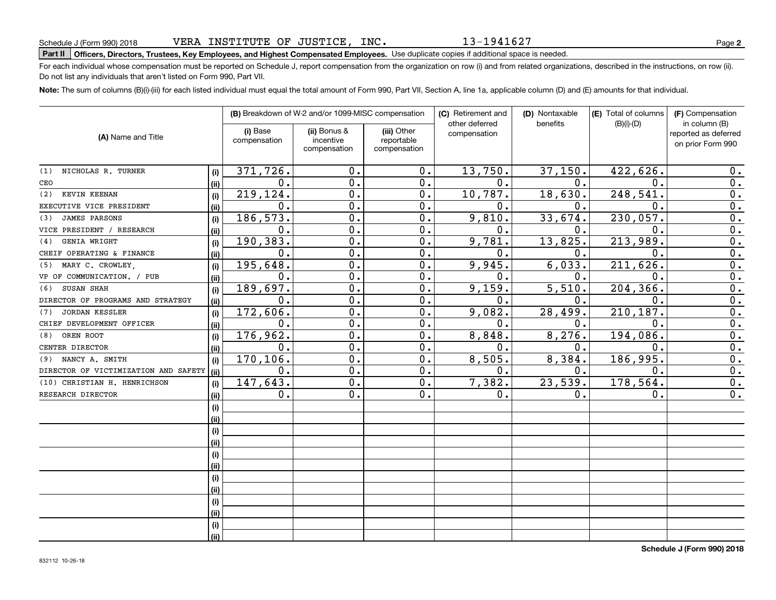13-1941627

## **Part II Officers, Directors, Trustees, Key Employees, and Highest Compensated Employees.**  Schedule J (Form 990) 2018 Page Use duplicate copies if additional space is needed.

For each individual whose compensation must be reported on Schedule J, report compensation from the organization on row (i) and from related organizations, described in the instructions, on row (ii). Do not list any individuals that aren't listed on Form 990, Part VII.

**Note:**  The sum of columns (B)(i)-(iii) for each listed individual must equal the total amount of Form 990, Part VII, Section A, line 1a, applicable column (D) and (E) amounts for that individual.

| (A) Name and Title                   |      |                          | (B) Breakdown of W-2 and/or 1099-MISC compensation |                           | (C) Retirement and<br>other deferred | (D) Nontaxable<br>benefits | (E) Total of columns<br>$(B)(i)-(D)$ | (F) Compensation<br>in column (B)         |
|--------------------------------------|------|--------------------------|----------------------------------------------------|---------------------------|--------------------------------------|----------------------------|--------------------------------------|-------------------------------------------|
|                                      |      | (i) Base<br>compensation | (ii) Bonus &<br>incentive                          | (iii) Other<br>reportable | compensation                         |                            |                                      | reported as deferred<br>on prior Form 990 |
|                                      |      |                          | compensation                                       | compensation              |                                      |                            |                                      |                                           |
| NICHOLAS R. TURNER<br>(1)            | (i)  | 371,726.                 | $\mathbf 0$ .                                      | 0.                        | 13,750.                              | 37,150.                    | 422,626.                             | 0.                                        |
| CEO                                  | (ii) | 0.                       | $\mathbf 0$ .                                      | 0.                        | $\mathbf 0$ .                        | 0.                         | $\mathbf 0$ .                        | 0.                                        |
| KEVIN KEENAN<br>(2)                  | (i)  | 219,124.                 | $\mathbf 0$ .                                      | 0.                        | 10,787.                              | 18,630.                    | 248,541                              | $\overline{0}$ .                          |
| EXECUTIVE VICE PRESIDENT             | (ii) | 0.                       | $\mathbf 0$ .                                      | 0.                        | 0.                                   | $\mathbf 0$ .              | $\mathbf 0$                          | $\overline{0}$ .                          |
| <b>JAMES PARSONS</b><br>(3)          | (i)  | 186,573.                 | $\mathbf 0$ .                                      | 0.                        | 9,810.                               | 33,674.                    | 230,057.                             | $\overline{0}$ .                          |
| VICE PRESIDENT / RESEARCH            | (ii) | 0.                       | $\mathbf 0$ .                                      | 0.                        | О.                                   | 0.                         | 0                                    | $\overline{0}$ .                          |
| GENIA WRIGHT<br>(4)                  | (i)  | 190,383.                 | $\mathbf 0$ .                                      | 0.                        | 9,781.                               | 13,825.                    | 213,989.                             | $\overline{0}$ .                          |
| CHEIF OPERATING & FINANCE            | (ii) | 0.                       | $\mathbf 0$ .                                      | 0.                        | $\mathbf 0$ .                        | 0.                         | $\mathbf 0$ .                        | $\overline{0}$ .                          |
| MARY C. CROWLEY,<br>(5)              | (i)  | 195,648.                 | $\mathbf 0$ .                                      | 0.                        | 9,945.                               | 6,033.                     | 211, 626                             | $\overline{0}$ .                          |
| VP OF COMMUNICATION. / PUB           | (ii) | 0.                       | $\mathbf 0$ .                                      | 0.                        | О.                                   | 0.                         | $\mathbf 0$ .                        | $\overline{0}$ .                          |
| SUSAN SHAH<br>(6)                    | (i)  | 189,697.                 | $\mathbf 0$ .                                      | 0.                        | 9,159.                               | 5,510.                     | 204, 366                             | $\overline{0}$ .                          |
| DIRECTOR OF PROGRAMS AND STRATEGY    | (ii) | 0.                       | $\mathbf 0$ .                                      | 0.                        | О.                                   | 0.                         | $\mathbf 0$ .                        | $\overline{0}$ .                          |
| <b>JORDAN KESSLER</b><br>(7)         | (i)  | 172,606.                 | $\mathbf 0$ .                                      | 0.                        | 9,082.                               | 28,499.                    | 210, 187.                            | 0.                                        |
| CHIEF DEVELOPMENT OFFICER            | (ii) | $\mathbf 0$ .            | $\mathbf 0$ .                                      | 0.                        | 0.                                   | 0.                         | 0.                                   | 0.                                        |
| OREN ROOT<br>(8)                     | (i)  | 176,962.                 | $\overline{0}$ .                                   | $\overline{0}$ .          | 8,848.                               | 8,276.                     | 194,086.                             | $\overline{0}$ .                          |
| CENTER DIRECTOR                      | (ii) | 0.                       | $\overline{0}$ .                                   | $\overline{0}$ .          | $\mathbf 0$ .                        | 0.                         | $\overline{0}$ .                     | $\overline{0}$ .                          |
| (9) NANCY A. SMITH                   | (i)  | 170, 106.                | $\mathbf 0$ .                                      | $\overline{0}$ .          | 8,505.                               | 8,384.                     | 186,995.                             | $\overline{0}$ .                          |
| DIRECTOR OF VICTIMIZATION AND SAFETY | (ii) | 0.                       | $\mathbf 0$ .                                      | $\overline{0}$ .          | $\mathbf{0}$ .                       | 0.                         | $\overline{0}$ .                     | $\overline{0}$ .                          |
| (10) CHRISTIAN H. HENRICHSON         | (i)  | 147,643.                 | $\mathbf 0$ .                                      | 0.                        | 7,382.                               | 23,539.                    | 178,564.                             | $\overline{0}$ .                          |
| RESEARCH DIRECTOR                    | (ii) | 0.                       | 0.                                                 | 0.                        | $\mathbf{0}$ .                       | 0.                         | 0.                                   | $\overline{0}$ .                          |
|                                      | (i)  |                          |                                                    |                           |                                      |                            |                                      |                                           |
|                                      | (ii) |                          |                                                    |                           |                                      |                            |                                      |                                           |
|                                      | (i)  |                          |                                                    |                           |                                      |                            |                                      |                                           |
|                                      | (ii) |                          |                                                    |                           |                                      |                            |                                      |                                           |
|                                      | (i)  |                          |                                                    |                           |                                      |                            |                                      |                                           |
|                                      | (ii) |                          |                                                    |                           |                                      |                            |                                      |                                           |
|                                      | (i)  |                          |                                                    |                           |                                      |                            |                                      |                                           |
|                                      | (ii) |                          |                                                    |                           |                                      |                            |                                      |                                           |
|                                      | (i)  |                          |                                                    |                           |                                      |                            |                                      |                                           |
|                                      | (ii) |                          |                                                    |                           |                                      |                            |                                      |                                           |
|                                      | (i)  |                          |                                                    |                           |                                      |                            |                                      |                                           |
|                                      | (ii) |                          |                                                    |                           |                                      |                            |                                      |                                           |
|                                      |      |                          |                                                    |                           |                                      |                            |                                      |                                           |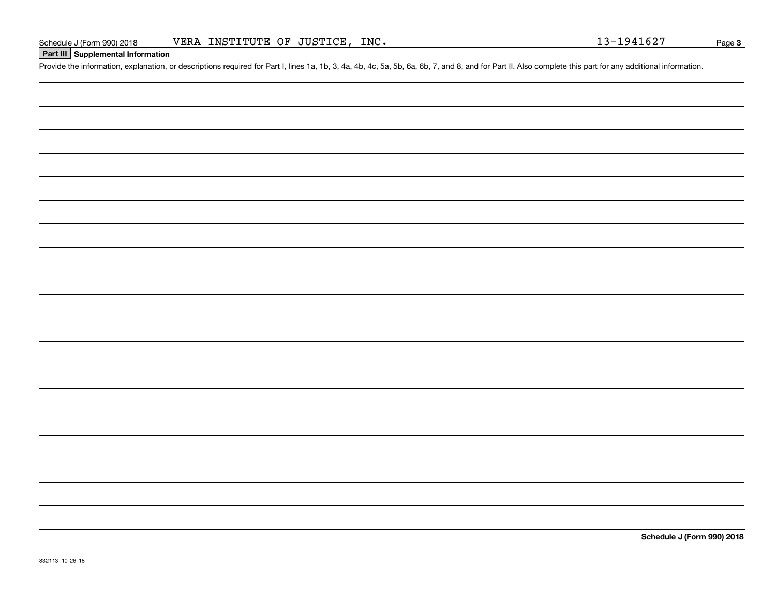### **Part III Supplemental Information**

Schedule J (Form 990) 2018 VERA INSTITUTE OF JUSTICE, INC.<br>Part III Supplemental Information<br>Provide the information, explanation, or descriptions required for Part I, lines 1a, 1b, 3, 4a, 4b, 4c, 5a, 5b, 6a, 6b, 7, and 8,

**Schedule J (Form 990) 2018**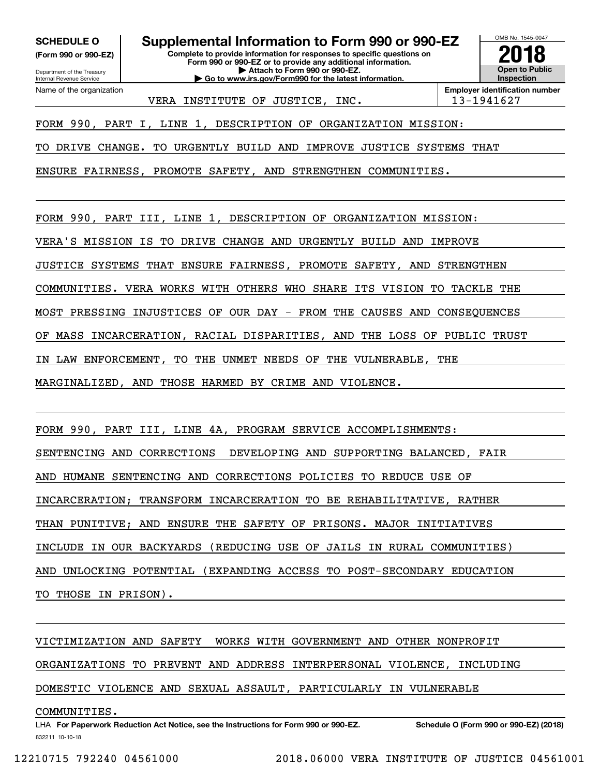**(Form 990 or 990-EZ)**

Department of the Treasury Internal Revenue Service Name of the organization

**Complete to provide information for responses to specific questions on Form 990 or 990-EZ or to provide any additional information. | Attach to Form 990 or 990-EZ. SCHEDULE O Supplemental Information to Form 990 or 990-EZ**

**| Go to www.irs.gov/Form990 for the latest information.**

**Open to Public Inspection2018**

OMB No. 1545-0047

VERA INSTITUTE OF JUSTICE, INC.  $\vert$  13-1941627

**Employer identification number**

FORM 990, PART I, LINE 1, DESCRIPTION OF ORGANIZATION MISSION:

TO DRIVE CHANGE. TO URGENTLY BUILD AND IMPROVE JUSTICE SYSTEMS THAT

ENSURE FAIRNESS, PROMOTE SAFETY, AND STRENGTHEN COMMUNITIES.

FORM 990, PART III, LINE 1, DESCRIPTION OF ORGANIZATION MISSION:

VERA'S MISSION IS TO DRIVE CHANGE AND URGENTLY BUILD AND IMPROVE

JUSTICE SYSTEMS THAT ENSURE FAIRNESS, PROMOTE SAFETY, AND STRENGTHEN

COMMUNITIES. VERA WORKS WITH OTHERS WHO SHARE ITS VISION TO TACKLE THE

MOST PRESSING INJUSTICES OF OUR DAY - FROM THE CAUSES AND CONSEQUENCES

OF MASS INCARCERATION, RACIAL DISPARITIES, AND THE LOSS OF PUBLIC TRUST

IN LAW ENFORCEMENT, TO THE UNMET NEEDS OF THE VULNERABLE, THE

MARGINALIZED, AND THOSE HARMED BY CRIME AND VIOLENCE.

FORM 990, PART III, LINE 4A, PROGRAM SERVICE ACCOMPLISHMENTS:

SENTENCING AND CORRECTIONS DEVELOPING AND SUPPORTING BALANCED, FAIR

AND HUMANE SENTENCING AND CORRECTIONS POLICIES TO REDUCE USE OF

INCARCERATION; TRANSFORM INCARCERATION TO BE REHABILITATIVE, RATHER

THAN PUNITIVE; AND ENSURE THE SAFETY OF PRISONS. MAJOR INITIATIVES

INCLUDE IN OUR BACKYARDS (REDUCING USE OF JAILS IN RURAL COMMUNITIES)

AND UNLOCKING POTENTIAL (EXPANDING ACCESS TO POST-SECONDARY EDUCATION

TO THOSE IN PRISON).

VICTIMIZATION AND SAFETY WORKS WITH GOVERNMENT AND OTHER NONPROFIT

ORGANIZATIONS TO PREVENT AND ADDRESS INTERPERSONAL VIOLENCE, INCLUDING

DOMESTIC VIOLENCE AND SEXUAL ASSAULT, PARTICULARLY IN VULNERABLE

#### COMMUNITIES.

832211 10-10-18 LHA For Paperwork Reduction Act Notice, see the Instructions for Form 990 or 990-EZ. Schedule O (Form 990 or 990-EZ) (2018)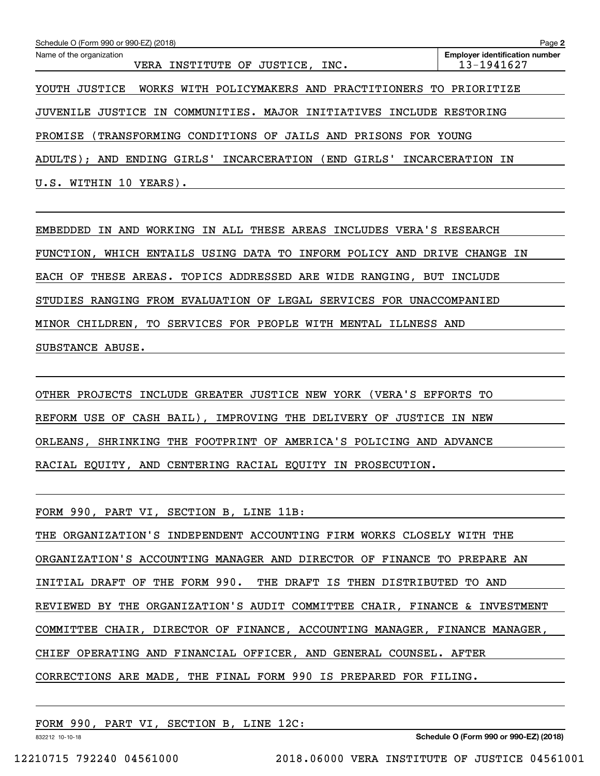| Schedule O (Form 990 or 990-EZ) (2018)                                      | Page 2                                              |
|-----------------------------------------------------------------------------|-----------------------------------------------------|
| Name of the organization<br>VERA INSTITUTE OF JUSTICE, INC.                 | <b>Employer identification number</b><br>13-1941627 |
| WORKS WITH POLICYMAKERS AND PRACTITIONERS TO PRIORITIZE<br>JUSTICE<br>YOUTH |                                                     |
| JUVENILE JUSTICE IN COMMUNITIES. MAJOR INITIATIVES                          | INCLUDE RESTORING                                   |
| PROMISE<br>(TRANSFORMING CONDITIONS OF JAILS AND PRISONS FOR YOUNG          |                                                     |
| ENDING GIRLS'<br>( END<br>GIRLS'<br>ADULTS);<br>AND<br>INCARCERATION        | INCARCERATION IN                                    |
| U.S.<br>WITHIN 10<br>YEARS).                                                |                                                     |

EMBEDDED IN AND WORKING IN ALL THESE AREAS INCLUDES VERA'S RESEARCH FUNCTION, WHICH ENTAILS USING DATA TO INFORM POLICY AND DRIVE CHANGE IN EACH OF THESE AREAS. TOPICS ADDRESSED ARE WIDE RANGING, BUT INCLUDE STUDIES RANGING FROM EVALUATION OF LEGAL SERVICES FOR UNACCOMPANIED MINOR CHILDREN, TO SERVICES FOR PEOPLE WITH MENTAL ILLNESS AND SUBSTANCE ABUSE.

OTHER PROJECTS INCLUDE GREATER JUSTICE NEW YORK (VERA'S EFFORTS TO REFORM USE OF CASH BAIL), IMPROVING THE DELIVERY OF JUSTICE IN NEW ORLEANS, SHRINKING THE FOOTPRINT OF AMERICA'S POLICING AND ADVANCE RACIAL EQUITY, AND CENTERING RACIAL EQUITY IN PROSECUTION.

FORM 990, PART VI, SECTION B, LINE 11B: THE ORGANIZATION'S INDEPENDENT ACCOUNTING FIRM WORKS CLOSELY WITH THE ORGANIZATION'S ACCOUNTING MANAGER AND DIRECTOR OF FINANCE TO PREPARE AN INITIAL DRAFT OF THE FORM 990. THE DRAFT IS THEN DISTRIBUTED TO AND REVIEWED BY THE ORGANIZATION'S AUDIT COMMITTEE CHAIR, FINANCE & INVESTMENT COMMITTEE CHAIR, DIRECTOR OF FINANCE, ACCOUNTING MANAGER, FINANCE MANAGER, CHIEF OPERATING AND FINANCIAL OFFICER, AND GENERAL COUNSEL. AFTER CORRECTIONS ARE MADE, THE FINAL FORM 990 IS PREPARED FOR FILING.

FORM 990, PART VI, SECTION B, LINE 12C:

832212 10-10-18

**Schedule O (Form 990 or 990-EZ) (2018)**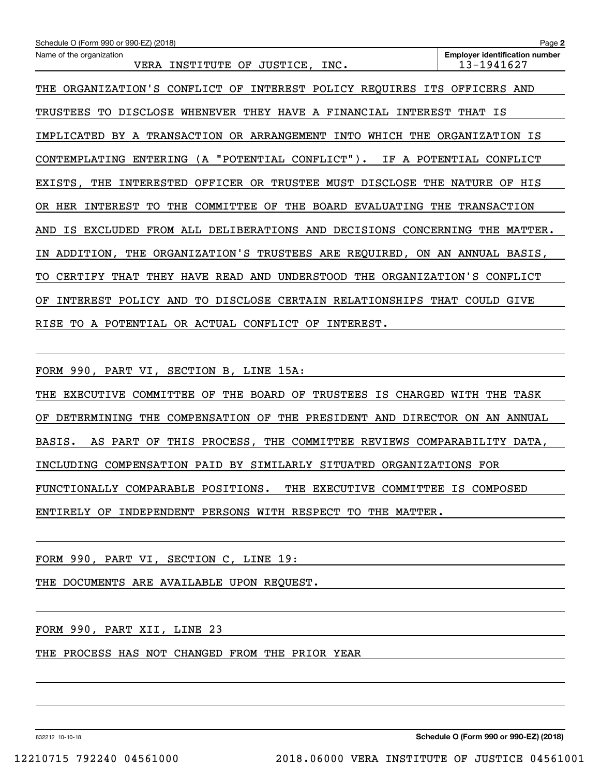| Schedule O (Form 990 or 990-EZ) (2018)                                                          | Page 2                                              |
|-------------------------------------------------------------------------------------------------|-----------------------------------------------------|
| Name of the organization<br>INSTITUTE<br>OF<br>JUSTICE,<br>VERA<br>INC.                         | <b>Employer identification number</b><br>13-1941627 |
|                                                                                                 |                                                     |
| ORGANIZATION'S CONFLICT<br>INTEREST POLICY REQUIRES ITS<br>THE<br>OF                            | OFFICERS<br>AND                                     |
| TRUSTEES<br>DISCLOSE<br>WHENEVER THEY HAVE A FINANCIAL<br>INTEREST<br>TО                        | ΙS<br>THAT                                          |
| BY A TRANSACTION OR ARRANGEMENT<br>INTO<br>IMPLICATED<br>WHICH THE                              | ORGANIZATION IS                                     |
| ENTERING (A "POTENTIAL CONFLICT"). IF A POTENTIAL<br>CONTEMPLATING                              | CONFLICT                                            |
| INTERESTED<br>OFFICER<br>OR<br>TRUSTEE<br>MUST<br>DISCLOSE<br>THE<br>EXISTS.<br>THE             | NATURE<br>OF<br>HIS                                 |
| COMMITTEE<br><b>BOARD EVALUATING</b><br>HER<br>INTEREST<br>TО<br>THE<br>OF<br>THE<br>OR.        | THE<br><b>TRANSACTION</b>                           |
| FROM ALL<br><b>DELIBERATIONS</b><br>AND<br>DECISIONS<br>CONCERNING<br>AND<br>ΙS<br>EXCLUDED     | MATTER.<br>THE                                      |
| ORGANIZATION'S TRUSTEES ARE REQUIRED, ON AN ANNUAL BASIS,<br>ADDITION, THE<br>ΙN                |                                                     |
| HAVE READ<br>AND<br><b>UNDERSTOOD</b><br>THE<br>ORGANIZATION'S<br>CERTIFY<br>THAT<br>THEY<br>TО | CONFLICT                                            |
| POLICY AND<br>TO.<br>DISCLOSE CERTAIN RELATIONSHIPS<br><b>INTEREST</b><br>ОF                    | THAT<br>COULD GIVE                                  |
| CONFLICT<br>INTEREST.<br>RISE<br>A POTENTIAL<br>OR ACTUAL<br>TO.<br>OF                          |                                                     |

FORM 990, PART VI, SECTION B, LINE 15A:

THE EXECUTIVE COMMITTEE OF THE BOARD OF TRUSTEES IS CHARGED WITH THE TASK OF DETERMINING THE COMPENSATION OF THE PRESIDENT AND DIRECTOR ON AN ANNUAL BASIS. AS PART OF THIS PROCESS, THE COMMITTEE REVIEWS COMPARABILITY DATA, INCLUDING COMPENSATION PAID BY SIMILARLY SITUATED ORGANIZATIONS FOR FUNCTIONALLY COMPARABLE POSITIONS. THE EXECUTIVE COMMITTEE IS COMPOSED ENTIRELY OF INDEPENDENT PERSONS WITH RESPECT TO THE MATTER.

FORM 990, PART VI, SECTION C, LINE 19:

THE DOCUMENTS ARE AVAILABLE UPON REQUEST.

FORM 990, PART XII, LINE 23

THE PROCESS HAS NOT CHANGED FROM THE PRIOR YEAR

832212 10-10-18

**Schedule O (Form 990 or 990-EZ) (2018)**

12210715 792240 04561000 2018.06000 VERA INSTITUTE OF JUSTICE 04561001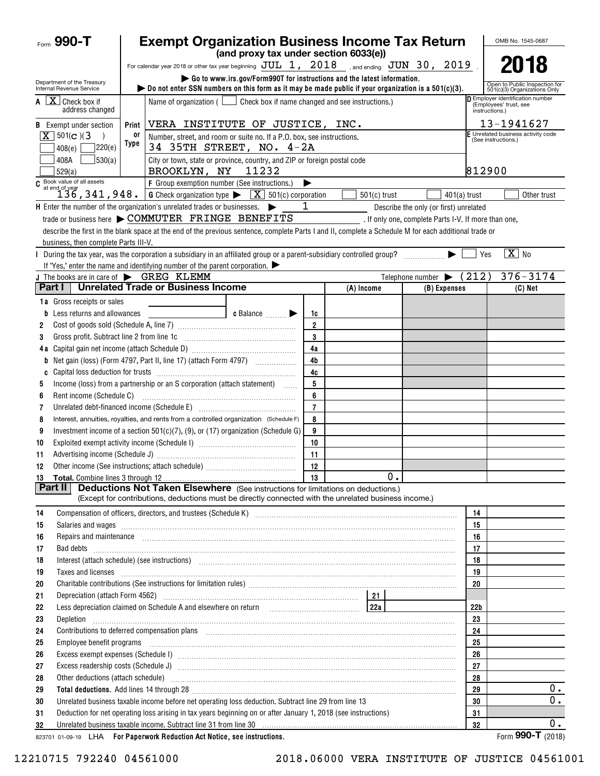| Form $990 - T$                                                |                | <b>Exempt Organization Business Income Tax Return</b>                                                                                                                                                                                |                                                                         |                      |                |    |                                                      |          |                         | OMB No. 1545-0687                                             |
|---------------------------------------------------------------|----------------|--------------------------------------------------------------------------------------------------------------------------------------------------------------------------------------------------------------------------------------|-------------------------------------------------------------------------|----------------------|----------------|----|------------------------------------------------------|----------|-------------------------|---------------------------------------------------------------|
|                                                               |                |                                                                                                                                                                                                                                      | (and proxy tax under section 6033(e))                                   |                      |                |    |                                                      |          |                         |                                                               |
|                                                               |                | For calendar year 2018 or other tax year beginning $JUL$ 1, 2018 sand ending $JUN$ 30, 2019                                                                                                                                          |                                                                         |                      |                |    |                                                      |          |                         | 2018                                                          |
| Department of the Treasury<br>Internal Revenue Service        |                | bo not enter SSN numbers on this form as it may be made public if your organization is a $501(c)(3)$ .                                                                                                                               | Go to www.irs.gov/Form990T for instructions and the latest information. |                      |                |    |                                                      |          |                         | Open to Public Inspection for<br>501(c)(3) Organizations Only |
| $\overline{A}$ $\overline{X}$ Check box if<br>address changed |                | D Employer identification number<br>Name of organization ( $\Box$ Check box if name changed and see instructions.)<br>(Employees' trust, see<br>instructions.)                                                                       |                                                                         |                      |                |    |                                                      |          |                         |                                                               |
| <b>B</b> Exempt under section                                 | Print          | VERA INSTITUTE OF JUSTICE, INC.                                                                                                                                                                                                      |                                                                         |                      |                |    |                                                      |          |                         | 13-1941627                                                    |
| $X$ 501(c)(3)                                                 | or             | Number, street, and room or suite no. If a P.O. box, see instructions.                                                                                                                                                               |                                                                         |                      |                |    |                                                      |          | (See instructions.)     | F Unrelated business activity code                            |
| 408(e)                                                        | Type<br>220(e) | 34 35TH STREET, NO. 4-2A                                                                                                                                                                                                             |                                                                         |                      |                |    |                                                      |          |                         |                                                               |
| 408A<br>529(a)                                                | 530(a)         | City or town, state or province, country, and ZIP or foreign postal code<br>BROOKLYN, NY 11232                                                                                                                                       |                                                                         |                      |                |    |                                                      | 812900   |                         |                                                               |
| $C$ Book value of all assets<br>at end of year                |                | F Group exemption number (See instructions.)                                                                                                                                                                                         |                                                                         | ▶                    |                |    |                                                      |          |                         |                                                               |
|                                                               |                | 136, 341, 948. G Check organization type $\blacktriangleright$ $\boxed{\text{X}}$ 501(c) corporation                                                                                                                                 |                                                                         |                      | $501(c)$ trust |    | $401(a)$ trust                                       |          |                         | Other trust                                                   |
|                                                               |                | $\mathsf H$ Enter the number of the organization's unrelated trades or businesses. $\blacktriangleright$                                                                                                                             |                                                                         | 1                    |                |    | Describe the only (or first) unrelated               |          |                         |                                                               |
|                                                               |                | trade or business here > COMMUTER FRINGE BENEFITS                                                                                                                                                                                    |                                                                         |                      |                |    | . If only one, complete Parts I-V. If more than one, |          |                         |                                                               |
|                                                               |                | describe the first in the blank space at the end of the previous sentence, complete Parts I and II, complete a Schedule M for each additional trade or                                                                               |                                                                         |                      |                |    |                                                      |          |                         |                                                               |
| business, then complete Parts III-V.                          |                |                                                                                                                                                                                                                                      |                                                                         |                      |                |    |                                                      |          |                         |                                                               |
|                                                               |                |                                                                                                                                                                                                                                      |                                                                         |                      |                |    | $\blacktriangleright$                                | Yes      | $\boxed{\mathbf{X}}$ No |                                                               |
|                                                               |                | If "Yes," enter the name and identifying number of the parent corporation.                                                                                                                                                           |                                                                         |                      |                |    |                                                      |          |                         |                                                               |
|                                                               |                | J The books are in care of SREG KLEMM<br><b>Unrelated Trade or Business Income</b>                                                                                                                                                   |                                                                         |                      |                |    | Telephone number $\blacktriangleright$ (212)         |          |                         | $376 - 3174$                                                  |
| Part I                                                        |                |                                                                                                                                                                                                                                      |                                                                         |                      | (A) Income     |    | (B) Expenses                                         |          |                         | $(C)$ Net                                                     |
| <b>1a</b> Gross receipts or sales                             |                |                                                                                                                                                                                                                                      |                                                                         |                      |                |    |                                                      |          |                         |                                                               |
| Less returns and allowances<br>b                              |                |                                                                                                                                                                                                                                      | $\bullet$ Balance $\qquad \qquad \bullet$                               | 1c                   |                |    |                                                      |          |                         |                                                               |
| 2                                                             |                |                                                                                                                                                                                                                                      |                                                                         | $\overline{2}$       |                |    |                                                      |          |                         |                                                               |
| 3                                                             |                | Gross profit. Subtract line 2 from line 1c [11] [11] [12] [12] [13] [14] [15] [15] [15] [15] [15] [15] [15] [1                                                                                                                       |                                                                         | 3                    |                |    |                                                      |          |                         |                                                               |
|                                                               |                |                                                                                                                                                                                                                                      |                                                                         | 4a<br>4 <sub>b</sub> |                |    |                                                      |          |                         |                                                               |
| b                                                             |                |                                                                                                                                                                                                                                      |                                                                         | 4c                   |                |    |                                                      |          |                         |                                                               |
| C<br>5                                                        |                | Income (loss) from a partnership or an S corporation (attach statement)                                                                                                                                                              |                                                                         | 5                    |                |    |                                                      |          |                         |                                                               |
| 6                                                             |                |                                                                                                                                                                                                                                      |                                                                         | 6                    |                |    |                                                      |          |                         |                                                               |
| 7                                                             |                | Unrelated debt-financed income (Schedule E) [11] [2010] [2010] [2010] [2010] [2010] [2010] [2010] [2010] [2010                                                                                                                       |                                                                         | $\overline{7}$       |                |    |                                                      |          |                         |                                                               |
| 8                                                             |                | Interest, annuities, royalties, and rents from a controlled organization (Schedule F)                                                                                                                                                |                                                                         | 8                    |                |    |                                                      |          |                         |                                                               |
| 9                                                             |                | Investment income of a section $501(c)(7)$ , (9), or (17) organization (Schedule G)                                                                                                                                                  |                                                                         | 9                    |                |    |                                                      |          |                         |                                                               |
| 10                                                            |                |                                                                                                                                                                                                                                      |                                                                         | 10                   |                |    |                                                      |          |                         |                                                               |
| 11                                                            |                |                                                                                                                                                                                                                                      |                                                                         | 11                   |                |    |                                                      |          |                         |                                                               |
| 12                                                            |                | Other income (See instructions: attach schedule)                                                                                                                                                                                     |                                                                         | 12                   |                |    |                                                      |          |                         |                                                               |
|                                                               |                |                                                                                                                                                                                                                                      |                                                                         | $\overline{13}$      |                | 0. |                                                      |          |                         |                                                               |
| Part II                                                       |                | <b>Deductions Not Taken Elsewhere</b> (See instructions for limitations on deductions.)                                                                                                                                              |                                                                         |                      |                |    |                                                      |          |                         |                                                               |
|                                                               |                | (Except for contributions, deductions must be directly connected with the unrelated business income.)                                                                                                                                |                                                                         |                      |                |    |                                                      |          |                         |                                                               |
| 14                                                            |                |                                                                                                                                                                                                                                      |                                                                         |                      |                |    |                                                      | 14       |                         |                                                               |
| 15                                                            |                | Salaries and wages information continuous contracts and wages in the salaries and wages incommutation of the salarities and wages in the salarities of the salarities of the salarities of the salarities of the salarities of       |                                                                         |                      |                |    |                                                      | 15       |                         |                                                               |
| 16                                                            |                | Repairs and maintenance <i>[1] [1] [1] [1] [1] [1] [1] [1] [1] [1]</i> [1] <b>[1]</b> [1] <b>[1]</b> [1] <b>[1] [1] [1] [1] [1] [1] [1] [1] [1] [1] [1] [1] [1] [1] [1] [1] [1] [1] [1] [1] [1] [1]</b>                              |                                                                         |                      |                |    |                                                      | 16       |                         |                                                               |
| 17                                                            |                | Bad debts <b>with a construction of the construction of the construction of the construction of the construction of the construction of the construction of the construction of the construction of the construction of the cons</b> |                                                                         |                      |                |    |                                                      | 17       |                         |                                                               |
| 18                                                            |                | Interest (attach schedule) (see instructions) www.communications.communications are interest (attach schedule)                                                                                                                       |                                                                         |                      |                |    |                                                      | 18       |                         |                                                               |
| 19<br>20                                                      |                | Taxes and licenses <b>construction and construction of the construction</b> and construction of the construction of the                                                                                                              |                                                                         |                      |                |    |                                                      | 19<br>20 |                         |                                                               |
| 21                                                            |                |                                                                                                                                                                                                                                      |                                                                         |                      |                |    |                                                      |          |                         |                                                               |
| 22                                                            |                | Less depreciation claimed on Schedule A and elsewhere on return [100] [220]                                                                                                                                                          |                                                                         |                      |                |    |                                                      | 22b      |                         |                                                               |
| 23                                                            |                | Depletion <b>Professor and Construction Construction Construction Construction Construction</b>                                                                                                                                      |                                                                         |                      |                |    |                                                      | 23       |                         |                                                               |
| 24                                                            |                |                                                                                                                                                                                                                                      |                                                                         |                      |                |    |                                                      | 24       |                         |                                                               |
| 25                                                            |                | Employee benefit programs in the continuum contract of the contract of the contract of the contract of the contract of the contract of the contract of the contract of the contract of the contract of the contract of the con       |                                                                         |                      |                |    |                                                      | 25       |                         |                                                               |
| 26                                                            |                |                                                                                                                                                                                                                                      |                                                                         |                      |                |    |                                                      | 26       |                         |                                                               |
| 27                                                            |                |                                                                                                                                                                                                                                      |                                                                         |                      |                |    |                                                      | 27       |                         |                                                               |
| 28                                                            |                | Other deductions (attach schedule) manufactured and according to the schedule of the schedule of the schedule                                                                                                                        |                                                                         |                      |                |    |                                                      | 28       |                         |                                                               |
| 29                                                            |                |                                                                                                                                                                                                                                      |                                                                         |                      |                |    |                                                      | 29       |                         | 0.                                                            |
| 30                                                            |                | Unrelated business taxable income before net operating loss deduction. Subtract line 29 from line 13                                                                                                                                 |                                                                         |                      |                |    |                                                      | 30       |                         | $\overline{0}$ .                                              |
| 31                                                            |                | Deduction for net operating loss arising in tax years beginning on or after January 1, 2018 (see instructions)                                                                                                                       |                                                                         |                      |                |    |                                                      | 31       |                         |                                                               |
| 32                                                            |                | Unrelated business taxable income. Subtract line 31 from line 30 manufactured contains and contained the state of the Unrelated business taxable income. Subtract line 31 from line 30 manufactured contains and the Unrelated       |                                                                         |                      |                |    |                                                      | 32       |                         | 0.                                                            |
|                                                               |                | 823701 01-09-19 LHA For Paperwork Reduction Act Notice, see instructions.                                                                                                                                                            |                                                                         |                      |                |    |                                                      |          |                         | Form 990-T (2018)                                             |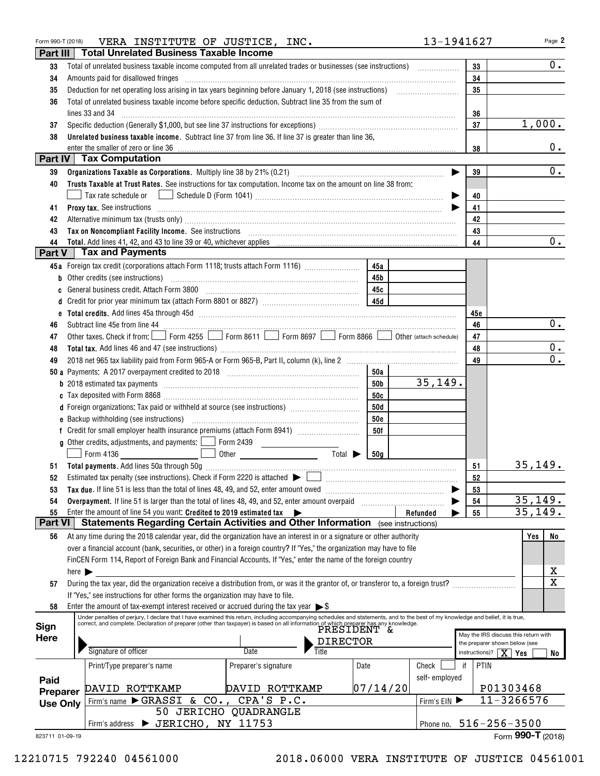| Form 990-T (2018)   | VERA INSTITUTE OF JUSTICE, INC.                                                                                                                                                                                                |                       |                                    |               | 13-1941627                         | Page 2                               |
|---------------------|--------------------------------------------------------------------------------------------------------------------------------------------------------------------------------------------------------------------------------|-----------------------|------------------------------------|---------------|------------------------------------|--------------------------------------|
| Part III            | <b>Total Unrelated Business Taxable Income</b>                                                                                                                                                                                 |                       |                                    |               |                                    |                                      |
| 33                  |                                                                                                                                                                                                                                |                       |                                    |               | 33                                 | 0.                                   |
| 34                  | Amounts paid for disallowed fringes [11] Amount and the contract of the final state of the state of the state of the state of the state of the state of the state of the state of the state of the state of the state of the s | 34                    |                                    |               |                                    |                                      |
| 35                  |                                                                                                                                                                                                                                | 35                    |                                    |               |                                    |                                      |
| 36                  | Total of unrelated business taxable income before specific deduction. Subtract line 35 from the sum of                                                                                                                         |                       |                                    |               |                                    |                                      |
|                     | lines 33 and 34                                                                                                                                                                                                                |                       |                                    |               | 36                                 |                                      |
| 37                  |                                                                                                                                                                                                                                |                       |                                    |               | 37                                 | 1,000.                               |
| 38                  | Unrelated business taxable income. Subtract line 37 from line 36. If line 37 is greater than line 36,                                                                                                                          |                       |                                    |               |                                    |                                      |
|                     | enter the smaller of zero or line 36                                                                                                                                                                                           |                       |                                    |               | 38                                 | $0$ .                                |
|                     | Part IV   Tax Computation                                                                                                                                                                                                      |                       |                                    |               |                                    |                                      |
| 39                  |                                                                                                                                                                                                                                |                       |                                    |               | 39                                 | 0.                                   |
| 40                  | Trusts Taxable at Trust Rates. See instructions for tax computation. Income tax on the amount on line 38 from:                                                                                                                 |                       |                                    |               |                                    |                                      |
|                     | Tax rate schedule or                                                                                                                                                                                                           |                       |                                    |               | 40                                 |                                      |
| 41                  | Proxy tax. See instructions information and contact the contract of the contract of the contract of the contract of the contract of the contract of the contract of the contract of the contract of the contract of the contra |                       |                                    |               | 41                                 |                                      |
| 42                  |                                                                                                                                                                                                                                |                       |                                    |               | 42                                 |                                      |
| 43                  |                                                                                                                                                                                                                                |                       |                                    |               | 43                                 |                                      |
| 44<br><b>Part V</b> | <b>Tax and Payments</b>                                                                                                                                                                                                        |                       |                                    |               | 44                                 | 0.                                   |
|                     | 45a Foreign tax credit (corporations attach Form 1118; trusts attach Form 1116)                                                                                                                                                |                       | 45a                                |               |                                    |                                      |
|                     | <b>b</b> Other credits (see instructions)                                                                                                                                                                                      |                       | 45 b                               |               |                                    |                                      |
| C                   |                                                                                                                                                                                                                                |                       | 45с                                |               |                                    |                                      |
| d                   |                                                                                                                                                                                                                                |                       |                                    |               |                                    |                                      |
|                     |                                                                                                                                                                                                                                |                       |                                    |               | 45e                                |                                      |
| 46                  |                                                                                                                                                                                                                                |                       |                                    |               | 46                                 | $0_{.}$                              |
| 47                  | Other taxes. Check if from: Form 4255 Form 8611 Form 8697 Form 8866 Obther (attach schedule)                                                                                                                                   |                       |                                    |               | 47                                 |                                      |
| 48                  |                                                                                                                                                                                                                                |                       |                                    |               | 48                                 | 0.                                   |
| 49                  |                                                                                                                                                                                                                                |                       |                                    |               | 49                                 | $\overline{0}$ .                     |
|                     |                                                                                                                                                                                                                                |                       | 50a                                |               |                                    |                                      |
|                     |                                                                                                                                                                                                                                |                       | 50b                                | 35,149.       |                                    |                                      |
|                     |                                                                                                                                                                                                                                |                       | 50c                                |               |                                    |                                      |
|                     | d Foreign organizations: Tax paid or withheld at source (see instructions) [                                                                                                                                                   |                       | 50d                                |               |                                    |                                      |
|                     |                                                                                                                                                                                                                                |                       | <b>50e</b>                         |               |                                    |                                      |
|                     |                                                                                                                                                                                                                                |                       | 50f                                |               |                                    |                                      |
|                     | g Other credits, adjustments, and payments: $\Box$ Form 2439                                                                                                                                                                   |                       |                                    |               |                                    |                                      |
|                     | Form 4136                                                                                                                                                                                                                      |                       | Total $\blacktriangleright$<br>50a |               |                                    |                                      |
|                     |                                                                                                                                                                                                                                |                       |                                    |               | 51                                 | 35,149.                              |
| 52                  | Estimated tax penalty (see instructions). Check if Form 2220 is attached $\blacktriangleright$                                                                                                                                 |                       |                                    |               | 52                                 |                                      |
| 53                  | Tax due. If line 51 is less than the total of lines 48, 49, and 52, enter amount owed                                                                                                                                          |                       |                                    |               | 53                                 |                                      |
| 54                  | Overpayment. If line 51 is larger than the total of lines 48, 49, and 52, enter amount overpaid                                                                                                                                |                       |                                    |               | 54                                 | 35,149.                              |
| 55                  | Enter the amount of line 54 you want: Credited to 2019 estimated tax $\rightarrow$                                                                                                                                             |                       |                                    | Refunded      | 55                                 | 35, 149.                             |
| Part VI             | Statements Regarding Certain Activities and Other Information (see instructions)                                                                                                                                               |                       |                                    |               |                                    |                                      |
| 56                  | At any time during the 2018 calendar year, did the organization have an interest in or a signature or other authority                                                                                                          |                       |                                    |               |                                    | No<br>Yes                            |
|                     | over a financial account (bank, securities, or other) in a foreign country? If "Yes," the organization may have to file                                                                                                        |                       |                                    |               |                                    |                                      |
|                     | FinCEN Form 114, Report of Foreign Bank and Financial Accounts. If "Yes," enter the name of the foreign country                                                                                                                |                       |                                    |               |                                    |                                      |
|                     | here $\blacktriangleright$                                                                                                                                                                                                     |                       |                                    |               |                                    | х<br>$\overline{\mathbf{x}}$         |
| 57                  | During the tax year, did the organization receive a distribution from, or was it the grantor of, or transferor to, a foreign trust?                                                                                            |                       |                                    |               |                                    |                                      |
| 58                  | If "Yes," see instructions for other forms the organization may have to file.<br>Enter the amount of tax-exempt interest received or accrued during the tax year $\triangleright$ \$                                           |                       |                                    |               |                                    |                                      |
|                     | Under penalties of perjury, I declare that I have examined this return, including accompanying schedules and statements, and to the best of my knowledge and belief, it is true,                                               |                       |                                    |               |                                    |                                      |
| Sign                | correct, and complete. Declaration of preparer (other than taxpayer) is based on all information of which preparer has any knowledge.<br>PRESIDENT $\,\delta$                                                                  |                       |                                    |               |                                    |                                      |
| <b>Here</b>         |                                                                                                                                                                                                                                |                       | <b>DIRECTOR</b>                    |               | the preparer shown below (see      | May the IRS discuss this return with |
|                     | Signature of officer                                                                                                                                                                                                           | Title<br>Date         |                                    |               | instructions)? $\mid$ $X \mid$ Yes | No                                   |
|                     | Print/Type preparer's name                                                                                                                                                                                                     | Preparer's signature  | Date                               | Check         | PTIN<br>if                         |                                      |
| Paid                |                                                                                                                                                                                                                                |                       |                                    | self-employed |                                    |                                      |
| Preparer            | DAVID ROTTKAMP                                                                                                                                                                                                                 | DAVID ROTTKAMP        | 07/14/20                           |               |                                    | P01303468                            |
| <b>Use Only</b>     | Firm's name GRASSI & CO.,                                                                                                                                                                                                      | CPA'S P.C.            |                                    | Firm's EIN    |                                    | 11-3266576                           |
|                     |                                                                                                                                                                                                                                | 50 JERICHO QUADRANGLE |                                    |               |                                    |                                      |
|                     | Firm's address > JERICHO, NY 11753                                                                                                                                                                                             |                       |                                    | Phone no.     | $516 - 256 - 3500$                 |                                      |
| 823711 01-09-19     |                                                                                                                                                                                                                                |                       |                                    |               |                                    | Form 990-T (2018)                    |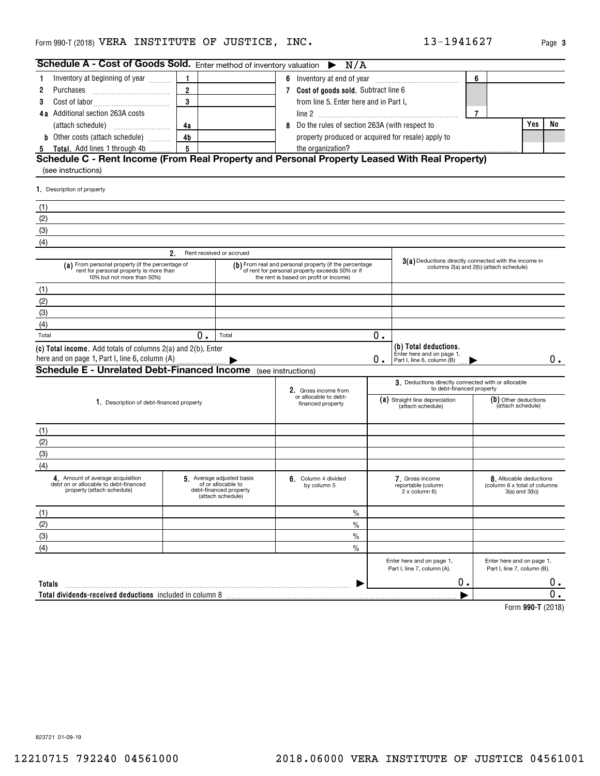| Schedule A - Cost of Goods Sold. Enter method of inventory valuation $\triangleright N/A$                                 |                                     |                                                                                               |                                       |                                                                                                                                                     |                                                     |                                                                                                  |                |                                                                              |    |  |
|---------------------------------------------------------------------------------------------------------------------------|-------------------------------------|-----------------------------------------------------------------------------------------------|---------------------------------------|-----------------------------------------------------------------------------------------------------------------------------------------------------|-----------------------------------------------------|--------------------------------------------------------------------------------------------------|----------------|------------------------------------------------------------------------------|----|--|
|                                                                                                                           | Inventory at beginning of year<br>1 |                                                                                               |                                       |                                                                                                                                                     |                                                     |                                                                                                  | 6              |                                                                              |    |  |
| 2<br>Purchases                                                                                                            | $\overline{2}$                      |                                                                                               | 7 Cost of goods sold. Subtract line 6 |                                                                                                                                                     |                                                     |                                                                                                  |                |                                                                              |    |  |
| 3                                                                                                                         | 3                                   |                                                                                               |                                       | from line 5. Enter here and in Part I,                                                                                                              |                                                     |                                                                                                  |                |                                                                              |    |  |
| 4a Additional section 263A costs                                                                                          |                                     |                                                                                               |                                       |                                                                                                                                                     |                                                     |                                                                                                  | $\overline{7}$ |                                                                              |    |  |
| (attach schedule)                                                                                                         | 4a                                  |                                                                                               |                                       | 8 Do the rules of section 263A (with respect to                                                                                                     |                                                     |                                                                                                  |                | <b>Yes</b>                                                                   | No |  |
| <b>b</b> Other costs (attach schedule)                                                                                    | 4 <sub>b</sub>                      |                                                                                               |                                       | property produced or acquired for resale) apply to                                                                                                  |                                                     |                                                                                                  |                |                                                                              |    |  |
| Total. Add lines 1 through 4b<br>5                                                                                        | 5                                   |                                                                                               |                                       | the organization?                                                                                                                                   |                                                     |                                                                                                  |                |                                                                              |    |  |
| Schedule C - Rent Income (From Real Property and Personal Property Leased With Real Property)<br>(see instructions)       |                                     |                                                                                               |                                       |                                                                                                                                                     |                                                     |                                                                                                  |                |                                                                              |    |  |
| 1. Description of property                                                                                                |                                     |                                                                                               |                                       |                                                                                                                                                     |                                                     |                                                                                                  |                |                                                                              |    |  |
| (1)                                                                                                                       |                                     |                                                                                               |                                       |                                                                                                                                                     |                                                     |                                                                                                  |                |                                                                              |    |  |
| (2)                                                                                                                       |                                     |                                                                                               |                                       |                                                                                                                                                     |                                                     |                                                                                                  |                |                                                                              |    |  |
| (3)                                                                                                                       |                                     |                                                                                               |                                       |                                                                                                                                                     |                                                     |                                                                                                  |                |                                                                              |    |  |
| (4)                                                                                                                       |                                     |                                                                                               |                                       |                                                                                                                                                     |                                                     |                                                                                                  |                |                                                                              |    |  |
|                                                                                                                           | 2.                                  | Rent received or accrued                                                                      |                                       |                                                                                                                                                     |                                                     |                                                                                                  |                |                                                                              |    |  |
| (a) From personal property (if the percentage of<br>rent for personal property is more than<br>10% but not more than 50%) |                                     |                                                                                               |                                       | (b) From real and personal property (if the percentage<br>of rent for personal property exceeds 50% or if<br>the rent is based on profit or income) |                                                     | 3(a) Deductions directly connected with the income in<br>columns 2(a) and 2(b) (attach schedule) |                |                                                                              |    |  |
| (1)                                                                                                                       |                                     |                                                                                               |                                       |                                                                                                                                                     |                                                     |                                                                                                  |                |                                                                              |    |  |
| (2)                                                                                                                       |                                     |                                                                                               |                                       |                                                                                                                                                     |                                                     |                                                                                                  |                |                                                                              |    |  |
| (3)                                                                                                                       |                                     |                                                                                               |                                       |                                                                                                                                                     |                                                     |                                                                                                  |                |                                                                              |    |  |
| (4)                                                                                                                       |                                     |                                                                                               |                                       |                                                                                                                                                     |                                                     |                                                                                                  |                |                                                                              |    |  |
| Total                                                                                                                     | 0.                                  | Total                                                                                         |                                       |                                                                                                                                                     | 0.                                                  |                                                                                                  |                |                                                                              |    |  |
| (c) Total income. Add totals of columns 2(a) and 2(b). Enter                                                              |                                     |                                                                                               |                                       |                                                                                                                                                     | 0.                                                  | (b) Total deductions.<br>Enter here and on page 1,<br>Part I, line 6, column (B)                 |                |                                                                              | 0. |  |
| <b>Schedule E - Unrelated Debt-Financed Income</b> (see instructions)                                                     |                                     |                                                                                               |                                       |                                                                                                                                                     |                                                     |                                                                                                  |                |                                                                              |    |  |
|                                                                                                                           |                                     |                                                                                               |                                       | 2. Gross income from                                                                                                                                |                                                     | 3. Deductions directly connected with or allocable<br>to debt-financed property                  |                |                                                                              |    |  |
| 1. Description of debt-financed property                                                                                  |                                     |                                                                                               |                                       | or allocable to debt-<br>financed property                                                                                                          | (a) Straight line depreciation<br>(attach schedule) |                                                                                                  |                | (b) Other deductions<br>(attach schedule)                                    |    |  |
| (1)                                                                                                                       |                                     |                                                                                               |                                       |                                                                                                                                                     |                                                     |                                                                                                  |                |                                                                              |    |  |
| (2)                                                                                                                       |                                     |                                                                                               |                                       |                                                                                                                                                     |                                                     |                                                                                                  |                |                                                                              |    |  |
| (3)                                                                                                                       |                                     |                                                                                               |                                       |                                                                                                                                                     |                                                     |                                                                                                  |                |                                                                              |    |  |
| (4)                                                                                                                       |                                     |                                                                                               |                                       |                                                                                                                                                     |                                                     |                                                                                                  |                |                                                                              |    |  |
| 4. Amount of average acquisition<br>debt on or allocable to debt-financed<br>property (attach schedule)                   |                                     | 5 Average adjusted basis<br>of or allocable to<br>debt-financed property<br>(attach schedule) |                                       | 6. Column 4 divided<br>by column 5                                                                                                                  |                                                     | 7. Gross income<br>reportable (column<br>2 x column 6)                                           |                | 8. Allocable deductions<br>(column 6 x total of columns<br>$3(a)$ and $3(b)$ |    |  |
| (1)                                                                                                                       |                                     |                                                                                               |                                       | $\%$                                                                                                                                                |                                                     |                                                                                                  |                |                                                                              |    |  |
| (2)                                                                                                                       |                                     |                                                                                               |                                       | $\frac{0}{0}$                                                                                                                                       |                                                     |                                                                                                  |                |                                                                              |    |  |
| (3)                                                                                                                       |                                     |                                                                                               |                                       | $\frac{0}{0}$                                                                                                                                       |                                                     |                                                                                                  |                |                                                                              |    |  |
| (4)                                                                                                                       |                                     |                                                                                               |                                       | $\%$                                                                                                                                                |                                                     |                                                                                                  |                |                                                                              |    |  |
|                                                                                                                           |                                     |                                                                                               |                                       |                                                                                                                                                     |                                                     | Enter here and on page 1,<br>Part I, line 7, column (A).                                         |                | Enter here and on page 1,<br>Part I, line 7, column (B).                     |    |  |
| Totals                                                                                                                    |                                     |                                                                                               |                                       |                                                                                                                                                     |                                                     | 0.                                                                                               |                |                                                                              | 0. |  |
| Total dividends-received deductions included in column 8                                                                  |                                     |                                                                                               |                                       |                                                                                                                                                     |                                                     |                                                                                                  |                |                                                                              | 0. |  |
|                                                                                                                           |                                     |                                                                                               |                                       |                                                                                                                                                     |                                                     |                                                                                                  |                | $Form$ QQ0.T $(2018)$                                                        |    |  |

**990-T**  Form (2018)

823721 01-09-19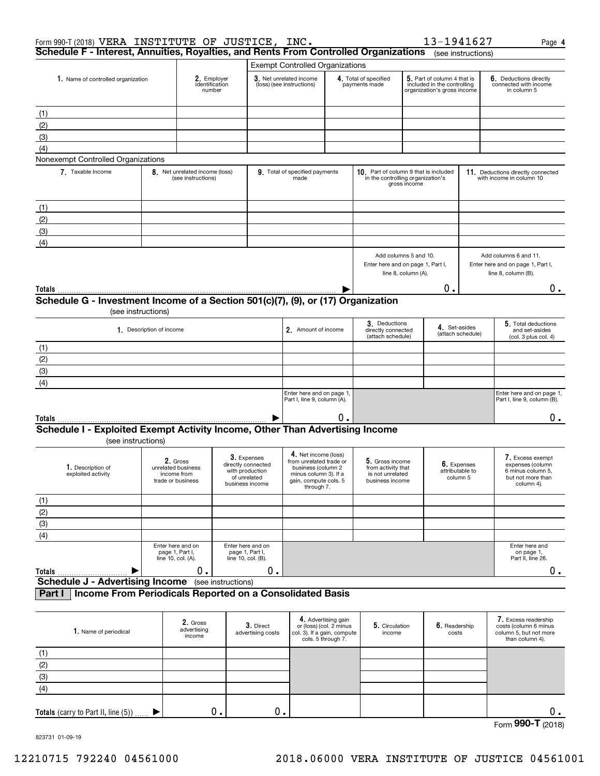| Form 990-T (2018) VERA INSTITUTE OF JUSTICE, INC.                                                            |                                                                    |                                                      |                    |                                                                                         |                                                                                                                                       |                                        |                                                                              |                                              | 13-1941627                                                                                |                                                               | Page 4                                                                                       |  |
|--------------------------------------------------------------------------------------------------------------|--------------------------------------------------------------------|------------------------------------------------------|--------------------|-----------------------------------------------------------------------------------------|---------------------------------------------------------------------------------------------------------------------------------------|----------------------------------------|------------------------------------------------------------------------------|----------------------------------------------|-------------------------------------------------------------------------------------------|---------------------------------------------------------------|----------------------------------------------------------------------------------------------|--|
| Schedule F - Interest, Annuities, Royalties, and Rents From Controlled Organizations (see instructions)      |                                                                    |                                                      |                    |                                                                                         |                                                                                                                                       |                                        |                                                                              |                                              |                                                                                           |                                                               |                                                                                              |  |
|                                                                                                              |                                                                    |                                                      |                    |                                                                                         | <b>Exempt Controlled Organizations</b>                                                                                                |                                        |                                                                              |                                              |                                                                                           |                                                               |                                                                                              |  |
| 1. Name of controlled organization                                                                           |                                                                    | 2. Employer<br>identification<br>number              |                    |                                                                                         | 3. Net unrelated income<br>(loss) (see instructions)                                                                                  | 4. Total of specified<br>payments made |                                                                              |                                              | 5. Part of column 4 that is<br>included in the controlling<br>organization's gross income |                                                               | 6. Deductions directly<br>connected with income<br>in column 5                               |  |
| (1)                                                                                                          |                                                                    |                                                      |                    |                                                                                         |                                                                                                                                       |                                        |                                                                              |                                              |                                                                                           |                                                               |                                                                                              |  |
| (2)                                                                                                          |                                                                    |                                                      |                    |                                                                                         |                                                                                                                                       |                                        |                                                                              |                                              |                                                                                           |                                                               |                                                                                              |  |
| (3)                                                                                                          |                                                                    |                                                      |                    |                                                                                         |                                                                                                                                       |                                        |                                                                              |                                              |                                                                                           |                                                               |                                                                                              |  |
| (4)                                                                                                          |                                                                    |                                                      |                    |                                                                                         |                                                                                                                                       |                                        |                                                                              |                                              |                                                                                           |                                                               |                                                                                              |  |
| Nonexempt Controlled Organizations                                                                           |                                                                    |                                                      |                    |                                                                                         |                                                                                                                                       |                                        |                                                                              |                                              |                                                                                           |                                                               |                                                                                              |  |
| 7 Taxable Income                                                                                             |                                                                    | 8. Net unrelated income (loss)<br>(see instructions) |                    |                                                                                         | 9. Total of specified payments<br>made                                                                                                |                                        | 10. Part of column 9 that is included<br>in the controlling organization's   | gross income                                 |                                                                                           |                                                               | 11. Deductions directly connected<br>with income in column 10                                |  |
| (1)                                                                                                          |                                                                    |                                                      |                    |                                                                                         |                                                                                                                                       |                                        |                                                                              |                                              |                                                                                           |                                                               |                                                                                              |  |
| (2)                                                                                                          |                                                                    |                                                      |                    |                                                                                         |                                                                                                                                       |                                        |                                                                              |                                              |                                                                                           |                                                               |                                                                                              |  |
|                                                                                                              |                                                                    |                                                      |                    |                                                                                         |                                                                                                                                       |                                        |                                                                              |                                              |                                                                                           |                                                               |                                                                                              |  |
| (3)<br>(4)                                                                                                   |                                                                    |                                                      |                    |                                                                                         |                                                                                                                                       |                                        |                                                                              |                                              |                                                                                           |                                                               |                                                                                              |  |
|                                                                                                              |                                                                    |                                                      |                    |                                                                                         |                                                                                                                                       |                                        | Enter here and on page 1, Part I,                                            | Add columns 5 and 10.<br>line 8, column (A). |                                                                                           |                                                               | Add columns 6 and 11.<br>Enter here and on page 1, Part I,<br>line 8, column (B).            |  |
| Totals                                                                                                       |                                                                    |                                                      |                    |                                                                                         |                                                                                                                                       |                                        |                                                                              |                                              | О.                                                                                        |                                                               | 0.                                                                                           |  |
| Schedule G - Investment Income of a Section 501(c)(7), (9), or (17) Organization<br>(see instructions)       |                                                                    |                                                      |                    |                                                                                         |                                                                                                                                       |                                        |                                                                              |                                              |                                                                                           |                                                               |                                                                                              |  |
| 1. Description of income                                                                                     |                                                                    |                                                      |                    |                                                                                         | 2. Amount of income                                                                                                                   |                                        | 3. Deductions<br>directly connected<br>(attach schedule)                     | 4. Set-asides<br>(attach schedule)           |                                                                                           | 5. Total deductions<br>and set-asides<br>(col. 3 plus col. 4) |                                                                                              |  |
| (1)                                                                                                          |                                                                    |                                                      |                    |                                                                                         |                                                                                                                                       |                                        |                                                                              |                                              |                                                                                           |                                                               |                                                                                              |  |
| (2)                                                                                                          |                                                                    |                                                      |                    |                                                                                         |                                                                                                                                       |                                        |                                                                              |                                              |                                                                                           |                                                               |                                                                                              |  |
| (3)                                                                                                          |                                                                    |                                                      |                    |                                                                                         |                                                                                                                                       |                                        |                                                                              |                                              |                                                                                           |                                                               |                                                                                              |  |
| (4)                                                                                                          |                                                                    |                                                      |                    |                                                                                         |                                                                                                                                       |                                        |                                                                              |                                              |                                                                                           |                                                               |                                                                                              |  |
|                                                                                                              |                                                                    |                                                      |                    |                                                                                         | Enter here and on page 1,<br>Part I, line 9, column (A).                                                                              |                                        |                                                                              |                                              |                                                                                           |                                                               | Enter here and on page 1,<br>Part I, line 9, column (B).                                     |  |
| Totals                                                                                                       |                                                                    |                                                      |                    |                                                                                         |                                                                                                                                       | 0.                                     |                                                                              |                                              |                                                                                           |                                                               | 0.                                                                                           |  |
| Schedule I - Exploited Exempt Activity Income, Other Than Advertising Income<br>(see instructions)           |                                                                    |                                                      |                    |                                                                                         |                                                                                                                                       |                                        |                                                                              |                                              |                                                                                           |                                                               |                                                                                              |  |
| 1. Description of<br>exploited activity                                                                      | 2. Gross<br>unrelated business<br>income from<br>trade or business |                                                      |                    | 3. Expenses<br>directly connected<br>with production<br>of unrelated<br>business income | 4. Net income (loss)<br>from unrelated trade or<br>business (column 2<br>minus column 3). If a<br>gain, compute cols. 5<br>through 7. |                                        | 5. Gross income<br>from activity that<br>is not unrelated<br>business income |                                              | attributable to<br>column 5                                                               | 6. Expenses                                                   | 7. Excess exempt<br>expenses (column<br>6 minus column 5,<br>but not more than<br>column 4). |  |
| (1)                                                                                                          |                                                                    |                                                      |                    |                                                                                         |                                                                                                                                       |                                        |                                                                              |                                              |                                                                                           |                                                               |                                                                                              |  |
| (2)                                                                                                          |                                                                    |                                                      |                    |                                                                                         |                                                                                                                                       |                                        |                                                                              |                                              |                                                                                           |                                                               |                                                                                              |  |
| $\overline{(\mathbf{3})}$                                                                                    |                                                                    |                                                      |                    |                                                                                         |                                                                                                                                       |                                        |                                                                              |                                              |                                                                                           |                                                               |                                                                                              |  |
| $\overline{(4)}$                                                                                             |                                                                    |                                                      |                    |                                                                                         |                                                                                                                                       |                                        |                                                                              |                                              |                                                                                           |                                                               |                                                                                              |  |
|                                                                                                              | Enter here and on<br>page 1, Part I,<br>line 10, col. (A).         |                                                      |                    | Enter here and on<br>page 1, Part I,<br>line 10, col. (B).                              |                                                                                                                                       |                                        |                                                                              |                                              |                                                                                           |                                                               | Enter here and<br>on page 1,<br>Part II, line 26.                                            |  |
| Totals                                                                                                       |                                                                    | 0.                                                   |                    | 0.                                                                                      |                                                                                                                                       |                                        |                                                                              |                                              |                                                                                           |                                                               | 0.                                                                                           |  |
| <b>Schedule J - Advertising Income</b><br>Income From Periodicals Reported on a Consolidated Basis<br>Part I |                                                                    |                                                      | (see instructions) |                                                                                         |                                                                                                                                       |                                        |                                                                              |                                              |                                                                                           |                                                               |                                                                                              |  |
|                                                                                                              |                                                                    |                                                      |                    |                                                                                         |                                                                                                                                       |                                        |                                                                              |                                              |                                                                                           |                                                               |                                                                                              |  |
| 1. Name of periodical                                                                                        |                                                                    | 2. Gross<br>advertising<br>income                    |                    | 3. Direct<br>advertising costs                                                          | or (loss) (col. 2 minus<br>col. 3). If a gain, compute<br>cols. 5 through 7.                                                          | 4. Advertising gain                    | 5. Circulation<br>income                                                     |                                              | 6. Readership<br>costs                                                                    |                                                               | 7. Excess readership<br>costs (column 6 minus<br>column 5, but not more<br>than column 4).   |  |
| (4)                                                                                                          |                                                                    |                                                      |                    |                                                                                         |                                                                                                                                       |                                        |                                                                              |                                              |                                                                                           |                                                               |                                                                                              |  |

|     | 1. Name of periodical                  | advertising<br>income | $\sigma$ . Direct<br>advertising costs | OF (IOSS) (COI. $\angle$ minus<br>col. 3). If a gain, compute<br>cols. 5 through 7. | $\mathbf{v}$ . Urculation<br>income | <b>U.</b> Readership<br>costs | COStS (CONTINUE FINITIUS<br>column 5, but not more<br>than column 4). |
|-----|----------------------------------------|-----------------------|----------------------------------------|-------------------------------------------------------------------------------------|-------------------------------------|-------------------------------|-----------------------------------------------------------------------|
| (1) |                                        |                       |                                        |                                                                                     |                                     |                               |                                                                       |
| (2) |                                        |                       |                                        |                                                                                     |                                     |                               |                                                                       |
| (3) |                                        |                       |                                        |                                                                                     |                                     |                               |                                                                       |
| (4) |                                        |                       |                                        |                                                                                     |                                     |                               |                                                                       |
|     |                                        |                       |                                        |                                                                                     |                                     |                               |                                                                       |
|     | Totals (carry to Part II, line $(5)$ ) | о.                    | $0$ .                                  |                                                                                     |                                     |                               | υ.                                                                    |

Form (2018) **990-T**

823731 01-09-19